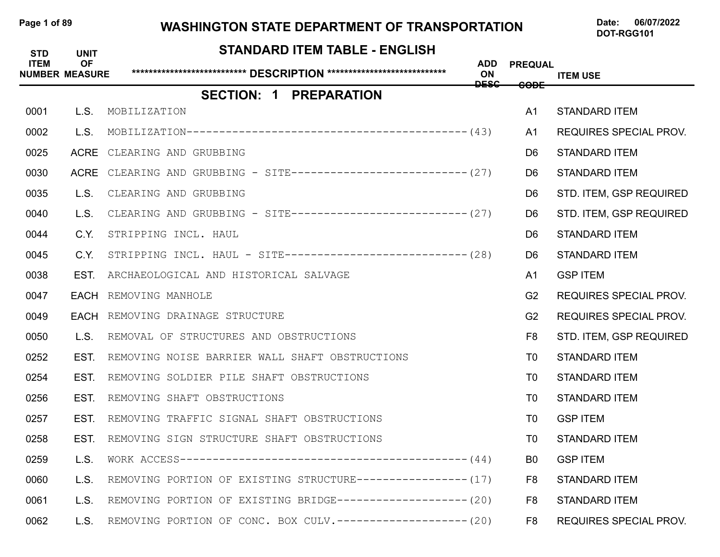## Page 1 of 89 WASHINGTON STATE DEPARTMENT OF TRANSPORTATION Date: 06/07/2022

| <b>STD</b><br><b>ITEM</b><br><b>NUMBER MEASURE</b> | <b>UNIT</b><br><b>OF</b> | <b>STANDARD ITEM TABLE - ENGLISH</b>                               | ADD<br>ON<br><b>DESC</b> | <b>PREQUAL</b><br><del>CODE</del> | <b>ITEM USE</b>               |
|----------------------------------------------------|--------------------------|--------------------------------------------------------------------|--------------------------|-----------------------------------|-------------------------------|
|                                                    |                          | <b>SECTION: 1 PREPARATION</b>                                      |                          |                                   |                               |
| 0001                                               | L.S.                     | MOBILIZATION                                                       |                          | A <sub>1</sub>                    | <b>STANDARD ITEM</b>          |
| 0002                                               | L.S.                     | $MOBILIZATION-----------------------------------------(43)$        |                          | A1                                | <b>REQUIRES SPECIAL PROV.</b> |
| 0025                                               |                          | ACRE CLEARING AND GRUBBING                                         |                          | D <sub>6</sub>                    | <b>STANDARD ITEM</b>          |
| 0030                                               |                          | ACRE CLEARING AND GRUBBING - SITE---------------------------- (27) |                          | D <sub>6</sub>                    | <b>STANDARD ITEM</b>          |
| 0035                                               | L.S.                     | CLEARING AND GRUBBING                                              |                          | D <sub>6</sub>                    | STD. ITEM, GSP REQUIRED       |
| 0040                                               | L.S.                     | CLEARING AND GRUBBING - SITE--------------------------- (27)       |                          | D <sub>6</sub>                    | STD. ITEM, GSP REQUIRED       |
| 0044                                               | C.Y.                     | STRIPPING INCL. HAUL                                               |                          | D <sub>6</sub>                    | <b>STANDARD ITEM</b>          |
| 0045                                               | C.Y.                     | STRIPPING INCL. HAUL - SITE----------------------------- (28)      |                          | D <sub>6</sub>                    | <b>STANDARD ITEM</b>          |
| 0038                                               | EST.                     | ARCHAEOLOGICAL AND HISTORICAL SALVAGE                              |                          | A1                                | <b>GSP ITEM</b>               |
| 0047                                               |                          | <b>EACH</b> REMOVING MANHOLE                                       |                          | G <sub>2</sub>                    | <b>REQUIRES SPECIAL PROV.</b> |
| 0049                                               |                          | <b>EACH</b> REMOVING DRAINAGE STRUCTURE                            |                          | G <sub>2</sub>                    | <b>REQUIRES SPECIAL PROV.</b> |
| 0050                                               | L.S.                     | REMOVAL OF STRUCTURES AND OBSTRUCTIONS                             |                          | F8                                | STD. ITEM, GSP REQUIRED       |
| 0252                                               | EST.                     | REMOVING NOISE BARRIER WALL SHAFT OBSTRUCTIONS                     |                          | T0                                | <b>STANDARD ITEM</b>          |
| 0254                                               | EST.                     | REMOVING SOLDIER PILE SHAFT OBSTRUCTIONS                           |                          | T0                                | <b>STANDARD ITEM</b>          |
| 0256                                               | EST.                     | REMOVING SHAFT OBSTRUCTIONS                                        |                          | T0                                | <b>STANDARD ITEM</b>          |
| 0257                                               | EST.                     | REMOVING TRAFFIC SIGNAL SHAFT OBSTRUCTIONS                         |                          | T0                                | <b>GSP ITEM</b>               |
| 0258                                               | EST.                     | REMOVING SIGN STRUCTURE SHAFT OBSTRUCTIONS                         |                          | T0                                | <b>STANDARD ITEM</b>          |
| 0259                                               | L.S.                     |                                                                    |                          | B <sub>0</sub>                    | <b>GSP ITEM</b>               |
| 0060                                               | L.S.                     | REMOVING PORTION OF EXISTING STRUCTURE----------------- (17)       |                          | F <sub>8</sub>                    | <b>STANDARD ITEM</b>          |
| 0061                                               | L.S.                     | REMOVING PORTION OF EXISTING BRIDGE-------------------- (20)       |                          | F8                                | <b>STANDARD ITEM</b>          |
| 0062                                               | L.S.                     | REMOVING PORTION OF CONC. BOX CULV.-------------------- (20)       |                          | F <sub>8</sub>                    | REQUIRES SPECIAL PROV.        |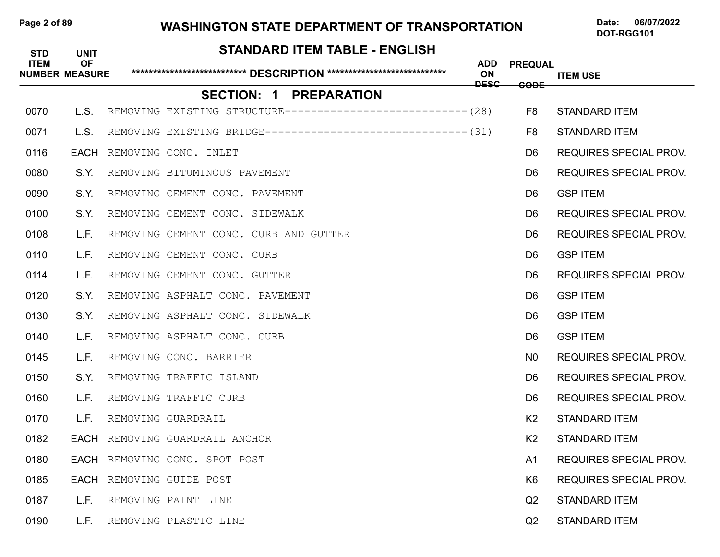## Page 2 of 89 **WASHINGTON STATE DEPARTMENT OF TRANSPORTATION** Date: 06/07/2022

| <b>STD</b><br><b>ITEM</b> | <b>UNIT</b><br><b>OF</b><br><b>NUMBER MEASURE</b> | <b>STANDARD ITEM TABLE - ENGLISH</b>                         | <b>ADD</b><br>ON<br><b>DESC</b> | <b>PREQUAL</b>  | <b>ITEM USE</b>               |
|---------------------------|---------------------------------------------------|--------------------------------------------------------------|---------------------------------|-----------------|-------------------------------|
|                           |                                                   | <b>SECTION: 1 PREPARATION</b>                                |                                 | <del>CODE</del> |                               |
| 0070                      | L.S.                                              | REMOVING EXISTING STRUCTURE---------------------------- (28) |                                 | F8              | <b>STANDARD ITEM</b>          |
| 0071                      | L.S.                                              | REMOVING EXISTING BRIDGE------------------------------- (31) |                                 | F8              | <b>STANDARD ITEM</b>          |
| 0116                      | <b>EACH</b>                                       | REMOVING CONC. INLET                                         |                                 | D6              | REQUIRES SPECIAL PROV.        |
| 0080                      | S.Y.                                              | REMOVING BITUMINOUS PAVEMENT                                 |                                 | D6              | <b>REQUIRES SPECIAL PROV.</b> |
| 0090                      | S.Y.                                              | REMOVING CEMENT CONC. PAVEMENT                               |                                 | D6.             | <b>GSP ITEM</b>               |
| 0100                      | S.Y.                                              | REMOVING CEMENT CONC. SIDEWALK                               |                                 | D6              | <b>REQUIRES SPECIAL PROV.</b> |
| 0108                      | L.F.                                              | REMOVING CEMENT CONC. CURB AND GUTTER                        |                                 | D6.             | <b>REQUIRES SPECIAL PROV.</b> |
| 0110                      | L.F.                                              | REMOVING CEMENT CONC. CURB                                   |                                 | D <sub>6</sub>  | <b>GSP ITEM</b>               |
| 0114                      | L.F.                                              | REMOVING CEMENT CONC. GUTTER                                 |                                 | D <sub>6</sub>  | <b>REQUIRES SPECIAL PROV.</b> |
| 0120                      | S.Y.                                              | REMOVING ASPHALT CONC. PAVEMENT                              |                                 | D <sub>6</sub>  | <b>GSP ITEM</b>               |
| 0130                      | S.Y.                                              | REMOVING ASPHALT CONC. SIDEWALK                              |                                 | D6              | <b>GSP ITEM</b>               |
| 0140                      | L.F.                                              | REMOVING ASPHALT CONC. CURB                                  |                                 | D6              | <b>GSP ITEM</b>               |
| 0145                      | L.F.                                              | REMOVING CONC. BARRIER                                       |                                 | N <sub>0</sub>  | <b>REQUIRES SPECIAL PROV.</b> |
| 0150                      | S.Y.                                              | REMOVING TRAFFIC ISLAND                                      |                                 | D6              | <b>REQUIRES SPECIAL PROV.</b> |
| 0160                      | L.F.                                              | REMOVING TRAFFIC CURB                                        |                                 | D6              | <b>REQUIRES SPECIAL PROV.</b> |
| 0170                      | L.F.                                              | REMOVING GUARDRAIL                                           |                                 | K <sub>2</sub>  | <b>STANDARD ITEM</b>          |
| 0182                      | EACH                                              | REMOVING GUARDRAIL ANCHOR                                    |                                 | K <sub>2</sub>  | <b>STANDARD ITEM</b>          |
| 0180                      |                                                   | EACH REMOVING CONC. SPOT POST                                |                                 | A <sub>1</sub>  | <b>REQUIRES SPECIAL PROV.</b> |
| 0185                      |                                                   | EACH REMOVING GUIDE POST                                     |                                 | K <sub>6</sub>  | <b>REQUIRES SPECIAL PROV.</b> |
| 0187                      | L.F.                                              | REMOVING PAINT LINE                                          |                                 | Q <sub>2</sub>  | <b>STANDARD ITEM</b>          |
| 0190                      | L.F.                                              | REMOVING PLASTIC LINE                                        |                                 | Q2              | <b>STANDARD ITEM</b>          |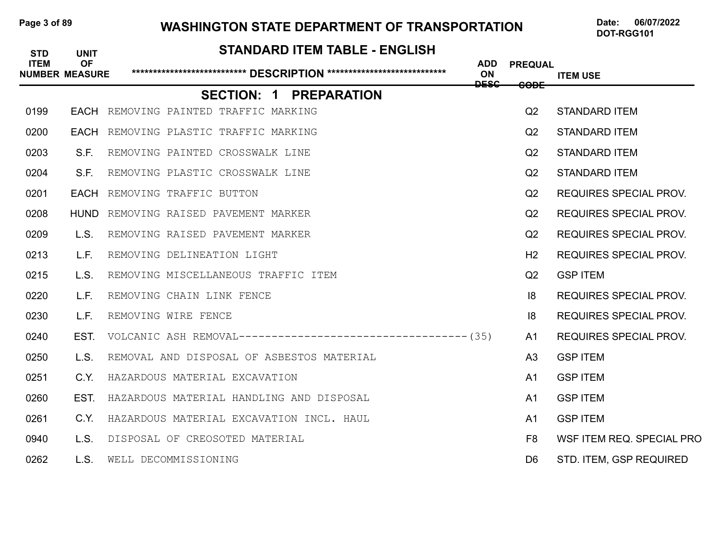## Page 3 of 89 WASHINGTON STATE DEPARTMENT OF TRANSPORTATION Date: 06/07/2022

| <b>STD</b><br><b>ITEM</b> | <b>UNIT</b><br><b>OF</b><br><b>NUMBER MEASURE</b> | <b>STANDARD ITEM TABLE - ENGLISH</b>        | <b>ADD</b><br>ON | <b>PREQUAL</b> |                               |
|---------------------------|---------------------------------------------------|---------------------------------------------|------------------|----------------|-------------------------------|
|                           |                                                   |                                             | <b>DESC</b>      | <b>CODE</b>    | <b>ITEM USE</b>               |
|                           |                                                   | <b>SECTION: 1 PREPARATION</b>               |                  |                |                               |
| 0199                      |                                                   | EACH REMOVING PAINTED TRAFFIC MARKING       |                  | Q <sub>2</sub> | <b>STANDARD ITEM</b>          |
| 0200                      |                                                   | EACH REMOVING PLASTIC TRAFFIC MARKING       |                  | Q <sub>2</sub> | <b>STANDARD ITEM</b>          |
| 0203                      | S.F.                                              | REMOVING PAINTED CROSSWALK LINE             |                  | Q2             | <b>STANDARD ITEM</b>          |
| 0204                      | S.F.                                              | REMOVING PLASTIC CROSSWALK LINE             |                  | Q <sub>2</sub> | <b>STANDARD ITEM</b>          |
| 0201                      |                                                   | <b>EACH</b> REMOVING TRAFFIC BUTTON         |                  | Q2             | <b>REQUIRES SPECIAL PROV.</b> |
| 0208                      |                                                   | <b>HUND</b> REMOVING RAISED PAVEMENT MARKER |                  | Q <sub>2</sub> | <b>REQUIRES SPECIAL PROV.</b> |
| 0209                      | L.S.                                              | REMOVING RAISED PAVEMENT MARKER             |                  | Q2             | <b>REQUIRES SPECIAL PROV.</b> |
| 0213                      | L.F.                                              | REMOVING DELINEATION LIGHT                  |                  | H <sub>2</sub> | <b>REQUIRES SPECIAL PROV.</b> |
| 0215                      | L.S.                                              | REMOVING MISCELLANEOUS TRAFFIC ITEM         |                  | Q2             | <b>GSP ITEM</b>               |
| 0220                      | L.F.                                              | REMOVING CHAIN LINK FENCE                   |                  | 8              | <b>REQUIRES SPECIAL PROV.</b> |
| 0230                      | L.F.                                              | REMOVING WIRE FENCE                         |                  | 8              | <b>REQUIRES SPECIAL PROV.</b> |
| 0240                      | EST.                                              |                                             |                  | A <sub>1</sub> | <b>REQUIRES SPECIAL PROV.</b> |
| 0250                      | L.S.                                              | REMOVAL AND DISPOSAL OF ASBESTOS MATERIAL   |                  | A <sub>3</sub> | <b>GSP ITEM</b>               |
| 0251                      | C.Y.                                              | HAZARDOUS MATERIAL EXCAVATION               |                  | A1             | <b>GSP ITEM</b>               |
| 0260                      | EST.                                              | HAZARDOUS MATERIAL HANDLING AND DISPOSAL    |                  | A1             | <b>GSP ITEM</b>               |
| 0261                      | C.Y.                                              | HAZARDOUS MATERIAL EXCAVATION INCL. HAUL    |                  | A1             | <b>GSP ITEM</b>               |
| 0940                      | L.S.                                              | DISPOSAL OF CREOSOTED MATERIAL              |                  | F <sub>8</sub> | WSF ITEM REQ. SPECIAL PRO     |
| 0262                      | L.S.                                              | WELL DECOMMISSIONING                        |                  | D6.            | STD. ITEM, GSP REQUIRED       |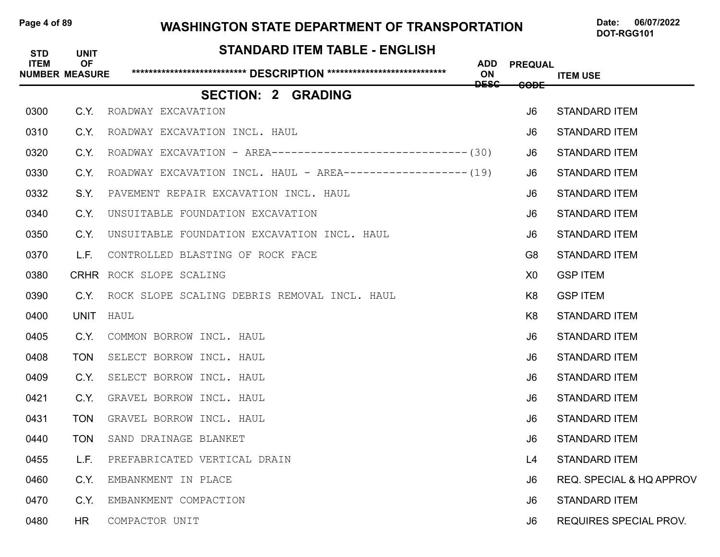### Page 4 of 89 **WASHINGTON STATE DEPARTMENT OF TRANSPORTATION** Date: 06/07/2022

| <b>STD</b><br><b>ITEM</b> | <b>UNIT</b><br><b>OF</b><br><b>NUMBER MEASURE</b> | STANDARD ITEM TABLE - ENGLISH                                  | ADD<br>ON   | <b>PREQUAL</b>  | <b>ITEM USE</b>                     |
|---------------------------|---------------------------------------------------|----------------------------------------------------------------|-------------|-----------------|-------------------------------------|
|                           |                                                   | <b>SECTION: 2 GRADING</b>                                      | <b>DESC</b> | <del>CODE</del> |                                     |
| 0300                      | C.Y.                                              | ROADWAY EXCAVATION                                             |             | J <sub>6</sub>  | <b>STANDARD ITEM</b>                |
| 0310                      | C.Y.                                              | ROADWAY EXCAVATION INCL. HAUL                                  |             | J <sub>6</sub>  | <b>STANDARD ITEM</b>                |
| 0320                      | C.Y.                                              | ROADWAY EXCAVATION - AREA------------------------------- (30)  |             | J6              | <b>STANDARD ITEM</b>                |
| 0330                      | C.Y.                                              | ROADWAY EXCAVATION INCL. HAUL - AREA------------------- $(19)$ |             | J6              | <b>STANDARD ITEM</b>                |
| 0332                      | S.Y.                                              | PAVEMENT REPAIR EXCAVATION INCL. HAUL                          |             | J6              | <b>STANDARD ITEM</b>                |
| 0340                      | C.Y.                                              | UNSUITABLE FOUNDATION EXCAVATION                               |             | J <sub>6</sub>  | <b>STANDARD ITEM</b>                |
| 0350                      | C.Y.                                              | UNSUITABLE FOUNDATION EXCAVATION INCL. HAUL                    |             | J6              | <b>STANDARD ITEM</b>                |
| 0370                      | L.F.                                              | CONTROLLED BLASTING OF ROCK FACE                               |             | G <sub>8</sub>  | <b>STANDARD ITEM</b>                |
| 0380                      |                                                   | CRHR ROCK SLOPE SCALING                                        |             | X <sub>0</sub>  | <b>GSP ITEM</b>                     |
| 0390                      | C.Y.                                              | ROCK SLOPE SCALING DEBRIS REMOVAL INCL. HAUL                   |             | K <sub>8</sub>  | <b>GSP ITEM</b>                     |
| 0400                      | UNIT                                              | HAUL                                                           |             | K8              | <b>STANDARD ITEM</b>                |
| 0405                      | C.Y.                                              | COMMON BORROW INCL. HAUL                                       |             | J <sub>6</sub>  | <b>STANDARD ITEM</b>                |
| 0408                      | <b>TON</b>                                        | SELECT BORROW INCL. HAUL                                       |             | J6              | <b>STANDARD ITEM</b>                |
| 0409                      | C.Y.                                              | SELECT BORROW INCL. HAUL                                       |             | J <sub>6</sub>  | <b>STANDARD ITEM</b>                |
| 0421                      | C.Y.                                              | GRAVEL BORROW INCL. HAUL                                       |             | J6.             | <b>STANDARD ITEM</b>                |
| 0431                      | <b>TON</b>                                        | GRAVEL BORROW INCL. HAUL                                       |             | J6              | <b>STANDARD ITEM</b>                |
| 0440                      | <b>TON</b>                                        | SAND DRAINAGE BLANKET                                          |             | J6              | <b>STANDARD ITEM</b>                |
| 0455                      | L.F.                                              | PREFABRICATED VERTICAL DRAIN                                   |             | L4              | <b>STANDARD ITEM</b>                |
| 0460                      | C.Y.                                              | EMBANKMENT IN PLACE                                            |             | J <sub>6</sub>  | <b>REQ. SPECIAL &amp; HQ APPROV</b> |
| 0470                      | C.Y.                                              | EMBANKMENT COMPACTION                                          |             | J6              | <b>STANDARD ITEM</b>                |
| 0480                      | HR                                                | COMPACTOR UNIT                                                 |             | J6              | REQUIRES SPECIAL PROV.              |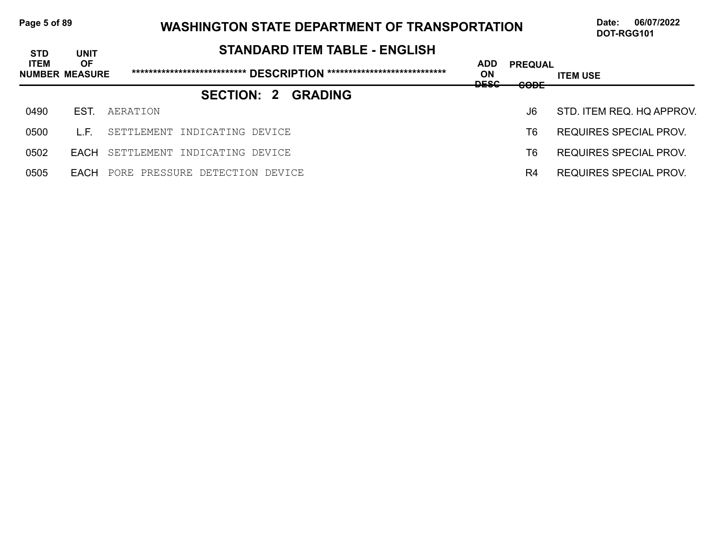## Page 5 of 89 WASHINGTON STATE DEPARTMENT OF TRANSPORTATION Date: 06/07/2022

| <b>STD</b>  | <b>UNIT</b>                        | <b>STANDARD ITEM TABLE - ENGLISH</b> |                                        |                                                              |                           |
|-------------|------------------------------------|--------------------------------------|----------------------------------------|--------------------------------------------------------------|---------------------------|
| <b>ITEM</b> | <b>OF</b><br><b>NUMBER MEASURE</b> |                                      | <b>ADD</b><br><b>ON</b><br><b>DESC</b> | <b>PREQUAL</b><br>$\mathbf{C}\mathbf{C}\mathbf{D}\mathbf{E}$ | <b>ITEM USE</b>           |
|             |                                    | <b>SECTION: 2</b><br><b>GRADING</b>  | ----                                   | <del>.</del>                                                 |                           |
| 0490        | EST.                               | AERATION                             |                                        | J6                                                           | STD. ITEM REQ. HQ APPROV. |
| 0500        | LE.                                | SETTLEMENT INDICATING DEVICE         |                                        | T6                                                           | REQUIRES SPECIAL PROV.    |
| 0502        | FACH                               | SETTLEMENT INDICATING DEVICE         |                                        | T6                                                           | REQUIRES SPECIAL PROV.    |
| 0505        | <b>FACH</b>                        | PORE PRESSURE DETECTION DEVICE       |                                        | R <sub>4</sub>                                               | REQUIRES SPECIAL PROV.    |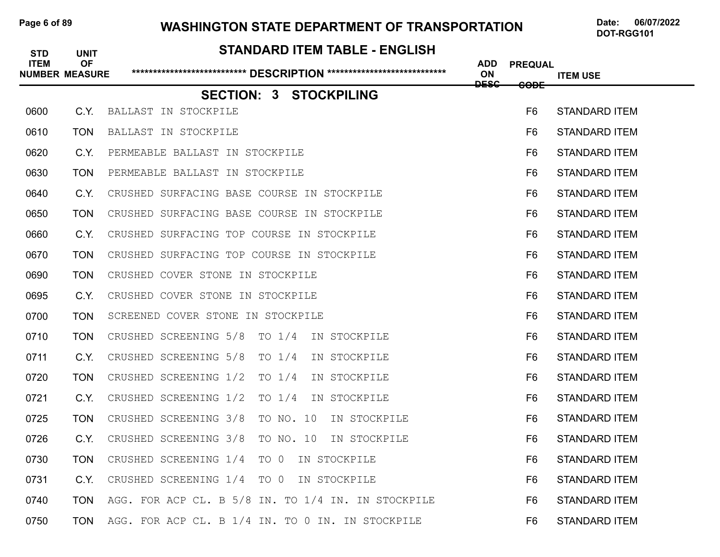### Page 6 of 89 WASHINGTON STATE DEPARTMENT OF TRANSPORTATION Date: 06/07/2022

| <b>STD</b><br><b>ITEM</b> | <b>UNIT</b><br><b>OF</b><br><b>NUMBER MEASURE</b> | <b>STANDARD ITEM TABLE - ENGLISH</b>               | <b>ADD</b><br>ON | <b>PREQUAL</b>  | <b>ITEM USE</b>      |
|---------------------------|---------------------------------------------------|----------------------------------------------------|------------------|-----------------|----------------------|
|                           |                                                   | <b>SECTION: 3 STOCKPILING</b>                      | <b>DESC</b>      | <del>CODE</del> |                      |
| 0600                      | C.Y.                                              | BALLAST IN STOCKPILE                               |                  | F <sub>6</sub>  | <b>STANDARD ITEM</b> |
| 0610                      | <b>TON</b>                                        | BALLAST IN STOCKPILE                               |                  | F <sub>6</sub>  | <b>STANDARD ITEM</b> |
| 0620                      | C.Y.                                              | PERMEABLE BALLAST IN STOCKPILE                     |                  | F6              | <b>STANDARD ITEM</b> |
| 0630                      | <b>TON</b>                                        | PERMEABLE BALLAST IN STOCKPILE                     |                  | F6              | <b>STANDARD ITEM</b> |
| 0640                      | C.Y.                                              | CRUSHED SURFACING BASE COURSE IN STOCKPILE         |                  | F6              | <b>STANDARD ITEM</b> |
| 0650                      | <b>TON</b>                                        | CRUSHED SURFACING BASE COURSE IN STOCKPILE         |                  | F <sub>6</sub>  | <b>STANDARD ITEM</b> |
| 0660                      | C.Y.                                              | CRUSHED SURFACING TOP COURSE IN STOCKPILE          |                  | F6              | <b>STANDARD ITEM</b> |
| 0670                      | <b>TON</b>                                        | CRUSHED SURFACING TOP COURSE IN STOCKPILE          |                  | F6              | <b>STANDARD ITEM</b> |
| 0690                      | <b>TON</b>                                        | CRUSHED COVER STONE IN STOCKPILE                   |                  | F6              | <b>STANDARD ITEM</b> |
| 0695                      | C.Y.                                              | CRUSHED COVER STONE IN STOCKPILE                   |                  | F <sub>6</sub>  | <b>STANDARD ITEM</b> |
| 0700                      | <b>TON</b>                                        | SCREENED COVER STONE IN STOCKPILE                  |                  | F6              | <b>STANDARD ITEM</b> |
| 0710                      | <b>TON</b>                                        | CRUSHED SCREENING 5/8<br>TO $1/4$<br>IN STOCKPILE  |                  | F6              | <b>STANDARD ITEM</b> |
| 0711                      | C.Y.                                              | CRUSHED SCREENING 5/8<br>TO $1/4$<br>IN STOCKPILE  |                  | F6              | <b>STANDARD ITEM</b> |
| 0720                      | <b>TON</b>                                        | CRUSHED SCREENING 1/2<br>TO $1/4$<br>IN STOCKPILE  |                  | F <sub>6</sub>  | <b>STANDARD ITEM</b> |
| 0721                      | C.Y.                                              | CRUSHED SCREENING 1/2<br>TO $1/4$<br>IN STOCKPILE  |                  | F6              | <b>STANDARD ITEM</b> |
| 0725                      | <b>TON</b>                                        | CRUSHED SCREENING 3/8<br>TO NO. 10<br>IN STOCKPILE |                  | F <sub>6</sub>  | <b>STANDARD ITEM</b> |
| 0726                      | C.Y.                                              | TO NO. 10<br>CRUSHED SCREENING 3/8<br>IN STOCKPILE |                  | F6              | <b>STANDARD ITEM</b> |
| 0730                      | <b>TON</b>                                        | CRUSHED SCREENING 1/4 TO 0<br>IN STOCKPILE         |                  | F <sub>6</sub>  | <b>STANDARD ITEM</b> |
| 0731                      | C.Y.                                              | CRUSHED SCREENING 1/4 TO 0 IN STOCKPILE            |                  | F6              | <b>STANDARD ITEM</b> |
| 0740                      | <b>TON</b>                                        | AGG. FOR ACP CL. B 5/8 IN. TO 1/4 IN. IN STOCKPILE |                  | F6              | <b>STANDARD ITEM</b> |
| 0750                      | <b>TON</b>                                        | AGG. FOR ACP CL. B 1/4 IN. TO 0 IN. IN STOCKPILE   |                  | F6              | <b>STANDARD ITEM</b> |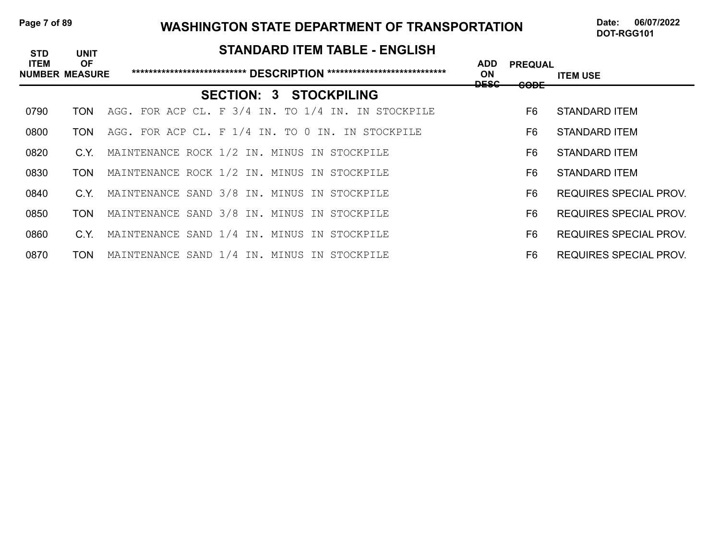### Page 7 of 89 WASHINGTON STATE DEPARTMENT OF TRANSPORTATION Date: 06/07/2022

| <b>STD</b>  | <b>UNIT</b>                        | <b>STANDARD ITEM TABLE - ENGLISH</b>               |                                            |                                   |                               |
|-------------|------------------------------------|----------------------------------------------------|--------------------------------------------|-----------------------------------|-------------------------------|
| <b>ITEM</b> | <b>OF</b><br><b>NUMBER MEASURE</b> |                                                    | <b>ADD</b><br><b>ON</b><br><del>DESC</del> | <b>PREQUAL</b><br><del>CODE</del> | <b>ITEM USE</b>               |
|             |                                    | <b>SECTION: 3 STOCKPILING</b>                      |                                            |                                   |                               |
| 0790        | TON                                | AGG. FOR ACP CL. F 3/4 IN. TO 1/4 IN. IN STOCKPILE |                                            | F6                                | STANDARD ITEM                 |
| 0800        | TON                                | AGG. FOR ACP CL. F 1/4 IN. TO 0 IN. IN STOCKPILE   |                                            | F6                                | STANDARD ITEM                 |
| 0820        | C.Y.                               | MAINTENANCE ROCK 1/2 IN. MINUS IN STOCKPILE        |                                            | F6                                | STANDARD ITEM                 |
| 0830        | <b>TON</b>                         | MAINTENANCE ROCK 1/2 IN. MINUS IN STOCKPILE        |                                            | F6                                | STANDARD ITEM                 |
| 0840        | C.Y.                               | MAINTENANCE SAND 3/8 IN. MINUS IN STOCKPILE        |                                            | F <sub>6</sub>                    | <b>REQUIRES SPECIAL PROV.</b> |
| 0850        | <b>TON</b>                         | MAINTENANCE SAND 3/8 IN. MINUS IN STOCKPILE        |                                            | F6                                | <b>REQUIRES SPECIAL PROV.</b> |
| 0860        | C.Y.                               | MAINTENANCE SAND 1/4 IN. MINUS IN STOCKPILE        |                                            | F6                                | REQUIRES SPECIAL PROV.        |
| 0870        | <b>TON</b>                         | MAINTENANCE SAND 1/4 IN. MINUS IN STOCKPILE        |                                            | F6                                | <b>REQUIRES SPECIAL PROV.</b> |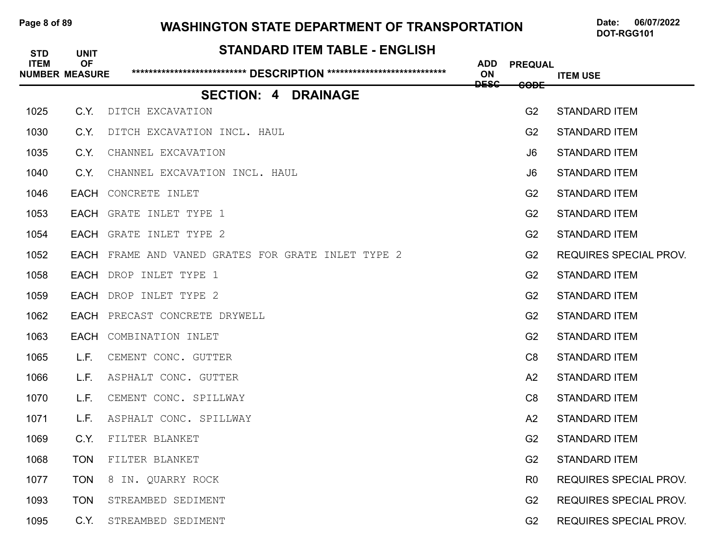## Page 8 of 89 WASHINGTON STATE DEPARTMENT OF TRANSPORTATION Date: 06/07/2022

| <b>STD</b><br><b>ITEM</b> | <b>UNIT</b><br><b>OF</b> | <b>STANDARD ITEM TABLE - ENGLISH</b>               |                  |                |                               |
|---------------------------|--------------------------|----------------------------------------------------|------------------|----------------|-------------------------------|
|                           | <b>NUMBER MEASURE</b>    |                                                    | <b>ADD</b><br>ON | <b>PREQUAL</b> | <b>ITEM USE</b>               |
|                           |                          | <b>SECTION: 4 DRAINAGE</b>                         | <b>DESC</b>      | <b>CODE</b>    |                               |
| 1025                      | C.Y.                     | DITCH EXCAVATION                                   |                  | G <sub>2</sub> | <b>STANDARD ITEM</b>          |
| 1030                      | C.Y.                     | DITCH EXCAVATION INCL. HAUL                        |                  | G <sub>2</sub> | <b>STANDARD ITEM</b>          |
| 1035                      | C.Y.                     | CHANNEL EXCAVATION                                 |                  | J6             | <b>STANDARD ITEM</b>          |
| 1040                      | C.Y.                     | CHANNEL EXCAVATION INCL. HAUL                      |                  | J6             | <b>STANDARD ITEM</b>          |
| 1046                      |                          | <b>EACH CONCRETE INLET</b>                         |                  | G <sub>2</sub> | <b>STANDARD ITEM</b>          |
| 1053                      | EACH                     | GRATE INLET TYPE 1                                 |                  | G <sub>2</sub> | <b>STANDARD ITEM</b>          |
| 1054                      | EACH                     | GRATE INLET TYPE 2                                 |                  | G <sub>2</sub> | <b>STANDARD ITEM</b>          |
| 1052                      |                          | EACH FRAME AND VANED GRATES FOR GRATE INLET TYPE 2 |                  | G <sub>2</sub> | <b>REQUIRES SPECIAL PROV.</b> |
| 1058                      | EACH                     | DROP INLET TYPE 1                                  |                  | G <sub>2</sub> | <b>STANDARD ITEM</b>          |
| 1059                      | <b>EACH</b>              | DROP INLET TYPE 2                                  |                  | G <sub>2</sub> | <b>STANDARD ITEM</b>          |
| 1062                      |                          | <b>EACH</b> PRECAST CONCRETE DRYWELL               |                  | G <sub>2</sub> | <b>STANDARD ITEM</b>          |
| 1063                      | EACH                     | COMBINATION INLET                                  |                  | G <sub>2</sub> | <b>STANDARD ITEM</b>          |
| 1065                      | L.F.                     | CEMENT CONC. GUTTER                                |                  | C8             | <b>STANDARD ITEM</b>          |
| 1066                      | L.F.                     | ASPHALT CONC. GUTTER                               |                  | A2             | <b>STANDARD ITEM</b>          |
| 1070                      | L.F.                     | CEMENT CONC. SPILLWAY                              |                  | C8             | <b>STANDARD ITEM</b>          |
| 1071                      | L.F.                     | ASPHALT CONC. SPILLWAY                             |                  | A2             | <b>STANDARD ITEM</b>          |
| 1069                      | C.Y.                     | FILTER BLANKET                                     |                  | G <sub>2</sub> | <b>STANDARD ITEM</b>          |
| 1068                      | <b>TON</b>               | FILTER BLANKET                                     |                  | G <sub>2</sub> | <b>STANDARD ITEM</b>          |
| 1077                      | <b>TON</b>               | 8 IN. QUARRY ROCK                                  |                  | R <sub>0</sub> | <b>REQUIRES SPECIAL PROV.</b> |
| 1093                      | <b>TON</b>               | STREAMBED SEDIMENT                                 |                  | G <sub>2</sub> | <b>REQUIRES SPECIAL PROV.</b> |
| 1095                      | C.Y.                     | STREAMBED SEDIMENT                                 |                  | G <sub>2</sub> | <b>REQUIRES SPECIAL PROV.</b> |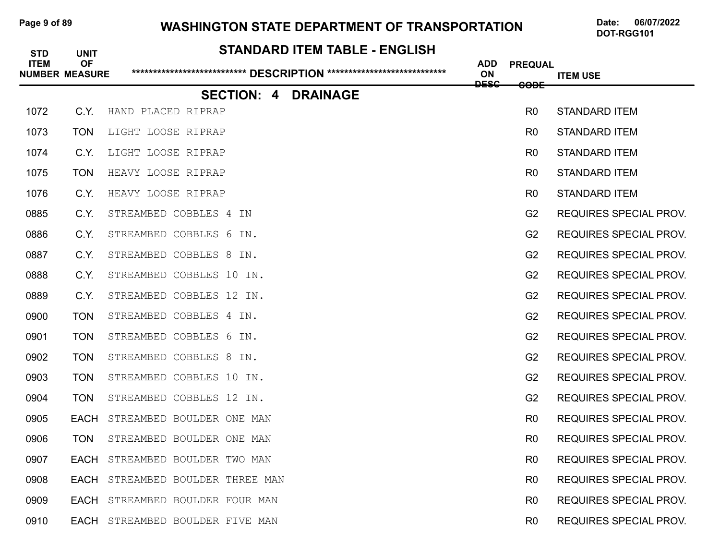## Page 9 of 89 WASHINGTON STATE DEPARTMENT OF TRANSPORTATION Date: 06/07/2022

| <b>STD</b>  | <b>UNIT</b>                        | <b>STANDARD ITEM TABLE - ENGLISH</b> |                  |                 |                               |
|-------------|------------------------------------|--------------------------------------|------------------|-----------------|-------------------------------|
| <b>ITEM</b> | <b>OF</b><br><b>NUMBER MEASURE</b> |                                      | <b>ADD</b><br>ON | <b>PREQUAL</b>  | <b>ITEM USE</b>               |
|             |                                    | <b>SECTION: 4</b><br><b>DRAINAGE</b> | <b>DESC</b>      | <del>CODE</del> |                               |
| 1072        | C.Y.                               | HAND PLACED RIPRAP                   |                  | R <sub>0</sub>  | <b>STANDARD ITEM</b>          |
| 1073        | <b>TON</b>                         | LIGHT LOOSE RIPRAP                   |                  | R <sub>0</sub>  | <b>STANDARD ITEM</b>          |
| 1074        | C.Y.                               | LIGHT LOOSE RIPRAP                   |                  | R <sub>0</sub>  | <b>STANDARD ITEM</b>          |
| 1075        | <b>TON</b>                         | HEAVY LOOSE RIPRAP                   |                  | R <sub>0</sub>  | <b>STANDARD ITEM</b>          |
| 1076        | C.Y.                               | HEAVY LOOSE RIPRAP                   |                  | R <sub>0</sub>  | <b>STANDARD ITEM</b>          |
| 0885        | C.Y.                               | STREAMBED COBBLES 4 IN               |                  | G <sub>2</sub>  | <b>REQUIRES SPECIAL PROV.</b> |
| 0886        | C.Y.                               | STREAMBED COBBLES 6 IN.              |                  | G <sub>2</sub>  | <b>REQUIRES SPECIAL PROV.</b> |
| 0887        | C.Y.                               | STREAMBED COBBLES 8 IN.              |                  | G <sub>2</sub>  | <b>REQUIRES SPECIAL PROV.</b> |
| 0888        | C.Y.                               | STREAMBED COBBLES 10 IN.             |                  | G <sub>2</sub>  | <b>REQUIRES SPECIAL PROV.</b> |
| 0889        | C.Y.                               | STREAMBED COBBLES 12 IN.             |                  | G <sub>2</sub>  | <b>REQUIRES SPECIAL PROV.</b> |
| 0900        | <b>TON</b>                         | STREAMBED COBBLES 4 IN.              |                  | G <sub>2</sub>  | <b>REQUIRES SPECIAL PROV.</b> |
| 0901        | <b>TON</b>                         | STREAMBED COBBLES 6 IN.              |                  | G <sub>2</sub>  | <b>REQUIRES SPECIAL PROV.</b> |
| 0902        | <b>TON</b>                         | STREAMBED COBBLES 8 IN.              |                  | G <sub>2</sub>  | <b>REQUIRES SPECIAL PROV.</b> |
| 0903        | <b>TON</b>                         | STREAMBED COBBLES 10 IN.             |                  | G <sub>2</sub>  | <b>REQUIRES SPECIAL PROV.</b> |
| 0904        | <b>TON</b>                         | STREAMBED COBBLES 12 IN.             |                  | G <sub>2</sub>  | <b>REQUIRES SPECIAL PROV.</b> |
| 0905        | <b>EACH</b>                        | STREAMBED BOULDER ONE MAN            |                  | R <sub>0</sub>  | <b>REQUIRES SPECIAL PROV.</b> |
| 0906        | <b>TON</b>                         | STREAMBED BOULDER ONE MAN            |                  | R <sub>0</sub>  | <b>REQUIRES SPECIAL PROV.</b> |
| 0907        |                                    | EACH STREAMBED BOULDER TWO MAN       |                  | R <sub>0</sub>  | <b>REQUIRES SPECIAL PROV.</b> |
| 0908        |                                    | EACH STREAMBED BOULDER THREE MAN     |                  | R <sub>0</sub>  | <b>REQUIRES SPECIAL PROV.</b> |
| 0909        |                                    | EACH STREAMBED BOULDER FOUR MAN      |                  | R <sub>0</sub>  | <b>REQUIRES SPECIAL PROV.</b> |
| 0910        |                                    | EACH STREAMBED BOULDER FIVE MAN      |                  | R <sub>0</sub>  | <b>REQUIRES SPECIAL PROV.</b> |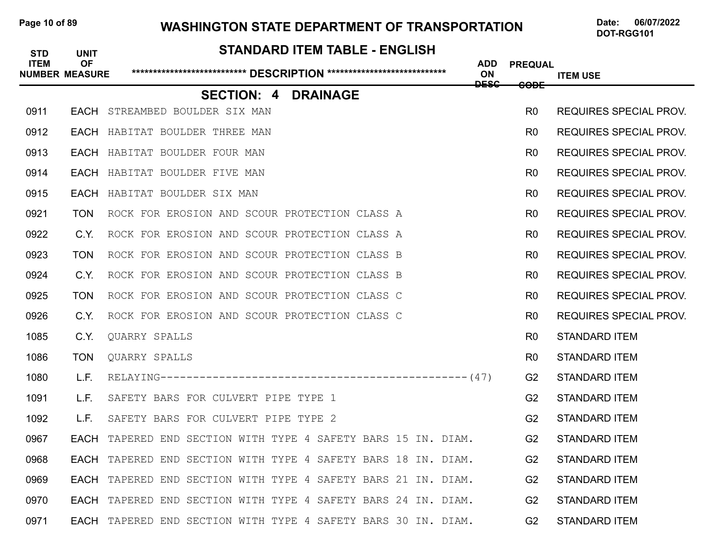## Page 10 of 89 **WASHINGTON STATE DEPARTMENT OF TRANSPORTATION** Date: 06/07/2022

# **STANDARD ITEM TABLE - ENGLISH ITEM OF ADD PREQUAL NUMBER MEASURE \*\*\*\*\*\*\*\*\*\*\*\*\*\*\*\*\*\*\*\*\*\*\*\*\*\*\* DESCRIPTION \*\*\*\*\*\*\*\*\*\*\*\*\*\*\*\*\*\*\*\*\*\*\*\*\*\*\*\* ON ITEM USE DESC CODE SECTION: 4 DRAINAGE** 0911 EACH STREAMBED BOULDER SIX MAN ROULD AND ROULD AND ROUNDER SPECIAL PROV. 0912 EACH HABITAT BOULDER THREE MAN ROULD AND ROULD AND ROULD AND REQUIRES SPECIAL PROV. 0913 EACH HABITAT BOULDER FOUR MAN ROLL CONSIDERED AND ROUNDER SPECIAL PROV. 0914 EACH HABITAT BOULDER FIVE MAN ROLL CONSUMING THE SERVICE SPECIAL PROV. 0915 EACH HABITAT BOULDER SIX MAN ROLL CONSERVED BY A SAME ROUNDER SPECIAL PROV. 0921 TON ROCK FOR EROSION AND SCOUR PROTECTION CLASS A RO REQUIRES SPECIAL PROV. 0922 C.Y. ROCK FOR EROSION AND SCOUR PROTECTION CLASS A RO REQUIRES SPECIAL PROV. 0923 TON ROCK FOR EROSION AND SCOUR PROTECTION CLASS B RO REQUIRES SPECIAL PROV. 0924 C.Y. ROCK FOR EROSION AND SCOUR PROTECTION CLASS B RO REQUIRES SPECIAL PROV. 0925 TON ROCK FOR EROSION AND SCOUR PROTECTION CLASS C RO REQUIRES SPECIAL PROV. 0926 C.Y. ROCK FOR EROSION AND SCOUR PROTECTION CLASS C RO REQUIRES SPECIAL PROV. 1085 C.Y. QUARRY SPALLS R0 STANDARD ITEM 1086 TON QUARRY SPALLS R0 STANDARD ITEM 1080 L.F. RELAYING-----------------------------------------------(47) G2 STANDARD ITEM 1091 L.F. SAFETY BARS FOR CULVERT PIPE TYPE 1 GALL CONTROLLER STANDARD ITEM 1092 L.F. SAFETY BARS FOR CULVERT PIPE TYPE 2 G2 STANDARD ITEM 0967 • FACH TAPERED END SECTION WITH TYPE 4 SAFETY BARS 15 IN. DIAM. G2 STANDARD ITEM 0968 • **EACH** TAPERED END SECTION WITH TYPE 4 SAFETY BARS 18 IN. DIAM. **G2 STANDARD ITEM** 0969 • FACH TAPERED END SECTION WITH TYPE 4 SAFETY BARS 21 IN. DIAM. G2 STANDARD ITEM 0970 FACH TAPERED END SECTION WITH TYPE 4 SAFETY BARS 24 IN. DIAM. 62 STANDARD ITEM 0971 • **EACH** TAPERED END SECTION WITH TYPE 4 SAFETY BARS 30 IN. DIAM. **G2 STANDARD ITEM**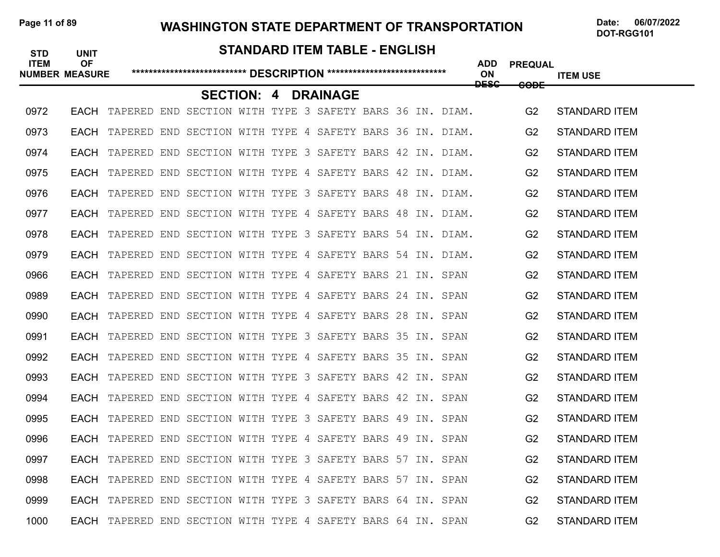#### Page 11 of 89 WASHINGTON STATE DEPARTMENT OF TRANSPORTATION Date: 06/07/2022

DOT-RGG101

#### **STANDARD ITEM TABLE - ENGLISH**

| <b>ITEM</b> | <b>OF</b><br><b>NUMBER MEASURE</b> |                                                                     |                                                          |  |                 |  |  | <b>ADD</b><br>ON<br><b>DESC</b> | <b>PREQUAL</b>  | <b>ITEM USE</b>      |
|-------------|------------------------------------|---------------------------------------------------------------------|----------------------------------------------------------|--|-----------------|--|--|---------------------------------|-----------------|----------------------|
|             |                                    |                                                                     | <b>SECTION: 4</b>                                        |  | <b>DRAINAGE</b> |  |  |                                 | <del>CODE</del> |                      |
| 0972        |                                    | EACH TAPERED END SECTION WITH TYPE 3 SAFETY BARS 36 IN. DIAM.       |                                                          |  |                 |  |  |                                 | G <sub>2</sub>  | <b>STANDARD ITEM</b> |
| 0973        | EACH                               |                                                                     | TAPERED END SECTION WITH TYPE 4 SAFETY BARS 36 IN. DIAM. |  |                 |  |  |                                 | G <sub>2</sub>  | <b>STANDARD ITEM</b> |
| 0974        | EACH                               |                                                                     | TAPERED END SECTION WITH TYPE 3 SAFETY BARS 42 IN. DIAM. |  |                 |  |  |                                 | G <sub>2</sub>  | <b>STANDARD ITEM</b> |
| 0975        | EACH                               |                                                                     | TAPERED END SECTION WITH TYPE 4 SAFETY BARS 42 IN. DIAM. |  |                 |  |  |                                 | G <sub>2</sub>  | <b>STANDARD ITEM</b> |
| 0976        | EACH                               |                                                                     | TAPERED END SECTION WITH TYPE 3 SAFETY BARS 48 IN. DIAM. |  |                 |  |  |                                 | G2              | <b>STANDARD ITEM</b> |
| 0977        | EACH                               |                                                                     | TAPERED END SECTION WITH TYPE 4 SAFETY BARS 48 IN. DIAM. |  |                 |  |  |                                 | G <sub>2</sub>  | <b>STANDARD ITEM</b> |
| 0978        | EACH                               |                                                                     | TAPERED END SECTION WITH TYPE 3 SAFETY BARS 54 IN. DIAM. |  |                 |  |  |                                 | G <sub>2</sub>  | <b>STANDARD ITEM</b> |
| 0979        |                                    | EACH TAPERED END SECTION WITH TYPE 4 SAFETY BARS 54 IN. DIAM.       |                                                          |  |                 |  |  |                                 | G <sub>2</sub>  | <b>STANDARD ITEM</b> |
| 0966        | EACH                               |                                                                     | TAPERED END SECTION WITH TYPE 4 SAFETY BARS 21 IN. SPAN  |  |                 |  |  |                                 | G <sub>2</sub>  | <b>STANDARD ITEM</b> |
| 0989        | EACH                               |                                                                     | TAPERED END SECTION WITH TYPE 4 SAFETY BARS 24 IN. SPAN  |  |                 |  |  |                                 | G <sub>2</sub>  | <b>STANDARD ITEM</b> |
| 0990        |                                    | EACH TAPERED END SECTION WITH TYPE 4 SAFETY BARS 28 IN. SPAN        |                                                          |  |                 |  |  |                                 | G <sub>2</sub>  | <b>STANDARD ITEM</b> |
| 0991        | EACH                               |                                                                     | TAPERED END SECTION WITH TYPE 3 SAFETY BARS 35 IN. SPAN  |  |                 |  |  |                                 | G <sub>2</sub>  | <b>STANDARD ITEM</b> |
| 0992        | EACH                               |                                                                     | TAPERED END SECTION WITH TYPE 4 SAFETY BARS 35 IN. SPAN  |  |                 |  |  |                                 | G <sub>2</sub>  | <b>STANDARD ITEM</b> |
| 0993        | EACH                               |                                                                     | TAPERED END SECTION WITH TYPE 3 SAFETY BARS 42 IN. SPAN  |  |                 |  |  |                                 | G <sub>2</sub>  | <b>STANDARD ITEM</b> |
| 0994        | EACH                               |                                                                     | TAPERED END SECTION WITH TYPE 4 SAFETY BARS 42 IN. SPAN  |  |                 |  |  |                                 | G <sub>2</sub>  | <b>STANDARD ITEM</b> |
| 0995        | EACH                               |                                                                     | TAPERED END SECTION WITH TYPE 3 SAFETY BARS 49 IN. SPAN  |  |                 |  |  |                                 | G2              | <b>STANDARD ITEM</b> |
| 0996        | EACH                               |                                                                     | TAPERED END SECTION WITH TYPE 4 SAFETY BARS 49 IN. SPAN  |  |                 |  |  |                                 | G <sub>2</sub>  | <b>STANDARD ITEM</b> |
| 0997        | EACH                               |                                                                     | TAPERED END SECTION WITH TYPE 3 SAFETY BARS 57 IN. SPAN  |  |                 |  |  |                                 | G <sub>2</sub>  | <b>STANDARD ITEM</b> |
| 0998        | EACH                               |                                                                     | TAPERED END SECTION WITH TYPE 4 SAFETY BARS 57 IN. SPAN  |  |                 |  |  |                                 | G <sub>2</sub>  | <b>STANDARD ITEM</b> |
| 0999        | EACH                               |                                                                     | TAPERED END SECTION WITH TYPE 3 SAFETY BARS 64 IN. SPAN  |  |                 |  |  |                                 | G2              | <b>STANDARD ITEM</b> |
| 1000        |                                    | <b>EACH</b> TAPERED END SECTION WITH TYPE 4 SAFETY BARS 64 IN. SPAN |                                                          |  |                 |  |  |                                 | G <sub>2</sub>  | <b>STANDARD ITEM</b> |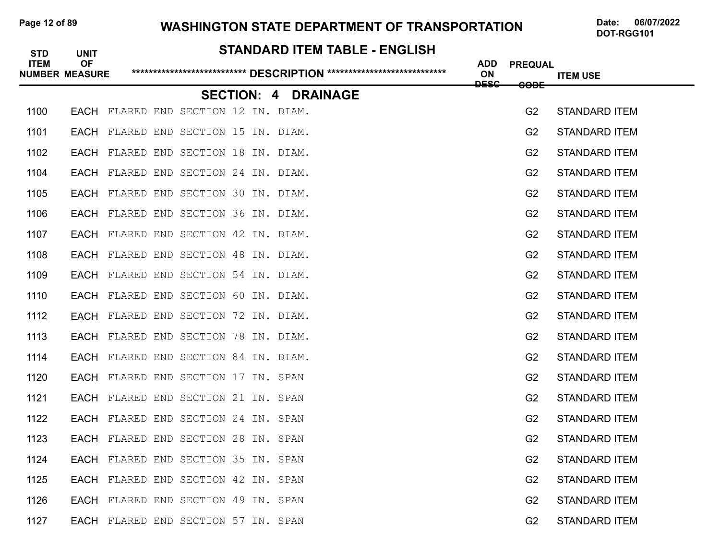## Page 12 of 89 **WASHINGTON STATE DEPARTMENT OF TRANSPORTATION** Date: 06/07/2022

| <b>STD</b>  | <b>UNIT</b>                        | <b>STANDARD ITEM TABLE - ENGLISH</b> |                                 |                               |                      |
|-------------|------------------------------------|--------------------------------------|---------------------------------|-------------------------------|----------------------|
| <b>ITEM</b> | <b>OF</b><br><b>NUMBER MEASURE</b> |                                      | <b>ADD</b><br>ON<br><b>DESC</b> | <b>PREQUAL</b><br><b>CODE</b> | <b>ITEM USE</b>      |
|             |                                    | <b>SECTION: 4 DRAINAGE</b>           |                                 |                               |                      |
| 1100        | EACH                               | FLARED END SECTION 12 IN. DIAM.      |                                 | G <sub>2</sub>                | <b>STANDARD ITEM</b> |
| 1101        |                                    | EACH FLARED END SECTION 15 IN. DIAM. |                                 | G <sub>2</sub>                | <b>STANDARD ITEM</b> |
| 1102        | <b>EACH</b>                        | FLARED END SECTION 18 IN. DIAM.      |                                 | G <sub>2</sub>                | <b>STANDARD ITEM</b> |
| 1104        |                                    | EACH FLARED END SECTION 24 IN. DIAM. |                                 | G <sub>2</sub>                | <b>STANDARD ITEM</b> |
| 1105        | <b>EACH</b>                        | FLARED END SECTION 30 IN. DIAM.      |                                 | G <sub>2</sub>                | <b>STANDARD ITEM</b> |
| 1106        |                                    | EACH FLARED END SECTION 36 IN. DIAM. |                                 | G <sub>2</sub>                | <b>STANDARD ITEM</b> |
| 1107        |                                    | EACH FLARED END SECTION 42 IN. DIAM. |                                 | G <sub>2</sub>                | <b>STANDARD ITEM</b> |
| 1108        |                                    | EACH FLARED END SECTION 48 IN. DIAM. |                                 | G <sub>2</sub>                | <b>STANDARD ITEM</b> |
| 1109        | EACH                               | FLARED END SECTION 54 IN. DIAM.      |                                 | G <sub>2</sub>                | <b>STANDARD ITEM</b> |
| 1110        |                                    | EACH FLARED END SECTION 60 IN. DIAM. |                                 | G <sub>2</sub>                | <b>STANDARD ITEM</b> |
| 1112        | EACH                               | FLARED END SECTION 72 IN. DIAM.      |                                 | G <sub>2</sub>                | <b>STANDARD ITEM</b> |
| 1113        |                                    | EACH FLARED END SECTION 78 IN. DIAM. |                                 | G <sub>2</sub>                | <b>STANDARD ITEM</b> |
| 1114        | EACH                               | FLARED END SECTION 84 IN. DIAM.      |                                 | G <sub>2</sub>                | <b>STANDARD ITEM</b> |
| 1120        |                                    | EACH FLARED END SECTION 17 IN. SPAN  |                                 | G <sub>2</sub>                | <b>STANDARD ITEM</b> |
| 1121        |                                    | EACH FLARED END SECTION 21 IN. SPAN  |                                 | G <sub>2</sub>                | <b>STANDARD ITEM</b> |
| 1122        |                                    | EACH FLARED END SECTION 24 IN. SPAN  |                                 | G <sub>2</sub>                | <b>STANDARD ITEM</b> |
| 1123        |                                    | EACH FLARED END SECTION 28 IN. SPAN  |                                 | G <sub>2</sub>                | <b>STANDARD ITEM</b> |
| 1124        |                                    | EACH FLARED END SECTION 35 IN. SPAN  |                                 | G <sub>2</sub>                | <b>STANDARD ITEM</b> |
| 1125        |                                    | EACH FLARED END SECTION 42 IN. SPAN  |                                 | G <sub>2</sub>                | <b>STANDARD ITEM</b> |
| 1126        |                                    | EACH FLARED END SECTION 49 IN. SPAN  |                                 | G <sub>2</sub>                | <b>STANDARD ITEM</b> |
| 1127        |                                    | EACH FLARED END SECTION 57 IN. SPAN  |                                 | G <sub>2</sub>                | <b>STANDARD ITEM</b> |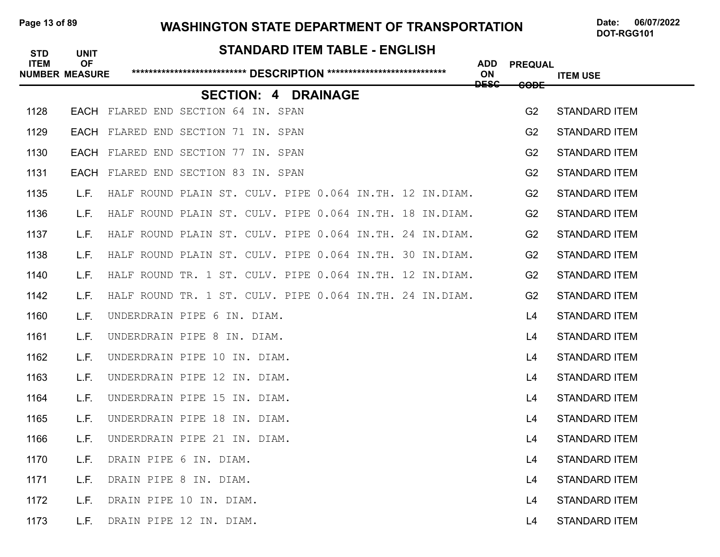#### Page 13 of 89 WASHINGTON STATE DEPARTMENT OF TRANSPORTATION Date: 06/07/2022

DOT-RGG101

# **STANDARD ITEM TABLE - ENGLISH ITEM OF ADD PREQUAL NUMBER MEASURE \*\*\*\*\*\*\*\*\*\*\*\*\*\*\*\*\*\*\*\*\*\*\*\*\*\*\* DESCRIPTION \*\*\*\*\*\*\*\*\*\*\*\*\*\*\*\*\*\*\*\*\*\*\*\*\*\*\*\* ON ITEM USE DESC CODE SECTION: 4 DRAINAGE** 1128 EACH FLARED END SECTION 64 IN. SPAN GALL CONSTRUCTION CONTROLLERY STANDARD ITEM 1129 EACH FLARED END SECTION 71 IN. SPAN G2 STANDARD ITEM 1130 EACH FLARED END SECTION 77 IN. SPAN G2 STANDARD ITEM 1131 EACH FLARED END SECTION 83 IN. SPAN G2 STANDARD ITEM 1135 L.F. HALF ROUND PLAIN ST. CULV. PIPE 0.064 IN.TH. 12 IN.DIAM. G2 STANDARD ITEM 1136 L.F. HALF ROUND PLAIN ST. CULV. PIPE 0.064 IN.TH. 18 IN.DIAM. G2 STANDARD ITEM 1137 L.F. HALF ROUND PLAIN ST. CULV. PIPE 0.064 IN.TH. 24 IN.DIAM. G2 STANDARD ITEM 1138 L.F. HALF ROUND PLAIN ST. CULV. PIPE 0.064 IN.TH. 30 IN.DIAM. G2 STANDARD ITEM 1140 L.F. HALF ROUND TR. 1 ST. CULV. PIPE 0.064 IN.TH. 12 IN.DIAM. G2 STANDARD ITEM 1142 L.F. HALF ROUND TR. 1 ST. CULV. PIPE 0.064 IN.TH. 24 IN.DIAM. G2 STANDARD ITEM 1160 L.F. UNDERDRAIN PIPE 6 IN. DIAM. LAND CONTROLLER CONTROLLER TANDARD ITEM 1161 L.F. UNDERDRAIN PIPE 8 IN. DIAM. LAND CONTROLLER CONTROLLER STANDARD ITEM 1162 L.F. UNDERDRAIN PIPE 10 IN. DIAM. LAND CONTROLLER STANDARD ITEM 1163 L.F. UNDERDRAIN PIPE 12 IN. DIAM. LAND CONTROLLER LAND MEMORITEM LAND STANDARD ITEM 1164 L.F. UNDERDRAIN PIPE 15 IN. DIAM. L4 STANDARD ITEM 1165 L.F. UNDERDRAIN PIPE 18 IN. DIAM. LAND CONTROLLER STANDARD ITEM 1166 L.F. UNDERDRAIN PIPE 21 IN. DIAM. LAND CONTROLLER STANDARD ITEM 1170 L.F. DRAIN PIPE 6 IN. DIAM. LAND CONTROLLER STANDARD ITEM 1171 L.F. DRAIN PIPE 8 IN. DIAM. Laterature and the state of the standard item that the standard item 1172 L.F. DRAIN PIPE 10 IN. DIAM. LAND CONTROLLER CONTROLLER TANDARD ITEM 1173 L.F. DRAIN PIPE 12 IN. DIAM. LAND CONTROLLER STANDARD ITEM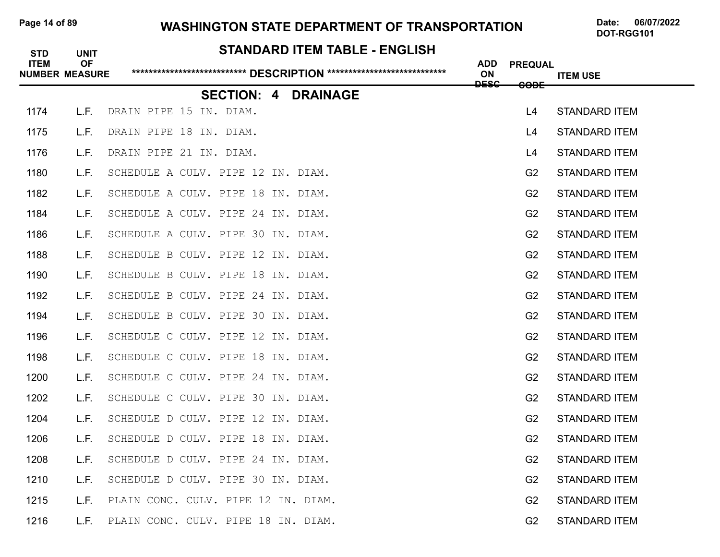## Page 14 of 89 **WASHINGTON STATE DEPARTMENT OF TRANSPORTATION** Date: 06/07/2022

| <b>STD</b>  | <b>UNIT</b>                        | <b>STANDARD ITEM TABLE - ENGLISH</b> |                  |                 |                      |
|-------------|------------------------------------|--------------------------------------|------------------|-----------------|----------------------|
| <b>ITEM</b> | <b>OF</b><br><b>NUMBER MEASURE</b> |                                      | <b>ADD</b><br>ON | <b>PREQUAL</b>  | <b>ITEM USE</b>      |
|             |                                    | <b>SECTION: 4</b><br><b>DRAINAGE</b> | <b>DESC</b>      | <del>CODE</del> |                      |
| 1174        | L.F.                               | DRAIN PIPE 15 IN. DIAM.              |                  | L4              | <b>STANDARD ITEM</b> |
| 1175        | L.F.                               | DRAIN PIPE 18 IN. DIAM.              |                  | L4              | <b>STANDARD ITEM</b> |
| 1176        | L.F.                               | DRAIN PIPE 21 IN. DIAM.              |                  | L4              | <b>STANDARD ITEM</b> |
| 1180        | L.F.                               | SCHEDULE A CULV. PIPE 12 IN. DIAM.   |                  | G <sub>2</sub>  | <b>STANDARD ITEM</b> |
| 1182        | L.F.                               | SCHEDULE A CULV. PIPE 18 IN. DIAM.   |                  | G <sub>2</sub>  | <b>STANDARD ITEM</b> |
| 1184        | L.F.                               | SCHEDULE A CULV. PIPE 24 IN. DIAM.   |                  | G2              | <b>STANDARD ITEM</b> |
| 1186        | L.F.                               | SCHEDULE A CULV. PIPE 30 IN. DIAM.   |                  | G <sub>2</sub>  | <b>STANDARD ITEM</b> |
| 1188        | L.F.                               | SCHEDULE B CULV. PIPE 12 IN. DIAM.   |                  | G2              | <b>STANDARD ITEM</b> |
| 1190        | L.F.                               | SCHEDULE B CULV. PIPE 18 IN. DIAM.   |                  | G <sub>2</sub>  | <b>STANDARD ITEM</b> |
| 1192        | L.F.                               | SCHEDULE B CULV. PIPE 24 IN. DIAM.   |                  | G <sub>2</sub>  | <b>STANDARD ITEM</b> |
| 1194        | L.F.                               | SCHEDULE B CULV. PIPE 30 IN. DIAM.   |                  | G <sub>2</sub>  | <b>STANDARD ITEM</b> |
| 1196        | L.F.                               | SCHEDULE C CULV. PIPE 12 IN. DIAM.   |                  | G <sub>2</sub>  | <b>STANDARD ITEM</b> |
| 1198        | L.F.                               | SCHEDULE C CULV. PIPE 18 IN. DIAM.   |                  | G <sub>2</sub>  | <b>STANDARD ITEM</b> |
| 1200        | L.F.                               | SCHEDULE C CULV. PIPE 24 IN. DIAM.   |                  | G <sub>2</sub>  | <b>STANDARD ITEM</b> |
| 1202        | L.F.                               | SCHEDULE C CULV. PIPE 30 IN. DIAM.   |                  | G <sub>2</sub>  | <b>STANDARD ITEM</b> |
| 1204        | L.F.                               | SCHEDULE D CULV. PIPE 12 IN. DIAM.   |                  | G <sub>2</sub>  | <b>STANDARD ITEM</b> |
| 1206        | L.F.                               | SCHEDULE D CULV. PIPE 18 IN. DIAM.   |                  | G <sub>2</sub>  | <b>STANDARD ITEM</b> |
| 1208        | L.F.                               | SCHEDULE D CULV. PIPE 24 IN. DIAM.   |                  | G <sub>2</sub>  | <b>STANDARD ITEM</b> |
| 1210        | L.F.                               | SCHEDULE D CULV. PIPE 30 IN. DIAM.   |                  | G <sub>2</sub>  | <b>STANDARD ITEM</b> |
| 1215        | L.F.                               | PLAIN CONC. CULV. PIPE 12 IN. DIAM.  |                  | G <sub>2</sub>  | <b>STANDARD ITEM</b> |
| 1216        | L.F.                               | PLAIN CONC. CULV. PIPE 18 IN. DIAM.  |                  | G <sub>2</sub>  | <b>STANDARD ITEM</b> |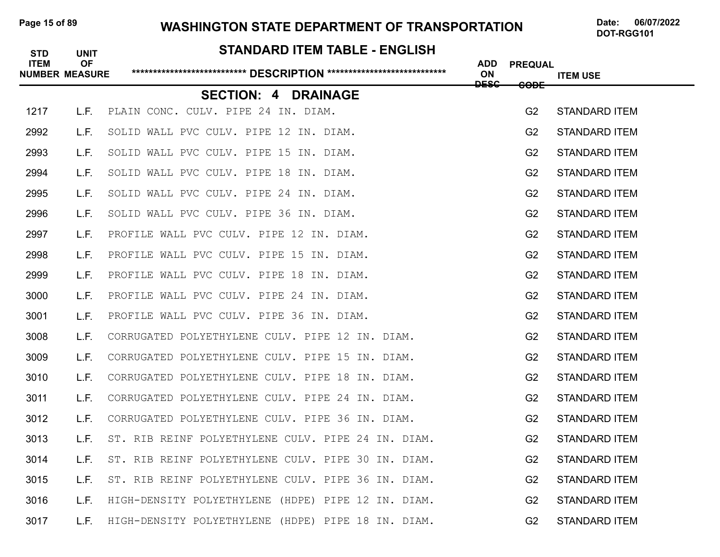## Page 15 of 89 **WASHINGTON STATE DEPARTMENT OF TRANSPORTATION** Date: 06/07/2022

# **STANDARD ITEM TABLE - ENGLISH ITEM OF ADD PREQUAL NUMBER MEASURE \*\*\*\*\*\*\*\*\*\*\*\*\*\*\*\*\*\*\*\*\*\*\*\*\*\*\* DESCRIPTION \*\*\*\*\*\*\*\*\*\*\*\*\*\*\*\*\*\*\*\*\*\*\*\*\*\*\*\* ON ITEM USE DESC CODE SECTION: 4 DRAINAGE** 1217 L.F. PLAIN CONC. CULV. PIPE 24 IN. DIAM. Same and the control of the G2 STANDARD ITEM 2992 L.F. SOLID WALL PVC CULV. PIPE 12 IN. DIAM. THE CONTROL STANDARD ITEM 2993 L.F. SOLID WALL PVC CULV. PIPE 15 IN. DIAM. G2 STANDARD ITEM 2994 L.F. SOLID WALL PVC CULV. PIPE 18 IN. DIAM. THE CONTROL STANDARD ITEM 2995 L.F. SOLID WALL PVC CULV. PIPE 24 IN. DIAM. G2 STANDARD ITEM 2996 L.F. SOLID WALL PVC CULV. PIPE 36 IN. DIAM. G2 STANDARD ITEM 2997 L.F. PROFILE WALL PVC CULV. PIPE 12 IN. DIAM. G2 STANDARD ITEM 2998 L.F. PROFILE WALL PVC CULV. PIPE 15 IN. DIAM. G2 STANDARD ITEM 2999 L.F. PROFILE WALL PVC CULV. PIPE 18 IN. DIAM. THE MANUS CONSTANDARD FOR THE M 3000 L.F. PROFILE WALL PVC CULV. PIPE 24 IN. DIAM. THE SAMILLY CONSTRIENT GASTANDARD ITEM 3001 L.F. PROFILE WALL PVC CULV. PIPE 36 IN. DIAM. G2 STANDARD ITEM 3008 L.F. CORRUGATED POLYETHYLENE CULV. PIPE 12 IN. DIAM. G2 STANDARD ITEM 3009 L.F. CORRUGATED POLYETHYLENE CULV. PIPE 15 IN. DIAM. G2 STANDARD ITEM 3010 L.F. CORRUGATED POLYETHYLENE CULV. PIPE 18 IN. DIAM. G2 STANDARD ITEM 3011 L.F. CORRUGATED POLYETHYLENE CULV. PIPE 24 IN. DIAM. G2 STANDARD ITEM 3012 L.F. CORRUGATED POLYETHYLENE CULV. PIPE 36 IN. DIAM. G2 STANDARD ITEM 3013 L.F. ST. RIB REINF POLYETHYLENE CULV. PIPE 24 IN. DIAM. **G2 STANDARD ITEM** 3014 L.F. ST. RIB REINF POLYETHYLENE CULV. PIPE 30 IN. DIAM. G2 STANDARD ITEM 3015 L.F. ST. RIB REINF POLYETHYLENE CULV. PIPE 36 IN. DIAM. G2 STANDARD ITEM 3016 L.F. HIGH-DENSITY POLYETHYLENE (HDPE) PIPE 12 IN. DIAM. G2 STANDARD ITEM 3017 L.F. HIGH-DENSITY POLYETHYLENE (HDPE) PIPE 18 IN. DIAM. G2 STANDARD ITEM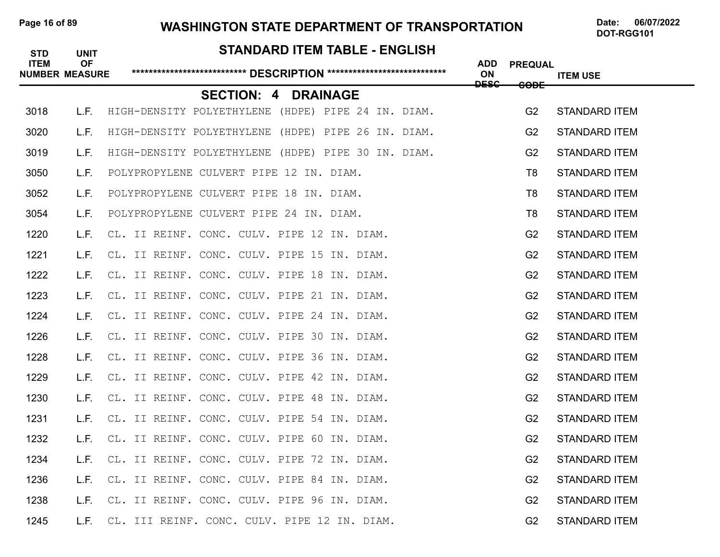#### Page 16 of 89 WASHINGTON STATE DEPARTMENT OF TRANSPORTATION Date: 06/07/2022

DOT-RGG101

# **STANDARD ITEM TABLE - ENGLISH ITEM OF ADD PREQUAL NUMBER MEASURE \*\*\*\*\*\*\*\*\*\*\*\*\*\*\*\*\*\*\*\*\*\*\*\*\*\*\* DESCRIPTION \*\*\*\*\*\*\*\*\*\*\*\*\*\*\*\*\*\*\*\*\*\*\*\*\*\*\*\* ON ITEM USE DESC CODE SECTION: 4 DRAINAGE** 3018 L.F. HIGH-DENSITY POLYETHYLENE (HDPE) PIPE 24 IN. DIAM. G2 STANDARD ITEM 3020 L.F. HIGH-DENSITY POLYETHYLENE (HDPE) PIPE 26 IN. DIAM. G2 STANDARD ITEM 3019 L.F. HIGH-DENSITY POLYETHYLENE (HDPE) PIPE 30 IN. DIAM. G2 STANDARD ITEM 3050 L.F. POLYPROPYLENE CULVERT PIPE 12 IN. DIAM. THE STANDARD TEM 3052 L.F. POLYPROPYLENE CULVERT PIPE 18 IN. DIAM. THE STANDARD ITEM 3054 L.F. POLYPROPYLENE CULVERT PIPE 24 IN. DIAM. T8 STANDARD ITEM 1220 L.F. CL. II REINF. CONC. CULV. PIPE 12 IN. DIAM. G2 STANDARD ITEM 1221 L.F. CL. II REINF. CONC. CULV. PIPE 15 IN. DIAM. G2 STANDARD ITEM 1222 L.F. CL. II REINF. CONC. CULV. PIPE 18 IN. DIAM. G2 STANDARD ITEM 1223 L.F. CL. II REINF. CONC. CULV. PIPE 21 IN. DIAM. G2 STANDARD ITEM 1224 L.F. CL. II REINF. CONC. CULV. PIPE 24 IN. DIAM. G2 STANDARD ITEM 1226 L.F. CL. II REINF. CONC. CULV. PIPE 30 IN. DIAM. G2 STANDARD ITEM 1228 L.F. CL. II REINF. CONC. CULV. PIPE 36 IN. DIAM. G2 STANDARD ITEM 1229 L.F. CL. II REINF. CONC. CULV. PIPE 42 IN. DIAM. G2 STANDARD ITEM 1230 L.F. CL. II REINF. CONC. CULV. PIPE 48 IN. DIAM. G2 STANDARD ITEM 1231 L.F. CL. II REINF. CONC. CULV. PIPE 54 IN. DIAM. G2 STANDARD ITEM 1232 L.F. CL. II REINF. CONC. CULV. PIPE 60 IN. DIAM. G2 STANDARD ITEM 1234 L.F. CL. II REINF. CONC. CULV. PIPE 72 IN. DIAM. G2 STANDARD ITEM 1236 L.F. CL. II REINF. CONC. CULV. PIPE 84 IN. DIAM. G2 STANDARD ITEM 1238 L.F. CL. II REINF. CONC. CULV. PIPE 96 IN. DIAM. G2 STANDARD ITEM 1245 L.F. CL. III REINF. CONC. CULV. PIPE 12 IN. DIAM. G2 STANDARD ITEM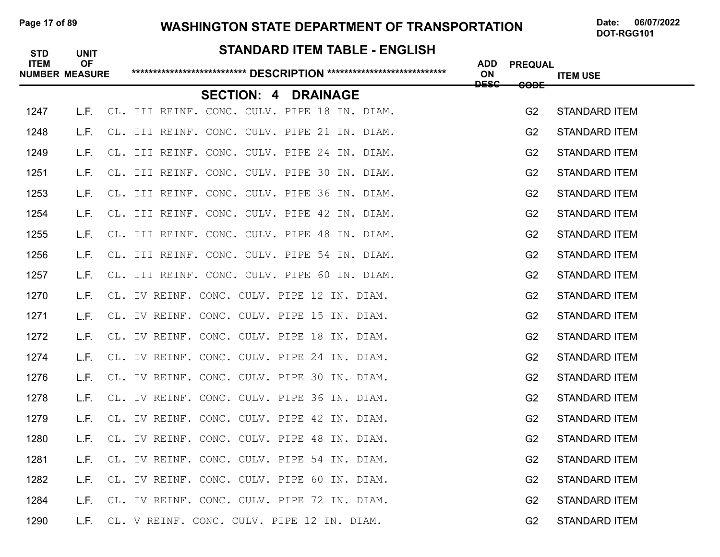# Page 17 of 89 **WASHINGTON STATE DEPARTMENT OF TRANSPORTATION** Date: 06/07/2022

# **STANDARD ITEM TABLE - ENGLISH ITEM OF ADD PREQUAL NUMBER MEASURE \*\*\*\*\*\*\*\*\*\*\*\*\*\*\*\*\*\*\*\*\*\*\*\*\*\*\* DESCRIPTION \*\*\*\*\*\*\*\*\*\*\*\*\*\*\*\*\*\*\*\*\*\*\*\*\*\*\*\* ON ITEM USE DESC CODE SECTION: 4 DRAINAGE** 1247 L.F. CL. III REINF. CONC. CULV. PIPE 18 IN. DIAM. G2 STANDARD ITEM 1248 L.F. CL. III REINF. CONC. CULV. PIPE 21 IN. DIAM. G2 STANDARD ITEM 1249 L.F. CL. III REINF. CONC. CULV. PIPE 24 IN. DIAM. G2 STANDARD ITEM 1251 L.F. CL. III REINF. CONC. CULV. PIPE 30 IN. DIAM. G2 STANDARD ITEM 1253 L.F. CL. III REINF. CONC. CULV. PIPE 36 IN. DIAM. G2 STANDARD ITEM 1254 L.F. CL. III REINF. CONC. CULV. PIPE 42 IN. DIAM. G2 STANDARD ITEM 1255 L.F. CL. III REINF. CONC. CULV. PIPE 48 IN. DIAM. G2 STANDARD ITEM 1256 L.F. CL. III REINF. CONC. CULV. PIPE 54 IN. DIAM. G2 STANDARD ITEM 1257 L.F. CL. III REINF. CONC. CULV. PIPE 60 IN. DIAM. G2 STANDARD ITEM 1270 L.F. CL. IV REINF. CONC. CULV. PIPE 12 IN. DIAM. G2 STANDARD ITEM 1271 L.F. CL. IV REINF. CONC. CULV. PIPE 15 IN. DIAM. G2 STANDARD ITEM 1272 L.F. CL. IV REINF. CONC. CULV. PIPE 18 IN. DIAM. G2 STANDARD ITEM 1274 L.F. CL. IV REINF. CONC. CULV. PIPE 24 IN. DIAM. G2 STANDARD ITEM 1276 L.F. CL. IV REINF. CONC. CULV. PIPE 30 IN. DIAM. G2 STANDARD ITEM 1278 L.F. CL. IV REINF. CONC. CULV. PIPE 36 IN. DIAM. G2 STANDARD ITEM 1279 L.F. CL. IV REINF. CONC. CULV. PIPE 42 IN. DIAM. G2 STANDARD ITEM 1280 L.F. CL. IV REINF. CONC. CULV. PIPE 48 IN. DIAM. G2 STANDARD ITEM 1281 L.F. CL. IV REINF. CONC. CULV. PIPE 54 IN. DIAM. G2 STANDARD ITEM 1282 L.F. CL. IV REINF. CONC. CULV. PIPE 60 IN. DIAM. G2 STANDARD ITEM 1284 L.F. CL. IV REINF. CONC. CULV. PIPE 72 IN. DIAM. G2 STANDARD ITEM 1290 L.F. CL. V REINF. CONC. CULV. PIPE 12 IN. DIAM. G2 STANDARD ITEM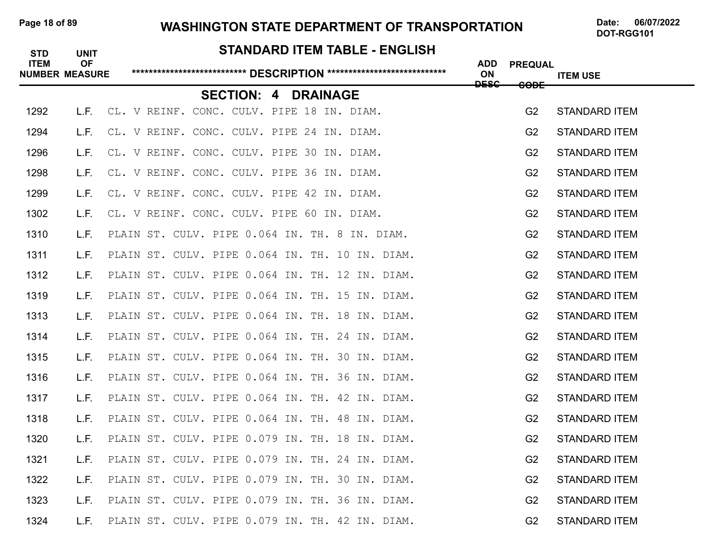#### Page 18 of 89 WASHINGTON STATE DEPARTMENT OF TRANSPORTATION Date: 06/07/2022

DOT-RGG101

#### **STANDARD ITEM TABLE - ENGLISH**

| <b>ITEM</b> | <b>OF</b><br><b>NUMBER MEASURE</b> |                                                 |                 | <b>ADD</b><br>ON<br><del>DESC</del> | <b>PREQUAL</b>  | <b>ITEM USE</b>      |
|-------------|------------------------------------|-------------------------------------------------|-----------------|-------------------------------------|-----------------|----------------------|
|             |                                    | <b>SECTION: 4</b>                               | <b>DRAINAGE</b> |                                     | <del>CODE</del> |                      |
| 1292        | L.F.                               | CL. V REINF. CONC. CULV. PIPE 18 IN. DIAM.      |                 |                                     | G <sub>2</sub>  | <b>STANDARD ITEM</b> |
| 1294        | L.F.                               | CL. V REINF. CONC. CULV. PIPE 24 IN. DIAM.      |                 |                                     | G <sub>2</sub>  | <b>STANDARD ITEM</b> |
| 1296        | L.F.                               | CL. V REINF. CONC. CULV. PIPE 30 IN. DIAM.      |                 |                                     | G2              | <b>STANDARD ITEM</b> |
| 1298        | L.F.                               | CL. V REINF. CONC. CULV. PIPE 36 IN. DIAM.      |                 |                                     | G2              | <b>STANDARD ITEM</b> |
| 1299        | L.F.                               | CL. V REINF. CONC. CULV. PIPE 42 IN. DIAM.      |                 |                                     | G <sub>2</sub>  | <b>STANDARD ITEM</b> |
| 1302        | L.F.                               | CL. V REINF. CONC. CULV. PIPE 60 IN. DIAM.      |                 |                                     | G <sub>2</sub>  | <b>STANDARD ITEM</b> |
| 1310        | L.F.                               | PLAIN ST. CULV. PIPE 0.064 IN. TH. 8 IN. DIAM.  |                 |                                     | G2              | <b>STANDARD ITEM</b> |
| 1311        | L.F.                               | PLAIN ST. CULV. PIPE 0.064 IN. TH. 10 IN. DIAM. |                 |                                     | G2              | <b>STANDARD ITEM</b> |
| 1312        | L.F.                               | PLAIN ST. CULV. PIPE 0.064 IN. TH. 12 IN. DIAM. |                 |                                     | G2              | <b>STANDARD ITEM</b> |
| 1319        | L.F.                               | PLAIN ST. CULV. PIPE 0.064 IN. TH. 15 IN. DIAM. |                 |                                     | G <sub>2</sub>  | <b>STANDARD ITEM</b> |
| 1313        | L.F.                               | PLAIN ST. CULV. PIPE 0.064 IN. TH. 18 IN. DIAM. |                 |                                     | G <sub>2</sub>  | <b>STANDARD ITEM</b> |
| 1314        | L.F.                               | PLAIN ST. CULV. PIPE 0.064 IN. TH. 24 IN. DIAM. |                 |                                     | G2              | <b>STANDARD ITEM</b> |
| 1315        | L.F.                               | PLAIN ST. CULV. PIPE 0.064 IN. TH. 30 IN. DIAM. |                 |                                     | G <sub>2</sub>  | <b>STANDARD ITEM</b> |
| 1316        | L.F.                               | PLAIN ST. CULV. PIPE 0.064 IN. TH. 36 IN. DIAM. |                 |                                     | G2              | <b>STANDARD ITEM</b> |
| 1317        | L.F.                               | PLAIN ST. CULV. PIPE 0.064 IN. TH. 42 IN. DIAM. |                 |                                     | G <sub>2</sub>  | <b>STANDARD ITEM</b> |
| 1318        | L.F.                               | PLAIN ST. CULV. PIPE 0.064 IN. TH. 48 IN. DIAM. |                 |                                     | G <sub>2</sub>  | <b>STANDARD ITEM</b> |
| 1320        | L.F.                               | PLAIN ST. CULV. PIPE 0.079 IN. TH. 18 IN. DIAM. |                 |                                     | G <sub>2</sub>  | <b>STANDARD ITEM</b> |
| 1321        | L.F.                               | PLAIN ST. CULV. PIPE 0.079 IN. TH. 24 IN. DIAM. |                 |                                     | G2              | <b>STANDARD ITEM</b> |
| 1322        | L.F.                               | PLAIN ST. CULV. PIPE 0.079 IN. TH. 30 IN. DIAM. |                 |                                     | G <sub>2</sub>  | <b>STANDARD ITEM</b> |
| 1323        | L.F.                               | PLAIN ST. CULV. PIPE 0.079 IN. TH. 36 IN. DIAM. |                 |                                     | G2              | <b>STANDARD ITEM</b> |
| 1324        | L.F.                               | PLAIN ST. CULV. PIPE 0.079 IN. TH. 42 IN. DIAM. |                 |                                     | G2              | <b>STANDARD ITEM</b> |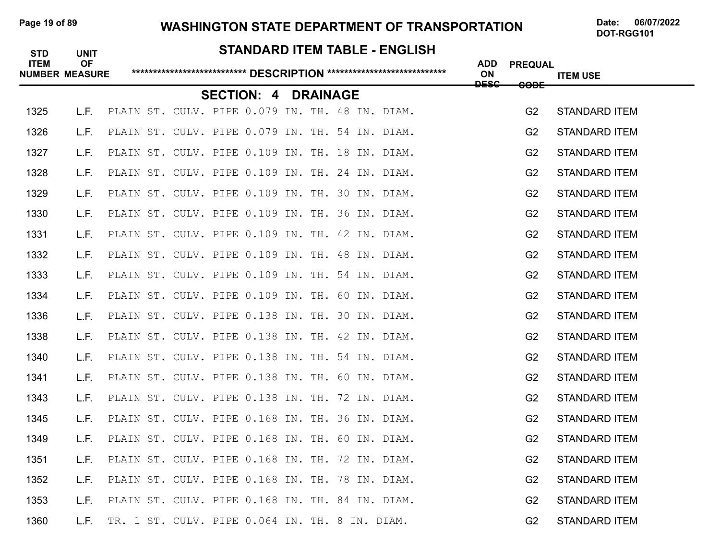# Page 19 of 89 **WASHINGTON STATE DEPARTMENT OF TRANSPORTATION** Date: 06/07/2022

# **STANDARD ITEM TABLE - ENGLISH ITEM OF ADD PREQUAL NUMBER MEASURE \*\*\*\*\*\*\*\*\*\*\*\*\*\*\*\*\*\*\*\*\*\*\*\*\*\*\* DESCRIPTION \*\*\*\*\*\*\*\*\*\*\*\*\*\*\*\*\*\*\*\*\*\*\*\*\*\*\*\* ON ITEM USE DESC CODE SECTION: 4 DRAINAGE** 1325 L.F. PLAIN ST. CULV. PIPE 0.079 IN. TH. 48 IN. DIAM. G2 STANDARD ITEM 1326 L.F. PLAIN ST. CULV. PIPE 0.079 IN. TH. 54 IN. DIAM. G2 STANDARD ITEM 1327 L.F. PLAIN ST. CULV. PIPE 0.109 IN. TH. 18 IN. DIAM. G2 STANDARD ITEM 1328 L.F. PLAIN ST. CULV. PIPE 0.109 IN. TH. 24 IN. DIAM. G2 STANDARD ITEM 1329 L.F. PLAIN ST. CULV. PIPE 0.109 IN. TH. 30 IN. DIAM. G2 STANDARD ITEM 1330 L.F. PLAIN ST. CULV. PIPE 0.109 IN. TH. 36 IN. DIAM. G2 STANDARD ITEM 1331 L.F. PLAIN ST. CULV. PIPE 0.109 IN. TH. 42 IN. DIAM. G2 STANDARD ITEM 1332 L.F. PLAIN ST. CULV. PIPE 0.109 IN. TH. 48 IN. DIAM. G2 STANDARD ITEM 1333 L.F. PLAIN ST. CULV. PIPE 0.109 IN. TH. 54 IN. DIAM. G2 STANDARD ITEM 1334 L.F. PLAIN ST. CULV. PIPE 0.109 IN. TH. 60 IN. DIAM. G2 STANDARD ITEM 1336 L.F. PLAIN ST. CULV. PIPE 0.138 IN. TH. 30 IN. DIAM. G2 STANDARD ITEM 1338 L.F. PLAIN ST. CULV. PIPE 0.138 IN. TH. 42 IN. DIAM. G2 STANDARD ITEM 1340 L.F. PLAIN ST. CULV. PIPE 0.138 IN. TH. 54 IN. DIAM. G2 STANDARD ITEM 1341 L.F. PLAIN ST. CULV. PIPE 0.138 IN. TH. 60 IN. DIAM. G2 STANDARD ITEM 1343 L.F. PLAIN ST. CULV. PIPE 0.138 IN. TH. 72 IN. DIAM. G2 STANDARD ITEM 1345 L.F. PLAIN ST. CULV. PIPE 0.168 IN. TH. 36 IN. DIAM. G2 STANDARD ITEM 1349 L.F. PLAIN ST. CULV. PIPE 0.168 IN. TH. 60 IN. DIAM. G2 STANDARD ITEM 1351 L.F. PLAIN ST. CULV. PIPE 0.168 IN. TH. 72 IN. DIAM. G2 STANDARD ITEM 1352 L.F. PLAIN ST. CULV. PIPE 0.168 IN. TH. 78 IN. DIAM. G2 STANDARD ITEM 1353 L.F. PLAIN ST. CULV. PIPE 0.168 IN. TH. 84 IN. DIAM. G2 STANDARD ITEM 1360 L.F. TR. 1 ST. CULV. PIPE 0.064 IN. TH. 8 IN. DIAM. G2 STANDARD ITEM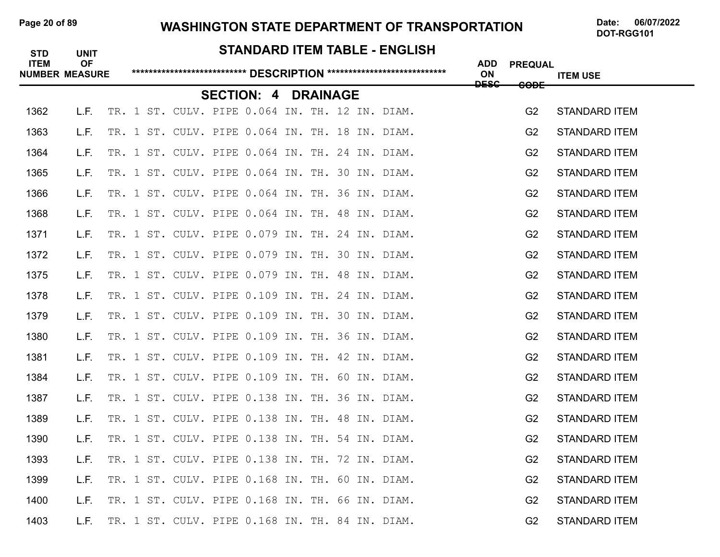#### Page 20 of 89 **WASHINGTON STATE DEPARTMENT OF TRANSPORTATION** Date: 06/07/2022

| <b>STD</b>  | <b>UNIT</b>                        |       |  |  |                                                 |  |  | <b>STANDARD ITEM TABLE - ENGLISH</b>            |                  |                 |                      |
|-------------|------------------------------------|-------|--|--|-------------------------------------------------|--|--|-------------------------------------------------|------------------|-----------------|----------------------|
| <b>ITEM</b> | <b>OF</b><br><b>NUMBER MEASURE</b> |       |  |  |                                                 |  |  |                                                 | <b>ADD</b><br>ON | <b>PREQUAL</b>  | <b>ITEM USE</b>      |
|             |                                    |       |  |  | <b>SECTION: 4 DRAINAGE</b>                      |  |  |                                                 | <b>DESC</b>      | <del>CODE</del> |                      |
| 1362        | L.F.                               |       |  |  |                                                 |  |  | TR. 1 ST. CULV. PIPE 0.064 IN. TH. 12 IN. DIAM. |                  | G <sub>2</sub>  | <b>STANDARD ITEM</b> |
| 1363        | L.F.                               | TR. 1 |  |  | ST. CULV. PIPE 0.064 IN. TH. 18 IN. DIAM.       |  |  |                                                 |                  | G <sub>2</sub>  | <b>STANDARD ITEM</b> |
| 1364        | L.F.                               |       |  |  | TR. 1 ST. CULV. PIPE 0.064 IN. TH. 24 IN. DIAM. |  |  |                                                 |                  | G <sub>2</sub>  | <b>STANDARD ITEM</b> |
| 1365        | L.F.                               |       |  |  | TR. 1 ST. CULV. PIPE 0.064 IN. TH. 30 IN. DIAM. |  |  |                                                 |                  | G <sub>2</sub>  | <b>STANDARD ITEM</b> |
| 1366        | L.F.                               |       |  |  | TR. 1 ST. CULV. PIPE 0.064 IN. TH. 36 IN. DIAM. |  |  |                                                 |                  | G <sub>2</sub>  | <b>STANDARD ITEM</b> |
| 1368        | L.F.                               |       |  |  | TR. 1 ST. CULV. PIPE 0.064 IN. TH. 48 IN. DIAM. |  |  |                                                 |                  | G <sub>2</sub>  | <b>STANDARD ITEM</b> |
| 1371        | L.F.                               |       |  |  | TR. 1 ST. CULV. PIPE 0.079 IN. TH. 24 IN. DIAM. |  |  |                                                 |                  | G <sub>2</sub>  | <b>STANDARD ITEM</b> |
| 1372        | L.F.                               |       |  |  | TR. 1 ST. CULV. PIPE 0.079 IN. TH. 30 IN. DIAM. |  |  |                                                 |                  | G <sub>2</sub>  | <b>STANDARD ITEM</b> |
| 1375        | L.F.                               |       |  |  | TR. 1 ST. CULV. PIPE 0.079 IN. TH. 48 IN. DIAM. |  |  |                                                 |                  | G <sub>2</sub>  | <b>STANDARD ITEM</b> |
| 1378        | L.F.                               | TR. 1 |  |  | ST. CULV. PIPE 0.109 IN. TH. 24 IN. DIAM.       |  |  |                                                 |                  | G <sub>2</sub>  | <b>STANDARD ITEM</b> |
| 1379        | L.F.                               |       |  |  | TR. 1 ST. CULV. PIPE 0.109 IN. TH. 30 IN. DIAM. |  |  |                                                 |                  | G <sub>2</sub>  | <b>STANDARD ITEM</b> |
| 1380        | L.F.                               |       |  |  | TR. 1 ST. CULV. PIPE 0.109 IN. TH. 36 IN. DIAM. |  |  |                                                 |                  | G <sub>2</sub>  | <b>STANDARD ITEM</b> |
| 1381        | L.F.                               |       |  |  | TR. 1 ST. CULV. PIPE 0.109 IN. TH. 42 IN. DIAM. |  |  |                                                 |                  | G <sub>2</sub>  | <b>STANDARD ITEM</b> |
| 1384        | L.F.                               |       |  |  | TR. 1 ST. CULV. PIPE 0.109 IN. TH. 60 IN. DIAM. |  |  |                                                 |                  | G <sub>2</sub>  | <b>STANDARD ITEM</b> |
| 1387        | L.F.                               |       |  |  | TR. 1 ST. CULV. PIPE 0.138 IN. TH. 36 IN. DIAM. |  |  |                                                 |                  | G <sub>2</sub>  | <b>STANDARD ITEM</b> |
| 1389        | L.F.                               | TR. 1 |  |  | ST. CULV. PIPE 0.138 IN. TH. 48 IN. DIAM.       |  |  |                                                 |                  | G <sub>2</sub>  | <b>STANDARD ITEM</b> |
| 1390        | L.F.                               |       |  |  | TR. 1 ST. CULV. PIPE 0.138 IN. TH. 54 IN. DIAM. |  |  |                                                 |                  | G <sub>2</sub>  | <b>STANDARD ITEM</b> |
| 1393        | L.F.                               |       |  |  | TR. 1 ST. CULV. PIPE 0.138 IN. TH. 72 IN. DIAM. |  |  |                                                 |                  | G <sub>2</sub>  | <b>STANDARD ITEM</b> |
| 1399        | L.F.                               |       |  |  | TR. 1 ST. CULV. PIPE 0.168 IN. TH. 60 IN. DIAM. |  |  |                                                 |                  | G <sub>2</sub>  | <b>STANDARD ITEM</b> |
| 1400        | L.F.                               |       |  |  | TR. 1 ST. CULV. PIPE 0.168 IN. TH. 66 IN. DIAM. |  |  |                                                 |                  | G <sub>2</sub>  | <b>STANDARD ITEM</b> |
| 1403        | L.F.                               |       |  |  |                                                 |  |  | TR. 1 ST. CULV. PIPE 0.168 IN. TH. 84 IN. DIAM. |                  | G <sub>2</sub>  | STANDARD ITEM        |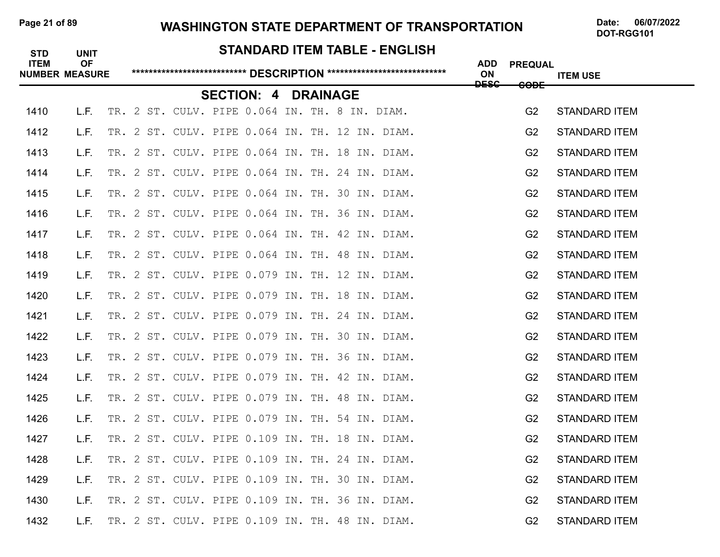#### Page 21 of 89 WASHINGTON STATE DEPARTMENT OF TRANSPORTATION Date: 06/07/2022

| <b>STD</b><br><b>ITEM</b> | <b>UNIT</b><br><b>OF</b> |  |  |                                                |                 |  | STANDARD ITEM TABLE - ENGLISH                   | <b>ADD</b>        | <b>PREQUAL</b>  |                      |
|---------------------------|--------------------------|--|--|------------------------------------------------|-----------------|--|-------------------------------------------------|-------------------|-----------------|----------------------|
| <b>NUMBER MEASURE</b>     |                          |  |  |                                                |                 |  |                                                 | ON<br><b>DESC</b> | <del>CODE</del> | <b>ITEM USE</b>      |
|                           |                          |  |  | <b>SECTION: 4</b>                              | <b>DRAINAGE</b> |  |                                                 |                   |                 |                      |
| 1410                      | L.F.                     |  |  | TR. 2 ST. CULV. PIPE 0.064 IN. TH. 8 IN. DIAM. |                 |  |                                                 |                   | G <sub>2</sub>  | <b>STANDARD ITEM</b> |
| 1412                      | L.F.                     |  |  |                                                |                 |  | TR. 2 ST. CULV. PIPE 0.064 IN. TH. 12 IN. DIAM. |                   | G <sub>2</sub>  | <b>STANDARD ITEM</b> |
| 1413                      | L.F.                     |  |  |                                                |                 |  | TR. 2 ST. CULV. PIPE 0.064 IN. TH. 18 IN. DIAM. |                   | G <sub>2</sub>  | <b>STANDARD ITEM</b> |
| 1414                      | L.F.                     |  |  |                                                |                 |  | TR. 2 ST. CULV. PIPE 0.064 IN. TH. 24 IN. DIAM. |                   | G <sub>2</sub>  | <b>STANDARD ITEM</b> |
| 1415                      | L.F.                     |  |  |                                                |                 |  | TR. 2 ST. CULV. PIPE 0.064 IN. TH. 30 IN. DIAM. |                   | G <sub>2</sub>  | <b>STANDARD ITEM</b> |
| 1416                      | L.F.                     |  |  |                                                |                 |  | TR. 2 ST. CULV. PIPE 0.064 IN. TH. 36 IN. DIAM. |                   | G <sub>2</sub>  | <b>STANDARD ITEM</b> |
| 1417                      | L.F.                     |  |  |                                                |                 |  | TR. 2 ST. CULV. PIPE 0.064 IN. TH. 42 IN. DIAM. |                   | G <sub>2</sub>  | <b>STANDARD ITEM</b> |
| 1418                      | L.F.                     |  |  |                                                |                 |  | TR. 2 ST. CULV. PIPE 0.064 IN. TH. 48 IN. DIAM. |                   | G <sub>2</sub>  | <b>STANDARD ITEM</b> |
| 1419                      | L.F.                     |  |  |                                                |                 |  | TR. 2 ST. CULV. PIPE 0.079 IN. TH. 12 IN. DIAM. |                   | G <sub>2</sub>  | <b>STANDARD ITEM</b> |
| 1420                      | L.F.                     |  |  |                                                |                 |  | TR. 2 ST. CULV. PIPE 0.079 IN. TH. 18 IN. DIAM. |                   | G <sub>2</sub>  | <b>STANDARD ITEM</b> |
| 1421                      | L.F.                     |  |  |                                                |                 |  | TR. 2 ST. CULV. PIPE 0.079 IN. TH. 24 IN. DIAM. |                   | G <sub>2</sub>  | <b>STANDARD ITEM</b> |
| 1422                      | L.F.                     |  |  |                                                |                 |  | TR. 2 ST. CULV. PIPE 0.079 IN. TH. 30 IN. DIAM. |                   | G <sub>2</sub>  | <b>STANDARD ITEM</b> |
| 1423                      | L.F.                     |  |  |                                                |                 |  | TR. 2 ST. CULV. PIPE 0.079 IN. TH. 36 IN. DIAM. |                   | G <sub>2</sub>  | <b>STANDARD ITEM</b> |
| 1424                      | L.F.                     |  |  |                                                |                 |  | TR. 2 ST. CULV. PIPE 0.079 IN. TH. 42 IN. DIAM. |                   | G <sub>2</sub>  | <b>STANDARD ITEM</b> |
| 1425                      | L.F.                     |  |  |                                                |                 |  | TR. 2 ST. CULV. PIPE 0.079 IN. TH. 48 IN. DIAM. |                   | G <sub>2</sub>  | <b>STANDARD ITEM</b> |
| 1426                      | L.F.                     |  |  |                                                |                 |  | TR. 2 ST. CULV. PIPE 0.079 IN. TH. 54 IN. DIAM. |                   | G <sub>2</sub>  | <b>STANDARD ITEM</b> |
| 1427                      | L.F.                     |  |  |                                                |                 |  | TR. 2 ST. CULV. PIPE 0.109 IN. TH. 18 IN. DIAM. |                   | G <sub>2</sub>  | <b>STANDARD ITEM</b> |
| 1428                      | L.F.                     |  |  |                                                |                 |  | TR. 2 ST. CULV. PIPE 0.109 IN. TH. 24 IN. DIAM. |                   | G <sub>2</sub>  | <b>STANDARD ITEM</b> |
| 1429                      | L.F.                     |  |  |                                                |                 |  | TR. 2 ST. CULV. PIPE 0.109 IN. TH. 30 IN. DIAM. |                   | G <sub>2</sub>  | <b>STANDARD ITEM</b> |
| 1430                      | L.F.                     |  |  |                                                |                 |  | TR. 2 ST. CULV. PIPE 0.109 IN. TH. 36 IN. DIAM. |                   | G <sub>2</sub>  | <b>STANDARD ITEM</b> |
| 1432                      | L.F.                     |  |  |                                                |                 |  | TR. 2 ST. CULV. PIPE 0.109 IN. TH. 48 IN. DIAM. |                   | G <sub>2</sub>  | <b>STANDARD ITEM</b> |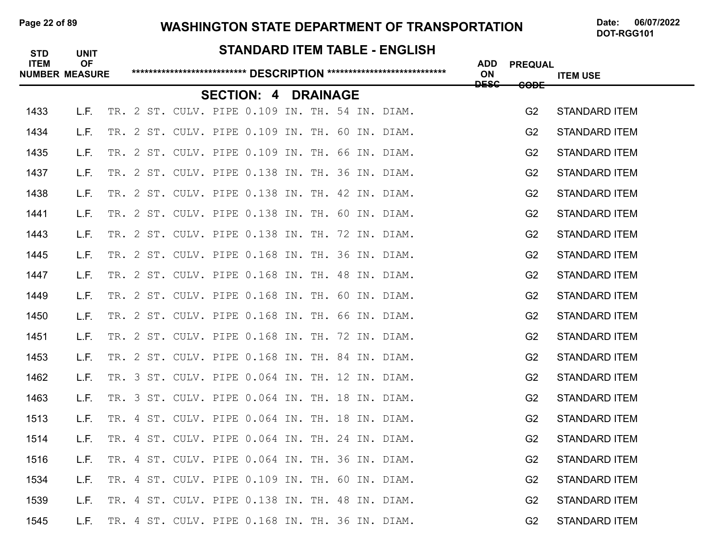#### Page 22 of 89 **WASHINGTON STATE DEPARTMENT OF TRANSPORTATION** Date: 06/07/2022

| <b>STD</b><br><b>ITEM</b> | <b>UNIT</b><br><b>OF</b> |  |  |                                                 |                 |  | STANDARD ITEM TABLE - ENGLISH                   | <b>ADD</b>        | <b>PREQUAL</b>  |                      |
|---------------------------|--------------------------|--|--|-------------------------------------------------|-----------------|--|-------------------------------------------------|-------------------|-----------------|----------------------|
| <b>NUMBER MEASURE</b>     |                          |  |  |                                                 |                 |  |                                                 | ON<br><b>DESC</b> | <del>CODE</del> | <b>ITEM USE</b>      |
|                           |                          |  |  | <b>SECTION: 4</b>                               | <b>DRAINAGE</b> |  |                                                 |                   |                 |                      |
| 1433                      | L.F.                     |  |  |                                                 |                 |  | TR. 2 ST. CULV. PIPE 0.109 IN. TH. 54 IN. DIAM. |                   | G <sub>2</sub>  | <b>STANDARD ITEM</b> |
| 1434                      | L.F.                     |  |  |                                                 |                 |  | TR. 2 ST. CULV. PIPE 0.109 IN. TH. 60 IN. DIAM. |                   | G <sub>2</sub>  | <b>STANDARD ITEM</b> |
| 1435                      | L.F.                     |  |  | TR. 2 ST. CULV. PIPE 0.109 IN. TH. 66 IN. DIAM. |                 |  |                                                 |                   | G <sub>2</sub>  | <b>STANDARD ITEM</b> |
| 1437                      | L.F.                     |  |  |                                                 |                 |  | TR. 2 ST. CULV. PIPE 0.138 IN. TH. 36 IN. DIAM. |                   | G <sub>2</sub>  | <b>STANDARD ITEM</b> |
| 1438                      | L.F.                     |  |  |                                                 |                 |  | TR. 2 ST. CULV. PIPE 0.138 IN. TH. 42 IN. DIAM. |                   | G <sub>2</sub>  | <b>STANDARD ITEM</b> |
| 1441                      | L.F.                     |  |  |                                                 |                 |  | TR. 2 ST. CULV. PIPE 0.138 IN. TH. 60 IN. DIAM. |                   | G <sub>2</sub>  | <b>STANDARD ITEM</b> |
| 1443                      | L.F.                     |  |  | TR. 2 ST. CULV. PIPE 0.138 IN. TH. 72 IN. DIAM. |                 |  |                                                 |                   | G <sub>2</sub>  | <b>STANDARD ITEM</b> |
| 1445                      | L.F.                     |  |  | TR. 2 ST. CULV. PIPE 0.168 IN. TH. 36 IN. DIAM. |                 |  |                                                 |                   | G <sub>2</sub>  | <b>STANDARD ITEM</b> |
| 1447                      | L.F.                     |  |  | TR. 2 ST. CULV. PIPE 0.168 IN. TH. 48 IN. DIAM. |                 |  |                                                 |                   | G <sub>2</sub>  | <b>STANDARD ITEM</b> |
| 1449                      | L.F.                     |  |  | TR. 2 ST. CULV. PIPE 0.168 IN. TH. 60 IN. DIAM. |                 |  |                                                 |                   | G <sub>2</sub>  | <b>STANDARD ITEM</b> |
| 1450                      | L.F.                     |  |  | TR. 2 ST. CULV. PIPE 0.168 IN. TH. 66 IN. DIAM. |                 |  |                                                 |                   | G <sub>2</sub>  | <b>STANDARD ITEM</b> |
| 1451                      | L.F.                     |  |  | TR. 2 ST. CULV. PIPE 0.168 IN. TH. 72 IN. DIAM. |                 |  |                                                 |                   | G <sub>2</sub>  | <b>STANDARD ITEM</b> |
| 1453                      | L.F.                     |  |  | TR. 2 ST. CULV. PIPE 0.168 IN. TH. 84 IN. DIAM. |                 |  |                                                 |                   | G <sub>2</sub>  | <b>STANDARD ITEM</b> |
| 1462                      | L.F.                     |  |  |                                                 |                 |  | TR. 3 ST. CULV. PIPE 0.064 IN. TH. 12 IN. DIAM. |                   | G <sub>2</sub>  | <b>STANDARD ITEM</b> |
| 1463                      | L.F.                     |  |  | TR. 3 ST. CULV. PIPE 0.064 IN. TH. 18 IN. DIAM. |                 |  |                                                 |                   | G <sub>2</sub>  | <b>STANDARD ITEM</b> |
| 1513                      | L.F.                     |  |  | TR. 4 ST. CULV. PIPE 0.064 IN. TH. 18 IN. DIAM. |                 |  |                                                 |                   | G <sub>2</sub>  | <b>STANDARD ITEM</b> |
| 1514                      | L.F.                     |  |  | TR. 4 ST. CULV. PIPE 0.064 IN. TH. 24 IN. DIAM. |                 |  |                                                 |                   | G <sub>2</sub>  | <b>STANDARD ITEM</b> |
| 1516                      | L.F.                     |  |  | TR. 4 ST. CULV. PIPE 0.064 IN. TH. 36 IN. DIAM. |                 |  |                                                 |                   | G <sub>2</sub>  | <b>STANDARD ITEM</b> |
| 1534                      | L.F.                     |  |  | TR. 4 ST. CULV. PIPE 0.109 IN. TH. 60 IN. DIAM. |                 |  |                                                 |                   | G <sub>2</sub>  | <b>STANDARD ITEM</b> |
| 1539                      | L.F.                     |  |  | TR. 4 ST. CULV. PIPE 0.138 IN. TH. 48 IN. DIAM. |                 |  |                                                 |                   | G <sub>2</sub>  | <b>STANDARD ITEM</b> |
| 1545                      | L.F.                     |  |  | TR. 4 ST. CULV. PIPE 0.168 IN. TH. 36 IN. DIAM. |                 |  |                                                 |                   | G <sub>2</sub>  | <b>STANDARD ITEM</b> |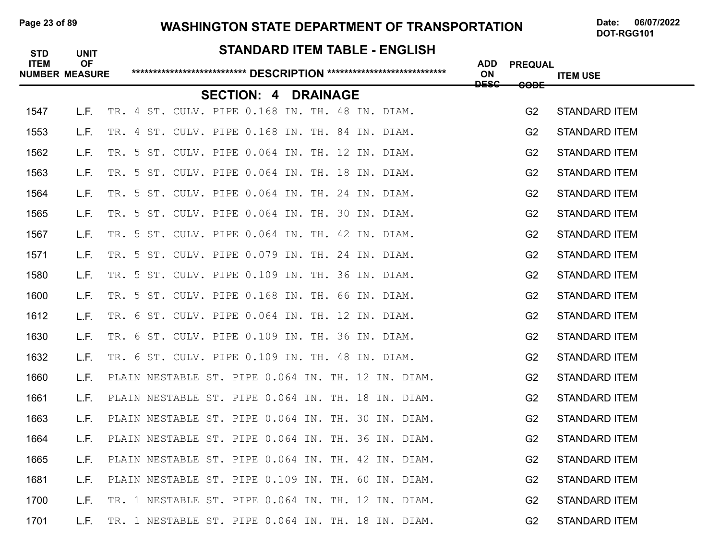#### Page 23 of 89 **WASHINGTON STATE DEPARTMENT OF TRANSPORTATION** Date: 06/07/2022

| <b>STD</b><br><b>ITEM</b><br><b>NUMBER MEASURE</b> | <b>UNIT</b><br><b>OF</b> |  |                                                 |                   |  |                 |  | <b>STANDARD ITEM TABLE - ENGLISH</b>               | <b>ADD</b><br>ON | <b>PREQUAL</b> | <b>ITEM USE</b>      |
|----------------------------------------------------|--------------------------|--|-------------------------------------------------|-------------------|--|-----------------|--|----------------------------------------------------|------------------|----------------|----------------------|
|                                                    |                          |  |                                                 | <b>SECTION: 4</b> |  | <b>DRAINAGE</b> |  |                                                    | <b>DESC</b>      | <b>CODE</b>    |                      |
| 1547                                               | L.F.                     |  | TR. 4 ST. CULV. PIPE 0.168 IN. TH. 48 IN. DIAM. |                   |  |                 |  |                                                    |                  | G <sub>2</sub> | <b>STANDARD ITEM</b> |
| 1553                                               | L.F.                     |  | TR. 4 ST. CULV. PIPE 0.168 IN. TH. 84 IN. DIAM. |                   |  |                 |  |                                                    |                  | G <sub>2</sub> | <b>STANDARD ITEM</b> |
| 1562                                               | L.F.                     |  | TR. 5 ST. CULV. PIPE 0.064 IN. TH. 12 IN. DIAM. |                   |  |                 |  |                                                    |                  | G <sub>2</sub> | <b>STANDARD ITEM</b> |
| 1563                                               | L.F.                     |  | TR. 5 ST. CULV. PIPE 0.064 IN. TH. 18 IN. DIAM. |                   |  |                 |  |                                                    |                  | G <sub>2</sub> | <b>STANDARD ITEM</b> |
| 1564                                               | L.F.                     |  | TR. 5 ST. CULV. PIPE 0.064 IN. TH. 24 IN. DIAM. |                   |  |                 |  |                                                    |                  | G <sub>2</sub> | <b>STANDARD ITEM</b> |
| 1565                                               | L.F.                     |  | TR. 5 ST. CULV. PIPE 0.064 IN. TH. 30 IN. DIAM. |                   |  |                 |  |                                                    |                  | G <sub>2</sub> | <b>STANDARD ITEM</b> |
| 1567                                               | L.F.                     |  | TR. 5 ST. CULV. PIPE 0.064 IN. TH. 42 IN. DIAM. |                   |  |                 |  |                                                    |                  | G <sub>2</sub> | <b>STANDARD ITEM</b> |
| 1571                                               | L.F.                     |  | TR. 5 ST. CULV. PIPE 0.079 IN. TH. 24 IN. DIAM. |                   |  |                 |  |                                                    |                  | G <sub>2</sub> | <b>STANDARD ITEM</b> |
| 1580                                               | L.F.                     |  | TR. 5 ST. CULV. PIPE 0.109 IN. TH. 36 IN. DIAM. |                   |  |                 |  |                                                    |                  | G <sub>2</sub> | <b>STANDARD ITEM</b> |
| 1600                                               | L.F.                     |  | TR. 5 ST. CULV. PIPE 0.168 IN. TH. 66 IN. DIAM. |                   |  |                 |  |                                                    |                  | G <sub>2</sub> | <b>STANDARD ITEM</b> |
| 1612                                               | L.F.                     |  | TR. 6 ST. CULV. PIPE 0.064 IN. TH. 12 IN. DIAM. |                   |  |                 |  |                                                    |                  | G <sub>2</sub> | <b>STANDARD ITEM</b> |
| 1630                                               | L.F.                     |  | TR. 6 ST. CULV. PIPE 0.109 IN. TH. 36 IN. DIAM. |                   |  |                 |  |                                                    |                  | G <sub>2</sub> | <b>STANDARD ITEM</b> |
| 1632                                               | L.F.                     |  | TR. 6 ST. CULV. PIPE 0.109 IN. TH. 48 IN. DIAM. |                   |  |                 |  |                                                    |                  | G <sub>2</sub> | <b>STANDARD ITEM</b> |
| 1660                                               | L.F.                     |  |                                                 |                   |  |                 |  | PLAIN NESTABLE ST. PIPE 0.064 IN. TH. 12 IN. DIAM. |                  | G <sub>2</sub> | <b>STANDARD ITEM</b> |
| 1661                                               | L.F.                     |  |                                                 |                   |  |                 |  | PLAIN NESTABLE ST. PIPE 0.064 IN. TH. 18 IN. DIAM. |                  | G <sub>2</sub> | <b>STANDARD ITEM</b> |
| 1663                                               | L.F.                     |  |                                                 |                   |  |                 |  | PLAIN NESTABLE ST. PIPE 0.064 IN. TH. 30 IN. DIAM. |                  | G <sub>2</sub> | <b>STANDARD ITEM</b> |
| 1664                                               | L.F.                     |  |                                                 |                   |  |                 |  | PLAIN NESTABLE ST. PIPE 0.064 IN. TH. 36 IN. DIAM. |                  | G <sub>2</sub> | <b>STANDARD ITEM</b> |
| 1665                                               | L.F.                     |  |                                                 |                   |  |                 |  | PLAIN NESTABLE ST. PIPE 0.064 IN. TH. 42 IN. DIAM. |                  | G <sub>2</sub> | <b>STANDARD ITEM</b> |
| 1681                                               | L.F.                     |  |                                                 |                   |  |                 |  | PLAIN NESTABLE ST. PIPE 0.109 IN. TH. 60 IN. DIAM. |                  | G <sub>2</sub> | <b>STANDARD ITEM</b> |
| 1700                                               | L.F.                     |  |                                                 |                   |  |                 |  | TR. 1 NESTABLE ST. PIPE 0.064 IN. TH. 12 IN. DIAM. |                  | G <sub>2</sub> | <b>STANDARD ITEM</b> |
| 1701                                               | L.F.                     |  |                                                 |                   |  |                 |  | TR. 1 NESTABLE ST. PIPE 0.064 IN. TH. 18 IN. DIAM. |                  | G <sub>2</sub> | <b>STANDARD ITEM</b> |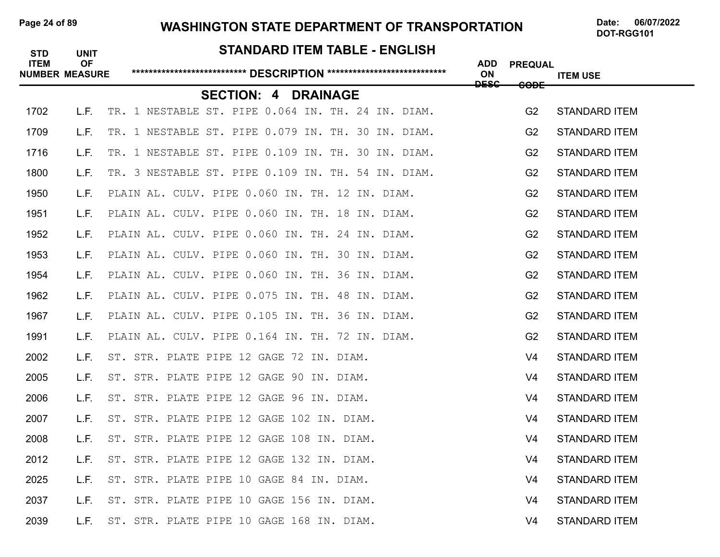# Page 24 of 89 **WASHINGTON STATE DEPARTMENT OF TRANSPORTATION** Date: 06/07/2022

# **STANDARD ITEM TABLE - ENGLISH ITEM OF ADD PREQUAL NUMBER MEASURE \*\*\*\*\*\*\*\*\*\*\*\*\*\*\*\*\*\*\*\*\*\*\*\*\*\*\* DESCRIPTION \*\*\*\*\*\*\*\*\*\*\*\*\*\*\*\*\*\*\*\*\*\*\*\*\*\*\*\* ON ITEM USE DESC CODE SECTION: 4 DRAINAGE** 1702 L.F. TR. 1 NESTABLE ST. PIPE 0.064 IN. TH. 24 IN. DIAM. G2 STANDARD ITEM 1709 L.F. TR. 1 NESTABLE ST. PIPE 0.079 IN. TH. 30 IN. DIAM. G2 STANDARD ITEM 1716 L.F. TR. 1 NESTABLE ST. PIPE 0.109 IN. TH. 30 IN. DIAM. G2 STANDARD ITEM 1800 L.F. TR. 3 NESTABLE ST. PIPE 0.109 IN. TH. 54 IN. DIAM. 62 STANDARD ITEM 1950 L.F. PLAIN AL. CULV. PIPE 0.060 IN. TH. 12 IN. DIAM. G2 STANDARD ITEM 1951 L.F. PLAIN AL. CULV. PIPE 0.060 IN. TH. 18 IN. DIAM. G2 STANDARD ITEM 1952 L.F. PLAIN AL. CULV. PIPE 0.060 IN. TH. 24 IN. DIAM. G2 STANDARD ITEM 1953 L.F. PLAIN AL. CULV. PIPE 0.060 IN. TH. 30 IN. DIAM. G2 STANDARD ITEM 1954 L.F. PLAIN AL. CULV. PIPE 0.060 IN. TH. 36 IN. DIAM. G2 STANDARD ITEM 1962 L.F. PLAIN AL. CULV. PIPE 0.075 IN. TH. 48 IN. DIAM. G2 STANDARD ITEM 1967 L.F. PLAIN AL. CULV. PIPE 0.105 IN. TH. 36 IN. DIAM. G2 STANDARD ITEM 1991 L.F. PLAIN AL. CULV. PIPE 0.164 IN. TH. 72 IN. DIAM. G2 STANDARD ITEM 2002 L.F. ST. STR. PLATE PIPE 12 GAGE 72 IN. DIAM. V4 STANDARD ITEM 2005 L.F. ST. STR. PLATE PIPE 12 GAGE 90 IN. DIAM. V4 STANDARD ITEM 2006 L.F. ST. STR. PLATE PIPE 12 GAGE 96 IN. DIAM. V4 STANDARD ITEM 2007 L.F. ST. STR. PLATE PIPE 12 GAGE 102 IN. DIAM. V4 STANDARD ITEM 2008 L.F. ST. STR. PLATE PIPE 12 GAGE 108 IN. DIAM. V4 STANDARD ITEM 2012 L.F. ST. STR. PLATE PIPE 12 GAGE 132 IN. DIAM. V4 STANDARD ITEM 2025 L.F. ST. STR. PLATE PIPE 10 GAGE 84 IN. DIAM. V4 STANDARD ITEM 2037 L.F. ST. STR. PLATE PIPE 10 GAGE 156 IN. DIAM. V4 STANDARD ITEM 2039 L.F. ST. STR. PLATE PIPE 10 GAGE 168 IN. DIAM. V4 STANDARD ITEM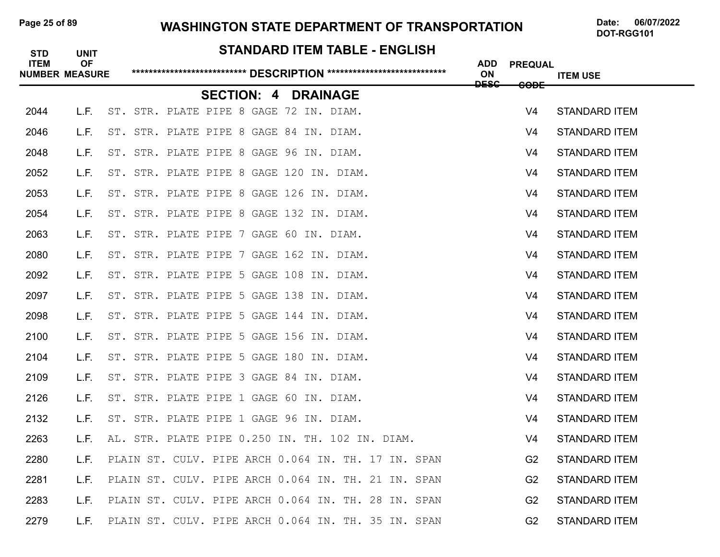# Page 25 of 89 **WASHINGTON STATE DEPARTMENT OF TRANSPORTATION** Date: 06/07/2022

# **STANDARD ITEM TABLE - ENGLISH ITEM OF ADD PREQUAL NUMBER MEASURE \*\*\*\*\*\*\*\*\*\*\*\*\*\*\*\*\*\*\*\*\*\*\*\*\*\*\* DESCRIPTION \*\*\*\*\*\*\*\*\*\*\*\*\*\*\*\*\*\*\*\*\*\*\*\*\*\*\*\* ON ITEM USE DESC CODE SECTION: 4 DRAINAGE** 2044 L.F. ST. STR. PLATE PIPE 8 GAGE 72 IN. DIAM. V4 STANDARD ITEM 2046 L.F. ST. STR. PLATE PIPE 8 GAGE 84 IN. DIAM. V4 STANDARD ITEM 2048 L.F. ST. STR. PLATE PIPE 8 GAGE 96 IN. DIAM. V4 STANDARD ITEM 2052 L.F. ST. STR. PLATE PIPE 8 GAGE 120 IN. DIAM. V4 STANDARD ITEM 2053 L.F. ST. STR. PLATE PIPE 8 GAGE 126 IN. DIAM. V4 STANDARD ITEM 2054 L.F. ST. STR. PLATE PIPE 8 GAGE 132 IN. DIAM. V4 STANDARD ITEM 2063 L.F. ST. STR. PLATE PIPE 7 GAGE 60 IN. DIAM. V4 STANDARD ITEM 2080 L.F. ST. STR. PLATE PIPE 7 GAGE 162 IN. DIAM. V4 STANDARD ITEM 2092 L.F. ST. STR. PLATE PIPE 5 GAGE 108 IN. DIAM. V4 STANDARD ITEM 2097 L.F. ST. STR. PLATE PIPE 5 GAGE 138 IN. DIAM. V4 STANDARD ITEM 2098 L.F. ST. STR. PLATE PIPE 5 GAGE 144 IN. DIAM. V4 STANDARD ITEM 2100 L.F. ST. STR. PLATE PIPE 5 GAGE 156 IN. DIAM. V4 STANDARD ITEM 2104 L.F. ST. STR. PLATE PIPE 5 GAGE 180 IN. DIAM. V4 STANDARD ITEM 2109 L.F. ST. STR. PLATE PIPE 3 GAGE 84 IN. DIAM. V4 STANDARD ITEM 2126 L.F. ST. STR. PLATE PIPE 1 GAGE 60 IN. DIAM. V4 STANDARD ITEM 2132 L.F. ST. STR. PLATE PIPE 1 GAGE 96 IN. DIAM. V4 STANDARD ITEM 2263 L.F. AL. STR. PLATE PIPE 0.250 IN. TH. 102 IN. DIAM. V4 STANDARD ITEM 2280 L.F. PLAIN ST. CULV. PIPE ARCH 0.064 IN. TH. 17 IN. SPAN G2 STANDARD ITEM 2281 L.F. PLAIN ST. CULV. PIPE ARCH 0.064 IN. TH. 21 IN. SPAN G2 STANDARD ITEM 2283 L.F. PLAIN ST. CULV. PIPE ARCH 0.064 IN. TH. 28 IN. SPAN G2 STANDARD ITEM 2279 L.F. PLAIN ST. CULV. PIPE ARCH 0.064 IN. TH. 35 IN. SPAN G2 STANDARD ITEM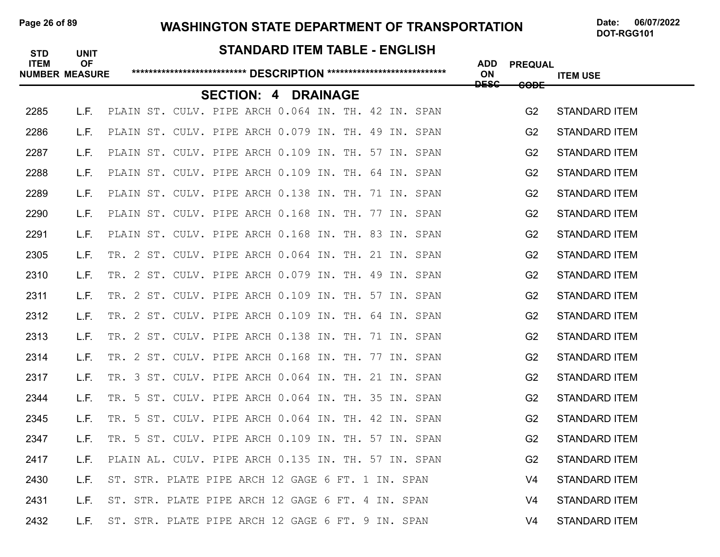# Page 26 of 89 **WASHINGTON STATE DEPARTMENT OF TRANSPORTATION** Date: 06/07/2022

**STANDARD ITEM TABLE - ENGLISH** 

# **ITEM OF ADD PREQUAL NUMBER MEASURE \*\*\*\*\*\*\*\*\*\*\*\*\*\*\*\*\*\*\*\*\*\*\*\*\*\*\* DESCRIPTION \*\*\*\*\*\*\*\*\*\*\*\*\*\*\*\*\*\*\*\*\*\*\*\*\*\*\*\* ON ITEM USE DESC CODE SECTION: 4 DRAINAGE** 2285 L.F. PLAIN ST. CULV. PIPE ARCH 0.064 IN. TH. 42 IN. SPAN G2 STANDARD ITEM 2286 L.F. PLAIN ST. CULV. PIPE ARCH 0.079 IN. TH. 49 IN. SPAN G2 STANDARD ITEM 2287 L.F. PLAIN ST. CULV. PIPE ARCH 0.109 IN. TH. 57 IN. SPAN G2 STANDARD ITEM 2288 L.F. PLAIN ST. CULV. PIPE ARCH 0.109 IN. TH. 64 IN. SPAN G2 STANDARD ITEM 2289 L.F. PLAIN ST. CULV. PIPE ARCH 0.138 IN. TH. 71 IN. SPAN G2 STANDARD ITEM 2290 L.F. PLAIN ST. CULV. PIPE ARCH 0.168 IN. TH. 77 IN. SPAN G2 STANDARD ITEM 2291 L.F. PLAIN ST. CULV. PIPE ARCH 0.168 IN. TH. 83 IN. SPAN G2 STANDARD ITEM 2305 L.F. TR. 2 ST. CULV. PIPE ARCH 0.064 IN. TH. 21 IN. SPAN G2 STANDARD ITEM 2310 L.F. TR. 2 ST. CULV. PIPE ARCH 0.079 IN. TH. 49 IN. SPAN G2 STANDARD ITEM 2311 L.F. TR. 2 ST. CULV. PIPE ARCH 0.109 IN. TH. 57 IN. SPAN G2 STANDARD ITEM 2312 L.F. TR. 2 ST. CULV. PIPE ARCH 0.109 IN. TH. 64 IN. SPAN G2 STANDARD ITEM 2313 L.F. TR. 2 ST. CULV. PIPE ARCH 0.138 IN. TH. 71 IN. SPAN G2 STANDARD ITEM 2314 L.F. TR. 2 ST. CULV. PIPE ARCH 0.168 IN. TH. 77 IN. SPAN G2 STANDARD ITEM 2317 L.F. TR. 3 ST. CULV. PIPE ARCH 0.064 IN. TH. 21 IN. SPAN G2 STANDARD ITEM 2344 L.F. TR. 5 ST. CULV. PIPE ARCH 0.064 IN. TH. 35 IN. SPAN G2 STANDARD ITEM 2345 L.F. TR. 5 ST. CULV. PIPE ARCH 0.064 IN. TH. 42 IN. SPAN G2 STANDARD ITEM 2347 L.F. TR. 5 ST. CULV. PIPE ARCH 0.109 IN. TH. 57 IN. SPAN G2 STANDARD ITEM 2417 L.F. PLAIN AL. CULV. PIPE ARCH 0.135 IN. TH. 57 IN. SPAN G2 STANDARD ITEM 2430 L.F. ST. STR. PLATE PIPE ARCH 12 GAGE 6 FT. 1 IN. SPAN V4 STANDARD ITEM 2431 L.F. ST. STR. PLATE PIPE ARCH 12 GAGE 6 FT. 4 IN. SPAN V4 STANDARD ITEM 2432 L.F. ST. STR. PLATE PIPE ARCH 12 GAGE 6 FT. 9 IN. SPAN V4 STANDARD ITEM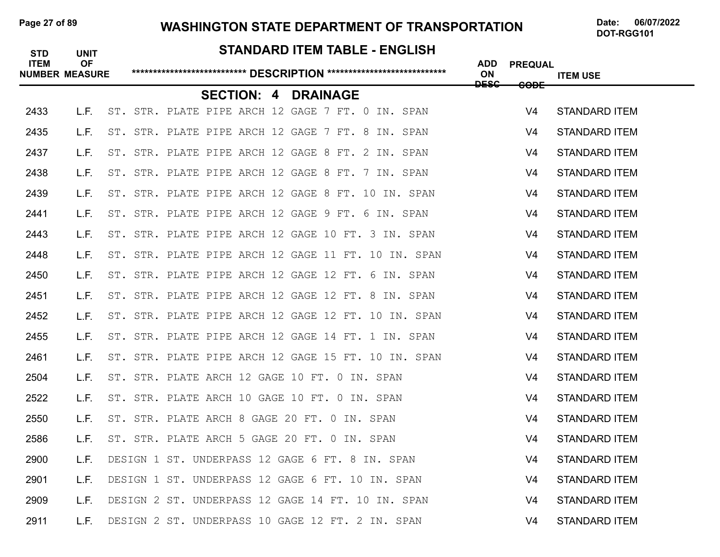# Page 27 of 89 **WASHINGTON STATE DEPARTMENT OF TRANSPORTATION** Date: 06/07/2022

# **STANDARD ITEM TABLE - ENGLISH ITEM OF ADD PREQUAL NUMBER MEASURE \*\*\*\*\*\*\*\*\*\*\*\*\*\*\*\*\*\*\*\*\*\*\*\*\*\*\* DESCRIPTION \*\*\*\*\*\*\*\*\*\*\*\*\*\*\*\*\*\*\*\*\*\*\*\*\*\*\*\* ON ITEM USE DESC CODE SECTION: 4 DRAINAGE** 2433 L.F. ST. STR. PLATE PIPE ARCH 12 GAGE 7 FT. 0 IN. SPAN V4 STANDARD ITEM 2435 L.F. ST. STR. PLATE PIPE ARCH 12 GAGE 7 FT. 8 IN. SPAN V4 STANDARD ITEM 2437 L.F. ST. STR. PLATE PIPE ARCH 12 GAGE 8 FT. 2 IN. SPAN V4 STANDARD ITEM 2438 L.F. ST. STR. PLATE PIPE ARCH 12 GAGE 8 FT. 7 IN. SPAN V4 STANDARD ITEM 2439 L.F. ST. STR. PLATE PIPE ARCH 12 GAGE 8 FT. 10 IN. SPAN V4 STANDARD ITEM 2441 L.F. ST. STR. PLATE PIPE ARCH 12 GAGE 9 FT. 6 IN. SPAN V4 STANDARD ITEM 2443 L.F. ST. STR. PLATE PIPE ARCH 12 GAGE 10 FT. 3 IN. SPAN V4 STANDARD ITEM 2448 L.F. ST. STR. PLATE PIPE ARCH 12 GAGE 11 FT. 10 IN. SPAN V4 STANDARD ITEM 2450 L.F. ST. STR. PLATE PIPE ARCH 12 GAGE 12 FT. 6 IN. SPAN V4 STANDARD ITEM 2451 L.F. ST. STR. PLATE PIPE ARCH 12 GAGE 12 FT. 8 IN. SPAN V4 STANDARD ITEM 2452 L.F. ST. STR. PLATE PIPE ARCH 12 GAGE 12 FT. 10 IN. SPAN V4 STANDARD ITEM 2455 L.F. ST. STR. PLATE PIPE ARCH 12 GAGE 14 FT. 1 IN. SPAN V4 STANDARD ITEM 2461 L.F. ST. STR. PLATE PIPE ARCH 12 GAGE 15 FT. 10 IN. SPAN V4 STANDARD ITEM 2504 L.F. ST. STR. PLATE ARCH 12 GAGE 10 FT. 0 IN. SPAN V4 STANDARD ITEM 2522 L.F. ST. STR. PLATE ARCH 10 GAGE 10 FT. 0 IN. SPAN V4 STANDARD ITEM 2550 L.F. ST. STR. PLATE ARCH 8 GAGE 20 FT. 0 IN. SPAN V4 STANDARD ITEM 2586 L.F. ST. STR. PLATE ARCH 5 GAGE 20 FT. 0 IN. SPAN VAN STANDARD ITEM 2900 L.F. DESIGN 1 ST. UNDERPASS 12 GAGE 6 FT. 8 IN. SPAN V4 STANDARD ITEM 2901 L.F. DESIGN 1 ST. UNDERPASS 12 GAGE 6 FT. 10 IN. SPAN V4 STANDARD ITEM 2909 L.F. DESIGN 2 ST. UNDERPASS 12 GAGE 14 FT. 10 IN. SPAN VAN **V4 STANDARD ITEM** 2911 L.F. DESIGN 2 ST. UNDERPASS 10 GAGE 12 FT. 2 IN. SPAN V4 STANDARD ITEM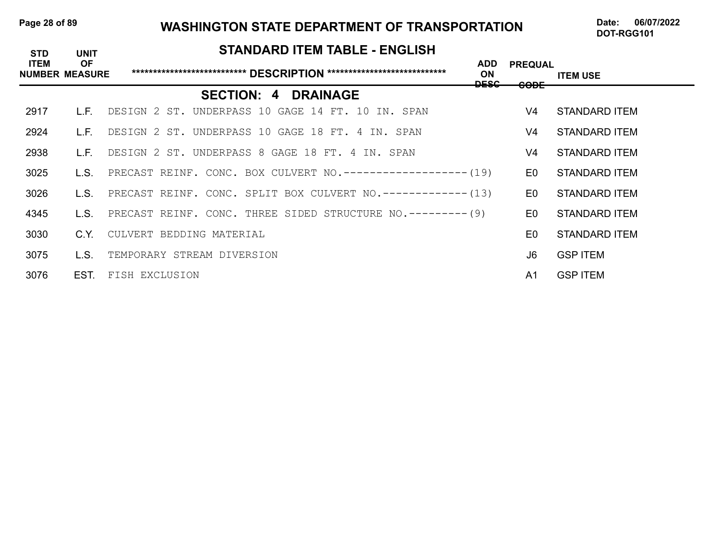#### Page 28 of 89 WASHINGTON STATE DEPARTMENT OF TRANSPORTATION Date: 06/07/2022

DOT-RGG101

#### **STANDARD ITEM TABLE - ENGLISH**

| <b>ITEM</b> | <b>OF</b><br><b>NUMBER MEASURE</b> |                                                                   | <b>ADD</b><br><b>ON</b><br>DESC | <b>PREQUAL</b><br><del>CODE</del> | <b>ITEM USE</b> |
|-------------|------------------------------------|-------------------------------------------------------------------|---------------------------------|-----------------------------------|-----------------|
|             |                                    | <b>SECTION: 4 DRAINAGE</b>                                        |                                 |                                   |                 |
| 2917        |                                    | IF DESIGN 2 ST. UNDERPASS 10 GAGE 14 FT. 10 IN. SPAN              |                                 | V4                                | STANDARD ITEM   |
| 2924        |                                    | L.F. DESIGN 2 ST. UNDERPASS 10 GAGE 18 FT. 4 IN. SPAN             |                                 | V4                                | STANDARD ITEM   |
| 2938        |                                    | L.F. DESIGN 2 ST. UNDERPASS 8 GAGE 18 FT. 4 IN. SPAN              |                                 | V4                                | STANDARD ITEM   |
| 3025        |                                    | L.S. PRECAST REINF. CONC. BOX CULVERT NO.------------------- (19) |                                 | E0                                | STANDARD ITEM   |
| 3026        |                                    | L.S. PRECAST REINF. CONC. SPLIT BOX CULVERT NO.------------- (13) |                                 | E0                                | STANDARD ITEM   |
| 4345        |                                    | L.S. PRECAST REINF. CONC. THREE SIDED STRUCTURE NO.--------- (9)  |                                 | E0.                               | STANDARD ITEM   |
| 3030        |                                    | C.Y. CULVERT BEDDING MATERIAL                                     |                                 | E0.                               | STANDARD ITEM   |
| 3075        |                                    | L.S. TEMPORARY STREAM DIVERSION                                   |                                 | J6.                               | <b>GSP ITEM</b> |
| 3076        | EST.                               | FISH EXCLUSION                                                    |                                 | A1                                | <b>GSP ITEM</b> |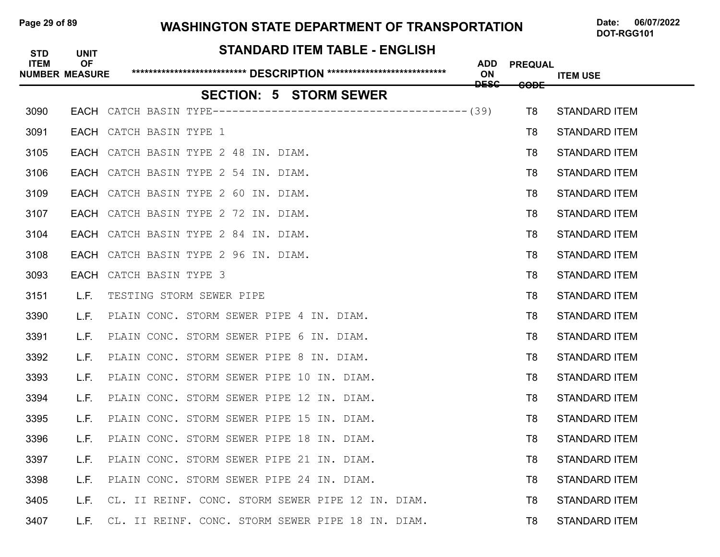#### Page 29 of 89 WASHINGTON STATE DEPARTMENT OF TRANSPORTATION Date: 06/07/2022

| <b>STD</b>  | <b>UNIT</b>                        | <b>STANDARD ITEM TABLE - ENGLISH</b>                   |                  |                 |                      |
|-------------|------------------------------------|--------------------------------------------------------|------------------|-----------------|----------------------|
| <b>ITEM</b> | <b>OF</b><br><b>NUMBER MEASURE</b> |                                                        | <b>ADD</b><br>ON | <b>PREQUAL</b>  | <b>ITEM USE</b>      |
|             |                                    | <b>SECTION: 5 STORM SEWER</b>                          | <b>DESC</b>      | <del>CODE</del> |                      |
| 3090        |                                    |                                                        |                  | T <sub>8</sub>  | <b>STANDARD ITEM</b> |
| 3091        |                                    | EACH CATCH BASIN TYPE 1                                |                  | T8              | <b>STANDARD ITEM</b> |
| 3105        |                                    | EACH CATCH BASIN TYPE 2 48 IN. DIAM.                   |                  | T8              | <b>STANDARD ITEM</b> |
| 3106        |                                    | EACH CATCH BASIN TYPE 2 54 IN. DIAM.                   |                  | T8              | <b>STANDARD ITEM</b> |
| 3109        |                                    | EACH CATCH BASIN TYPE 2 60 IN. DIAM.                   |                  | T8              | <b>STANDARD ITEM</b> |
| 3107        |                                    | EACH CATCH BASIN TYPE 2 72 IN. DIAM.                   |                  | T8              | <b>STANDARD ITEM</b> |
| 3104        |                                    | EACH CATCH BASIN TYPE 2 84 IN. DIAM.                   |                  | T8              | <b>STANDARD ITEM</b> |
| 3108        |                                    | EACH CATCH BASIN TYPE 2 96 IN. DIAM.                   |                  | T8              | <b>STANDARD ITEM</b> |
| 3093        | EACH                               | CATCH BASIN TYPE 3                                     |                  | T8              | <b>STANDARD ITEM</b> |
| 3151        | L.F.                               | TESTING STORM SEWER PIPE                               |                  | T8              | <b>STANDARD ITEM</b> |
| 3390        | L.F.                               | PLAIN CONC. STORM SEWER PIPE 4 IN. DIAM.               |                  | T8              | <b>STANDARD ITEM</b> |
| 3391        | L.F.                               | PLAIN CONC. STORM SEWER PIPE 6 IN. DIAM.               |                  | T8              | <b>STANDARD ITEM</b> |
| 3392        | L.F.                               | PLAIN CONC. STORM SEWER PIPE 8 IN. DIAM.               |                  | T8              | <b>STANDARD ITEM</b> |
| 3393        | L.F.                               | PLAIN CONC. STORM SEWER PIPE 10 IN. DIAM.              |                  | T8              | <b>STANDARD ITEM</b> |
| 3394        | L.F.                               | PLAIN CONC. STORM SEWER PIPE 12 IN. DIAM.              |                  | T8              | <b>STANDARD ITEM</b> |
| 3395        | L.F.                               | PLAIN CONC. STORM SEWER PIPE 15 IN. DIAM.              |                  | T8              | <b>STANDARD ITEM</b> |
| 3396        | L.F.                               | PLAIN CONC. STORM SEWER PIPE 18 IN. DIAM.              |                  | T8              | <b>STANDARD ITEM</b> |
| 3397        |                                    | L.F. PLAIN CONC. STORM SEWER PIPE 21 IN. DIAM.         |                  | T <sub>8</sub>  | <b>STANDARD ITEM</b> |
| 3398        | L.F.                               | PLAIN CONC. STORM SEWER PIPE 24 IN. DIAM.              |                  | T8              | <b>STANDARD ITEM</b> |
| 3405        |                                    | L.F. CL. II REINF. CONC. STORM SEWER PIPE 12 IN. DIAM. |                  | T8              | <b>STANDARD ITEM</b> |
| 3407        |                                    | L.F. CL. II REINF. CONC. STORM SEWER PIPE 18 IN. DIAM. |                  | T8              | <b>STANDARD ITEM</b> |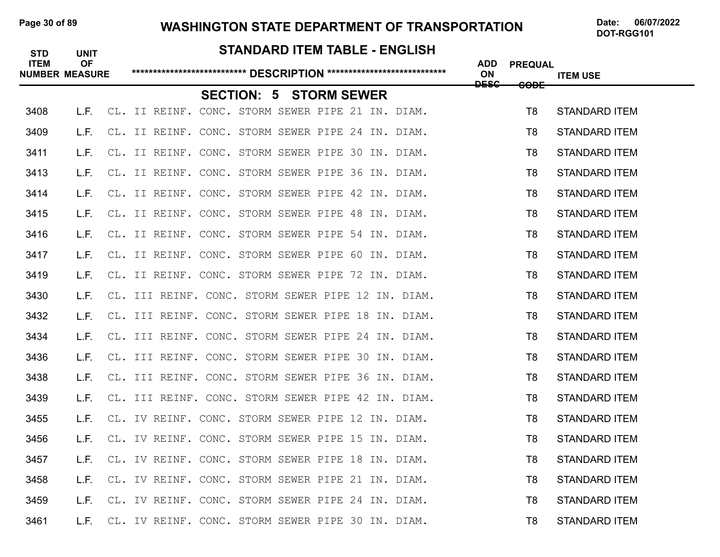#### Page 30 of 89 WASHINGTON STATE DEPARTMENT OF TRANSPORTATION Date: 06/07/2022

DOT-RGG101

#### **STANDARD ITEM TABLE - ENGLISH**

| <b>ITEM</b> | <b>OF</b><br><b>NUMBER MEASURE</b> |                                                    |  |                               | <b>ADD</b><br>ON<br><del>DESC</del> | <b>PREQUAL</b>  | <b>ITEM USE</b>      |
|-------------|------------------------------------|----------------------------------------------------|--|-------------------------------|-------------------------------------|-----------------|----------------------|
|             |                                    |                                                    |  | <b>SECTION: 5 STORM SEWER</b> |                                     | <del>CODE</del> |                      |
| 3408        | L.F.                               | CL. II REINF. CONC. STORM SEWER PIPE 21 IN. DIAM.  |  |                               |                                     | T <sub>8</sub>  | <b>STANDARD ITEM</b> |
| 3409        | L.F.                               | CL. II REINF. CONC. STORM SEWER PIPE 24 IN. DIAM.  |  |                               |                                     | T8              | <b>STANDARD ITEM</b> |
| 3411        | L.F.                               | CL. II REINF. CONC. STORM SEWER PIPE 30 IN. DIAM.  |  |                               |                                     | T8              | <b>STANDARD ITEM</b> |
| 3413        | L.F.                               | CL. II REINF. CONC. STORM SEWER PIPE 36 IN. DIAM.  |  |                               |                                     | T8              | <b>STANDARD ITEM</b> |
| 3414        | L.F.                               | CL. II REINF. CONC. STORM SEWER PIPE 42 IN. DIAM.  |  |                               |                                     | T8              | <b>STANDARD ITEM</b> |
| 3415        | L.F.                               | CL. II REINF. CONC. STORM SEWER PIPE 48 IN. DIAM.  |  |                               |                                     | T8              | <b>STANDARD ITEM</b> |
| 3416        | L.F.                               | CL. II REINF. CONC. STORM SEWER PIPE 54 IN. DIAM.  |  |                               |                                     | T8              | <b>STANDARD ITEM</b> |
| 3417        | L.F.                               | CL. II REINF. CONC. STORM SEWER PIPE 60 IN. DIAM.  |  |                               |                                     | T8              | <b>STANDARD ITEM</b> |
| 3419        | L.F.                               | CL. II REINF. CONC. STORM SEWER PIPE 72 IN. DIAM.  |  |                               |                                     | T8              | <b>STANDARD ITEM</b> |
| 3430        | L.F.                               | CL. III REINF. CONC. STORM SEWER PIPE 12 IN. DIAM. |  |                               |                                     | T8              | <b>STANDARD ITEM</b> |
| 3432        | L.F.                               | CL. III REINF. CONC. STORM SEWER PIPE 18 IN. DIAM. |  |                               |                                     | T8              | <b>STANDARD ITEM</b> |
| 3434        | L.F.                               | CL. III REINF. CONC. STORM SEWER PIPE 24 IN. DIAM. |  |                               |                                     | T8              | <b>STANDARD ITEM</b> |
| 3436        | L.F.                               | CL. III REINF. CONC. STORM SEWER PIPE 30 IN. DIAM. |  |                               |                                     | T <sub>8</sub>  | <b>STANDARD ITEM</b> |
| 3438        | L.F.                               | CL. III REINF. CONC. STORM SEWER PIPE 36 IN. DIAM. |  |                               |                                     | T8              | <b>STANDARD ITEM</b> |
| 3439        | L.F.                               | CL. III REINF. CONC. STORM SEWER PIPE 42 IN. DIAM. |  |                               |                                     | T8              | <b>STANDARD ITEM</b> |
| 3455        | L.F.                               | CL. IV REINF. CONC. STORM SEWER PIPE 12 IN. DIAM.  |  |                               |                                     | T <sub>8</sub>  | <b>STANDARD ITEM</b> |
| 3456        | L.F.                               | CL. IV REINF. CONC. STORM SEWER PIPE 15 IN. DIAM.  |  |                               |                                     | T8              | STANDARD ITEM        |
| 3457        | L.F.                               | CL. IV REINF. CONC. STORM SEWER PIPE 18 IN. DIAM.  |  |                               |                                     | T8              | <b>STANDARD ITEM</b> |
| 3458        | L.F.                               | CL. IV REINF. CONC. STORM SEWER PIPE 21 IN. DIAM.  |  |                               |                                     | T8              | <b>STANDARD ITEM</b> |
| 3459        | L.F.                               | CL. IV REINF. CONC. STORM SEWER PIPE 24 IN. DIAM.  |  |                               |                                     | T8              | <b>STANDARD ITEM</b> |
| 3461        | L.F.                               | CL. IV REINF. CONC. STORM SEWER PIPE 30 IN. DIAM.  |  |                               |                                     | T8              | <b>STANDARD ITEM</b> |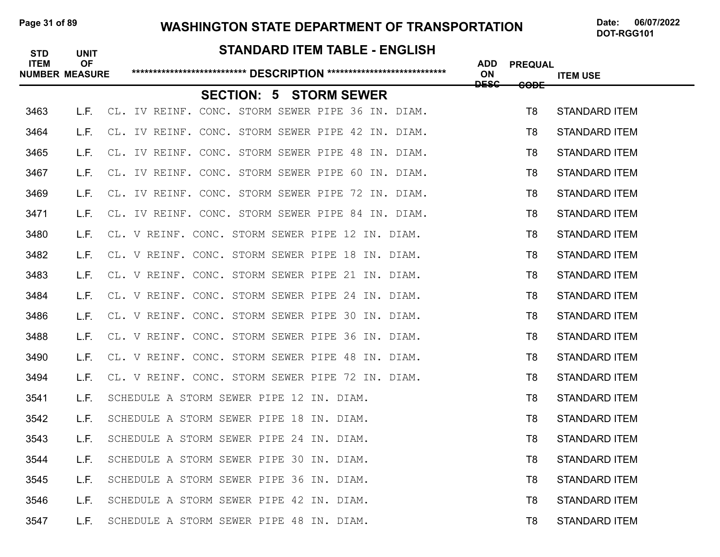# Page 31 of 89 **WASHINGTON STATE DEPARTMENT OF TRANSPORTATION** Date: 06/07/2022

# **STANDARD ITEM TABLE - ENGLISH ITEM OF ADD PREQUAL NUMBER MEASURE \*\*\*\*\*\*\*\*\*\*\*\*\*\*\*\*\*\*\*\*\*\*\*\*\*\*\* DESCRIPTION \*\*\*\*\*\*\*\*\*\*\*\*\*\*\*\*\*\*\*\*\*\*\*\*\*\*\*\* ON ITEM USE DESC CODE SECTION: 5 STORM SEWER** 3463 L.F. CL. IV REINF. CONC. STORM SEWER PIPE 36 IN. DIAM. THE STANDARD ITEM 3464 L.F. CL. IV REINF. CONC. STORM SEWER PIPE 42 IN. DIAM. TANNING TRANDARD ITEM 3465 L.F. CL. IV REINF. CONC. STORM SEWER PIPE 48 IN. DIAM. THE STANDARD ITEM 3467 L.F. CL. IV REINF. CONC. STORM SEWER PIPE 60 IN. DIAM. TANNING TRANDARD ITEM 3469 L.F. CL. IV REINF. CONC. STORM SEWER PIPE 72 IN. DIAM. THE STANDARD THE STANDARD ITEM 3471 L.F. CL. IV REINF. CONC. STORM SEWER PIPE 84 IN. DIAM. TAN TRAINDARD ITEM 3480 L.F. CL. V REINF. CONC. STORM SEWER PIPE 12 IN. DIAM. THE STANDARD THEM 3482 L.F. CL. V REINF. CONC. STORM SEWER PIPE 18 IN. DIAM. TAN TRAINDARD ITEM 3483 L.F. CL. V REINF. CONC. STORM SEWER PIPE 21 IN. DIAM. THE STANDARD THEM 3484 L.F. CL. V REINF. CONC. STORM SEWER PIPE 24 IN. DIAM. THE STANDARD ITEM 3486 L.F. CL. V REINF. CONC. STORM SEWER PIPE 30 IN. DIAM. THE STANDARD THE STANDARD ITEM 3488 L.F. CL. V REINF. CONC. STORM SEWER PIPE 36 IN. DIAM. THE STANDARD ITEM 3490 L.F. CL. V REINF. CONC. STORM SEWER PIPE 48 IN. DIAM. THE STANDARD ITEM 3494 L.F. CL. V REINF. CONC. STORM SEWER PIPE 72 IN. DIAM. THE STANDARD THE STANDARD ITEM 3541 L.F. SCHEDULE A STORM SEWER PIPE 12 IN. DIAM. THE STANDARD STANDARD ITEM 3542 L.F. SCHEDULE A STORM SEWER PIPE 18 IN. DIAM. THE STANDARD STANDARD ITEM 3543 L.F. SCHEDULE A STORM SEWER PIPE 24 IN. DIAM. THE STANDARD OF STANDARD ITEM 3544 L.F. SCHEDULE A STORM SEWER PIPE 30 IN. DIAM. THE STANDARD ON STANDARD ITEM 3545 L.F. SCHEDULE A STORM SEWER PIPE 36 IN. DIAM. THE STANDARD ON STANDARD ITEM 3546 L.F. SCHEDULE A STORM SEWER PIPE 42 IN. DIAM. THE STANDARD STANDARD ITEM 3547 L.F. SCHEDULE A STORM SEWER PIPE 48 IN. DIAM. THE STANDARD STANDARD ITEM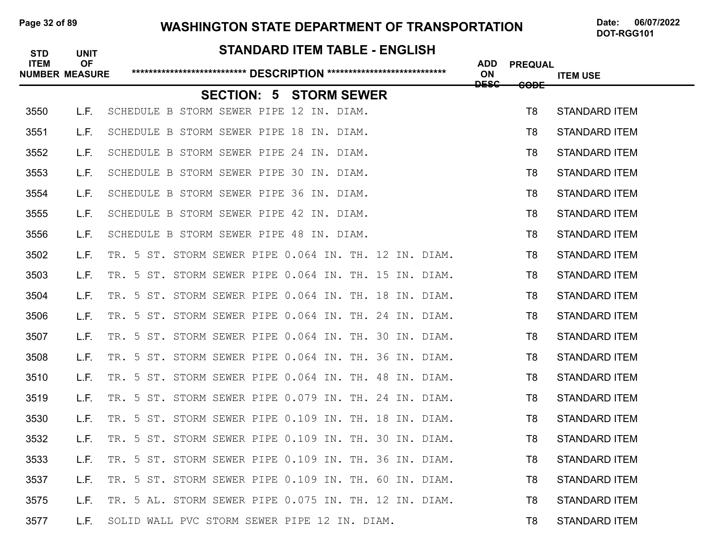# Page 32 of 89 **WASHINGTON STATE DEPARTMENT OF TRANSPORTATION** Date: 06/07/2022

# **STANDARD ITEM TABLE - ENGLISH ITEM OF ADD PREQUAL NUMBER MEASURE \*\*\*\*\*\*\*\*\*\*\*\*\*\*\*\*\*\*\*\*\*\*\*\*\*\*\* DESCRIPTION \*\*\*\*\*\*\*\*\*\*\*\*\*\*\*\*\*\*\*\*\*\*\*\*\*\*\*\* ON ITEM USE DESC CODE SECTION: 5 STORM SEWER** 3550 L.F. SCHEDULE B STORM SEWER PIPE 12 IN. DIAM. THE STANDARD OF STANDARD ITEM 3551 L.F. SCHEDULE B STORM SEWER PIPE 18 IN. DIAM. THE STANDARD STANDARD ITEM 3552 L.F. SCHEDULE B STORM SEWER PIPE 24 IN. DIAM. THE STANDARD STANDARD ITEM 3553 L.F. SCHEDULE B STORM SEWER PIPE 30 IN. DIAM. THE STAND STANDARD ITEM 3554 L.F. SCHEDULE B STORM SEWER PIPE 36 IN. DIAM. THE STAND STANDARD ITEM 3555 L.F. SCHEDULE B STORM SEWER PIPE 42 IN. DIAM. THE STANDARD STANDARD ITEM 3556 L.F. SCHEDULE B STORM SEWER PIPE 48 IN. DIAM. THE STANDARD ON STANDARD ITEM 3502 L.F. TR. 5 ST. STORM SEWER PIPE 0.064 IN. TH. 12 IN. DIAM. T8 STANDARD ITEM 3503 L.F. TR. 5 ST. STORM SEWER PIPE 0.064 IN. TH. 15 IN. DIAM. T8 STANDARD ITEM 3504 L.F. TR. 5 ST. STORM SEWER PIPE 0.064 IN. TH. 18 IN. DIAM. T8 STANDARD ITEM 3506 L.F. TR. 5 ST. STORM SEWER PIPE 0.064 IN. TH. 24 IN. DIAM. T8 STANDARD ITEM 3507 L.F. TR. 5 ST. STORM SEWER PIPE 0.064 IN. TH. 30 IN. DIAM. T8 STANDARD ITEM 3508 L.F. TR. 5 ST. STORM SEWER PIPE 0.064 IN. TH. 36 IN. DIAM. T8 STANDARD ITEM 3510 L.F. TR. 5 ST. STORM SEWER PIPE 0.064 IN. TH. 48 IN. DIAM. T8 STANDARD ITEM 3519 L.F. TR. 5 ST. STORM SEWER PIPE 0.079 IN. TH. 24 IN. DIAM. TR. STANDARD ITEM 3530 L.F. TR. 5 ST. STORM SEWER PIPE 0.109 IN. TH. 18 IN. DIAM. TR. STANDARD ITEM 3532 L.F. TR. 5 ST. STORM SEWER PIPE 0.109 IN. TH. 30 IN. DIAM. T8 STANDARD ITEM 3533 L.F. TR. 5 ST. STORM SEWER PIPE 0.109 IN. TH. 36 IN. DIAM. T8 STANDARD ITEM 3537 L.F. TR. 5 ST. STORM SEWER PIPE 0.109 IN. TH. 60 IN. DIAM. TR STANDARD ITEM 3575 L.F. TR. 5 AL. STORM SEWER PIPE 0.075 IN. TH. 12 IN. DIAM. T8 STANDARD ITEM 3577 L.F. SOLID WALL PVC STORM SEWER PIPE 12 IN. DIAM. THE STANDARD ITEM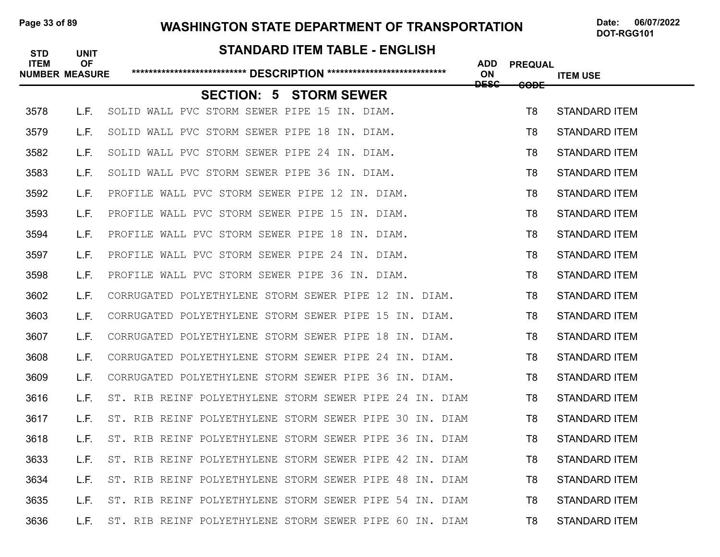# Page 33 of 89 **WASHINGTON STATE DEPARTMENT OF TRANSPORTATION** Date: 06/07/2022

# **STANDARD ITEM TABLE - ENGLISH ITEM OF ADD PREQUAL NUMBER MEASURE \*\*\*\*\*\*\*\*\*\*\*\*\*\*\*\*\*\*\*\*\*\*\*\*\*\*\* DESCRIPTION \*\*\*\*\*\*\*\*\*\*\*\*\*\*\*\*\*\*\*\*\*\*\*\*\*\*\*\* ON ITEM USE DESC CODE SECTION: 5 STORM SEWER** 3578 L.F. SOLID WALL PVC STORM SEWER PIPE 15 IN. DIAM. THE STANDARD FOR THE STANDARD ITEM 3579 L.F. SOLID WALL PVC STORM SEWER PIPE 18 IN. DIAM. THE STANDARD ITEM 3582 L.F. SOLID WALL PVC STORM SEWER PIPE 24 IN. DIAM. THE STANDARD ITEM 3583 L.F. SOLID WALL PVC STORM SEWER PIPE 36 IN. DIAM. THE STANDARD FOR STANDARD ITEM 3592 L.F. PROFILE WALL PVC STORM SEWER PIPE 12 IN. DIAM. THE STANDARD FOR THE STANDARD ITEM 3593 L.F. PROFILE WALL PVC STORM SEWER PIPE 15 IN. DIAM. THE STANDARD FOR THE STANDARD ITEM 3594 L.F. PROFILE WALL PVC STORM SEWER PIPE 18 IN. DIAM. THE STANDARD FOR THE STANDARD ITEM 3597 L.F. PROFILE WALL PVC STORM SEWER PIPE 24 IN. DIAM. THE STANDARD THE STANDARD ITEM 3598 L.F. PROFILE WALL PVC STORM SEWER PIPE 36 IN. DIAM. THE STANDARD FOR THE STANDARD ITEM 3602 L.F. CORRUGATED POLYETHYLENE STORM SEWER PIPE 12 IN. DIAM. T8 STANDARD ITEM 3603 L.F. CORRUGATED POLYETHYLENE STORM SEWER PIPE 15 IN. DIAM. T8 STANDARD ITEM 3607 L.F. CORRUGATED POLYETHYLENE STORM SEWER PIPE 18 IN. DIAM. T8 STANDARD ITEM 3608 L.F. CORRUGATED POLYETHYLENE STORM SEWER PIPE 24 IN. DIAM. TRIMIT STANDARD ITEM 3609 L.F. CORRUGATED POLYETHYLENE STORM SEWER PIPE 36 IN. DIAM. T8 STANDARD ITEM 3616 L.F. ST. RIB REINF POLYETHYLENE STORM SEWER PIPE 24 IN. DIAM **T8 STANDARD ITEM** 3617 L.F. ST. RIB REINF POLYETHYLENE STORM SEWER PIPE 30 IN. DIAM **T8 STANDARD ITEM** 3618 L.F. ST. RIB REINF POLYETHYLENE STORM SEWER PIPE 36 IN. DIAM T8 STANDARD ITEM 3633 L.F. ST. RIB REINF POLYETHYLENE STORM SEWER PIPE 42 IN. DIAM T8 STANDARD ITEM 3634 L.F. ST. RIB REINF POLYETHYLENE STORM SEWER PIPE 48 IN. DIAM **T8 STANDARD ITEM** 3635 L.F. ST. RIB REINF POLYETHYLENE STORM SEWER PIPE 54 IN. DIAM T8 STANDARD ITEM 3636 L.F. ST. RIB REINF POLYETHYLENE STORM SEWER PIPE 60 IN. DIAM **T8 STANDARD ITEM**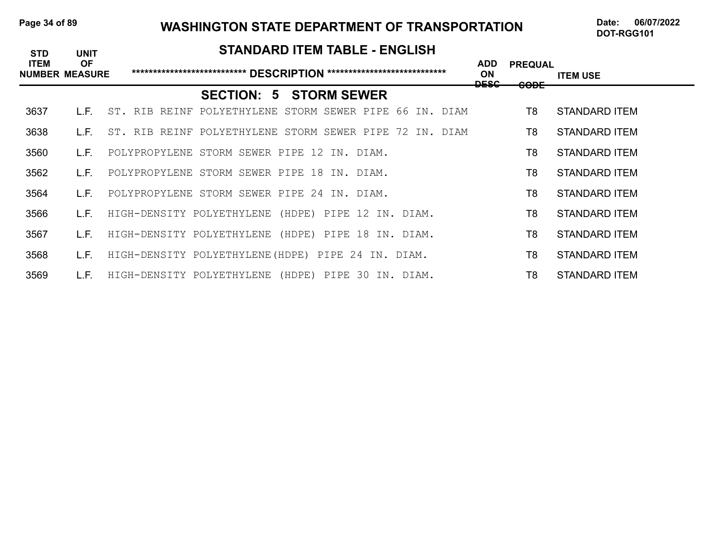#### Page 34 of 89 WASHINGTON STATE DEPARTMENT OF TRANSPORTATION Date: 06/07/2022

| <b>STD</b>                           | <b>UNIT</b> | <b>STANDARD ITEM TABLE - ENGLISH</b>                    |                          |                               |                      |
|--------------------------------------|-------------|---------------------------------------------------------|--------------------------|-------------------------------|----------------------|
| <b>ITEM</b><br><b>NUMBER MEASURE</b> | <b>OF</b>   |                                                         | <b>ADD</b><br>ON<br>DESC | <b>PREQUAL</b><br><b>CODE</b> | <b>ITEM USE</b>      |
|                                      |             | <b>SECTION: 5 STORM SEWER</b>                           |                          |                               |                      |
| 3637                                 | L.E.        | ST. RIB REINF POLYETHYLENE STORM SEWER PIPE 66 IN. DIAM |                          | T8                            | STANDARD ITEM        |
| 3638                                 | L.E.        | ST. RIB REINF POLYETHYLENE STORM SEWER PIPE 72 IN. DIAM |                          | T8                            | STANDARD ITEM        |
| 3560                                 | L.F.        | POLYPROPYLENE STORM SEWER PIPE 12 IN. DIAM.             |                          | T8                            | STANDARD ITEM        |
| 3562                                 | L.F.        | POLYPROPYLENE STORM SEWER PIPE<br>18 IN. DIAM.          |                          | T8                            | <b>STANDARD ITEM</b> |
| 3564                                 | L.F.        | POLYPROPYLENE STORM SEWER PIPE 24 IN. DIAM.             |                          | T8                            | <b>STANDARD ITEM</b> |
| 3566                                 | L.F.        | HIGH-DENSITY POLYETHYLENE (HDPE) PIPE 12 IN. DIAM.      |                          | T8                            | <b>STANDARD ITEM</b> |
| 3567                                 | L.F.        | HIGH-DENSITY POLYETHYLENE (HDPE) PIPE 18 IN. DIAM.      |                          | T8                            | STANDARD ITEM        |
| 3568                                 | L.F.        | HIGH-DENSITY POLYETHYLENE (HDPE) PIPE 24 IN. DIAM.      |                          | T8                            | STANDARD ITEM        |
| 3569                                 | L.F.        | HIGH-DENSITY POLYETHYLENE (HDPE) PIPE 30 IN. DIAM.      |                          | T <sub>8</sub>                | <b>STANDARD ITEM</b> |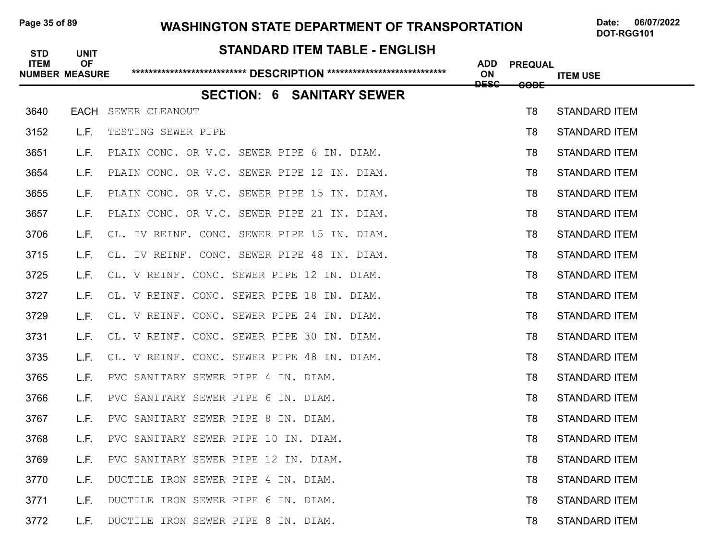#### Page 35 of 89 WASHINGTON STATE DEPARTMENT OF TRANSPORTATION Date: 06/07/2022

| <b>STD</b>  | <b>UNIT</b>                        | <b>STANDARD ITEM TABLE - ENGLISH</b>        |                                     |                 |                      |
|-------------|------------------------------------|---------------------------------------------|-------------------------------------|-----------------|----------------------|
| <b>ITEM</b> | <b>OF</b><br><b>NUMBER MEASURE</b> |                                             | <b>ADD</b><br>ON<br><del>DESC</del> | <b>PREQUAL</b>  | <b>ITEM USE</b>      |
|             |                                    | <b>SECTION: 6 SANITARY SEWER</b>            |                                     | <del>CODE</del> |                      |
| 3640        | EACH                               | SEWER CLEANOUT                              |                                     | T <sub>8</sub>  | <b>STANDARD ITEM</b> |
| 3152        | L.F.                               | TESTING SEWER PIPE                          |                                     | T8              | <b>STANDARD ITEM</b> |
| 3651        | L.F.                               | PLAIN CONC. OR V.C. SEWER PIPE 6 IN. DIAM.  |                                     | T8              | <b>STANDARD ITEM</b> |
| 3654        | L.F.                               | PLAIN CONC. OR V.C. SEWER PIPE 12 IN. DIAM. |                                     | T8              | <b>STANDARD ITEM</b> |
| 3655        | L.F.                               | PLAIN CONC. OR V.C. SEWER PIPE 15 IN. DIAM. |                                     | T8              | <b>STANDARD ITEM</b> |
| 3657        | L.F.                               | PLAIN CONC. OR V.C. SEWER PIPE 21 IN. DIAM. |                                     | T8              | <b>STANDARD ITEM</b> |
| 3706        | L.F.                               | CL. IV REINF. CONC. SEWER PIPE 15 IN. DIAM. |                                     | T8              | <b>STANDARD ITEM</b> |
| 3715        | L.F.                               | CL. IV REINF. CONC. SEWER PIPE 48 IN. DIAM. |                                     | T8              | <b>STANDARD ITEM</b> |
| 3725        | L.F.                               | CL. V REINF. CONC. SEWER PIPE 12 IN. DIAM.  |                                     | T8              | <b>STANDARD ITEM</b> |
| 3727        | L.F.                               | CL. V REINF. CONC. SEWER PIPE 18 IN. DIAM.  |                                     | T8              | <b>STANDARD ITEM</b> |
| 3729        | L.F.                               | CL. V REINF. CONC. SEWER PIPE 24 IN. DIAM.  |                                     | T8              | <b>STANDARD ITEM</b> |
| 3731        | L.F.                               | CL. V REINF. CONC. SEWER PIPE 30 IN. DIAM.  |                                     | T8              | <b>STANDARD ITEM</b> |
| 3735        | L.F.                               | CL. V REINF. CONC. SEWER PIPE 48 IN. DIAM.  |                                     | T8              | <b>STANDARD ITEM</b> |
| 3765        | L.F.                               | PVC SANITARY SEWER PIPE 4 IN. DIAM.         |                                     | T8              | <b>STANDARD ITEM</b> |
| 3766        | L.F.                               | PVC SANITARY SEWER PIPE 6 IN. DIAM.         |                                     | T8              | <b>STANDARD ITEM</b> |
| 3767        | L.F.                               | PVC SANITARY SEWER PIPE 8<br>IN. DIAM.      |                                     | T8              | <b>STANDARD ITEM</b> |
| 3768        | L.F.                               | PVC SANITARY SEWER PIPE 10 IN. DIAM.        |                                     | T8              | <b>STANDARD ITEM</b> |
| 3769        | L.F.                               | PVC SANITARY SEWER PIPE 12 IN. DIAM.        |                                     | T8              | <b>STANDARD ITEM</b> |
| 3770        | L.F.                               | DUCTILE IRON SEWER PIPE 4 IN. DIAM.         |                                     | T8              | <b>STANDARD ITEM</b> |
| 3771        | L.F.                               | DUCTILE IRON SEWER PIPE 6 IN. DIAM.         |                                     | T8              | <b>STANDARD ITEM</b> |
| 3772        | L.F.                               | DUCTILE IRON SEWER PIPE 8 IN. DIAM.         |                                     | T8              | <b>STANDARD ITEM</b> |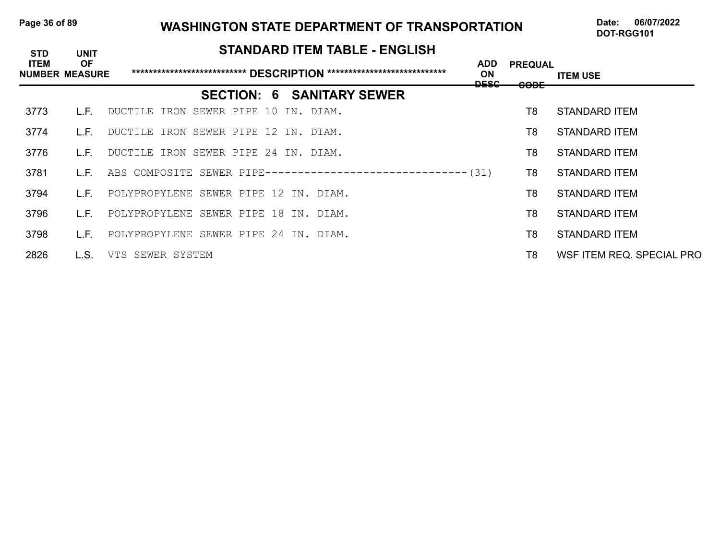### Page 36 of 89 WASHINGTON STATE DEPARTMENT OF TRANSPORTATION Date: 06/07/2022

| <b>STD</b>                           | <b>UNIT</b> | <b>STANDARD ITEM TABLE - ENGLISH</b>                          |                          |                               |                           |
|--------------------------------------|-------------|---------------------------------------------------------------|--------------------------|-------------------------------|---------------------------|
| <b>ITEM</b><br><b>NUMBER MEASURE</b> | <b>OF</b>   |                                                               | <b>ADD</b><br>ON<br>DESC | <b>PREQUAL</b><br><b>CODE</b> | <b>ITEM USE</b>           |
|                                      |             | <b>SECTION: 6 SANITARY SEWER</b>                              |                          |                               |                           |
| 3773                                 | L.F.        | DUCTILE IRON SEWER PIPE 10 IN. DIAM.                          |                          | T8                            | <b>STANDARD ITEM</b>      |
| 3774                                 | L.E.        | DUCTILE IRON SEWER PIPE 12 IN. DIAM.                          |                          | T8                            | <b>STANDARD ITEM</b>      |
| 3776                                 | L.F.        | DUCTILE IRON SEWER PIPE 24 IN. DIAM.                          |                          | T8                            | STANDARD ITEM             |
| 3781                                 | L.E.        | ABS COMPOSITE SEWER PIPE-------------------------------- (31) |                          | T8                            | STANDARD ITEM             |
| 3794                                 | L.F.        | POLYPROPYLENE SEWER PIPE 12 IN. DIAM.                         |                          | T8                            | STANDARD ITEM             |
| 3796                                 | L.E.        | POLYPROPYLENE SEWER PIPE 18 IN. DIAM.                         |                          | T8                            | <b>STANDARD ITEM</b>      |
| 3798                                 | L.F.        | POLYPROPYLENE SEWER PIPE 24 IN. DIAM.                         |                          | T8                            | <b>STANDARD ITEM</b>      |
| 2826                                 | L.S.        | VTS SEWER SYSTEM                                              |                          | T8                            | WSF ITEM REQ. SPECIAL PRO |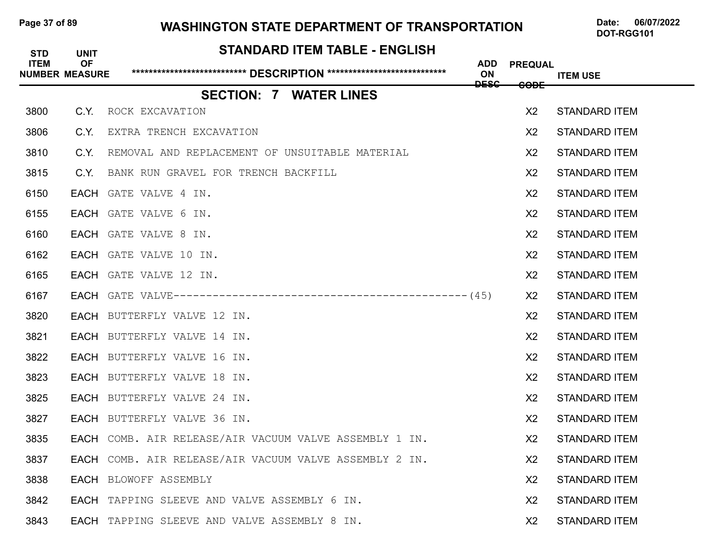### Page 37 of 89 WASHINGTON STATE DEPARTMENT OF TRANSPORTATION Date: 06/07/2022

| <b>STD</b><br><b>ITEM</b> | <b>UNIT</b><br><b>OF</b><br><b>NUMBER MEASURE</b> | STANDARD ITEM TABLE - ENGLISH                          | ADD<br>ON   | <b>PREQUAL</b>  | <b>ITEM USE</b>      |
|---------------------------|---------------------------------------------------|--------------------------------------------------------|-------------|-----------------|----------------------|
|                           |                                                   | <b>SECTION: 7 WATER LINES</b>                          | <b>DESC</b> | <del>CODE</del> |                      |
| 3800                      |                                                   | C.Y. ROCK EXCAVATION                                   |             | X <sub>2</sub>  | <b>STANDARD ITEM</b> |
| 3806                      | C.Y.                                              | EXTRA TRENCH EXCAVATION                                |             | X <sub>2</sub>  | <b>STANDARD ITEM</b> |
| 3810                      | C.Y.                                              | REMOVAL AND REPLACEMENT OF UNSUITABLE MATERIAL         |             | X <sub>2</sub>  | <b>STANDARD ITEM</b> |
| 3815                      | C.Y.                                              | BANK RUN GRAVEL FOR TRENCH BACKFILL                    |             | X2              | <b>STANDARD ITEM</b> |
| 6150                      |                                                   | EACH GATE VALVE 4 IN.                                  |             | X <sub>2</sub>  | <b>STANDARD ITEM</b> |
| 6155                      |                                                   | EACH GATE VALVE 6 IN.                                  |             | X <sub>2</sub>  | <b>STANDARD ITEM</b> |
| 6160                      |                                                   | EACH GATE VALVE 8 IN.                                  |             | X <sub>2</sub>  | <b>STANDARD ITEM</b> |
| 6162                      |                                                   | EACH GATE VALVE 10 IN.                                 |             | X <sub>2</sub>  | <b>STANDARD ITEM</b> |
| 6165                      |                                                   | EACH GATE VALVE 12 IN.                                 |             | X <sub>2</sub>  | <b>STANDARD ITEM</b> |
| 6167                      |                                                   |                                                        |             | X <sub>2</sub>  | <b>STANDARD ITEM</b> |
| 3820                      |                                                   | EACH BUTTERFLY VALVE 12 IN.                            |             | X <sub>2</sub>  | <b>STANDARD ITEM</b> |
| 3821                      |                                                   | EACH BUTTERFLY VALVE 14 IN.                            |             | X2              | <b>STANDARD ITEM</b> |
| 3822                      |                                                   | EACH BUTTERFLY VALVE 16 IN.                            |             | X <sub>2</sub>  | <b>STANDARD ITEM</b> |
| 3823                      |                                                   | EACH BUTTERFLY VALVE 18 IN.                            |             | X <sub>2</sub>  | <b>STANDARD ITEM</b> |
| 3825                      |                                                   | EACH BUTTERFLY VALVE 24 IN.                            |             | X <sub>2</sub>  | <b>STANDARD ITEM</b> |
| 3827                      |                                                   | EACH BUTTERFLY VALVE 36 IN.                            |             | X <sub>2</sub>  | <b>STANDARD ITEM</b> |
| 3835                      |                                                   | EACH COMB. AIR RELEASE/AIR VACUUM VALVE ASSEMBLY 1 IN. |             | X <sub>2</sub>  | <b>STANDARD ITEM</b> |
| 3837                      |                                                   | EACH COMB. AIR RELEASE/AIR VACUUM VALVE ASSEMBLY 2 IN. |             | X <sub>2</sub>  | <b>STANDARD ITEM</b> |
| 3838                      |                                                   | <b>EACH</b> BLOWOFF ASSEMBLY                           |             | X <sub>2</sub>  | <b>STANDARD ITEM</b> |
| 3842                      |                                                   | EACH TAPPING SLEEVE AND VALVE ASSEMBLY 6 IN.           |             | X <sub>2</sub>  | <b>STANDARD ITEM</b> |
| 3843                      |                                                   | EACH TAPPING SLEEVE AND VALVE ASSEMBLY 8 IN.           |             | X <sub>2</sub>  | <b>STANDARD ITEM</b> |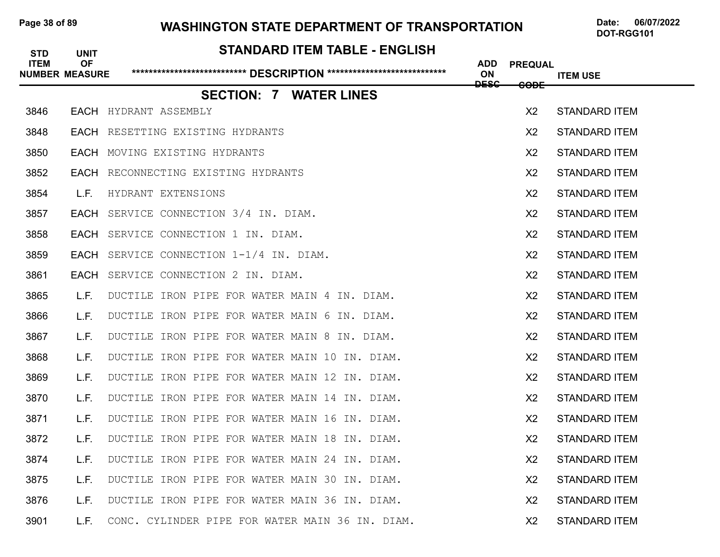### Page 38 of 89 **WASHINGTON STATE DEPARTMENT OF TRANSPORTATION** Date: 06/07/2022

| <b>STD</b><br><b>ITEM</b> | <b>UNIT</b><br><b>OF</b><br><b>NUMBER MEASURE</b> | STANDARD ITEM TABLE - ENGLISH                   | <b>ADD</b><br>ON | <b>PREQUAL</b>  | <b>ITEM USE</b>      |
|---------------------------|---------------------------------------------------|-------------------------------------------------|------------------|-----------------|----------------------|
|                           |                                                   | <b>SECTION: 7 WATER LINES</b>                   | <b>DESC</b>      | <del>CODE</del> |                      |
| 3846                      |                                                   | <b>EACH</b> HYDRANT ASSEMBLY                    |                  | X <sub>2</sub>  | <b>STANDARD ITEM</b> |
| 3848                      |                                                   | EACH RESETTING EXISTING HYDRANTS                |                  | X <sub>2</sub>  | <b>STANDARD ITEM</b> |
| 3850                      |                                                   | EACH MOVING EXISTING HYDRANTS                   |                  | X <sub>2</sub>  | <b>STANDARD ITEM</b> |
| 3852                      | EACH                                              | RECONNECTING EXISTING HYDRANTS                  |                  | X <sub>2</sub>  | <b>STANDARD ITEM</b> |
| 3854                      | L.F.                                              | HYDRANT EXTENSIONS                              |                  | X <sub>2</sub>  | <b>STANDARD ITEM</b> |
| 3857                      | <b>EACH</b>                                       | SERVICE CONNECTION 3/4 IN. DIAM.                |                  | X <sub>2</sub>  | <b>STANDARD ITEM</b> |
| 3858                      | <b>EACH</b>                                       | SERVICE CONNECTION 1 IN. DIAM.                  |                  | X <sub>2</sub>  | <b>STANDARD ITEM</b> |
| 3859                      | <b>EACH</b>                                       | SERVICE CONNECTION 1-1/4 IN. DIAM.              |                  | X <sub>2</sub>  | <b>STANDARD ITEM</b> |
| 3861                      | <b>EACH</b>                                       | SERVICE CONNECTION 2 IN. DIAM.                  |                  | X <sub>2</sub>  | <b>STANDARD ITEM</b> |
| 3865                      | L.F.                                              | DUCTILE IRON PIPE FOR WATER MAIN 4 IN. DIAM.    |                  | X <sub>2</sub>  | <b>STANDARD ITEM</b> |
| 3866                      | L.F.                                              | DUCTILE IRON PIPE FOR WATER MAIN 6 IN. DIAM.    |                  | X <sub>2</sub>  | <b>STANDARD ITEM</b> |
| 3867                      | L.F.                                              | DUCTILE IRON PIPE FOR WATER MAIN 8 IN. DIAM.    |                  | X <sub>2</sub>  | <b>STANDARD ITEM</b> |
| 3868                      | L.F.                                              | DUCTILE IRON PIPE FOR WATER MAIN 10 IN. DIAM.   |                  | X <sub>2</sub>  | <b>STANDARD ITEM</b> |
| 3869                      | L.F.                                              | DUCTILE IRON PIPE FOR WATER MAIN 12 IN. DIAM.   |                  | X <sub>2</sub>  | <b>STANDARD ITEM</b> |
| 3870                      | L.F.                                              | DUCTILE IRON PIPE FOR WATER MAIN 14 IN. DIAM.   |                  | X <sub>2</sub>  | <b>STANDARD ITEM</b> |
| 3871                      | L.F.                                              | DUCTILE IRON PIPE FOR WATER MAIN 16 IN. DIAM.   |                  | X <sub>2</sub>  | <b>STANDARD ITEM</b> |
| 3872                      | L.F.                                              | DUCTILE IRON PIPE FOR WATER MAIN 18 IN. DIAM.   |                  | X <sub>2</sub>  | <b>STANDARD ITEM</b> |
| 3874                      | L.F.                                              | DUCTILE IRON PIPE FOR WATER MAIN 24 IN. DIAM.   |                  | X <sub>2</sub>  | <b>STANDARD ITEM</b> |
| 3875                      | L.F.                                              | DUCTILE IRON PIPE FOR WATER MAIN 30 IN. DIAM.   |                  | X <sub>2</sub>  | <b>STANDARD ITEM</b> |
| 3876                      | L.F.                                              | DUCTILE IRON PIPE FOR WATER MAIN 36 IN. DIAM.   |                  | X <sub>2</sub>  | <b>STANDARD ITEM</b> |
| 3901                      | L.F.                                              | CONC. CYLINDER PIPE FOR WATER MAIN 36 IN. DIAM. |                  | X <sub>2</sub>  | <b>STANDARD ITEM</b> |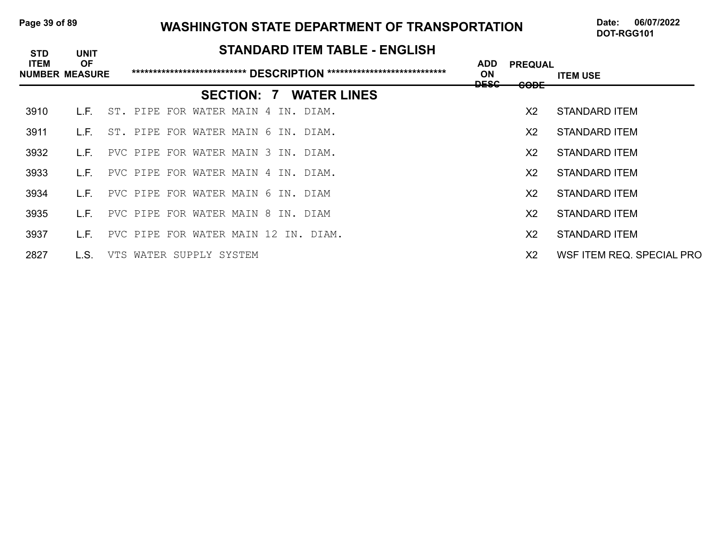### Page 39 of 89 **WASHINGTON STATE DEPARTMENT OF TRANSPORTATION** Date: 06/07/2022

| <b>STD</b>                           | <b>UNIT</b> |                                      |                   | <b>STANDARD ITEM TABLE - ENGLISH</b> |                                        |                               |                           |
|--------------------------------------|-------------|--------------------------------------|-------------------|--------------------------------------|----------------------------------------|-------------------------------|---------------------------|
| <b>ITEM</b><br><b>NUMBER MEASURE</b> | <b>OF</b>   |                                      |                   |                                      | <b>ADD</b><br><b>ON</b><br><u>neec</u> | <b>PREQUAL</b><br><b>CODE</b> | <b>ITEM USE</b>           |
|                                      |             |                                      | <b>SECTION: 7</b> | <b>WATER LINES</b>                   |                                        |                               |                           |
| 3910                                 | L.F.        | ST. PIPE FOR WATER MAIN 4 IN. DIAM.  |                   |                                      |                                        | X <sub>2</sub>                | <b>STANDARD ITEM</b>      |
| 3911                                 | L.F.        | ST. PIPE FOR WATER MAIN 6 IN. DIAM.  |                   |                                      |                                        | X <sub>2</sub>                | <b>STANDARD ITEM</b>      |
| 3932                                 | L.F.        | PVC PIPE FOR WATER MAIN 3 IN. DIAM.  |                   |                                      |                                        | X <sub>2</sub>                | STANDARD ITEM             |
| 3933                                 | L.F.        | PVC PIPE FOR WATER MAIN 4 IN. DIAM.  |                   |                                      |                                        | X2                            | STANDARD ITEM             |
| 3934                                 | L.F.        | PVC PIPE FOR WATER MAIN 6 IN. DIAM   |                   |                                      |                                        | X2                            | STANDARD ITEM             |
| 3935                                 | L.F.        | PVC PIPE FOR WATER MAIN 8 IN. DIAM   |                   |                                      |                                        | X <sub>2</sub>                | STANDARD ITEM             |
| 3937                                 | L.F.        | PVC PIPE FOR WATER MAIN 12 IN. DIAM. |                   |                                      |                                        | X2                            | <b>STANDARD ITEM</b>      |
| 2827                                 | L.S.        | VTS WATER SUPPLY SYSTEM              |                   |                                      |                                        | X <sub>2</sub>                | WSF ITEM REQ. SPECIAL PRO |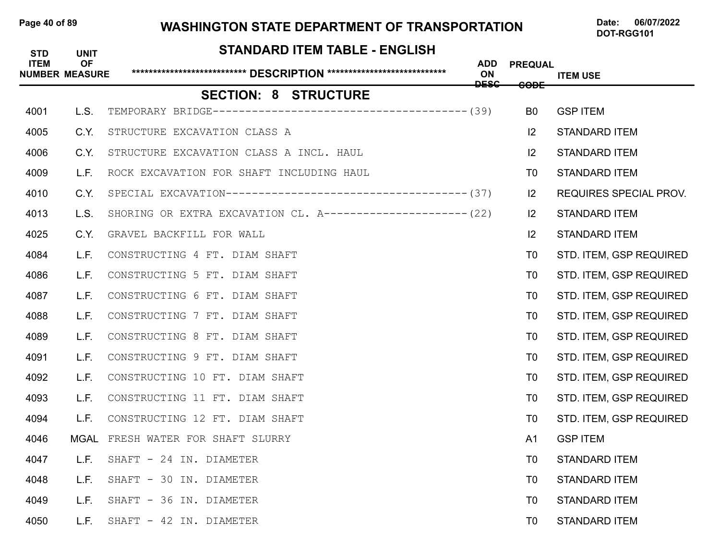### Page 40 of 89 WASHINGTON STATE DEPARTMENT OF TRANSPORTATION Date: 06/07/2022

| <b>STD</b><br><b>ITEM</b> | <b>UNIT</b><br><b>OF</b><br><b>NUMBER MEASURE</b> | <b>STANDARD ITEM TABLE - ENGLISH</b>                        | <b>ADD</b><br>ON<br><b>DESC</b> | <b>PREQUAL</b><br><del>CODE</del> | <b>ITEM USE</b>               |
|---------------------------|---------------------------------------------------|-------------------------------------------------------------|---------------------------------|-----------------------------------|-------------------------------|
|                           |                                                   | <b>SECTION: 8 STRUCTURE</b>                                 |                                 |                                   |                               |
| 4001                      | L.S.                                              |                                                             |                                 | B <sub>0</sub>                    | <b>GSP ITEM</b>               |
| 4005                      | C.Y.                                              | STRUCTURE EXCAVATION CLASS A                                |                                 | $ 2\rangle$                       | <b>STANDARD ITEM</b>          |
| 4006                      | C.Y.                                              | STRUCTURE EXCAVATION CLASS A INCL. HAUL                     |                                 | $\mathsf{I2}$                     | <b>STANDARD ITEM</b>          |
| 4009                      | L.F.                                              | ROCK EXCAVATION FOR SHAFT INCLUDING HAUL                    |                                 | T0                                | <b>STANDARD ITEM</b>          |
| 4010                      | C.Y.                                              |                                                             |                                 | 2                                 | <b>REQUIRES SPECIAL PROV.</b> |
| 4013                      | L.S.                                              | SHORING OR EXTRA EXCAVATION CL. A--------------------- (22) |                                 | $ 2\rangle$                       | <b>STANDARD ITEM</b>          |
| 4025                      | C.Y.                                              | GRAVEL BACKFILL FOR WALL                                    |                                 | $ 2\rangle$                       | <b>STANDARD ITEM</b>          |
| 4084                      | L.F.                                              | CONSTRUCTING 4 FT. DIAM SHAFT                               |                                 | T0                                | STD. ITEM, GSP REQUIRED       |
| 4086                      | L.F.                                              | CONSTRUCTING 5 FT. DIAM SHAFT                               |                                 | T0                                | STD. ITEM, GSP REQUIRED       |
| 4087                      | L.F.                                              | CONSTRUCTING 6 FT. DIAM SHAFT                               |                                 | T <sub>0</sub>                    | STD. ITEM, GSP REQUIRED       |
| 4088                      | L.F.                                              | CONSTRUCTING 7 FT. DIAM SHAFT                               |                                 | T0                                | STD. ITEM, GSP REQUIRED       |
| 4089                      | L.F.                                              | CONSTRUCTING 8 FT. DIAM SHAFT                               |                                 | T0                                | STD. ITEM, GSP REQUIRED       |
| 4091                      | L.F.                                              | CONSTRUCTING 9 FT. DIAM SHAFT                               |                                 | T0                                | STD. ITEM, GSP REQUIRED       |
| 4092                      | L.F.                                              | CONSTRUCTING 10 FT. DIAM SHAFT                              |                                 | T0                                | STD. ITEM, GSP REQUIRED       |
| 4093                      | L.F.                                              | CONSTRUCTING 11 FT. DIAM SHAFT                              |                                 | T0                                | STD. ITEM, GSP REQUIRED       |
| 4094                      | L.F.                                              | CONSTRUCTING 12 FT. DIAM SHAFT                              |                                 | T0                                | STD. ITEM, GSP REQUIRED       |
| 4046                      | MGAL                                              | FRESH WATER FOR SHAFT SLURRY                                |                                 | A <sub>1</sub>                    | <b>GSP ITEM</b>               |
| 4047                      | L.F.                                              | SHAFT - 24 IN. DIAMETER                                     |                                 | T <sub>0</sub>                    | <b>STANDARD ITEM</b>          |
| 4048                      | L.F.                                              | SHAFT - 30 IN. DIAMETER                                     |                                 | T <sub>0</sub>                    | <b>STANDARD ITEM</b>          |
| 4049                      | L.F.                                              | SHAFT - 36 IN. DIAMETER                                     |                                 | T <sub>0</sub>                    | <b>STANDARD ITEM</b>          |
| 4050                      | L.F.                                              | SHAFT - 42 IN. DIAMETER                                     |                                 | T <sub>0</sub>                    | <b>STANDARD ITEM</b>          |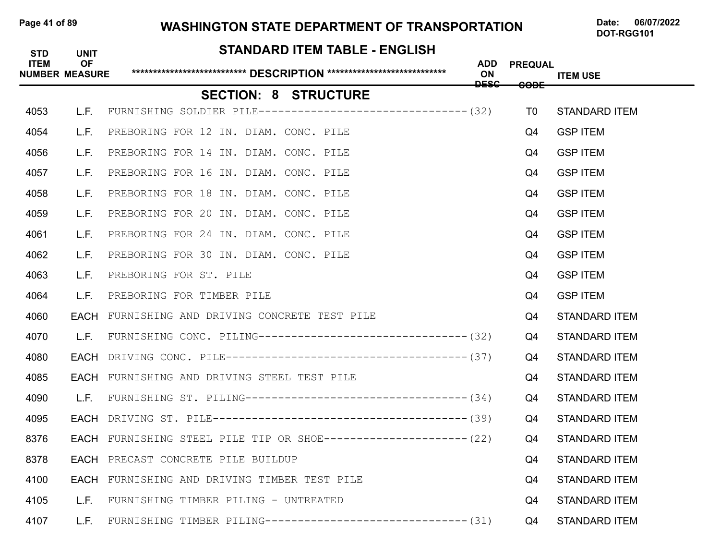### Page 41 of 89 WASHINGTON STATE DEPARTMENT OF TRANSPORTATION Date: 06/07/2022

DOT-RGG101

### **STANDARD ITEM TABLE - ENGLISH**

| <b>ITEM</b> | <b>OF</b><br><b>NUMBER MEASURE</b> |                                                                   | <b>ADD</b><br><b>ON</b><br><b>DESC</b> | <b>PREQUAL</b><br><del>CODE</del> | <b>ITEM USE</b>      |
|-------------|------------------------------------|-------------------------------------------------------------------|----------------------------------------|-----------------------------------|----------------------|
|             |                                    | <b>SECTION: 8 STRUCTURE</b>                                       |                                        |                                   |                      |
| 4053        | L.F.                               | FURNISHING SOLDIER PILE-------------------------------- (32)      |                                        | T0                                | <b>STANDARD ITEM</b> |
| 4054        | L.F.                               | PREBORING FOR 12 IN. DIAM. CONC. PILE                             |                                        | Q4                                | <b>GSP ITEM</b>      |
| 4056        |                                    | L.F. PREBORING FOR 14 IN. DIAM. CONC. PILE                        |                                        | Q4                                | <b>GSP ITEM</b>      |
| 4057        | L.F.                               | PREBORING FOR 16 IN. DIAM. CONC. PILE                             |                                        | Q4                                | <b>GSP ITEM</b>      |
| 4058        | L.F.                               | PREBORING FOR 18 IN. DIAM. CONC. PILE                             |                                        | Q4                                | <b>GSP ITEM</b>      |
| 4059        | L.F.                               | PREBORING FOR 20 IN. DIAM. CONC. PILE                             |                                        | Q4                                | <b>GSP ITEM</b>      |
| 4061        |                                    | L.F. PREBORING FOR 24 IN. DIAM. CONC. PILE                        |                                        | Q4                                | <b>GSP ITEM</b>      |
| 4062        | L.F.                               | PREBORING FOR 30 IN. DIAM. CONC. PILE                             |                                        | Q4                                | <b>GSP ITEM</b>      |
| 4063        | L.F.                               | PREBORING FOR ST. PILE                                            |                                        | Q4                                | <b>GSP ITEM</b>      |
| 4064        | L.F.                               | PREBORING FOR TIMBER PILE                                         |                                        | Q4                                | <b>GSP ITEM</b>      |
| 4060        |                                    | EACH FURNISHING AND DRIVING CONCRETE TEST PILE                    |                                        | Q4                                | <b>STANDARD ITEM</b> |
| 4070        | L.F.                               | FURNISHING CONC. PILING--------------------------------- (32)     |                                        | Q4                                | <b>STANDARD ITEM</b> |
| 4080        |                                    |                                                                   |                                        | Q4                                | <b>STANDARD ITEM</b> |
| 4085        |                                    | <b>EACH</b> FURNISHING AND DRIVING STEEL TEST PILE                |                                        | Q4                                | <b>STANDARD ITEM</b> |
| 4090        | L.F.                               |                                                                   |                                        | Q4                                | <b>STANDARD ITEM</b> |
| 4095        |                                    |                                                                   |                                        | Q4                                | <b>STANDARD ITEM</b> |
| 8376        |                                    | EACH FURNISHING STEEL PILE TIP OR SHOE---------------------- (22) |                                        | Q4                                | <b>STANDARD ITEM</b> |
| 8378        |                                    | EACH PRECAST CONCRETE PILE BUILDUP                                |                                        | Q4                                | <b>STANDARD ITEM</b> |
| 4100        |                                    | EACH FURNISHING AND DRIVING TIMBER TEST PILE                      |                                        | Q4                                | <b>STANDARD ITEM</b> |
| 4105        | L.F.                               | FURNISHING TIMBER PILING - UNTREATED                              |                                        | Q4                                | <b>STANDARD ITEM</b> |
| 4107        | L.F.                               | FURNISHING TIMBER PILING------------------------------- (31)      |                                        | Q4                                | <b>STANDARD ITEM</b> |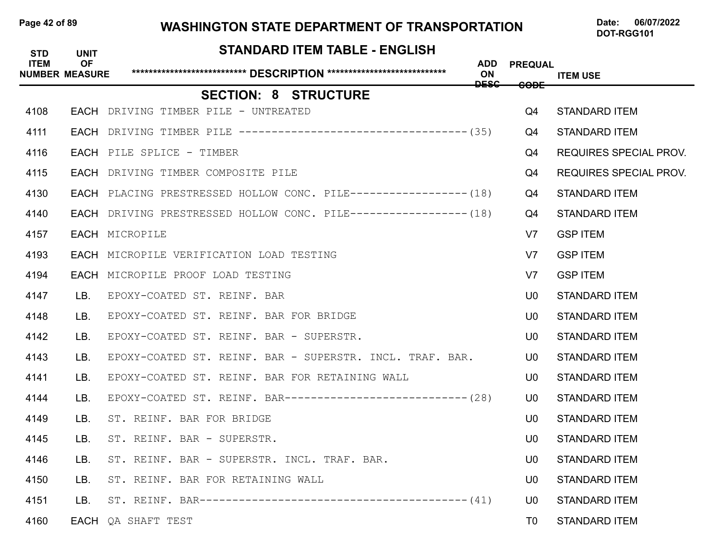### Page 42 of 89 **WASHINGTON STATE DEPARTMENT OF TRANSPORTATION** Date: 06/07/2022

| <b>STD</b>  | <b>UNIT</b>                        | STANDARD ITEM TABLE - ENGLISH                                     |                          |                 |                               |
|-------------|------------------------------------|-------------------------------------------------------------------|--------------------------|-----------------|-------------------------------|
| <b>ITEM</b> | <b>OF</b><br><b>NUMBER MEASURE</b> |                                                                   | ADD<br>ON<br><b>DESC</b> | <b>PREQUAL</b>  | <b>ITEM USE</b>               |
|             |                                    | <b>SECTION: 8 STRUCTURE</b>                                       |                          | <del>CODE</del> |                               |
| 4108        |                                    | EACH DRIVING TIMBER PILE - UNTREATED                              |                          | Q4              | <b>STANDARD ITEM</b>          |
| 4111        |                                    | EACH DRIVING TIMBER PILE ----------------------------------- (35) |                          | Q4              | <b>STANDARD ITEM</b>          |
| 4116        |                                    | EACH PILE SPLICE - TIMBER                                         |                          | Q4              | <b>REQUIRES SPECIAL PROV.</b> |
| 4115        |                                    | EACH DRIVING TIMBER COMPOSITE PILE                                |                          | Q4              | REQUIRES SPECIAL PROV.        |
| 4130        |                                    | EACH PLACING PRESTRESSED HOLLOW CONC. PILE------------------ (18) |                          | Q4              | <b>STANDARD ITEM</b>          |
| 4140        |                                    | EACH DRIVING PRESTRESSED HOLLOW CONC. PILE----------------- (18)  |                          | Q4              | <b>STANDARD ITEM</b>          |
| 4157        |                                    | EACH MICROPILE                                                    |                          | V7              | <b>GSP ITEM</b>               |
| 4193        |                                    | EACH MICROPILE VERIFICATION LOAD TESTING                          |                          | V7              | <b>GSP ITEM</b>               |
| 4194        |                                    | EACH MICROPILE PROOF LOAD TESTING                                 |                          | V7              | <b>GSP ITEM</b>               |
| 4147        | LB.                                | EPOXY-COATED ST. REINF. BAR                                       |                          | U0              | <b>STANDARD ITEM</b>          |
| 4148        | LB.                                | EPOXY-COATED ST. REINF. BAR FOR BRIDGE                            |                          | U <sub>0</sub>  | <b>STANDARD ITEM</b>          |
| 4142        | LB.                                | EPOXY-COATED ST. REINF. BAR - SUPERSTR.                           |                          | U <sub>0</sub>  | <b>STANDARD ITEM</b>          |
| 4143        | LB.                                | EPOXY-COATED ST. REINF. BAR - SUPERSTR. INCL. TRAF. BAR.          |                          | U0              | <b>STANDARD ITEM</b>          |
| 4141        | LB.                                | EPOXY-COATED ST. REINF. BAR FOR RETAINING WALL                    |                          | U0              | <b>STANDARD ITEM</b>          |
| 4144        | LB.                                | EPOXY-COATED ST. REINF. BAR---------------------------- (28)      |                          | U0.             | <b>STANDARD ITEM</b>          |
| 4149        | LB.                                | ST. REINF. BAR FOR BRIDGE                                         |                          | U0              | <b>STANDARD ITEM</b>          |
| 4145        | LB.                                | ST. REINF. BAR - SUPERSTR.                                        |                          | U0              | <b>STANDARD ITEM</b>          |
| 4146        | LB.                                | ST. REINF. BAR - SUPERSTR. INCL. TRAF. BAR.                       |                          | U <sub>0</sub>  | <b>STANDARD ITEM</b>          |
| 4150        | LB.                                | ST. REINF. BAR FOR RETAINING WALL                                 |                          | U0              | <b>STANDARD ITEM</b>          |
| 4151        | LB.                                |                                                                   |                          | U0              | <b>STANDARD ITEM</b>          |
| 4160        |                                    | EACH QA SHAFT TEST                                                |                          | T0              | <b>STANDARD ITEM</b>          |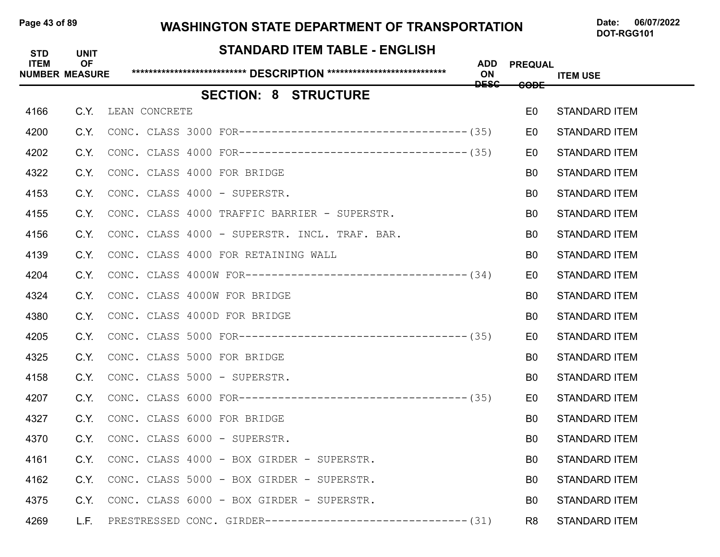### Page 43 of 89 WASHINGTON STATE DEPARTMENT OF TRANSPORTATION Date: 06/07/2022

| <b>STD</b>  | <b>UNIT</b><br><b>OF</b> | <b>STANDARD ITEM TABLE - ENGLISH</b>                           |                          |                 |                      |
|-------------|--------------------------|----------------------------------------------------------------|--------------------------|-----------------|----------------------|
| <b>ITEM</b> | <b>NUMBER MEASURE</b>    |                                                                | ADD<br>ON<br><b>DESC</b> | <b>PREQUAL</b>  | <b>ITEM USE</b>      |
|             |                          | <b>SECTION: 8 STRUCTURE</b>                                    |                          | <del>CODE</del> |                      |
| 4166        |                          | C.Y. LEAN CONCRETE                                             |                          | E <sub>0</sub>  | <b>STANDARD ITEM</b> |
| 4200        | C.Y.                     |                                                                |                          | E <sub>0</sub>  | <b>STANDARD ITEM</b> |
| 4202        | C.Y.                     |                                                                |                          | E0              | <b>STANDARD ITEM</b> |
| 4322        | C.Y.                     | CONC. CLASS 4000 FOR BRIDGE                                    |                          | B <sub>0</sub>  | <b>STANDARD ITEM</b> |
| 4153        | C.Y.                     | CONC. CLASS 4000 - SUPERSTR.                                   |                          | B <sub>0</sub>  | <b>STANDARD ITEM</b> |
| 4155        | C.Y.                     | CONC. CLASS 4000 TRAFFIC BARRIER - SUPERSTR.                   |                          | B <sub>0</sub>  | <b>STANDARD ITEM</b> |
| 4156        | C.Y.                     | CONC. CLASS 4000 - SUPERSTR. INCL. TRAF. BAR.                  |                          | B0              | <b>STANDARD ITEM</b> |
| 4139        | C.Y.                     | CONC. CLASS 4000 FOR RETAINING WALL                            |                          | B0              | <b>STANDARD ITEM</b> |
| 4204        | C.Y.                     |                                                                |                          | E0              | <b>STANDARD ITEM</b> |
| 4324        | C.Y.                     | CONC. CLASS 4000W FOR BRIDGE                                   |                          | B <sub>0</sub>  | <b>STANDARD ITEM</b> |
| 4380        | C.Y.                     | CONC. CLASS 4000D FOR BRIDGE                                   |                          | B0              | <b>STANDARD ITEM</b> |
| 4205        | C.Y.                     |                                                                |                          | E <sub>0</sub>  | <b>STANDARD ITEM</b> |
| 4325        | C.Y.                     | CONC. CLASS 5000 FOR BRIDGE                                    |                          | B <sub>0</sub>  | <b>STANDARD ITEM</b> |
| 4158        | C.Y.                     | CONC. CLASS 5000 - SUPERSTR.                                   |                          | B <sub>0</sub>  | <b>STANDARD ITEM</b> |
| 4207        | C.Y.                     |                                                                |                          | E0              | <b>STANDARD ITEM</b> |
| 4327        | C.Y.                     | CONC. CLASS 6000 FOR BRIDGE                                    |                          | B <sub>0</sub>  | <b>STANDARD ITEM</b> |
| 4370        | C.Y.                     | CONC. CLASS 6000 - SUPERSTR.                                   |                          | B <sub>0</sub>  | <b>STANDARD ITEM</b> |
| 4161        |                          | C.Y. CONC. CLASS 4000 - BOX GIRDER - SUPERSTR.                 |                          | B <sub>0</sub>  | <b>STANDARD ITEM</b> |
| 4162        | C.Y.                     | CONC. CLASS 5000 - BOX GIRDER - SUPERSTR.                      |                          | B <sub>0</sub>  | <b>STANDARD ITEM</b> |
| 4375        | C.Y.                     | CONC. CLASS 6000 - BOX GIRDER - SUPERSTR.                      |                          | B <sub>0</sub>  | <b>STANDARD ITEM</b> |
| 4269        | L.F.                     | PRESTRESSED CONC. GIRDER--------------------------------- (31) |                          | R <sub>8</sub>  | <b>STANDARD ITEM</b> |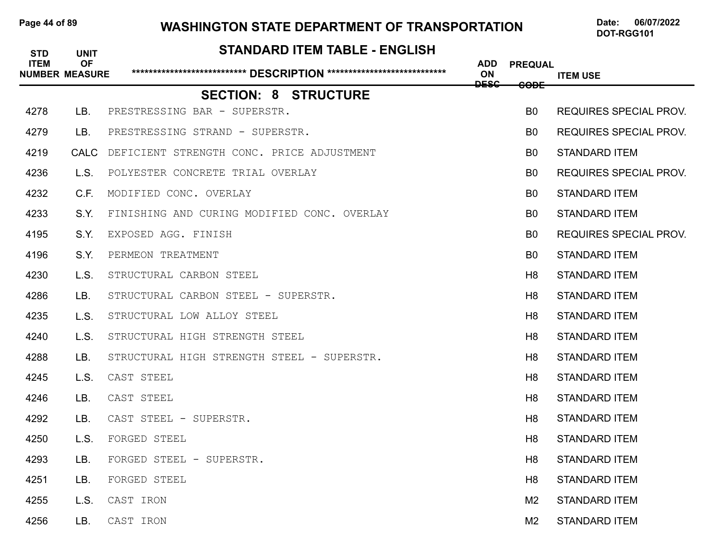### Page 44 of 89 **WASHINGTON STATE DEPARTMENT OF TRANSPORTATION** Date: 06/07/2022

# **STANDARD ITEM TABLE - ENGLISH ITEM OF ADD PREQUAL NUMBER MEASURE \*\*\*\*\*\*\*\*\*\*\*\*\*\*\*\*\*\*\*\*\*\*\*\*\*\*\* DESCRIPTION \*\*\*\*\*\*\*\*\*\*\*\*\*\*\*\*\*\*\*\*\*\*\*\*\*\*\*\* ON ITEM USE DESC CODE SECTION: 8 STRUCTURE** 4278 LB. PRESTRESSING BAR - SUPERSTR. B0 REQUIRES SPECIAL PROV. 4279 LB. PRESTRESSING STRAND - SUPERSTR. B0 REQUIRES SPECIAL PROV. 4219 CALC DEFICIENT STRENGTH CONC. PRICE ADJUSTMENT THE SECONDUCT RESERVED THE STANDARD ITEM 4236 L.S. POLYESTER CONCRETE TRIAL OVERLAY B0 REQUIRES SPECIAL PROV. 4232 C.F. MODIFIED CONC. OVERLAY B0 STANDARD ITEM 4233 S.Y. FINISHING AND CURING MODIFIED CONC. OVERLAY STAMP BO STANDARD ITEM 4195 S.Y. EXPOSED AGG. FINISH B0 REQUIRES SPECIAL PROV. 4196 S.Y. PERMEON TREATMENT **B0 STANDARD ITEM 4230 L.S.** STRUCTURAL CARBON STEEL **Example 19** STANDARD ITEM **H8** STANDARD ITEM 4286 LB. STRUCTURAL CARBON STEEL - SUPERSTR. HET IN THE STANDARD ITEM 4235 L.S. STRUCTURAL LOW ALLOY STEEL H8 STANDARD ITEM 4240 L.S. STRUCTURAL HIGH STRENGTH STEEL **Hand Standard Hand Standard ITEM** 4288 LB. STRUCTURAL HIGH STRENGTH STEEL - SUPERSTR. HERRY HASTANDARD ITEM 4245 L.S. CAST STEEL H8 STANDARD ITEM 4246 LB. CAST STEEL H8 STANDARD ITEM 4292 LB. CAST STEEL - SUPERSTR. H8 STANDARD ITEM 4250 L.S. FORGED STEEL H8 STANDARD ITEM 4293 LB. FORGED STEEL - SUPERSTR. H8 STANDARD ITEM 4251 LB. FORGED STEEL H8 STANDARD ITEM 4255 L.S. CAST IRON M2 STANDARD ITEM 4256 LB. CAST IRON M2 STANDARD ITEM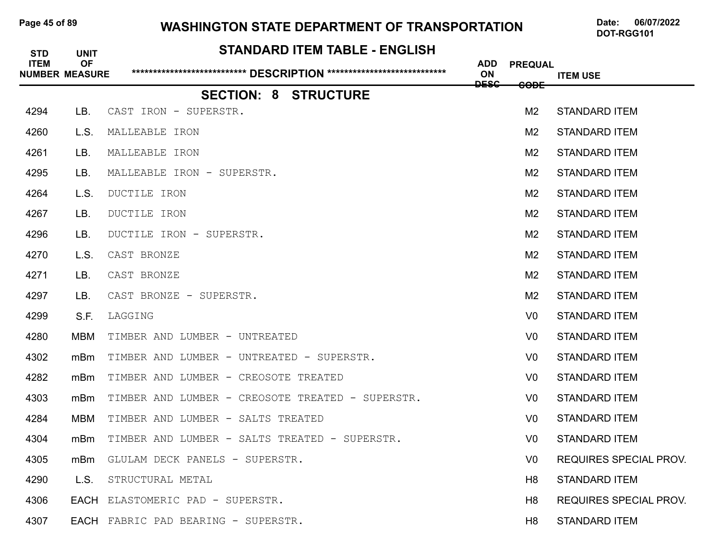### Page 45 of 89 WASHINGTON STATE DEPARTMENT OF TRANSPORTATION Date: 06/07/2022

| <b>STD</b>  | <b>UNIT</b>                        | <b>STANDARD ITEM TABLE - ENGLISH</b>             |                         |                 |                               |
|-------------|------------------------------------|--------------------------------------------------|-------------------------|-----------------|-------------------------------|
| <b>ITEM</b> | <b>OF</b><br><b>NUMBER MEASURE</b> |                                                  | <b>ADD</b><br><b>ON</b> | <b>PREQUAL</b>  | <b>ITEM USE</b>               |
|             |                                    | <b>SECTION: 8 STRUCTURE</b>                      | <b>DESC</b>             | <del>CODE</del> |                               |
| 4294        | LB.                                | CAST IRON - SUPERSTR.                            |                         | M <sub>2</sub>  | <b>STANDARD ITEM</b>          |
| 4260        | L.S.                               | MALLEABLE IRON                                   |                         | M <sub>2</sub>  | <b>STANDARD ITEM</b>          |
| 4261        | LB.                                | MALLEABLE IRON                                   |                         | M <sub>2</sub>  | <b>STANDARD ITEM</b>          |
| 4295        | LB.                                | MALLEABLE IRON - SUPERSTR.                       |                         | M <sub>2</sub>  | <b>STANDARD ITEM</b>          |
| 4264        | L.S.                               | DUCTILE IRON                                     |                         | M <sub>2</sub>  | <b>STANDARD ITEM</b>          |
| 4267        | LB.                                | DUCTILE IRON                                     |                         | M <sub>2</sub>  | <b>STANDARD ITEM</b>          |
| 4296        | LB.                                | DUCTILE IRON - SUPERSTR.                         |                         | M <sub>2</sub>  | <b>STANDARD ITEM</b>          |
| 4270        | L.S.                               | CAST BRONZE                                      |                         | M <sub>2</sub>  | <b>STANDARD ITEM</b>          |
| 4271        | LB.                                | CAST BRONZE                                      |                         | M <sub>2</sub>  | <b>STANDARD ITEM</b>          |
| 4297        | LB.                                | CAST BRONZE - SUPERSTR.                          |                         | M <sub>2</sub>  | <b>STANDARD ITEM</b>          |
| 4299        | S.F.                               | LAGGING                                          |                         | V <sub>0</sub>  | <b>STANDARD ITEM</b>          |
| 4280        | MBM                                | TIMBER AND LUMBER - UNTREATED                    |                         | V0              | <b>STANDARD ITEM</b>          |
| 4302        | mBm                                | TIMBER AND LUMBER - UNTREATED - SUPERSTR.        |                         | V <sub>0</sub>  | <b>STANDARD ITEM</b>          |
| 4282        | mBm                                | TIMBER AND LUMBER - CREOSOTE TREATED             |                         | V <sub>0</sub>  | <b>STANDARD ITEM</b>          |
| 4303        | mBm                                | TIMBER AND LUMBER - CREOSOTE TREATED - SUPERSTR. |                         | V <sub>0</sub>  | <b>STANDARD ITEM</b>          |
| 4284        | <b>MBM</b>                         | TIMBER AND LUMBER - SALTS TREATED                |                         | V0              | <b>STANDARD ITEM</b>          |
| 4304        | mBm                                | TIMBER AND LUMBER - SALTS TREATED - SUPERSTR.    |                         | V <sub>0</sub>  | <b>STANDARD ITEM</b>          |
| 4305        | mBm                                | GLULAM DECK PANELS - SUPERSTR.                   |                         | V <sub>0</sub>  | <b>REQUIRES SPECIAL PROV.</b> |
| 4290        | L.S.                               | STRUCTURAL METAL                                 |                         | H8              | <b>STANDARD ITEM</b>          |
| 4306        |                                    | EACH ELASTOMERIC PAD - SUPERSTR.                 |                         | H <sub>8</sub>  | REQUIRES SPECIAL PROV.        |
| 4307        |                                    | EACH FABRIC PAD BEARING - SUPERSTR.              |                         | H <sub>8</sub>  | <b>STANDARD ITEM</b>          |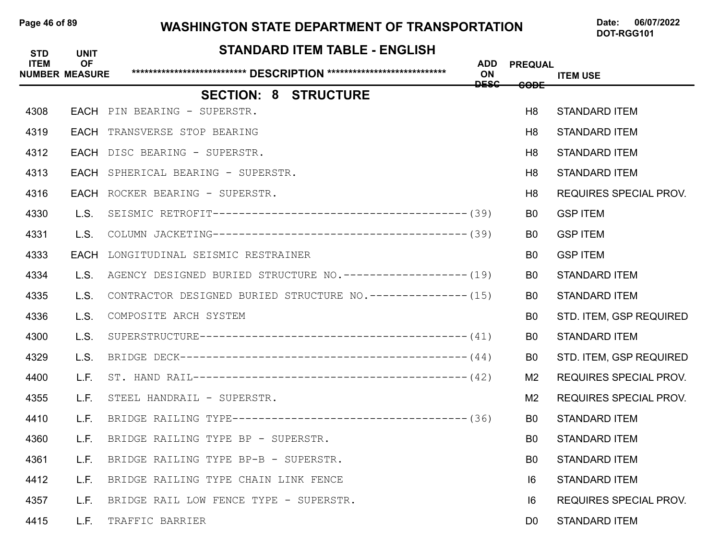### Page 46 of 89 WASHINGTON STATE DEPARTMENT OF TRANSPORTATION Date: 06/07/2022

| <b>STD</b><br><b>ITEM</b> | <b>UNIT</b><br><b>OF</b> | <b>STANDARD ITEM TABLE - ENGLISH</b>                          | <b>ADD</b>        | <b>PREQUAL</b> |                               |
|---------------------------|--------------------------|---------------------------------------------------------------|-------------------|----------------|-------------------------------|
|                           | <b>NUMBER MEASURE</b>    |                                                               | ON<br><b>DESC</b> | <b>CODE</b>    | <b>ITEM USE</b>               |
|                           |                          | <b>SECTION: 8 STRUCTURE</b>                                   |                   |                |                               |
| 4308                      |                          | EACH PIN BEARING - SUPERSTR.                                  |                   | H <sub>8</sub> | <b>STANDARD ITEM</b>          |
| 4319                      |                          | <b>EACH</b> TRANSVERSE STOP BEARING                           |                   | H <sub>8</sub> | <b>STANDARD ITEM</b>          |
| 4312                      |                          | EACH DISC BEARING - SUPERSTR.                                 |                   | H <sub>8</sub> | <b>STANDARD ITEM</b>          |
| 4313                      |                          | EACH SPHERICAL BEARING - SUPERSTR.                            |                   | H <sub>8</sub> | <b>STANDARD ITEM</b>          |
| 4316                      |                          | EACH ROCKER BEARING - SUPERSTR.                               |                   | H <sub>8</sub> | <b>REQUIRES SPECIAL PROV.</b> |
| 4330                      | L.S.                     |                                                               |                   | B <sub>0</sub> | <b>GSP ITEM</b>               |
| 4331                      | L.S.                     |                                                               |                   | B <sub>0</sub> | <b>GSP ITEM</b>               |
| 4333                      |                          | EACH LONGITUDINAL SEISMIC RESTRAINER                          |                   | B <sub>0</sub> | <b>GSP ITEM</b>               |
| 4334                      | L.S.                     | AGENCY DESIGNED BURIED STRUCTURE NO. ------------------- (19) |                   | B <sub>0</sub> | <b>STANDARD ITEM</b>          |
| 4335                      | L.S.                     | CONTRACTOR DESIGNED BURIED STRUCTURE NO.--------------- (15)  |                   | B <sub>0</sub> | <b>STANDARD ITEM</b>          |
| 4336                      | L.S.                     | COMPOSITE ARCH SYSTEM                                         |                   | B <sub>0</sub> | STD. ITEM, GSP REQUIRED       |
| 4300                      | L.S.                     |                                                               |                   | B0             | <b>STANDARD ITEM</b>          |
| 4329                      | L.S.                     |                                                               |                   | B <sub>0</sub> | STD. ITEM, GSP REQUIRED       |
| 4400                      | L.F.                     |                                                               |                   | M <sub>2</sub> | <b>REQUIRES SPECIAL PROV.</b> |
| 4355                      | L.F.                     | STEEL HANDRAIL - SUPERSTR.                                    |                   | M2             | <b>REQUIRES SPECIAL PROV.</b> |
| 4410                      | L.F.                     |                                                               |                   | B0             | <b>STANDARD ITEM</b>          |
| 4360                      | L.F.                     | BRIDGE RAILING TYPE BP - SUPERSTR.                            |                   | B <sub>0</sub> | <b>STANDARD ITEM</b>          |
| 4361                      | L.F.                     | BRIDGE RAILING TYPE BP-B - SUPERSTR.                          |                   | B <sub>0</sub> | <b>STANDARD ITEM</b>          |
| 4412                      | L.F.                     | BRIDGE RAILING TYPE CHAIN LINK FENCE                          |                   | 6              | <b>STANDARD ITEM</b>          |
| 4357                      | L.F.                     | BRIDGE RAIL LOW FENCE TYPE - SUPERSTR.                        |                   | 6              | <b>REQUIRES SPECIAL PROV.</b> |
| 4415                      | L.F. L                   | TRAFFIC BARRIER                                               |                   | D0             | <b>STANDARD ITEM</b>          |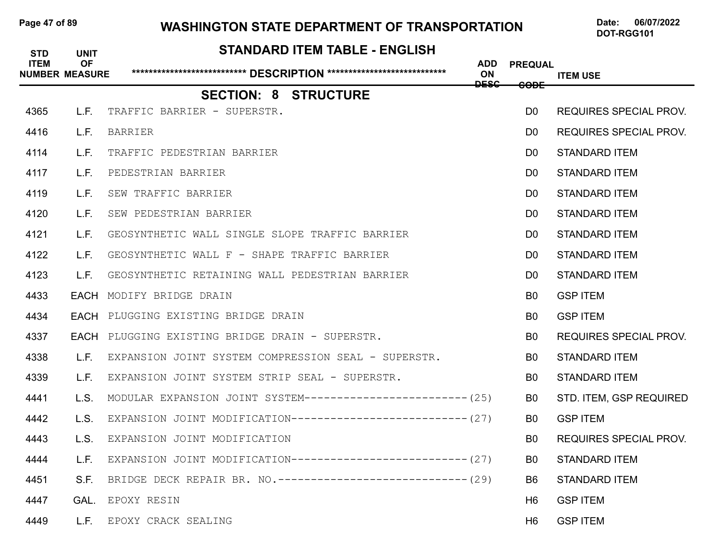## Page 47 of 89 WASHINGTON STATE DEPARTMENT OF TRANSPORTATION Date: 06/07/2022

| <b>STD</b>  | <b>UNIT</b>                        | <b>STANDARD ITEM TABLE - ENGLISH</b>                           |                  |                |                               |
|-------------|------------------------------------|----------------------------------------------------------------|------------------|----------------|-------------------------------|
| <b>ITEM</b> | <b>OF</b><br><b>NUMBER MEASURE</b> |                                                                | <b>ADD</b><br>ON | <b>PREQUAL</b> | <b>ITEM USE</b>               |
|             |                                    | <b>SECTION: 8 STRUCTURE</b>                                    | <b>DESC</b>      | <b>CODE</b>    |                               |
| 4365        | L.F.                               | TRAFFIC BARRIER - SUPERSTR.                                    |                  | D <sub>0</sub> | <b>REQUIRES SPECIAL PROV.</b> |
| 4416        | L.F.                               | <b>BARRIER</b>                                                 |                  | D <sub>0</sub> | <b>REQUIRES SPECIAL PROV.</b> |
| 4114        | L.F.                               | TRAFFIC PEDESTRIAN BARRIER                                     |                  | D <sub>0</sub> | <b>STANDARD ITEM</b>          |
| 4117        | L.F.                               | PEDESTRIAN BARRIER                                             |                  | D <sub>0</sub> | <b>STANDARD ITEM</b>          |
| 4119        | L.F.                               | SEW TRAFFIC BARRIER                                            |                  | D <sub>0</sub> | <b>STANDARD ITEM</b>          |
| 4120        | L.F.                               | SEW PEDESTRIAN BARRIER                                         |                  | D <sub>0</sub> | <b>STANDARD ITEM</b>          |
| 4121        | L.F.                               | GEOSYNTHETIC WALL SINGLE SLOPE TRAFFIC BARRIER                 |                  | D <sub>0</sub> | <b>STANDARD ITEM</b>          |
| 4122        | L.F.                               | GEOSYNTHETIC WALL F - SHAPE TRAFFIC BARRIER                    |                  | D <sub>0</sub> | <b>STANDARD ITEM</b>          |
| 4123        | L.F.                               | GEOSYNTHETIC RETAINING WALL PEDESTRIAN BARRIER                 |                  | D <sub>0</sub> | <b>STANDARD ITEM</b>          |
| 4433        |                                    | <b>EACH MODIFY BRIDGE DRAIN</b>                                |                  | B <sub>0</sub> | <b>GSP ITEM</b>               |
| 4434        |                                    | <b>EACH</b> PLUGGING EXISTING BRIDGE DRAIN                     |                  | B0             | <b>GSP ITEM</b>               |
| 4337        |                                    | EACH PLUGGING EXISTING BRIDGE DRAIN - SUPERSTR.                |                  | B <sub>0</sub> | <b>REQUIRES SPECIAL PROV.</b> |
| 4338        | L.F.                               | EXPANSION JOINT SYSTEM COMPRESSION SEAL - SUPERSTR.            |                  | B0             | <b>STANDARD ITEM</b>          |
| 4339        | L.F.                               | EXPANSION JOINT SYSTEM STRIP SEAL - SUPERSTR.                  |                  | B <sub>0</sub> | <b>STANDARD ITEM</b>          |
| 4441        | L.S.                               | MODULAR EXPANSION JOINT SYSTEM------------------------- (25)   |                  | B0             | STD. ITEM, GSP REQUIRED       |
| 4442        | L.S.                               | EXPANSION JOINT MODIFICATION--------------------------- (27)   |                  | B <sub>0</sub> | <b>GSP ITEM</b>               |
| 4443        | L.S.                               | EXPANSION JOINT MODIFICATION                                   |                  | B <sub>0</sub> | <b>REQUIRES SPECIAL PROV.</b> |
| 4444        | L.F.                               | EXPANSION JOINT MODIFICATION--------------------------- (27)   |                  | B <sub>0</sub> | <b>STANDARD ITEM</b>          |
| 4451        | S.F.                               | BRIDGE DECK REPAIR BR. NO. ------------------------------ (29) |                  | B <sub>6</sub> | <b>STANDARD ITEM</b>          |
| 4447        |                                    | GAL. EPOXY RESIN                                               |                  | H <sub>6</sub> | <b>GSP ITEM</b>               |
| 4449        |                                    | L.F. EPOXY CRACK SEALING                                       |                  | H <sub>6</sub> | <b>GSP ITEM</b>               |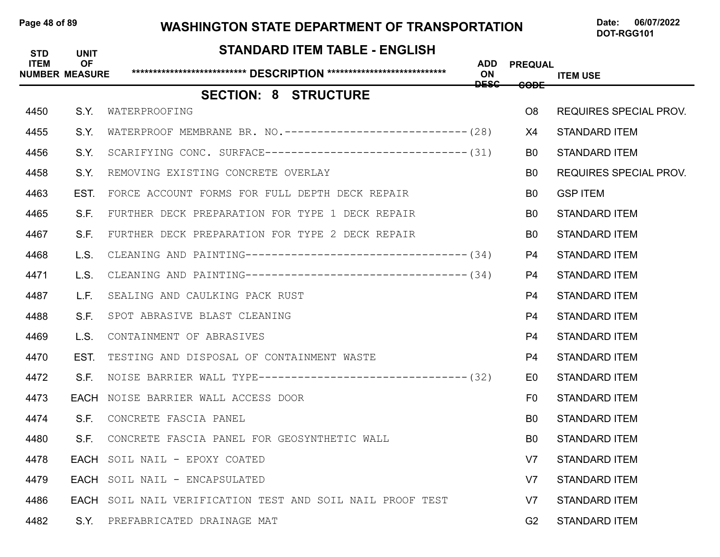### Page 48 of 89 **WASHINGTON STATE DEPARTMENT OF TRANSPORTATION** Date: 06/07/2022

# **STANDARD ITEM TABLE - ENGLISH ITEM OF ADD PREQUAL NUMBER MEASURE \*\*\*\*\*\*\*\*\*\*\*\*\*\*\*\*\*\*\*\*\*\*\*\*\*\*\* DESCRIPTION \*\*\*\*\*\*\*\*\*\*\*\*\*\*\*\*\*\*\*\*\*\*\*\*\*\*\*\* ON ITEM USE DESC CODE SECTION: 8 STRUCTURE** 4450 S.Y. WATERPROOFING O8 REQUIRES SPECIAL PROV. 4455 S.Y. WATERPROOF MEMBRANE BR. NO.----------------------------- (28) X4 STANDARD ITEM 4456 S.Y. SCARIFYING CONC. SURFACE--------------------------------- (31) B0 STANDARD ITEM 4458 S.Y. REMOVING EXISTING CONCRETE OVERLAY SALL BO REQUIRES SPECIAL PROV. 4463 EST. FORCE ACCOUNT FORMS FOR FULL DEPTH DECK REPAIR B0 GSP ITEM 4465 S.F. FURTHER DECK PREPARATION FOR TYPE 1 DECK REPAIR **BO** STANDARD ITEM 4467 S.F. FURTHER DECK PREPARATION FOR TYPE 2 DECK REPAIR **BO** STANDARD ITEM 4468 L.S. CLEANING AND PAINTING----------------------------------(34) P4 STANDARD ITEM 4471 L.S. CLEANING AND PAINTING----------------------------------(34) P4 STANDARD ITEM 4487 L.F. SEALING AND CAULKING PACK RUST P4 STANDARD ITEM 4488 S.F. SPOT ABRASIVE BLAST CLEANING P4 STANDARD ITEM 4469 L.S. CONTAINMENT OF ABRASIVES P4 STANDARD ITEM 4470 EST. TESTING AND DISPOSAL OF CONTAINMENT WASTE P4 STANDARD ITEM 4472 S.F. NOISE BARRIER WALL TYPE--------------------------------(32) E0 STANDARD ITEM **4473 • EACH** NOISE BARRIER WALL ACCESS DOOR **FOULD ACCESS OOR FOULD ACCESS OOR** 4474 S.F. CONCRETE FASCIA PANEL B0 STANDARD ITEM 4480 S.F. CONCRETE FASCIA PANEL FOR GEOSYNTHETIC WALL BO STANDARD ITEM 4478 EACH SOIL NAIL - EPOXY COATED V7 STANDARD ITEM 4479 EACH SOIL NAIL - ENCAPSULATED V7 STANDARD ITEM 4486 EACH SOIL NAIL VERIFICATION TEST AND SOIL NAIL PROOF TEST V7 STANDARD ITEM 4482 S.Y. PREFABRICATED DRAINAGE MAT G2 STANDARD ITEM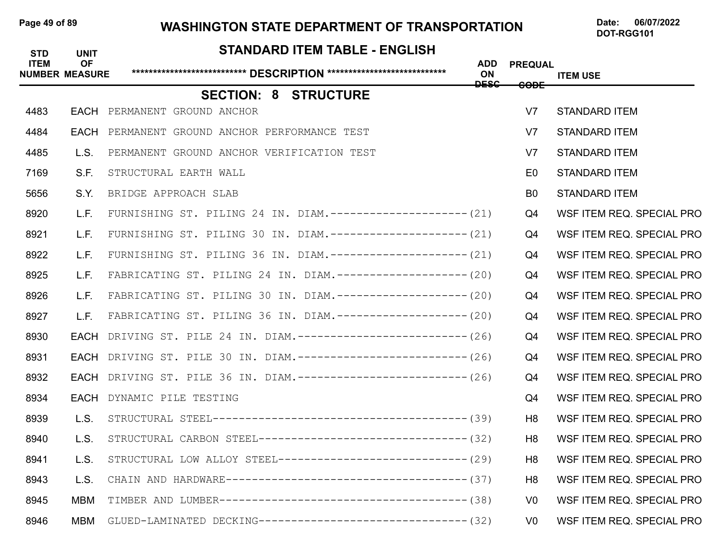### Page 49 of 89 WASHINGTON STATE DEPARTMENT OF TRANSPORTATION Date: 06/07/2022

| <b>STD</b>  | <b>UNIT</b>                        | <b>STANDARD ITEM TABLE - ENGLISH</b>                          |                                 |                |                           |
|-------------|------------------------------------|---------------------------------------------------------------|---------------------------------|----------------|---------------------------|
| <b>ITEM</b> | <b>OF</b><br><b>NUMBER MEASURE</b> |                                                               | <b>ADD</b><br>ON<br><b>DESC</b> | <b>PREQUAL</b> | <b>ITEM USE</b>           |
|             |                                    | <b>SECTION: 8 STRUCTURE</b>                                   |                                 | <b>CODE</b>    |                           |
| 4483        | EACH                               | PERMANENT GROUND ANCHOR                                       |                                 | V <sub>7</sub> | <b>STANDARD ITEM</b>      |
| 4484        | EACH                               | PERMANENT GROUND ANCHOR PERFORMANCE TEST                      |                                 | V <sub>7</sub> | <b>STANDARD ITEM</b>      |
| 4485        | L.S.                               | PERMANENT GROUND ANCHOR VERIFICATION TEST                     |                                 | V <sub>7</sub> | <b>STANDARD ITEM</b>      |
| 7169        | S.F.                               | STRUCTURAL EARTH WALL                                         |                                 | E <sub>0</sub> | <b>STANDARD ITEM</b>      |
| 5656        | S.Y.                               | BRIDGE APPROACH SLAB                                          |                                 | B <sub>0</sub> | <b>STANDARD ITEM</b>      |
| 8920        | L.F.                               | FURNISHING ST. PILING 24 IN. DIAM.--------------------- (21)  |                                 | Q4             | WSF ITEM REQ. SPECIAL PRO |
| 8921        | L.F.                               | FURNISHING ST. PILING 30 IN. DIAM.--------------------- (21)  |                                 | Q4             | WSF ITEM REQ. SPECIAL PRO |
| 8922        | L.F.                               | FURNISHING ST. PILING 36 IN. DIAM. --------------------- (21) |                                 | Q4             | WSF ITEM REQ. SPECIAL PRO |
| 8925        | L.F.                               | FABRICATING ST. PILING 24 IN. DIAM.-------------------- (20)  |                                 | Q4             | WSF ITEM REQ. SPECIAL PRO |
| 8926        | L.F.                               | FABRICATING ST. PILING 30 IN. DIAM.-------------------- (20)  |                                 | Q4             | WSF ITEM REQ. SPECIAL PRO |
| 8927        | L.F.                               | FABRICATING ST. PILING 36 IN. DIAM.------------------- (20)   |                                 | Q4             | WSF ITEM REQ. SPECIAL PRO |
| 8930        | EACH                               | DRIVING ST. PILE 24 IN. DIAM.-------------------------- (26)  |                                 | Q4             | WSF ITEM REQ. SPECIAL PRO |
| 8931        | EACH                               | DRIVING ST. PILE 30 IN. DIAM.-------------------------- (26)  |                                 | Q4             | WSF ITEM REQ. SPECIAL PRO |
| 8932        | EACH                               | DRIVING ST. PILE 36 IN. DIAM.--------------------------- (26) |                                 | Q4             | WSF ITEM REQ. SPECIAL PRO |
| 8934        | EACH                               | DYNAMIC PILE TESTING                                          |                                 | Q4             | WSF ITEM REQ. SPECIAL PRO |
| 8939        | L.S.                               |                                                               |                                 | H8             | WSF ITEM REQ. SPECIAL PRO |
| 8940        | L.S.                               | STRUCTURAL CARBON STEEL-------------------------------- (32)  |                                 | H <sub>8</sub> | WSF ITEM REQ. SPECIAL PRO |
| 8941        | L.S.                               | STRUCTURAL LOW ALLOY STEEL----------------------------- (29)  |                                 | H <sub>8</sub> | WSF ITEM REQ. SPECIAL PRO |
| 8943        | L.S.                               |                                                               |                                 | H <sub>8</sub> | WSF ITEM REQ. SPECIAL PRO |
| 8945        | <b>MBM</b>                         |                                                               |                                 | V <sub>0</sub> | WSF ITEM REQ. SPECIAL PRO |
| 8946        | MBM                                | GLUED-LAMINATED DECKING-------------------------------- (32)  |                                 | V <sub>0</sub> | WSF ITEM REQ. SPECIAL PRO |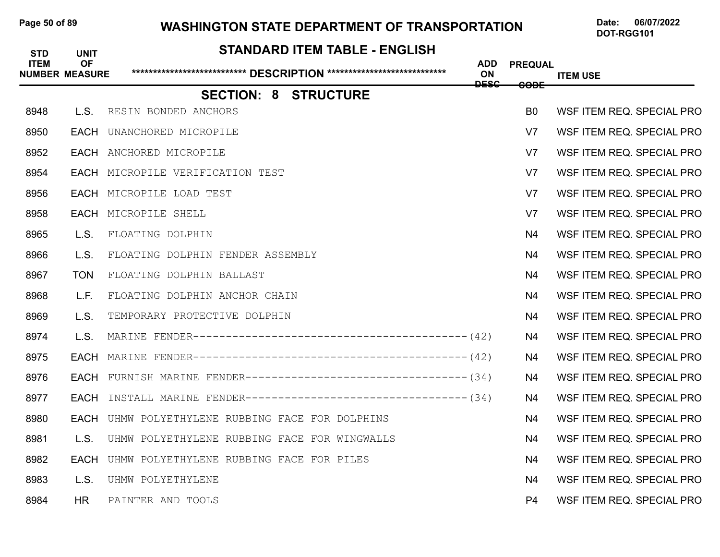### Page 50 of 89 WASHINGTON STATE DEPARTMENT OF TRANSPORTATION Date: 06/07/2022

| <b>STD</b>  | <b>UNIT</b>                        | <b>STANDARD ITEM TABLE - ENGLISH</b>                         |                  |                 |                           |
|-------------|------------------------------------|--------------------------------------------------------------|------------------|-----------------|---------------------------|
| <b>ITEM</b> | <b>OF</b><br><b>NUMBER MEASURE</b> |                                                              | <b>ADD</b><br>ON | <b>PREQUAL</b>  | <b>ITEM USE</b>           |
|             |                                    | <b>SECTION: 8 STRUCTURE</b>                                  | <del>DESC</del>  | <del>CODE</del> |                           |
| 8948        | L.S.                               | RESIN BONDED ANCHORS                                         |                  | B <sub>0</sub>  | WSF ITEM REQ. SPECIAL PRO |
| 8950        | <b>EACH</b>                        | UNANCHORED MICROPILE                                         |                  | V <sub>7</sub>  | WSF ITEM REQ. SPECIAL PRO |
| 8952        |                                    | EACH ANCHORED MICROPILE                                      |                  | V <sub>7</sub>  | WSF ITEM REQ. SPECIAL PRO |
| 8954        | EACH                               | MICROPILE VERIFICATION TEST                                  |                  | V <sub>7</sub>  | WSF ITEM REQ. SPECIAL PRO |
| 8956        | EACH                               | MICROPILE LOAD TEST                                          |                  | V <sub>7</sub>  | WSF ITEM REQ. SPECIAL PRO |
| 8958        |                                    | <b>EACH MICROPILE SHELL</b>                                  |                  | V <sub>7</sub>  | WSF ITEM REQ. SPECIAL PRO |
| 8965        | L.S.                               | FLOATING DOLPHIN                                             |                  | N4              | WSF ITEM REQ. SPECIAL PRO |
| 8966        | L.S.                               | FLOATING DOLPHIN FENDER ASSEMBLY                             |                  | N <sub>4</sub>  | WSF ITEM REQ. SPECIAL PRO |
| 8967        | <b>TON</b>                         | FLOATING DOLPHIN BALLAST                                     |                  | N4              | WSF ITEM REQ. SPECIAL PRO |
| 8968        | L.F.                               | FLOATING DOLPHIN ANCHOR CHAIN                                |                  | N4              | WSF ITEM REQ. SPECIAL PRO |
| 8969        | L.S.                               | TEMPORARY PROTECTIVE DOLPHIN                                 |                  | N4              | WSF ITEM REQ. SPECIAL PRO |
| 8974        | L.S.                               |                                                              |                  | N <sub>4</sub>  | WSF ITEM REQ. SPECIAL PRO |
| 8975        | EACH                               |                                                              |                  | N4              | WSF ITEM REQ. SPECIAL PRO |
| 8976        | <b>EACH</b>                        | FURNISH MARINE FENDER---------------------------------- (34) |                  | N <sub>4</sub>  | WSF ITEM REQ. SPECIAL PRO |
| 8977        | EACH                               | INSTALL MARINE FENDER---------------------------------- (34) |                  | N4              | WSF ITEM REQ. SPECIAL PRO |
| 8980        | <b>EACH</b>                        | UHMW POLYETHYLENE RUBBING FACE FOR DOLPHINS                  |                  | N <sub>4</sub>  | WSF ITEM REQ. SPECIAL PRO |
| 8981        | L.S.                               | UHMW POLYETHYLENE RUBBING FACE FOR WINGWALLS                 |                  | N4              | WSF ITEM REQ. SPECIAL PRO |
| 8982        | <b>EACH</b>                        | UHMW POLYETHYLENE RUBBING FACE FOR PILES                     |                  | N <sub>4</sub>  | WSF ITEM REQ. SPECIAL PRO |
| 8983        | L.S.                               | UHMW POLYETHYLENE                                            |                  | N <sub>4</sub>  | WSF ITEM REQ. SPECIAL PRO |
| 8984        | <b>HR</b>                          | PAINTER AND TOOLS                                            |                  | P4              | WSF ITEM REQ. SPECIAL PRO |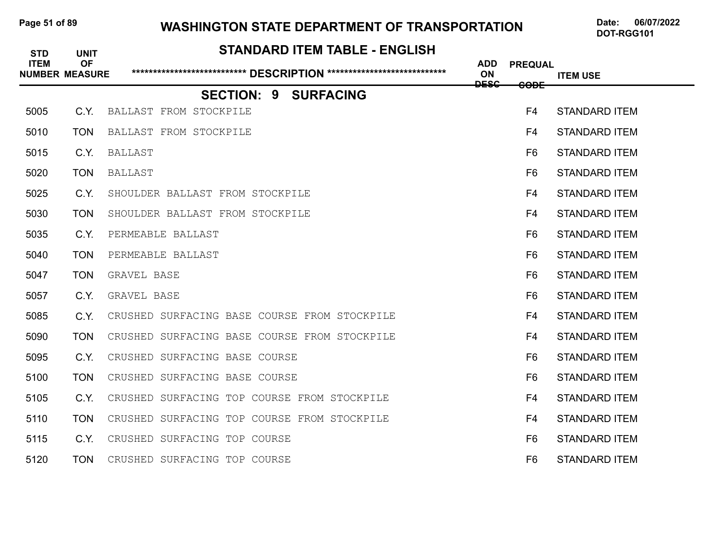### Page 51 of 89 WASHINGTON STATE DEPARTMENT OF TRANSPORTATION Date: 06/07/2022

| <b>STD</b>  | <b>UNIT</b>                        | <b>STANDARD ITEM TABLE - ENGLISH</b>         |                         |                |                      |
|-------------|------------------------------------|----------------------------------------------|-------------------------|----------------|----------------------|
| <b>ITEM</b> | <b>OF</b><br><b>NUMBER MEASURE</b> |                                              | <b>ADD</b><br><b>ON</b> | <b>PREQUAL</b> | <b>ITEM USE</b>      |
|             |                                    | <b>SECTION: 9 SURFACING</b>                  | <b>DESC</b>             | <b>CODE</b>    |                      |
| 5005        | C.Y.                               | BALLAST FROM STOCKPILE                       |                         | F4             | <b>STANDARD ITEM</b> |
| 5010        | <b>TON</b>                         | BALLAST FROM STOCKPILE                       |                         | F4             | <b>STANDARD ITEM</b> |
| 5015        | C.Y.                               | BALLAST                                      |                         | F <sub>6</sub> | <b>STANDARD ITEM</b> |
| 5020        | <b>TON</b>                         | <b>BALLAST</b>                               |                         | F <sub>6</sub> | <b>STANDARD ITEM</b> |
| 5025        | C.Y.                               | SHOULDER BALLAST FROM STOCKPILE              |                         | F4             | <b>STANDARD ITEM</b> |
| 5030        | <b>TON</b>                         | SHOULDER BALLAST FROM STOCKPILE              |                         | F4             | <b>STANDARD ITEM</b> |
| 5035        | C.Y.                               | PERMEABLE BALLAST                            |                         | F <sub>6</sub> | <b>STANDARD ITEM</b> |
| 5040        | <b>TON</b>                         | PERMEABLE BALLAST                            |                         | F <sub>6</sub> | <b>STANDARD ITEM</b> |
| 5047        | <b>TON</b>                         | GRAVEL BASE                                  |                         | F <sub>6</sub> | <b>STANDARD ITEM</b> |
| 5057        | C.Y.                               | GRAVEL BASE                                  |                         | F6             | <b>STANDARD ITEM</b> |
| 5085        | C.Y.                               | CRUSHED SURFACING BASE COURSE FROM STOCKPILE |                         | F4             | <b>STANDARD ITEM</b> |
| 5090        | <b>TON</b>                         | CRUSHED SURFACING BASE COURSE FROM STOCKPILE |                         | F4             | <b>STANDARD ITEM</b> |
| 5095        | C.Y.                               | CRUSHED SURFACING BASE COURSE                |                         | F <sub>6</sub> | <b>STANDARD ITEM</b> |
| 5100        | <b>TON</b>                         | CRUSHED SURFACING BASE COURSE                |                         | F <sub>6</sub> | <b>STANDARD ITEM</b> |
| 5105        | C.Y.                               | CRUSHED SURFACING TOP COURSE FROM STOCKPILE  |                         | F4             | <b>STANDARD ITEM</b> |
| 5110        | <b>TON</b>                         | CRUSHED SURFACING TOP COURSE FROM STOCKPILE  |                         | F4             | <b>STANDARD ITEM</b> |
| 5115        | C.Y.                               | CRUSHED SURFACING TOP COURSE                 |                         | F6             | <b>STANDARD ITEM</b> |
| 5120        | <b>TON</b>                         | CRUSHED SURFACING TOP COURSE                 |                         | F <sub>6</sub> | <b>STANDARD ITEM</b> |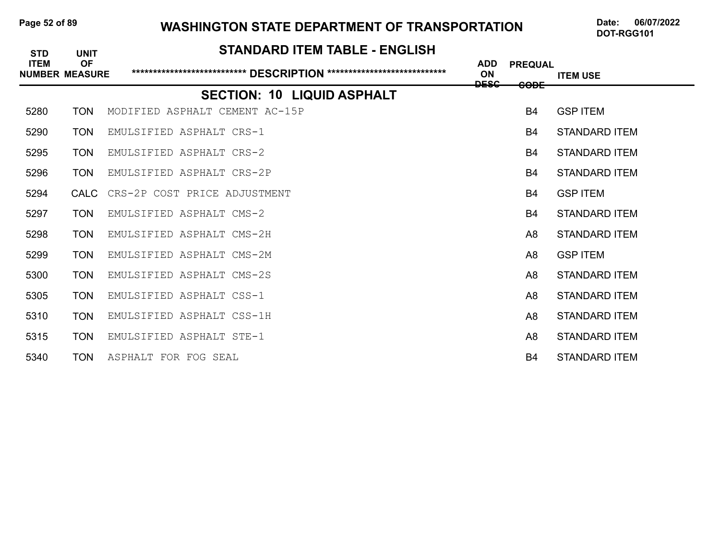### Page 52 of 89 WASHINGTON STATE DEPARTMENT OF TRANSPORTATION Date: 06/07/2022

| <b>STD</b>                           | <b>UNIT</b>      | <b>STANDARD ITEM TABLE - ENGLISH</b> |                         |                |                      |
|--------------------------------------|------------------|--------------------------------------|-------------------------|----------------|----------------------|
| <b>ITEM</b><br><b>NUMBER MEASURE</b> | <b>OF</b>        |                                      | <b>ADD</b><br><b>ON</b> | <b>PREQUAL</b> | <b>ITEM USE</b>      |
|                                      |                  |                                      | <b>DESC</b>             | <b>CODE</b>    |                      |
|                                      |                  | <b>SECTION: 10 LIQUID ASPHALT</b>    |                         |                |                      |
| 5280                                 | <b>TON</b>       | MODIFIED ASPHALT CEMENT AC-15P       |                         | <b>B4</b>      | <b>GSP ITEM</b>      |
| 5290                                 | <b>TON</b>       | EMULSIFIED ASPHALT CRS-1             |                         | <b>B4</b>      | <b>STANDARD ITEM</b> |
| 5295                                 | <b>TON</b>       | EMULSIFIED ASPHALT CRS-2             |                         | <b>B4</b>      | STANDARD ITEM        |
| 5296                                 | <b>TON</b>       | EMULSIFIED ASPHALT CRS-2P            |                         | <b>B4</b>      | <b>STANDARD ITEM</b> |
| 5294                                 | CALC <sub></sub> | CRS-2P COST PRICE ADJUSTMENT         |                         | <b>B4</b>      | <b>GSP ITEM</b>      |
| 5297                                 | <b>TON</b>       | EMULSIFIED ASPHALT CMS-2             |                         | <b>B4</b>      | <b>STANDARD ITEM</b> |
| 5298                                 | <b>TON</b>       | EMULSIFIED ASPHALT CMS-2H            |                         | A8             | STANDARD ITEM        |
| 5299                                 | <b>TON</b>       | EMULSIFIED ASPHALT CMS-2M            |                         | A <sub>8</sub> | <b>GSP ITEM</b>      |
| 5300                                 | <b>TON</b>       | EMULSIFIED ASPHALT CMS-2S            |                         | A <sub>8</sub> | <b>STANDARD ITEM</b> |
| 5305                                 | <b>TON</b>       | EMULSIFIED ASPHALT CSS-1             |                         | A <sub>8</sub> | <b>STANDARD ITEM</b> |
| 5310                                 | <b>TON</b>       | EMULSIFIED ASPHALT CSS-1H            |                         | A8             | STANDARD ITEM        |
| 5315                                 | <b>TON</b>       | EMULSIFIED ASPHALT STE-1             |                         | A <sub>8</sub> | <b>STANDARD ITEM</b> |
| 5340                                 | <b>TON</b>       | ASPHALT FOR FOG SEAL                 |                         | <b>B4</b>      | <b>STANDARD ITEM</b> |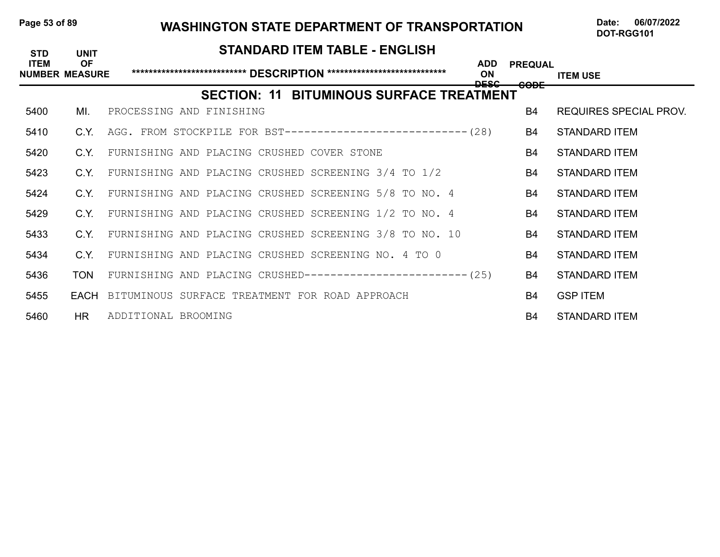### Page 53 of 89 WASHINGTON STATE DEPARTMENT OF TRANSPORTATION Date: 06/07/2022

| <b>STD</b>                           | <b>UNIT</b> | <b>STANDARD ITEM TABLE - ENGLISH</b>                          |                                   |                               |
|--------------------------------------|-------------|---------------------------------------------------------------|-----------------------------------|-------------------------------|
| <b>ITEM</b><br><b>NUMBER MEASURE</b> | <b>OF</b>   | <b>ADD</b><br>ON<br><b>DESC</b>                               | <b>PREQUAL</b><br><del>CODE</del> | <b>ITEM USE</b>               |
|                                      |             | <b>SECTION: 11 BITUMINOUS SURFACE TREATMENT</b>               |                                   |                               |
| 5400                                 | ML.         | PROCESSING AND FINISHING                                      | B4                                | <b>REQUIRES SPECIAL PROV.</b> |
| 5410                                 | C.Y.        | AGG. FROM STOCKPILE FOR BST----------------------------- (28) | <b>B4</b>                         | <b>STANDARD ITEM</b>          |
| 5420                                 | C.Y.        | FURNISHING AND PLACING CRUSHED COVER STONE                    | B4                                | <b>STANDARD ITEM</b>          |
| 5423                                 | C.Y.        | FURNISHING AND PLACING CRUSHED SCREENING 3/4 TO 1/2           | <b>B4</b>                         | <b>STANDARD ITEM</b>          |
| 5424                                 | C.Y.        | FURNISHING AND PLACING CRUSHED SCREENING 5/8 TO NO. 4         | <b>B4</b>                         | <b>STANDARD ITEM</b>          |
| 5429                                 | C.Y.        | FURNISHING AND PLACING CRUSHED SCREENING 1/2 TO NO. 4         | <b>B4</b>                         | STANDARD ITEM                 |
| 5433                                 | C.Y.        | FURNISHING AND PLACING CRUSHED SCREENING 3/8 TO NO. 10        | <b>B4</b>                         | STANDARD ITEM                 |
| 5434                                 | C.Y.        | FURNISHING AND PLACING CRUSHED SCREENING NO. 4 TO 0           | <b>B4</b>                         | <b>STANDARD ITEM</b>          |
| 5436                                 | <b>TON</b>  | FURNISHING AND PLACING CRUSHED------------------------- (25)  | B4                                | <b>STANDARD ITEM</b>          |
| 5455                                 |             | EACH BITUMINOUS SURFACE TREATMENT FOR ROAD APPROACH           | <b>B4</b>                         | <b>GSP ITEM</b>               |
| 5460                                 | HR.         | ADDITIONAL BROOMING                                           | B4                                | <b>STANDARD ITEM</b>          |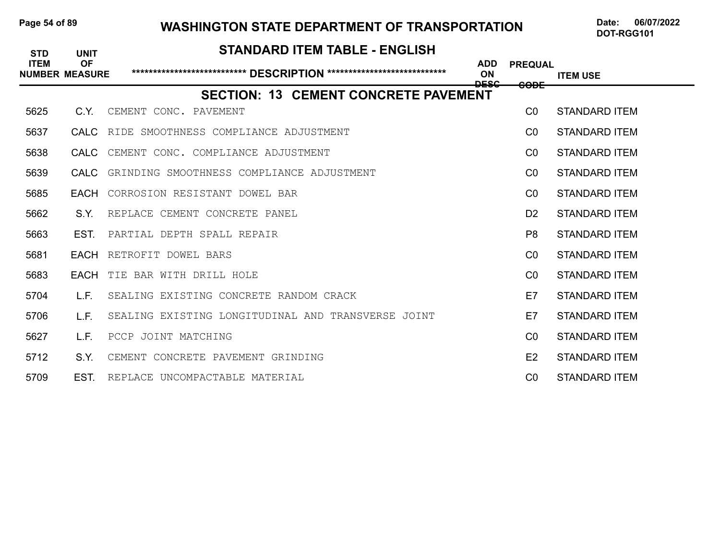## Page 54 of 89 WASHINGTON STATE DEPARTMENT OF TRANSPORTATION Date: 06/07/2022

| <b>STD</b>                           | <b>UNIT</b> | <b>STANDARD ITEM TABLE - ENGLISH</b>               |                                 |                 |                      |
|--------------------------------------|-------------|----------------------------------------------------|---------------------------------|-----------------|----------------------|
| <b>ITEM</b><br><b>NUMBER MEASURE</b> | <b>OF</b>   |                                                    | <b>ADD</b><br><b>ON</b><br>عععم | <b>PREQUAL</b>  | <b>ITEM USE</b>      |
|                                      |             | <b>SECTION: 13 CEMENT CONCRETE PAVEMENT</b>        |                                 | <del>CODE</del> |                      |
| 5625                                 | C.Y.        | CEMENT CONC. PAVEMENT                              |                                 | CO              | <b>STANDARD ITEM</b> |
| 5637                                 |             | CALC RIDE SMOOTHNESS COMPLIANCE ADJUSTMENT         |                                 | CO              | <b>STANDARD ITEM</b> |
| 5638                                 | CALC        | CEMENT CONC. COMPLIANCE ADJUSTMENT                 |                                 | CO              | STANDARD ITEM        |
| 5639                                 | <b>CALC</b> | GRINDING SMOOTHNESS COMPLIANCE ADJUSTMENT          |                                 | CO              | <b>STANDARD ITEM</b> |
| 5685                                 |             | <b>EACH</b> CORROSION RESISTANT DOWEL BAR          |                                 | CO              | <b>STANDARD ITEM</b> |
| 5662                                 | S.Y.        | REPLACE CEMENT CONCRETE PANEL                      |                                 | D <sub>2</sub>  | <b>STANDARD ITEM</b> |
| 5663                                 | EST.        | PARTIAL DEPTH SPALL REPAIR                         |                                 | P <sub>8</sub>  | <b>STANDARD ITEM</b> |
| 5681                                 | EACH        | RETROFIT DOWEL BARS                                |                                 | CO              | <b>STANDARD ITEM</b> |
| 5683                                 |             | <b>EACH</b> TIE BAR WITH DRILL HOLE                |                                 | C <sub>0</sub>  | <b>STANDARD ITEM</b> |
| 5704                                 | L.F.        | SEALING EXISTING CONCRETE RANDOM CRACK             |                                 | E7              | <b>STANDARD ITEM</b> |
| 5706                                 | L.F.        | SEALING EXISTING LONGITUDINAL AND TRANSVERSE JOINT |                                 | E7              | <b>STANDARD ITEM</b> |
| 5627                                 | L.F.        | PCCP JOINT MATCHING                                |                                 | CO              | <b>STANDARD ITEM</b> |
| 5712                                 | S.Y.        | CEMENT CONCRETE PAVEMENT GRINDING                  |                                 | E2              | <b>STANDARD ITEM</b> |
| 5709                                 | EST.        | REPLACE UNCOMPACTABLE MATERIAL                     |                                 | C <sub>0</sub>  | <b>STANDARD ITEM</b> |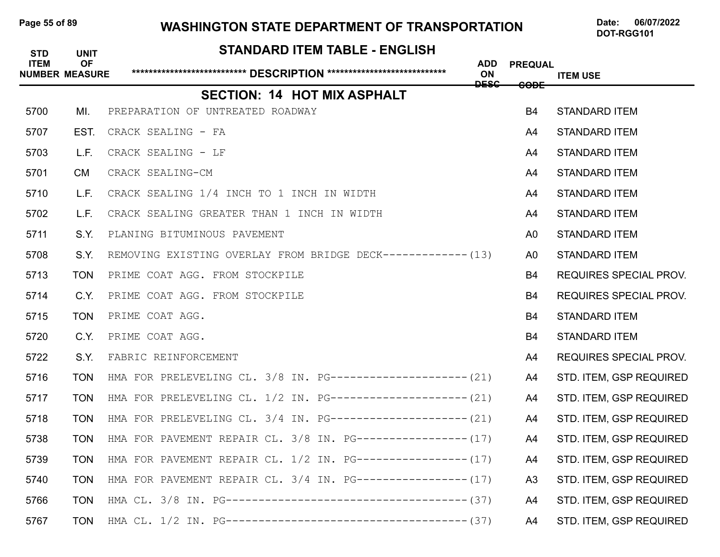### Page 55 of 89 WASHINGTON STATE DEPARTMENT OF TRANSPORTATION Date: 06/07/2022

| <b>STD</b>  | <b>UNIT</b>                        | <b>STANDARD ITEM TABLE - ENGLISH</b>                         |                                 |                |                                |
|-------------|------------------------------------|--------------------------------------------------------------|---------------------------------|----------------|--------------------------------|
| <b>ITEM</b> | <b>OF</b><br><b>NUMBER MEASURE</b> |                                                              | <b>ADD</b><br>ON<br><b>DESC</b> | <b>PREQUAL</b> | <b>ITEM USE</b>                |
|             |                                    | <b>SECTION: 14 HOT MIX ASPHALT</b>                           |                                 | <b>CODE</b>    |                                |
| 5700        | MI.                                | PREPARATION OF UNTREATED ROADWAY                             |                                 | <b>B4</b>      | <b>STANDARD ITEM</b>           |
| 5707        | EST.                               | CRACK SEALING - FA                                           |                                 | A4             | <b>STANDARD ITEM</b>           |
| 5703        | L.F.                               | CRACK SEALING - LF                                           |                                 | A4             | <b>STANDARD ITEM</b>           |
| 5701        | <b>CM</b>                          | CRACK SEALING-CM                                             |                                 | A4             | <b>STANDARD ITEM</b>           |
| 5710        | L.F.                               | CRACK SEALING 1/4 INCH TO 1 INCH IN WIDTH                    |                                 | A4             | <b>STANDARD ITEM</b>           |
| 5702        | L.F.                               | CRACK SEALING GREATER THAN 1 INCH IN WIDTH                   |                                 | A4             | <b>STANDARD ITEM</b>           |
| 5711        | S.Y.                               | PLANING BITUMINOUS PAVEMENT                                  |                                 | A <sub>0</sub> | <b>STANDARD ITEM</b>           |
| 5708        | S.Y.                               | REMOVING EXISTING OVERLAY FROM BRIDGE DECK------------- (13) |                                 | A0             | <b>STANDARD ITEM</b>           |
| 5713        | <b>TON</b>                         | PRIME COAT AGG. FROM STOCKPILE                               |                                 | B4             | <b>REQUIRES SPECIAL PROV.</b>  |
| 5714        | C.Y.                               | PRIME COAT AGG. FROM STOCKPILE                               |                                 | B4             | <b>REQUIRES SPECIAL PROV.</b>  |
| 5715        | <b>TON</b>                         | PRIME COAT AGG.                                              |                                 | B4             | <b>STANDARD ITEM</b>           |
| 5720        | C.Y.                               | PRIME COAT AGG.                                              |                                 | B4             | <b>STANDARD ITEM</b>           |
| 5722        | S.Y.                               | FABRIC REINFORCEMENT                                         |                                 | A4             | <b>REQUIRES SPECIAL PROV.</b>  |
| 5716        | <b>TON</b>                         | HMA FOR PRELEVELING CL. 3/8 IN. PG--------------------- (21) |                                 | A4             | STD. ITEM, GSP REQUIRED        |
| 5717        | <b>TON</b>                         | HMA FOR PRELEVELING CL. 1/2 IN. PG--------------------- (21) |                                 | A4             | STD. ITEM, GSP REQUIRED        |
| 5718        | <b>TON</b>                         | HMA FOR PRELEVELING CL. 3/4 IN. PG--------------------- (21) |                                 | A4             | STD. ITEM, GSP REQUIRED        |
| 5738        | <b>TON</b>                         | HMA FOR PAVEMENT REPAIR CL. $3/8$ IN. PG----------------(17) |                                 | A4             | STD. ITEM, GSP REQUIRED        |
| 5739        | <b>TON</b>                         | HMA FOR PAVEMENT REPAIR CL. 1/2 IN. PG----------------- (17) |                                 | A4             | <b>STD. ITEM, GSP REQUIRED</b> |
| 5740        | <b>TON</b>                         | HMA FOR PAVEMENT REPAIR CL. 3/4 IN. PG----------------- (17) |                                 | A <sub>3</sub> | STD. ITEM, GSP REQUIRED        |
| 5766        | <b>TON</b>                         |                                                              |                                 | A4             | STD. ITEM, GSP REQUIRED        |
| 5767        | <b>TON</b>                         |                                                              |                                 | A4             | STD. ITEM, GSP REQUIRED        |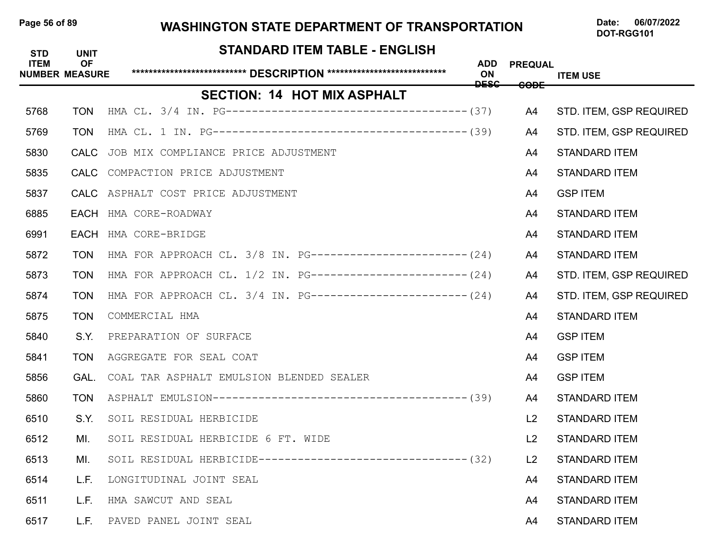### Page 56 of 89 WASHINGTON STATE DEPARTMENT OF TRANSPORTATION Date: 06/07/2022

| <b>STD</b><br><b>ITEM</b> | <b>UNIT</b><br><b>OF</b> | STANDARD ITEM TABLE - ENGLISH                                 | <b>ADD</b>        | <b>PREQUAL</b>  |                         |
|---------------------------|--------------------------|---------------------------------------------------------------|-------------------|-----------------|-------------------------|
|                           | <b>NUMBER MEASURE</b>    |                                                               | ON<br><b>DESC</b> | <del>CODE</del> | <b>ITEM USE</b>         |
|                           |                          | <b>SECTION: 14 HOT MIX ASPHALT</b>                            |                   |                 |                         |
| 5768                      | <b>TON</b>               |                                                               |                   | A4              | STD. ITEM, GSP REQUIRED |
| 5769                      | <b>TON</b>               |                                                               |                   | A4              | STD. ITEM, GSP REQUIRED |
| 5830                      | CALC                     | JOB MIX COMPLIANCE PRICE ADJUSTMENT                           |                   | A4              | <b>STANDARD ITEM</b>    |
| 5835                      |                          | CALC COMPACTION PRICE ADJUSTMENT                              |                   | A4              | <b>STANDARD ITEM</b>    |
| 5837                      |                          | CALC ASPHALT COST PRICE ADJUSTMENT                            |                   | A4              | <b>GSP ITEM</b>         |
| 6885                      |                          | EACH HMA CORE-ROADWAY                                         |                   | A4              | <b>STANDARD ITEM</b>    |
| 6991                      | <b>EACH</b>              | HMA CORE-BRIDGE                                               |                   | A4              | <b>STANDARD ITEM</b>    |
| 5872                      | <b>TON</b>               | HMA FOR APPROACH CL. 3/8 IN. PG------------------------ (24)  |                   | A4              | <b>STANDARD ITEM</b>    |
| 5873                      | <b>TON</b>               | HMA FOR APPROACH CL. 1/2 IN. PG------------------------- (24) |                   | A4              | STD. ITEM, GSP REQUIRED |
| 5874                      | <b>TON</b>               | HMA FOR APPROACH CL. 3/4 IN. PG------------------------(24)   |                   | A4              | STD. ITEM, GSP REQUIRED |
| 5875                      | <b>TON</b>               | COMMERCIAL HMA                                                |                   | A4              | <b>STANDARD ITEM</b>    |
| 5840                      | S.Y.                     | PREPARATION OF SURFACE                                        |                   | A4              | <b>GSP ITEM</b>         |
| 5841                      | <b>TON</b>               | AGGREGATE FOR SEAL COAT                                       |                   | A4              | <b>GSP ITEM</b>         |
| 5856                      | GAL.                     | COAL TAR ASPHALT EMULSION BLENDED SEALER                      |                   | A4              | <b>GSP ITEM</b>         |
| 5860                      | <b>TON</b>               |                                                               |                   | A4              | <b>STANDARD ITEM</b>    |
| 6510                      | S.Y.                     | SOIL RESIDUAL HERBICIDE                                       |                   | L2              | <b>STANDARD ITEM</b>    |
| 6512                      | MI.                      | SOIL RESIDUAL HERBICIDE 6 FT. WIDE                            |                   | L <sub>2</sub>  | <b>STANDARD ITEM</b>    |
| 6513                      | MI.                      | SOIL RESIDUAL HERBICIDE-------------------------------- (32)  |                   | L2              | <b>STANDARD ITEM</b>    |
| 6514                      | L.F.                     | LONGITUDINAL JOINT SEAL                                       |                   | A4              | <b>STANDARD ITEM</b>    |
| 6511                      | L.F.                     | HMA SAWCUT AND SEAL                                           |                   | A4              | <b>STANDARD ITEM</b>    |
| 6517                      | L.F.                     | PAVED PANEL JOINT SEAL                                        |                   | A4              | <b>STANDARD ITEM</b>    |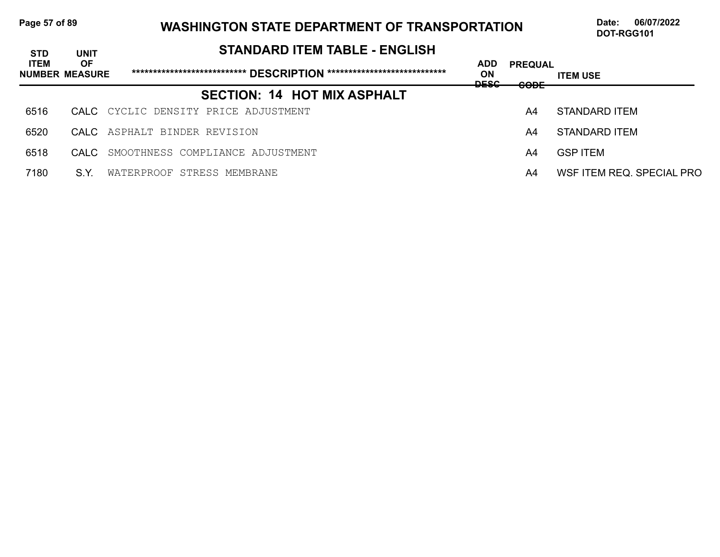## Page 57 of 89 WASHINGTON STATE DEPARTMENT OF TRANSPORTATION Date: 06/07/2022

| <b>STD</b>  | <b>UNIT</b>                        | <b>STANDARD ITEM TABLE - ENGLISH</b>                                       |                                 |                               |                           |
|-------------|------------------------------------|----------------------------------------------------------------------------|---------------------------------|-------------------------------|---------------------------|
| <b>ITEM</b> | <b>OF</b><br><b>NUMBER MEASURE</b> | ******************************* DESCRIPTION ****************************** | <b>ADD</b><br>ON<br><b>DESC</b> | <b>PREQUAL</b><br><b>CODE</b> | <b>ITEM USE</b>           |
|             |                                    | <b>SECTION: 14 HOT MIX ASPHALT</b>                                         |                                 |                               |                           |
| 6516        |                                    | CALC CYCLIC DENSITY PRICE ADJUSTMENT                                       |                                 | A4                            | STANDARD ITEM             |
| 6520        |                                    | CALC ASPHALT BINDER REVISION                                               |                                 | A4                            | STANDARD ITEM             |
| 6518        | CALC.                              | SMOOTHNESS COMPLIANCE ADJUSTMENT                                           |                                 | A4                            | <b>GSP ITEM</b>           |
| 7180        | S.Y.                               | WATERPROOF STRESS MEMBRANE                                                 |                                 | A4                            | WSF ITEM REQ. SPECIAL PRO |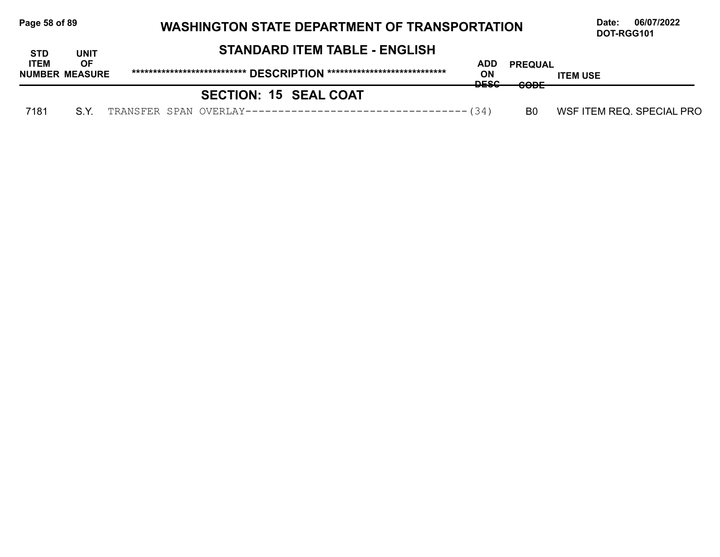| Page 58 of 89 |                                    |                                      | <b>WASHINGTON STATE DEPARTMENT OF TRANSPORTATION</b> |                                     |                           |  |  |
|---------------|------------------------------------|--------------------------------------|------------------------------------------------------|-------------------------------------|---------------------------|--|--|
| <b>STD</b>    | <b>UNIT</b>                        | <b>STANDARD ITEM TABLE - ENGLISH</b> |                                                      |                                     |                           |  |  |
| <b>ITEM</b>   | <b>OF</b><br><b>NUMBER MEASURE</b> |                                      | ADD<br><b>ON</b><br><b>DECC</b>                      | <b>PREQUAL</b><br>$C\cap\mathsf{D}$ | <b>ITEM USE</b>           |  |  |
|               |                                    | <b>SECTION: 15 SEAL COAT</b>         | ᠊ᢦᡄᢦᡄ                                                | ᡂ                                   |                           |  |  |
| 7181          | S.Y.                               |                                      |                                                      | B0                                  | WSF ITEM REQ. SPECIAL PRO |  |  |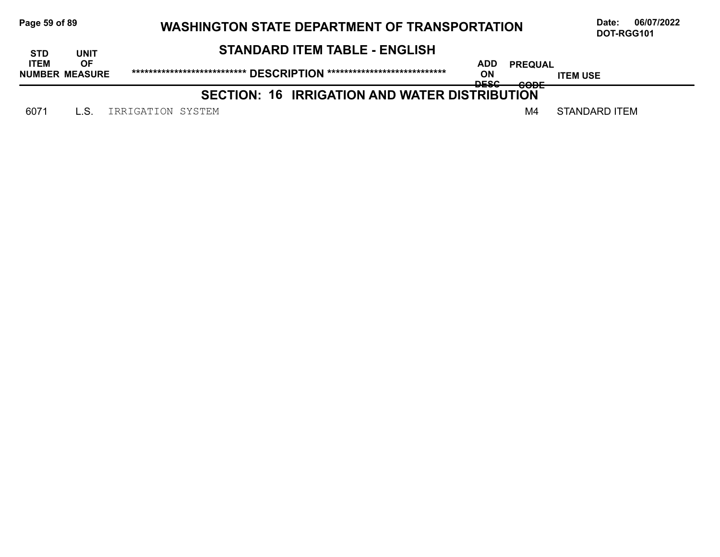| Page 59 of 89<br><b>WASHINGTON STATE DEPARTMENT OF TRANSPORTATION</b> |                                    |                                                      |                          |                        | 06/07/2022<br>Date:<br>DOT-RGG101 |
|-----------------------------------------------------------------------|------------------------------------|------------------------------------------------------|--------------------------|------------------------|-----------------------------------|
| <b>STD</b>                                                            | UNIT                               | <b>STANDARD ITEM TABLE - ENGLISH</b>                 |                          |                        |                                   |
| <b>ITEM</b>                                                           | <b>OF</b><br><b>NUMBER MEASURE</b> |                                                      | ADD<br>ON<br><b>DECC</b> | <b>PREQUAL</b><br>CODE | <b>ITEM USE</b>                   |
|                                                                       |                                    | <b>SECTION: 16 IRRIGATION AND WATER DISTRIBUTION</b> | ᅲ                        | <del>oode</del>        |                                   |
| 6071                                                                  |                                    | IRRIGATION SYSTEM                                    |                          | M4                     | <b>STANDARD ITEM</b>              |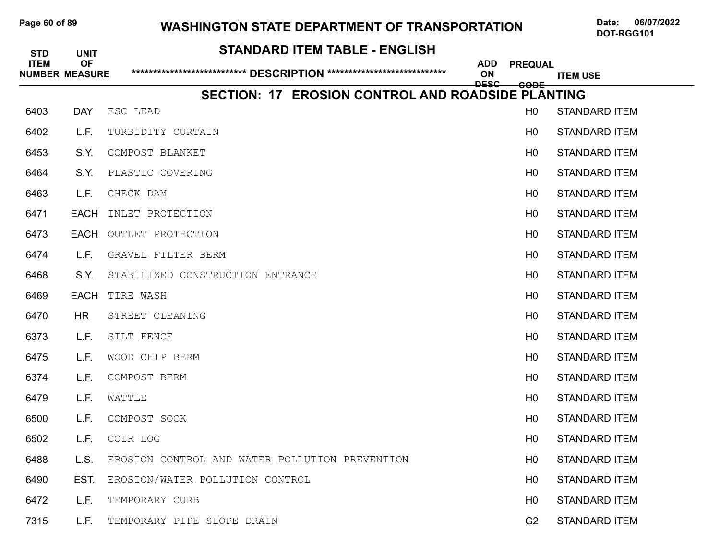### Page 60 of 89 WASHINGTON STATE DEPARTMENT OF TRANSPORTATION Date: 06/07/2022

| <b>STANDARD ITEM TABLE - ENGLISH</b><br><b>STD</b><br><b>UNIT</b> |                                    |                                                          |                                 |                 |                      |
|-------------------------------------------------------------------|------------------------------------|----------------------------------------------------------|---------------------------------|-----------------|----------------------|
| <b>ITEM</b>                                                       | <b>OF</b><br><b>NUMBER MEASURE</b> |                                                          | <b>ADD</b><br>ON<br><b>DESC</b> | <b>PREQUAL</b>  | <b>ITEM USE</b>      |
|                                                                   |                                    | <b>SECTION: 17 EROSION CONTROL AND ROADSIDE PLANTING</b> |                                 | <del>CODE</del> |                      |
| 6403                                                              | <b>DAY</b>                         | ESC LEAD                                                 |                                 | H <sub>0</sub>  | <b>STANDARD ITEM</b> |
| 6402                                                              | L.F.                               | TURBIDITY CURTAIN                                        |                                 | H <sub>0</sub>  | <b>STANDARD ITEM</b> |
| 6453                                                              | S.Y.                               | COMPOST BLANKET                                          |                                 | H <sub>0</sub>  | <b>STANDARD ITEM</b> |
| 6464                                                              | S.Y.                               | PLASTIC COVERING                                         |                                 | H <sub>0</sub>  | <b>STANDARD ITEM</b> |
| 6463                                                              | L.F.                               | CHECK DAM                                                |                                 | H <sub>0</sub>  | <b>STANDARD ITEM</b> |
| 6471                                                              | EACH                               | INLET PROTECTION                                         |                                 | H <sub>0</sub>  | <b>STANDARD ITEM</b> |
| 6473                                                              |                                    | <b>EACH OUTLET PROTECTION</b>                            |                                 | H <sub>0</sub>  | <b>STANDARD ITEM</b> |
| 6474                                                              | L.F.                               | GRAVEL FILTER BERM                                       |                                 | H <sub>0</sub>  | <b>STANDARD ITEM</b> |
| 6468                                                              | S.Y.                               | STABILIZED CONSTRUCTION ENTRANCE                         |                                 | H <sub>0</sub>  | <b>STANDARD ITEM</b> |
| 6469                                                              | EACH                               | TIRE WASH                                                |                                 | H <sub>0</sub>  | <b>STANDARD ITEM</b> |
| 6470                                                              | HR                                 | STREET CLEANING                                          |                                 | H <sub>0</sub>  | <b>STANDARD ITEM</b> |
| 6373                                                              | L.F.                               | SILT FENCE                                               |                                 | H <sub>0</sub>  | <b>STANDARD ITEM</b> |
| 6475                                                              | L.F.                               | WOOD CHIP BERM                                           |                                 | H <sub>0</sub>  | <b>STANDARD ITEM</b> |
| 6374                                                              | L.F.                               | COMPOST BERM                                             |                                 | H <sub>0</sub>  | <b>STANDARD ITEM</b> |
| 6479                                                              | L.F.                               | WATTLE                                                   |                                 | H <sub>0</sub>  | <b>STANDARD ITEM</b> |
| 6500                                                              | L.F.                               | COMPOST SOCK                                             |                                 | H <sub>0</sub>  | <b>STANDARD ITEM</b> |
| 6502                                                              | L.F.                               | COIR LOG                                                 |                                 | H <sub>0</sub>  | <b>STANDARD ITEM</b> |
| 6488                                                              | L.S.                               | EROSION CONTROL AND WATER POLLUTION PREVENTION           |                                 | H <sub>0</sub>  | <b>STANDARD ITEM</b> |
| 6490                                                              | EST.                               | EROSION/WATER POLLUTION CONTROL                          |                                 | H0              | <b>STANDARD ITEM</b> |
| 6472                                                              | L.F.                               | TEMPORARY CURB                                           |                                 | H <sub>0</sub>  | <b>STANDARD ITEM</b> |
| 7315                                                              | L.F.                               | TEMPORARY PIPE SLOPE DRAIN                               |                                 | G2              | <b>STANDARD ITEM</b> |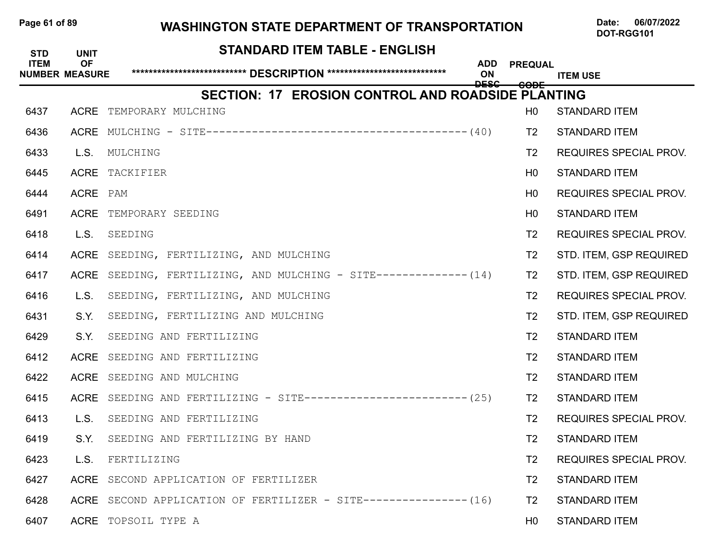# Page 61 of 89 WASHINGTON STATE DEPARTMENT OF TRANSPORTATION Date: 06/07/2022

| <b>STD</b>  | <b>UNIT</b>                        | <b>STANDARD ITEM TABLE - ENGLISH</b>                                |                         |                 |                               |
|-------------|------------------------------------|---------------------------------------------------------------------|-------------------------|-----------------|-------------------------------|
| <b>ITEM</b> | <b>OF</b><br><b>NUMBER MEASURE</b> |                                                                     | <b>ADD</b><br><b>ON</b> | <b>PREQUAL</b>  | <b>ITEM USE</b>               |
|             |                                    | <b>SECTION: 17 EROSION CONTROL AND ROADSIDE PLANTING</b>            | <b>DESC</b>             | <del>CODE</del> |                               |
| 6437        | <b>ACRE</b>                        | TEMPORARY MULCHING                                                  |                         | H <sub>0</sub>  | <b>STANDARD ITEM</b>          |
| 6436        | <b>ACRE</b>                        |                                                                     |                         | T <sub>2</sub>  | <b>STANDARD ITEM</b>          |
| 6433        | L.S.                               | MULCHING                                                            |                         | T2              | <b>REQUIRES SPECIAL PROV.</b> |
| 6445        |                                    | ACRE TACKIFIER                                                      |                         | H <sub>0</sub>  | <b>STANDARD ITEM</b>          |
| 6444        | ACRE PAM                           |                                                                     |                         | H <sub>0</sub>  | <b>REQUIRES SPECIAL PROV.</b> |
| 6491        | <b>ACRE</b>                        | TEMPORARY SEEDING                                                   |                         | H <sub>0</sub>  | <b>STANDARD ITEM</b>          |
| 6418        | L.S.                               | SEEDING                                                             |                         | T <sub>2</sub>  | <b>REQUIRES SPECIAL PROV.</b> |
| 6414        | ACRE                               | SEEDING, FERTILIZING, AND MULCHING                                  |                         | T <sub>2</sub>  | STD. ITEM, GSP REQUIRED       |
| 6417        | <b>ACRE</b>                        | SEEDING, FERTILIZING, AND MULCHING - SITE-------------- (14)        |                         | T <sub>2</sub>  | STD. ITEM, GSP REQUIRED       |
| 6416        | L.S.                               | SEEDING, FERTILIZING, AND MULCHING                                  |                         | T <sub>2</sub>  | <b>REQUIRES SPECIAL PROV.</b> |
| 6431        | S.Y.                               | SEEDING, FERTILIZING AND MULCHING                                   |                         | T <sub>2</sub>  | STD. ITEM, GSP REQUIRED       |
| 6429        | S.Y.                               | SEEDING AND FERTILIZING                                             |                         | T <sub>2</sub>  | <b>STANDARD ITEM</b>          |
| 6412        | <b>ACRE</b>                        | SEEDING AND FERTILIZING                                             |                         | T <sub>2</sub>  | <b>STANDARD ITEM</b>          |
| 6422        | <b>ACRE</b>                        | SEEDING AND MULCHING                                                |                         | T <sub>2</sub>  | <b>STANDARD ITEM</b>          |
| 6415        |                                    | ACRE SEEDING AND FERTILIZING - SITE------------------------- $(25)$ |                         | T2              | <b>STANDARD ITEM</b>          |
| 6413        | L.S.                               | SEEDING AND FERTILIZING                                             |                         | T <sub>2</sub>  | <b>REQUIRES SPECIAL PROV.</b> |
| 6419        | S.Y.                               | SEEDING AND FERTILIZING BY HAND                                     |                         | T <sub>2</sub>  | <b>STANDARD ITEM</b>          |
| 6423        | L.S.                               | FERTILIZING                                                         |                         | T <sub>2</sub>  | <b>REQUIRES SPECIAL PROV.</b> |
| 6427        |                                    | ACRE SECOND APPLICATION OF FERTILIZER                               |                         | T2              | <b>STANDARD ITEM</b>          |
| 6428        |                                    | ACRE SECOND APPLICATION OF FERTILIZER - SITE--------------- (16)    |                         | T2              | <b>STANDARD ITEM</b>          |
| 6407        |                                    | ACRE TOPSOIL TYPE A                                                 |                         | H <sub>0</sub>  | <b>STANDARD ITEM</b>          |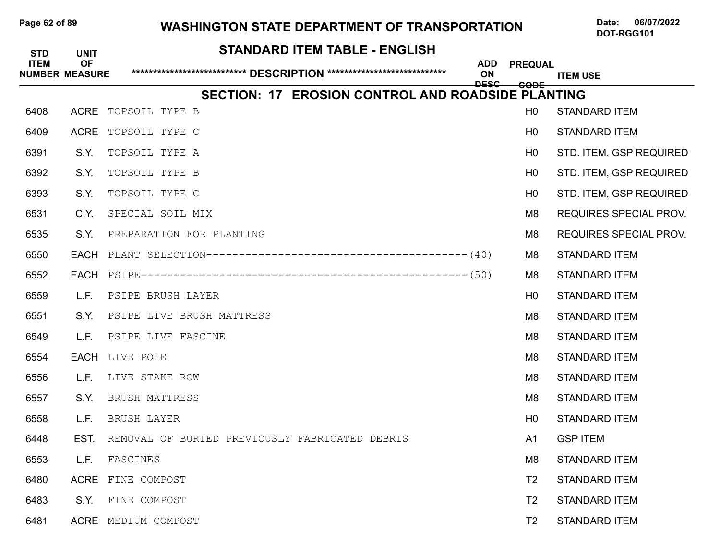### Page 62 of 89 WASHINGTON STATE DEPARTMENT OF TRANSPORTATION Date: 06/07/2022

| <b>STD</b>  | <b>UNIT</b>                        | <b>STANDARD ITEM TABLE - ENGLISH</b>                                    |                 |                               |
|-------------|------------------------------------|-------------------------------------------------------------------------|-----------------|-------------------------------|
| <b>ITEM</b> | <b>OF</b><br><b>NUMBER MEASURE</b> | <b>ADD</b><br>ON                                                        | <b>PREQUAL</b>  | <b>ITEM USE</b>               |
|             |                                    | <b>DESC</b><br><b>SECTION: 17 EROSION CONTROL AND ROADSIDE PLANTING</b> | <del>CODE</del> |                               |
| 6408        |                                    | ACRE TOPSOIL TYPE B                                                     | H <sub>0</sub>  | <b>STANDARD ITEM</b>          |
| 6409        | <b>ACRE</b>                        | TOPSOIL TYPE C                                                          | H <sub>0</sub>  | <b>STANDARD ITEM</b>          |
| 6391        | S.Y.                               | TOPSOIL TYPE A                                                          | H <sub>0</sub>  | STD. ITEM, GSP REQUIRED       |
| 6392        | S.Y.                               | TOPSOIL TYPE B                                                          | H <sub>0</sub>  | STD. ITEM, GSP REQUIRED       |
| 6393        | S.Y.                               | TOPSOIL TYPE C                                                          | H <sub>0</sub>  | STD. ITEM, GSP REQUIRED       |
| 6531        | C.Y.                               | SPECIAL SOIL MIX                                                        | M8              | <b>REQUIRES SPECIAL PROV.</b> |
| 6535        | S.Y.                               | PREPARATION FOR PLANTING                                                | M8              | <b>REQUIRES SPECIAL PROV.</b> |
| 6550        |                                    |                                                                         | M8              | <b>STANDARD ITEM</b>          |
| 6552        |                                    |                                                                         | M <sub>8</sub>  | <b>STANDARD ITEM</b>          |
| 6559        | L.F.                               | PSIPE BRUSH LAYER                                                       | H <sub>0</sub>  | <b>STANDARD ITEM</b>          |
| 6551        | S.Y.                               | PSIPE LIVE BRUSH MATTRESS                                               | M <sub>8</sub>  | <b>STANDARD ITEM</b>          |
| 6549        | L.F.                               | PSIPE LIVE FASCINE                                                      | M <sub>8</sub>  | <b>STANDARD ITEM</b>          |
| 6554        | <b>EACH</b>                        | LIVE POLE                                                               | M <sub>8</sub>  | <b>STANDARD ITEM</b>          |
| 6556        | L.F.                               | LIVE STAKE ROW                                                          | M <sub>8</sub>  | <b>STANDARD ITEM</b>          |
| 6557        | S.Y.                               | BRUSH MATTRESS                                                          | M8              | <b>STANDARD ITEM</b>          |
| 6558        | L.F.                               | BRUSH LAYER                                                             | H <sub>0</sub>  | <b>STANDARD ITEM</b>          |
| 6448        | EST.                               | REMOVAL OF BURIED PREVIOUSLY FABRICATED DEBRIS                          | A <sub>1</sub>  | <b>GSP ITEM</b>               |
| 6553        | L.F.                               | FASCINES                                                                | M <sub>8</sub>  | <b>STANDARD ITEM</b>          |
| 6480        |                                    | ACRE FINE COMPOST                                                       | T <sub>2</sub>  | <b>STANDARD ITEM</b>          |
| 6483        | S.Y.                               | FINE COMPOST                                                            | T <sub>2</sub>  | <b>STANDARD ITEM</b>          |
| 6481        |                                    | ACRE MEDIUM COMPOST                                                     | T <sub>2</sub>  | <b>STANDARD ITEM</b>          |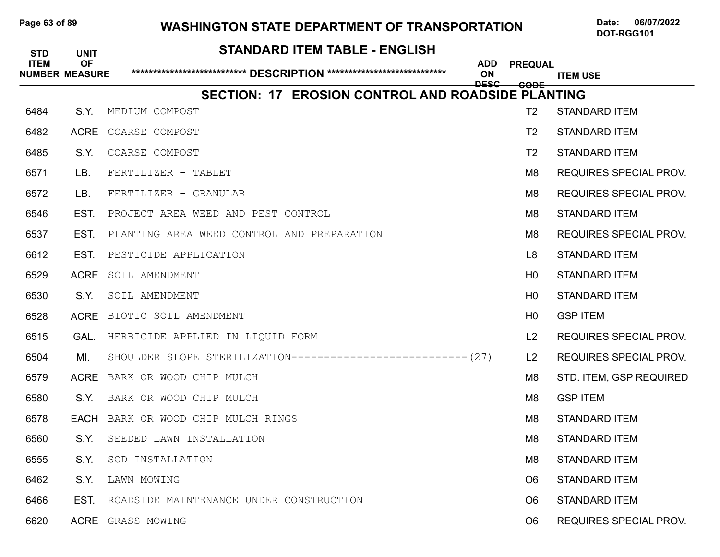### Page 63 of 89 WASHINGTON STATE DEPARTMENT OF TRANSPORTATION Date: 06/07/2022

| <b>STD</b><br><b>ITEM</b> | <b>UNIT</b><br><b>OF</b><br><b>NUMBER MEASURE</b> | <b>STANDARD ITEM TABLE - ENGLISH</b>                         | <b>ADD</b><br>ON<br><b>DESC</b> | <b>PREQUAL</b><br><b>CODE</b> | <b>ITEM USE</b>               |
|---------------------------|---------------------------------------------------|--------------------------------------------------------------|---------------------------------|-------------------------------|-------------------------------|
|                           |                                                   | SECTION: 17 EROSION CONTROL AND ROADSIDE PLANTING            |                                 |                               |                               |
| 6484                      | S.Y.                                              | MEDIUM COMPOST                                               |                                 | T <sub>2</sub>                | <b>STANDARD ITEM</b>          |
| 6482                      | <b>ACRE</b>                                       | COARSE COMPOST                                               |                                 | T <sub>2</sub>                | <b>STANDARD ITEM</b>          |
| 6485                      | S.Y.                                              | COARSE COMPOST                                               |                                 | T <sub>2</sub>                | <b>STANDARD ITEM</b>          |
| 6571                      | LB.                                               | FERTILIZER - TABLET                                          |                                 | M8                            | <b>REQUIRES SPECIAL PROV.</b> |
| 6572                      | LB.                                               | FERTILIZER - GRANULAR                                        |                                 | M <sub>8</sub>                | <b>REQUIRES SPECIAL PROV.</b> |
| 6546                      | EST.                                              | PROJECT AREA WEED AND PEST CONTROL                           |                                 | M <sub>8</sub>                | <b>STANDARD ITEM</b>          |
| 6537                      | EST.                                              | PLANTING AREA WEED CONTROL AND PREPARATION                   |                                 | M <sub>8</sub>                | <b>REQUIRES SPECIAL PROV.</b> |
| 6612                      | EST.                                              | PESTICIDE APPLICATION                                        |                                 | L <sub>8</sub>                | <b>STANDARD ITEM</b>          |
| 6529                      | <b>ACRE</b>                                       | SOIL AMENDMENT                                               |                                 | H <sub>0</sub>                | <b>STANDARD ITEM</b>          |
| 6530                      | S.Y.                                              | SOIL AMENDMENT                                               |                                 | H <sub>0</sub>                | <b>STANDARD ITEM</b>          |
| 6528                      | <b>ACRE</b>                                       | BIOTIC SOIL AMENDMENT                                        |                                 | H <sub>0</sub>                | <b>GSP ITEM</b>               |
| 6515                      | GAL.                                              | HERBICIDE APPLIED IN LIQUID FORM                             |                                 | L <sub>2</sub>                | <b>REQUIRES SPECIAL PROV.</b> |
| 6504                      | MI.                                               | SHOULDER SLOPE STERILIZATION--------------------------- (27) |                                 | L <sub>2</sub>                | <b>REQUIRES SPECIAL PROV.</b> |
| 6579                      | <b>ACRE</b>                                       | BARK OR WOOD CHIP MULCH                                      |                                 | M <sub>8</sub>                | STD. ITEM, GSP REQUIRED       |
| 6580                      | S.Y.                                              | BARK OR WOOD CHIP MULCH                                      |                                 | M <sub>8</sub>                | <b>GSP ITEM</b>               |
| 6578                      | <b>EACH</b>                                       | BARK OR WOOD CHIP MULCH RINGS                                |                                 | M <sub>8</sub>                | <b>STANDARD ITEM</b>          |
| 6560                      | S.Y.                                              | SEEDED LAWN INSTALLATION                                     |                                 | M <sub>8</sub>                | <b>STANDARD ITEM</b>          |
| 6555                      | S.Y.                                              | SOD INSTALLATION                                             |                                 | M <sub>8</sub>                | <b>STANDARD ITEM</b>          |
| 6462                      | S.Y.                                              | LAWN MOWING                                                  |                                 | O <sub>6</sub>                | <b>STANDARD ITEM</b>          |
| 6466                      | EST.                                              | ROADSIDE MAINTENANCE UNDER CONSTRUCTION                      |                                 | O <sub>6</sub>                | <b>STANDARD ITEM</b>          |
| 6620                      |                                                   | ACRE GRASS MOWING                                            |                                 | O <sub>6</sub>                | REQUIRES SPECIAL PROV.        |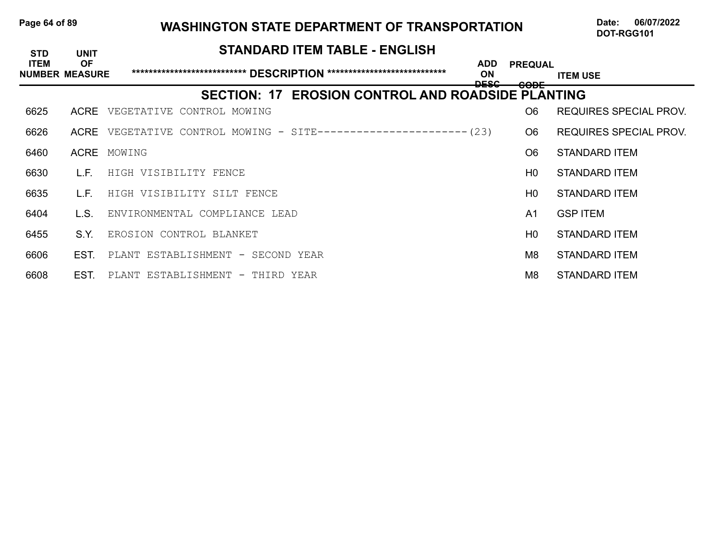| Page 64 of 89 | <b>WASHINGTON STATE DEPARTMENT OF TRANSPORTATION</b> | 06/07/2022<br>Date. |
|---------------|------------------------------------------------------|---------------------|
|               |                                                      | DOT-RGG101          |

| <b>STD</b>                           | <b>UNIT</b> | <b>STANDARD ITEM TABLE - ENGLISH</b>                        |                                            |                                   |                               |
|--------------------------------------|-------------|-------------------------------------------------------------|--------------------------------------------|-----------------------------------|-------------------------------|
| <b>ITEM</b><br><b>NUMBER MEASURE</b> | <b>OF</b>   |                                                             | <b>ADD</b><br><b>ON</b><br><del>DESC</del> | <b>PREQUAL</b><br><del>CODE</del> | <b>ITEM USE</b>               |
|                                      |             | SECTION: 17 EROSION CONTROL AND ROADSIDE PLANTING           |                                            |                                   |                               |
| 6625                                 | <b>ACRE</b> | VEGETATIVE CONTROL MOWING                                   |                                            | O <sub>6</sub>                    | <b>REQUIRES SPECIAL PROV.</b> |
| 6626                                 | <b>ACRE</b> | VEGETATIVE CONTROL MOWING - SITE---------------------- (23) |                                            | O <sub>6</sub>                    | REQUIRES SPECIAL PROV.        |
| 6460                                 | ACRE        | MOWING                                                      |                                            | O <sub>6</sub>                    | STANDARD ITEM                 |
| 6630                                 | L.F.        | HIGH VISIBILITY FENCE                                       |                                            | H <sub>0</sub>                    | STANDARD ITEM                 |
| 6635                                 | L.F.        | HIGH VISIBILITY SILT FENCE                                  |                                            | H <sub>0</sub>                    | STANDARD ITEM                 |
| 6404                                 | L.S.        | ENVIRONMENTAL COMPLIANCE LEAD                               |                                            | A <sub>1</sub>                    | <b>GSP ITEM</b>               |
| 6455                                 | S.Y.        | EROSION CONTROL BLANKET                                     |                                            | H <sub>0</sub>                    | STANDARD ITEM                 |
| 6606                                 | EST.        | PLANT ESTABLISHMENT - SECOND YEAR                           |                                            | M <sub>8</sub>                    | STANDARD ITEM                 |
| 6608                                 | EST.        | PLANT ESTABLISHMENT - THIRD YEAR                            |                                            | M8                                | <b>STANDARD ITEM</b>          |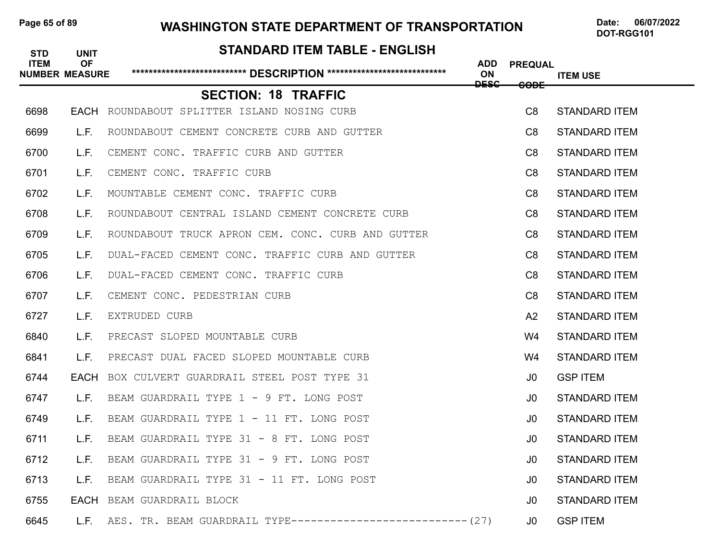### Page 65 of 89 **WASHINGTON STATE DEPARTMENT OF TRANSPORTATION** Date: 06/07/2022

# **STANDARD ITEM TABLE - ENGLISH ITEM OF ADD PREQUAL NUMBER MEASURE \*\*\*\*\*\*\*\*\*\*\*\*\*\*\*\*\*\*\*\*\*\*\*\*\*\*\* DESCRIPTION \*\*\*\*\*\*\*\*\*\*\*\*\*\*\*\*\*\*\*\*\*\*\*\*\*\*\*\* ON ITEM USE DESC CODE SECTION: 18 TRAFFIC** 6698 EACH ROUNDABOUT SPLITTER ISLAND NOSING CURB C8 STANDARD ITEM 6699 L.F. ROUNDABOUT CEMENT CONCRETE CURB AND GUTTER **CONCRETE CONSTANDARD ITEM** 6700 L.F. CEMENT CONC. TRAFFIC CURB AND GUTTER **CONCLUTED THE CONCLUTEM** 6701 L.F. CEMENT CONC. TRAFFIC CURB CONCRETER CONCRETE CONSTANDARD ITEM 6702 L.F. MOUNTABLE CEMENT CONC. TRAFFIC CURB CONCRETER CONCRETERS CONTROLLER CONTROLLER 6708 L.F. ROUNDABOUT CENTRAL ISLAND CEMENT CONCRETE CURB CONCRETE CONSTAND CAN STANDARD ITEM 6709 L.F. ROUNDABOUT TRUCK APRON CEM. CONC. CURB AND GUTTER **C8 STANDARD ITEM** 6705 L.F. DUAL-FACED CEMENT CONC. TRAFFIC CURB AND GUTTER **C8 STANDARD ITEM** 6706 L.F. DUAL-FACED CEMENT CONC. TRAFFIC CURB CONCRETION CONCRETION CONCRETION CONTROLLY 6707 L.F. CEMENT CONC. PEDESTRIAN CURB CONCOMERCIAL CONTROLLER CONTROLLER CONCOMERCIAL CONCO 6727 L.F. EXTRUDED CURB **A2 STANDARD ITEM** 6840 L.F. PRECAST SLOPED MOUNTABLE CURB W4 STANDARD ITEM 6841 L.F. PRECAST DUAL FACED SLOPED MOUNTABLE CURB WANNER WA STANDARD ITEM 6744 EACH BOX CULVERT GUARDRAIL STEEL POST TYPE 31 J0 GSP ITEM 6747 L.F. BEAM GUARDRAIL TYPE 1 - 9 FT. LONG POST **10 STANDARD ITEM** 6749 L.F. BEAM GUARDRAIL TYPE 1 - 11 FT. LONG POST **120 CONGLESS CONTROLLY AND STANDARD ITEM** 6711 L.F. BEAM GUARDRAIL TYPE 31 - 8 FT. LONG POST **120 CONGLESS CONTRACT STANDARD ITEM** 6712 L.F. BEAM GUARDRAIL TYPE 31 - 9 FT. LONG POST **120 CONGLESS CONTAINER AND STANDARD ITEM** 6713 L.F. BEAM GUARDRAIL TYPE 31 - 11 FT. LONG POST **120 COMPUTED 120 CONTAINER BEAM** 6755 EACH BEAM GUARDRAIL BLOCK **GUARD ITEM** STANDARD ITEM 6645 L.F. AES. TR. BEAM GUARDRAIL TYPE--------------------------- (27) J0 GSPITEM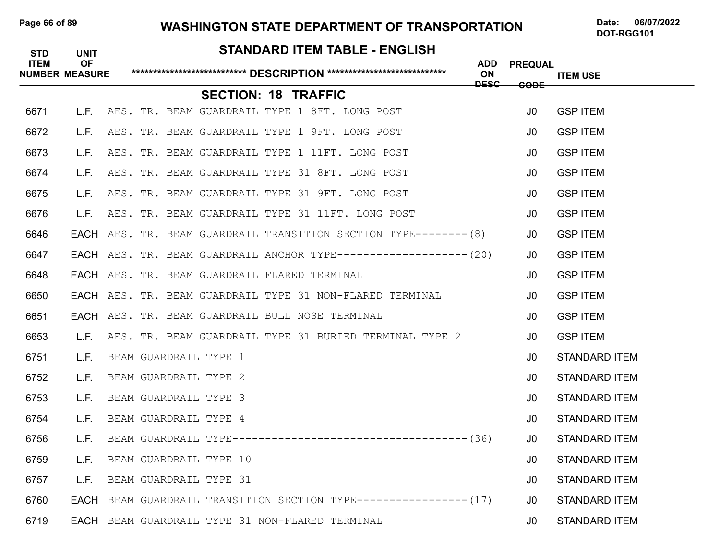# Page 66 of 89 **WASHINGTON STATE DEPARTMENT OF TRANSPORTATION** Date: 06/07/2022

# **STANDARD ITEM TABLE - ENGLISH ITEM OF ADD PREQUAL NUMBER MEASURE \*\*\*\*\*\*\*\*\*\*\*\*\*\*\*\*\*\*\*\*\*\*\*\*\*\*\* DESCRIPTION \*\*\*\*\*\*\*\*\*\*\*\*\*\*\*\*\*\*\*\*\*\*\*\*\*\*\*\* ON ITEM USE DESC CODE SECTION: 18 TRAFFIC** 6671 L.F. AES. TR. BEAM GUARDRAIL TYPE 1 8FT. LONG POST **JO GSPITEM** 6672 L.F. AES. TR. BEAM GUARDRAIL TYPE 1 9FT. LONG POST **JOURG SPITEM** 6673 L.F. AES. TR. BEAM GUARDRAIL TYPE 1 11FT. LONG POST **JOURG SPITEM** 6674 L.F. AES. TR. BEAM GUARDRAIL TYPE 31 8FT. LONG POST **JOURG SPITEM** 6675 L.F. AES. TR. BEAM GUARDRAIL TYPE 31 9FT. LONG POST **JOURG SPITEM** 6676 L.F. AES. TR. BEAM GUARDRAIL TYPE 31 11FT. LONG POST **JOURG SPITEM** 6646 EACH AES. TR. BEAM GUARDRAIL TRANSITION SECTION TYPE-------- (8) JO GSPITEM 6647 EACH AES. TR. BEAM GUARDRAIL ANCHOR TYPE-------------------(20) J0 GSPITEM 6648 EACH AES. TR. BEAM GUARDRAIL FLARED TERMINAL J0 GSP ITEM 6650 **EACH** AES. TR. BEAM GUARDRAIL TYPE 31 NON-FLARED TERMINAL **JO GSPITEM** 6651 **EACH** AES. TR. BEAM GUARDRAIL BULL NOSE TERMINAL **JUILLET CONTAINAL** JUILLET SPITEM 6653 L.F. AES. TR. BEAM GUARDRAIL TYPE 31 BURIED TERMINAL TYPE 2 30 GSPITEM 6751 L.F. BEAM GUARDRAIL TYPE 1 **JOURN AREA** CONSTANDARD ITEM 6752 L.F. BEAM GUARDRAIL TYPE 2 J0 STANDARD ITEM 6753 L.F. BEAM GUARDRAIL TYPE 3 J0 STANDARD ITEM 6754 L.F. BEAM GUARDRAIL TYPE 4 J0 STANDARD ITEM 6756 L.F. BEAM GUARDRAIL TYPE------------------------------------(36) J0 STANDARD ITEM 6759 L.F. BEAM GUARDRAIL TYPE 10 **JOURN AREA AND ARRIVE AT A CONSTANDARD ITEM** 6757 L.F. BEAM GUARDRAIL TYPE 31 **JOURN AREA** CONSTANDARD ITEM 6760 EACH BEAM GUARDRAIL TRANSITION SECTION TYPE----------------(17) J0 STANDARD ITEM 6719 EACH BEAM GUARDRAIL TYPE 31 NON-FLARED TERMINAL J0 STANDARD ITEM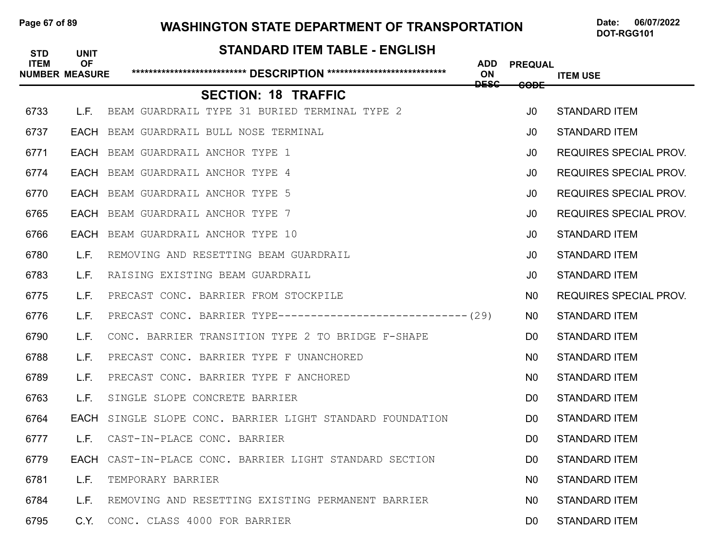### Page 67 of 89 WASHINGTON STATE DEPARTMENT OF TRANSPORTATION Date: 06/07/2022

| <b>STD</b>  | <b>UNIT</b>                        | <b>STANDARD ITEM TABLE - ENGLISH</b>                         |                                 |                 |                               |
|-------------|------------------------------------|--------------------------------------------------------------|---------------------------------|-----------------|-------------------------------|
| <b>ITEM</b> | <b>OF</b><br><b>NUMBER MEASURE</b> |                                                              | <b>ADD</b><br>ON<br><b>DESC</b> | <b>PREQUAL</b>  | <b>ITEM USE</b>               |
|             |                                    | <b>SECTION: 18 TRAFFIC</b>                                   |                                 | <del>CODE</del> |                               |
| 6733        | L.F.                               | BEAM GUARDRAIL TYPE 31 BURIED TERMINAL TYPE 2                |                                 | J <sub>0</sub>  | <b>STANDARD ITEM</b>          |
| 6737        | EACH                               | BEAM GUARDRAIL BULL NOSE TERMINAL                            |                                 | J <sub>0</sub>  | <b>STANDARD ITEM</b>          |
| 6771        |                                    | <b>EACH</b> BEAM GUARDRAIL ANCHOR TYPE 1                     |                                 | J0              | <b>REQUIRES SPECIAL PROV.</b> |
| 6774        |                                    | <b>EACH</b> BEAM GUARDRAIL ANCHOR TYPE 4                     |                                 | J <sub>0</sub>  | <b>REQUIRES SPECIAL PROV.</b> |
| 6770        |                                    | <b>EACH</b> BEAM GUARDRAIL ANCHOR TYPE 5                     |                                 | J0.             | <b>REQUIRES SPECIAL PROV.</b> |
| 6765        |                                    | <b>EACH</b> BEAM GUARDRAIL ANCHOR TYPE 7                     |                                 | J <sub>0</sub>  | <b>REQUIRES SPECIAL PROV.</b> |
| 6766        | EACH                               | BEAM GUARDRAIL ANCHOR TYPE 10                                |                                 | J <sub>0</sub>  | <b>STANDARD ITEM</b>          |
| 6780        | L.F.                               | REMOVING AND RESETTING BEAM GUARDRAIL                        |                                 | J <sub>0</sub>  | <b>STANDARD ITEM</b>          |
| 6783        | L.F.                               | RAISING EXISTING BEAM GUARDRAIL                              |                                 | J <sub>0</sub>  | <b>STANDARD ITEM</b>          |
| 6775        | L.F.                               | PRECAST CONC. BARRIER FROM STOCKPILE                         |                                 | N0              | <b>REQUIRES SPECIAL PROV.</b> |
| 6776        | L.F.                               | PRECAST CONC. BARRIER TYPE----------------------------- (29) |                                 | N <sub>0</sub>  | <b>STANDARD ITEM</b>          |
| 6790        | L.F.                               | CONC. BARRIER TRANSITION TYPE 2 TO BRIDGE F-SHAPE            |                                 | D <sub>0</sub>  | <b>STANDARD ITEM</b>          |
| 6788        | L.F.                               | PRECAST CONC. BARRIER TYPE F UNANCHORED                      |                                 | N <sub>0</sub>  | <b>STANDARD ITEM</b>          |
| 6789        | L.F.                               | PRECAST CONC. BARRIER TYPE F ANCHORED                        |                                 | N <sub>0</sub>  | <b>STANDARD ITEM</b>          |
| 6763        | L.F.                               | SINGLE SLOPE CONCRETE BARRIER                                |                                 | D <sub>0</sub>  | <b>STANDARD ITEM</b>          |
| 6764        | <b>EACH</b>                        | SINGLE SLOPE CONC. BARRIER LIGHT STANDARD FOUNDATION         |                                 | D <sub>0</sub>  | <b>STANDARD ITEM</b>          |
| 6777        | L.F.                               | CAST-IN-PLACE CONC. BARRIER                                  |                                 | D <sub>0</sub>  | <b>STANDARD ITEM</b>          |
| 6779        |                                    | EACH CAST-IN-PLACE CONC. BARRIER LIGHT STANDARD SECTION      |                                 | D <sub>0</sub>  | <b>STANDARD ITEM</b>          |
| 6781        | L.F.                               | TEMPORARY BARRIER                                            |                                 | N <sub>0</sub>  | <b>STANDARD ITEM</b>          |
| 6784        | L.F.                               | REMOVING AND RESETTING EXISTING PERMANENT BARRIER            |                                 | N <sub>0</sub>  | <b>STANDARD ITEM</b>          |
| 6795        | C.Y.                               | CONC. CLASS 4000 FOR BARRIER                                 |                                 | D <sub>0</sub>  | <b>STANDARD ITEM</b>          |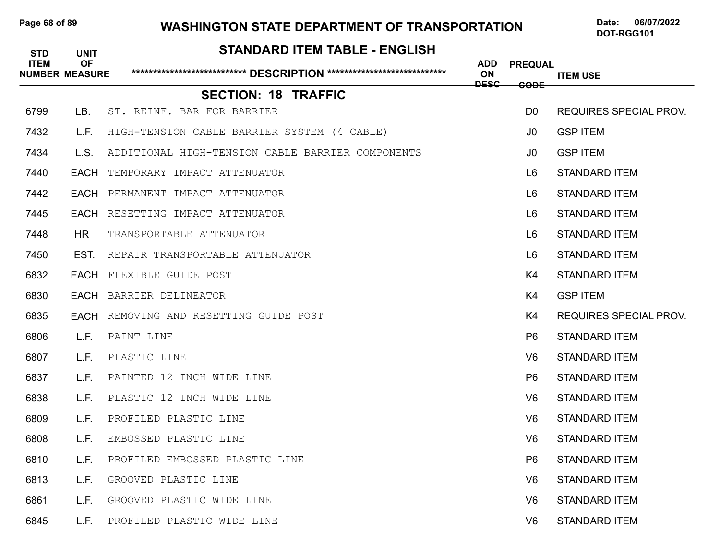## Page 68 of 89 WASHINGTON STATE DEPARTMENT OF TRANSPORTATION Date: 06/07/2022

| <b>STD</b>  | <b>UNIT</b>                        | <b>STANDARD ITEM TABLE - ENGLISH</b>             |                  |                 |                               |
|-------------|------------------------------------|--------------------------------------------------|------------------|-----------------|-------------------------------|
| <b>ITEM</b> | <b>OF</b><br><b>NUMBER MEASURE</b> |                                                  | <b>ADD</b><br>ON | <b>PREQUAL</b>  | <b>ITEM USE</b>               |
|             |                                    | <b>SECTION: 18 TRAFFIC</b>                       | <b>DESC</b>      | <del>CODE</del> |                               |
| 6799        | LB.                                | ST. REINF. BAR FOR BARRIER                       |                  | D <sub>0</sub>  | <b>REQUIRES SPECIAL PROV.</b> |
| 7432        | L.F.                               | HIGH-TENSION CABLE BARRIER SYSTEM (4 CABLE)      |                  | J0              | <b>GSP ITEM</b>               |
| 7434        | L.S.                               | ADDITIONAL HIGH-TENSION CABLE BARRIER COMPONENTS |                  | J0              | <b>GSP ITEM</b>               |
| 7440        | EACH                               | TEMPORARY IMPACT ATTENUATOR                      |                  | L <sub>6</sub>  | <b>STANDARD ITEM</b>          |
| 7442        | EACH                               | PERMANENT IMPACT ATTENUATOR                      |                  | L <sub>6</sub>  | <b>STANDARD ITEM</b>          |
| 7445        |                                    | <b>EACH</b> RESETTING IMPACT ATTENUATOR          |                  | L <sub>6</sub>  | <b>STANDARD ITEM</b>          |
| 7448        | <b>HR</b>                          | TRANSPORTABLE ATTENUATOR                         |                  | L <sub>6</sub>  | <b>STANDARD ITEM</b>          |
| 7450        | EST.                               | REPAIR TRANSPORTABLE ATTENUATOR                  |                  | L <sub>6</sub>  | <b>STANDARD ITEM</b>          |
| 6832        | <b>EACH</b>                        | FLEXIBLE GUIDE POST                              |                  | K4              | <b>STANDARD ITEM</b>          |
| 6830        | EACH                               | BARRIER DELINEATOR                               |                  | K4              | <b>GSP ITEM</b>               |
| 6835        |                                    | EACH REMOVING AND RESETTING GUIDE POST           |                  | K4              | <b>REQUIRES SPECIAL PROV.</b> |
| 6806        | L.F.                               | PAINT LINE                                       |                  | P <sub>6</sub>  | <b>STANDARD ITEM</b>          |
| 6807        | L.F.                               | PLASTIC LINE                                     |                  | V <sub>6</sub>  | <b>STANDARD ITEM</b>          |
| 6837        | L.F.                               | PAINTED 12 INCH WIDE LINE                        |                  | P <sub>6</sub>  | <b>STANDARD ITEM</b>          |
| 6838        | L.F.                               | PLASTIC 12 INCH WIDE LINE                        |                  | V6              | <b>STANDARD ITEM</b>          |
| 6809        | L.F.                               | PROFILED PLASTIC LINE                            |                  | V6              | <b>STANDARD ITEM</b>          |
| 6808        | L.F.                               | EMBOSSED PLASTIC LINE                            |                  | V <sub>6</sub>  | <b>STANDARD ITEM</b>          |
| 6810        | L.F.                               | PROFILED EMBOSSED PLASTIC LINE                   |                  | P <sub>6</sub>  | <b>STANDARD ITEM</b>          |
| 6813        | L.F.                               | GROOVED PLASTIC LINE                             |                  | V <sub>6</sub>  | <b>STANDARD ITEM</b>          |
| 6861        | L.F.                               | GROOVED PLASTIC WIDE LINE                        |                  | V <sub>6</sub>  | <b>STANDARD ITEM</b>          |
| 6845        | L.F.                               | PROFILED PLASTIC WIDE LINE                       |                  | V <sub>6</sub>  | <b>STANDARD ITEM</b>          |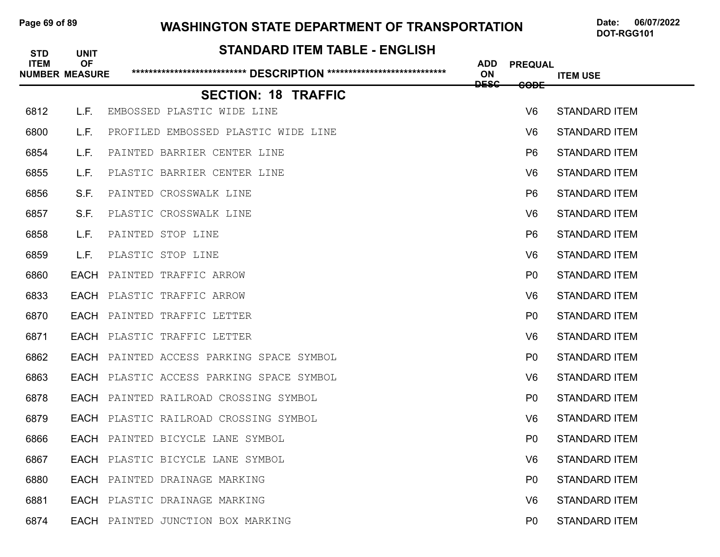### Page 69 of 89 **WASHINGTON STATE DEPARTMENT OF TRANSPORTATION** Date: 06/07/2022

| <b>STD</b>  | <b>UNIT</b>                        | <b>STANDARD ITEM TABLE - ENGLISH</b>     |                                     |                 |                      |
|-------------|------------------------------------|------------------------------------------|-------------------------------------|-----------------|----------------------|
| <b>ITEM</b> | <b>OF</b><br><b>NUMBER MEASURE</b> |                                          | <b>ADD</b><br>ON<br><del>DESC</del> | <b>PREQUAL</b>  | <b>ITEM USE</b>      |
|             |                                    | <b>SECTION: 18 TRAFFIC</b>               |                                     | <del>CODE</del> |                      |
| 6812        | L.F.                               | EMBOSSED PLASTIC WIDE LINE               |                                     | V <sub>6</sub>  | <b>STANDARD ITEM</b> |
| 6800        | L.F.                               | PROFILED EMBOSSED PLASTIC WIDE LINE      |                                     | V6              | <b>STANDARD ITEM</b> |
| 6854        | L.F.                               | PAINTED BARRIER CENTER LINE              |                                     | P <sub>6</sub>  | <b>STANDARD ITEM</b> |
| 6855        | L.F.                               | PLASTIC BARRIER CENTER LINE              |                                     | V <sub>6</sub>  | <b>STANDARD ITEM</b> |
| 6856        | S.F.                               | PAINTED CROSSWALK LINE                   |                                     | P <sub>6</sub>  | <b>STANDARD ITEM</b> |
| 6857        | S.F.                               | PLASTIC CROSSWALK LINE                   |                                     | V6              | <b>STANDARD ITEM</b> |
| 6858        | L.F.                               | PAINTED STOP LINE                        |                                     | P <sub>6</sub>  | <b>STANDARD ITEM</b> |
| 6859        | L.F.                               | PLASTIC STOP LINE                        |                                     | V6              | <b>STANDARD ITEM</b> |
| 6860        | EACH                               | PAINTED TRAFFIC ARROW                    |                                     | P <sub>0</sub>  | <b>STANDARD ITEM</b> |
| 6833        |                                    | EACH PLASTIC TRAFFIC ARROW               |                                     | V6              | <b>STANDARD ITEM</b> |
| 6870        |                                    | <b>EACH</b> PAINTED TRAFFIC LETTER       |                                     | P <sub>0</sub>  | <b>STANDARD ITEM</b> |
| 6871        |                                    | <b>EACH</b> PLASTIC TRAFFIC LETTER       |                                     | V6              | <b>STANDARD ITEM</b> |
| 6862        |                                    | EACH PAINTED ACCESS PARKING SPACE SYMBOL |                                     | P <sub>0</sub>  | <b>STANDARD ITEM</b> |
| 6863        |                                    | EACH PLASTIC ACCESS PARKING SPACE SYMBOL |                                     | V6              | <b>STANDARD ITEM</b> |
| 6878        |                                    | EACH PAINTED RAILROAD CROSSING SYMBOL    |                                     | P <sub>0</sub>  | <b>STANDARD ITEM</b> |
| 6879        |                                    | EACH PLASTIC RAILROAD CROSSING SYMBOL    |                                     | V6              | <b>STANDARD ITEM</b> |
| 6866        |                                    | EACH PAINTED BICYCLE LANE SYMBOL         |                                     | P <sub>0</sub>  | <b>STANDARD ITEM</b> |
| 6867        |                                    | EACH PLASTIC BICYCLE LANE SYMBOL         |                                     | V <sub>6</sub>  | <b>STANDARD ITEM</b> |
| 6880        |                                    | <b>EACH</b> PAINTED DRAINAGE MARKING     |                                     | P <sub>0</sub>  | <b>STANDARD ITEM</b> |
| 6881        |                                    | EACH PLASTIC DRAINAGE MARKING            |                                     | V <sub>6</sub>  | <b>STANDARD ITEM</b> |
| 6874        |                                    | EACH PAINTED JUNCTION BOX MARKING        |                                     | P <sub>0</sub>  | <b>STANDARD ITEM</b> |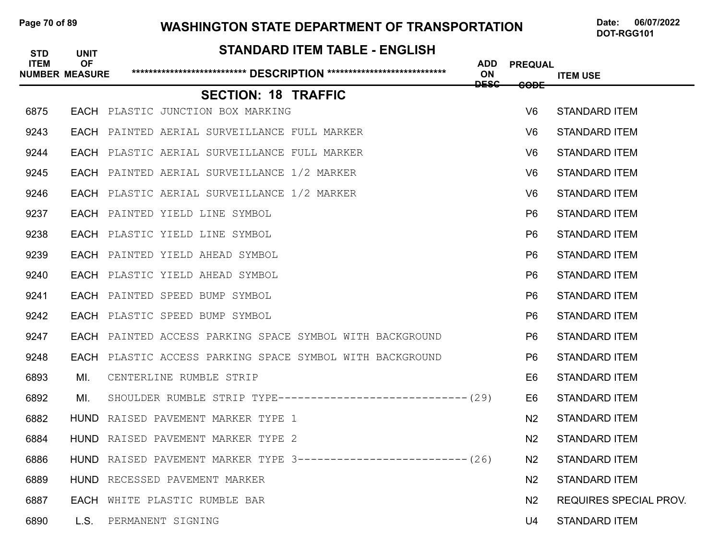### Page 70 of 89 **WASHINGTON STATE DEPARTMENT OF TRANSPORTATION** Date: 06/07/2022

## **STANDARD ITEM TABLE - ENGLISH ITEM OF ADD PREQUAL NUMBER MEASURE \*\*\*\*\*\*\*\*\*\*\*\*\*\*\*\*\*\*\*\*\*\*\*\*\*\*\* DESCRIPTION \*\*\*\*\*\*\*\*\*\*\*\*\*\*\*\*\*\*\*\*\*\*\*\*\*\*\*\* ON ITEM USE ITEM USE DESC CODE SECTION: 18 TRAFFIC** 6875 EACH PLASTIC JUNCTION BOX MARKING V6 STANDARD ITEM 9243 EACH PAINTED AERIAL SURVEILLANCE FULL MARKER V6 STANDARD ITEM 9244 EACH PLASTIC AERIAL SURVEILLANCE FULL MARKER V6 STANDARD ITEM 9245 EACH PAINTED AERIAL SURVEILLANCE 1/2 MARKER V6 STANDARD ITEM 9246 EACH PLASTIC AERIAL SURVEILLANCE 1/2 MARKER V6 STANDARD ITEM 9237 EACH PAINTED YIELD LINE SYMBOL P6 STANDARD ITEM 9238 EACH PLASTIC YIELD LINE SYMBOL P6 STANDARD ITEM 9239 EACH PAINTED YIELD AHEAD SYMBOL P6 STANDARD ITEM 9240 EACH PLASTIC YIELD AHEAD SYMBOL P6 STANDARD ITEM 9241 EACH PAINTED SPEED BUMP SYMBOL P6 STANDARD ITEM 9242 EACH PLASTIC SPEED BUMP SYMBOL P6 STANDARD ITEM 9247 • **EACH** PAINTED ACCESS PARKING SPACE SYMBOL WITH BACKGROUND **P6** STANDARD ITEM 9248 • **EACH** PLASTIC ACCESS PARKING SPACE SYMBOL WITH BACKGROUND **P6** STANDARD ITEM 6893 MI. CENTERLINE RUMBLE STRIP E6 STANDARD ITEM 6892 MI. SHOULDER RUMBLE STRIP TYPE-----------------------------(29) E6 STANDARD ITEM 6882 HUND RAISED PAVEMENT MARKER TYPE 1 NAMEL STANDARD ITEM NAMEL STANDARD ITEM 6884 HUND RAISED PAVEMENT MARKER TYPE 2 N2 STANDARD ITEM 6886 HUND RAISED PAVEMENT MARKER TYPE 3------------------------- (26) N2 STANDARD ITEM 6889 HUND RECESSED PAVEMENT MARKER N2 STANDARD ITEM 6887 • EACH WHITE PLASTIC RUMBLE BAR NATIONAL SERVICES SPECIAL PROV. 6890 L.S. PERMANENT SIGNING NEWSLEY AND STANDARD ITEM U4 STANDARD ITEM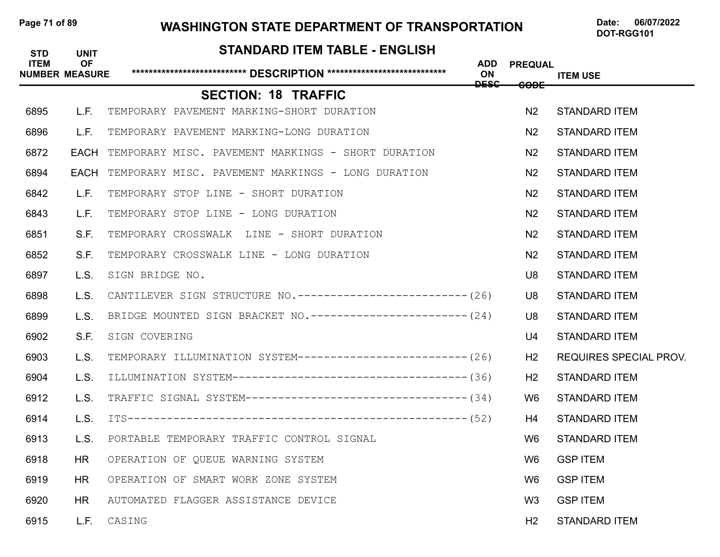### Page 71 of 89 **WASHINGTON STATE DEPARTMENT OF TRANSPORTATION** Date: 06/07/2022

## **STANDARD ITEM TABLE - ENGLISH ITEM OF ADD PREQUAL NUMBER MEASURE \*\*\*\*\*\*\*\*\*\*\*\*\*\*\*\*\*\*\*\*\*\*\*\*\*\*\* DESCRIPTION \*\*\*\*\*\*\*\*\*\*\*\*\*\*\*\*\*\*\*\*\*\*\*\*\*\*\*\* ON ITEM USE ITEM USE DESC CODE SECTION: 18 TRAFFIC** 6895 L.F. TEMPORARY PAVEMENT MARKING-SHORT DURATION NAMEL AND STANDARD ITEM 6896 L.F. TEMPORARY PAVEMENT MARKING-LONG DURATION NEWSLAMING NO STANDARD ITEM 6872 • **EACH** TEMPORARY MISC. PAVEMENT MARKINGS - SHORT DURATION N2 STANDARD ITEM 6894 • EACH TEMPORARY MISC. PAVEMENT MARKINGS - LONG DURATION NAMEL AND STANDARD ITEM 6842 L.F. TEMPORARY STOP LINE - SHORT DURATION NETWORK IN THE STANDARD ITEM 6843 L.F. TEMPORARY STOP LINE - LONG DURATION NAMES AND STANDARD ITEM 6851 S.F. TEMPORARY CROSSWALK LINE - SHORT DURATION NETWORK AND STANDARD ITEM 6852 S.F. TEMPORARY CROSSWALK LINE - LONG DURATION NAMES AND STANDARD ITEM 6897 L.S. SIGN BRIDGE NO. U8 STANDARD ITEM 6898 L.S. CANTILEVER SIGN STRUCTURE NO. --------------------------- (26) U8 STANDARD ITEM 6899 L.S. BRIDGE MOUNTED SIGN BRACKET NO.-----------------------(24) U8 STANDARD ITEM 6902 S.F. SIGN COVERING U4 STANDARD ITEM 6903 L.S. TEMPORARY ILLUMINATION SYSTEM--------------------------(26) H2 REQUIRES SPECIAL PROV. 6904 L.S. ILLUMINATION SYSTEM------------------------------------(36) H2 STANDARD ITEM 6912 L.S. TRAFFIC SIGNAL SYSTEM----------------------------------- (34) W6 STANDARD ITEM 6914 L.S. ITS----------------------------------------------------(52) H4 STANDARD ITEM 6913 L.S. PORTABLE TEMPORARY TRAFFIC CONTROL SIGNAL W6 STANDARD ITEM 6918 HR OPERATION OF QUEUE WARNING SYSTEM WARD NOT THE MOST WAS GSPITEM 6919 HR OPERATION OF SMART WORK ZONE SYSTEM W6 GSP ITEM 6920 HR AUTOMATED FLAGGER ASSISTANCE DEVICE WAS CONSUMING WARD GSPITEM 6915 L.F. CASING H2 STANDARD ITEM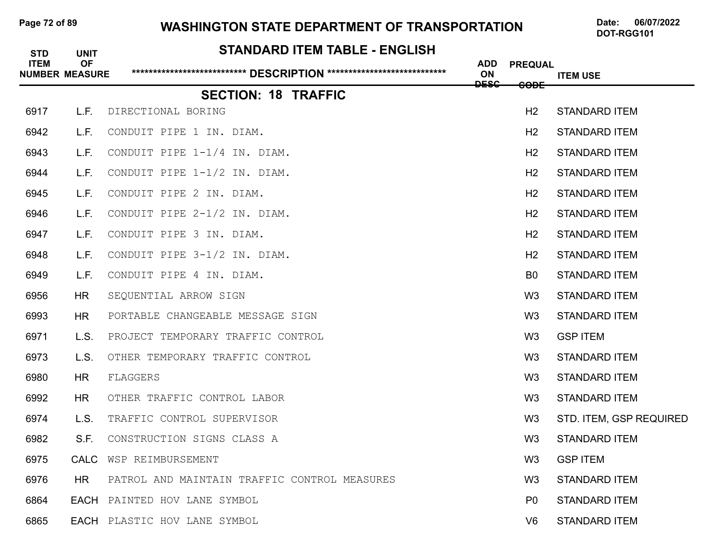### Page 72 of 89 **WASHINGTON STATE DEPARTMENT OF TRANSPORTATION** Date: 06/07/2022

| <b>STD</b><br><b>ITEM</b> | <b>UNIT</b><br><b>OF</b><br><b>NUMBER MEASURE</b> | STANDARD ITEM TABLE - ENGLISH                | <b>ADD</b><br>ON | <b>PREQUAL</b> | <b>ITEM USE</b>         |
|---------------------------|---------------------------------------------------|----------------------------------------------|------------------|----------------|-------------------------|
|                           |                                                   | <b>SECTION: 18 TRAFFIC</b>                   | <b>DESC</b>      | <b>CODE</b>    |                         |
| 6917                      | L.F.                                              | DIRECTIONAL BORING                           |                  | H2             | <b>STANDARD ITEM</b>    |
| 6942                      | L.F.                                              | CONDUIT PIPE 1 IN. DIAM.                     |                  | H2             | <b>STANDARD ITEM</b>    |
| 6943                      | L.F.                                              | CONDUIT PIPE 1-1/4 IN. DIAM.                 |                  | H <sub>2</sub> | <b>STANDARD ITEM</b>    |
| 6944                      | L.F.                                              | CONDUIT PIPE 1-1/2 IN. DIAM.                 |                  | H2             | <b>STANDARD ITEM</b>    |
| 6945                      | L.F.                                              | CONDUIT PIPE 2 IN. DIAM.                     |                  | H <sub>2</sub> | <b>STANDARD ITEM</b>    |
| 6946                      | L.F.                                              | CONDUIT PIPE 2-1/2 IN. DIAM.                 |                  | H <sub>2</sub> | <b>STANDARD ITEM</b>    |
| 6947                      | L.F.                                              | CONDUIT PIPE 3 IN. DIAM.                     |                  | H2             | <b>STANDARD ITEM</b>    |
| 6948                      | L.F.                                              | CONDUIT PIPE 3-1/2 IN. DIAM.                 |                  | H2             | <b>STANDARD ITEM</b>    |
| 6949                      | L.F.                                              | CONDUIT PIPE 4 IN. DIAM.                     |                  | B <sub>0</sub> | <b>STANDARD ITEM</b>    |
| 6956                      | <b>HR</b>                                         | SEQUENTIAL ARROW SIGN                        |                  | W <sub>3</sub> | <b>STANDARD ITEM</b>    |
| 6993                      | <b>HR</b>                                         | PORTABLE CHANGEABLE MESSAGE SIGN             |                  | W <sub>3</sub> | <b>STANDARD ITEM</b>    |
| 6971                      | L.S.                                              | PROJECT TEMPORARY TRAFFIC CONTROL            |                  | W <sub>3</sub> | <b>GSP ITEM</b>         |
| 6973                      | L.S.                                              | OTHER TEMPORARY TRAFFIC CONTROL              |                  | W <sub>3</sub> | <b>STANDARD ITEM</b>    |
| 6980                      | <b>HR</b>                                         | FLAGGERS                                     |                  | W <sub>3</sub> | <b>STANDARD ITEM</b>    |
| 6992                      | <b>HR</b>                                         | OTHER TRAFFIC CONTROL LABOR                  |                  | W <sub>3</sub> | <b>STANDARD ITEM</b>    |
| 6974                      | L.S.                                              | TRAFFIC CONTROL SUPERVISOR                   |                  | W <sub>3</sub> | STD. ITEM, GSP REQUIRED |
| 6982                      | S.F.                                              | CONSTRUCTION SIGNS CLASS A                   |                  | W <sub>3</sub> | <b>STANDARD ITEM</b>    |
| 6975                      | <b>CALC</b>                                       | WSP REIMBURSEMENT                            |                  | W <sub>3</sub> | <b>GSP ITEM</b>         |
| 6976                      | HR.                                               | PATROL AND MAINTAIN TRAFFIC CONTROL MEASURES |                  | W <sub>3</sub> | <b>STANDARD ITEM</b>    |
| 6864                      |                                                   | EACH PAINTED HOV LANE SYMBOL                 |                  | P <sub>0</sub> | <b>STANDARD ITEM</b>    |
| 6865                      |                                                   | EACH PLASTIC HOV LANE SYMBOL                 |                  | V <sub>6</sub> | <b>STANDARD ITEM</b>    |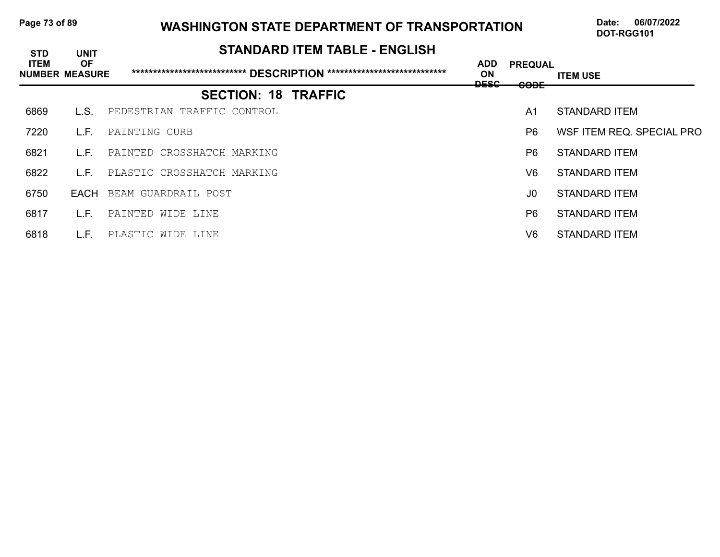| Page 73 of 89 |  |  |  |
|---------------|--|--|--|
|---------------|--|--|--|

# **Page 13 Of 120 Of 89 WASHINGTON STATE DEPARTMENT OF TRANSPORTATION** Date: 06/07/2022

| <b>STD</b>                           | <b>UNIT</b> | <b>STANDARD ITEM TABLE - ENGLISH</b> |                                 |                               |                           |
|--------------------------------------|-------------|--------------------------------------|---------------------------------|-------------------------------|---------------------------|
| <b>ITEM</b><br><b>NUMBER MEASURE</b> | <b>OF</b>   |                                      | <b>ADD</b><br>ON<br><u>neec</u> | <b>PREQUAL</b><br><b>CODE</b> | <b>ITEM USE</b>           |
|                                      |             | <b>SECTION: 18 TRAFFIC</b>           | ----                            |                               |                           |
| 6869                                 | L.S.        | PEDESTRIAN TRAFFIC CONTROL           |                                 | A <sub>1</sub>                | STANDARD ITEM             |
| 7220                                 | L.F.        | PAINTING CURB                        |                                 | P <sub>6</sub>                | WSF ITEM REQ. SPECIAL PRO |
| 6821                                 | L.F.        | PAINTED CROSSHATCH MARKING           |                                 | P6                            | STANDARD ITEM             |
| 6822                                 | L.F.        | PLASTIC CROSSHATCH MARKING           |                                 | V6                            | STANDARD ITEM             |
| 6750                                 | EACH        | BEAM GUARDRAIL POST                  |                                 | J0                            | STANDARD ITEM             |
| 6817                                 | L.F.        | PAINTED WIDE LINE                    |                                 | P <sub>6</sub>                | STANDARD ITEM             |
| 6818                                 | L.F.        | PLASTIC WIDE LINE                    |                                 | V6                            | STANDARD ITEM             |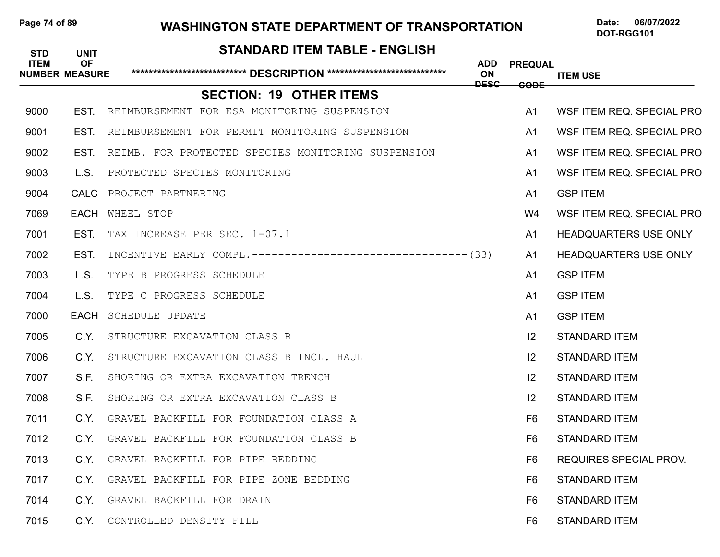# Page 74 of 89 **WASHINGTON STATE DEPARTMENT OF TRANSPORTATION** Date: 06/07/2022

# **STANDARD ITEM TABLE - ENGLISH ITEM OF ADD PREQUAL NUMBER MEASURE \*\*\*\*\*\*\*\*\*\*\*\*\*\*\*\*\*\*\*\*\*\*\*\*\*\*\* DESCRIPTION \*\*\*\*\*\*\*\*\*\*\*\*\*\*\*\*\*\*\*\*\*\*\*\*\*\*\*\* ON ITEM USE ITEM USE DESC CODE SECTION: 19 OTHER ITEMS** 9000 EST. REIMBURSEMENT FOR ESA MONITORING SUSPENSION **An INGLEAN MONITOR AN INGLEAN REQ. SPECIAL PRO** 9001 EST. REIMBURSEMENT FOR PERMIT MONITORING SUSPENSION **A1 WSFITEM REQ. SPECIAL PRO** 9002 EST. REIMB. FOR PROTECTED SPECIES MONITORING SUSPENSION **A1 WSFITEM REQ. SPECIAL PRO** 9003 L.S. PROTECTED SPECIES MONITORING A1 WSF ITEM REQ. SPECIAL PRO **9004 CALC** PROJECT PARTNERING **And CONTACT AND RESOLUTION AND RESOLUTION AT GSP ITEM** 7069 EACH WHEEL STOP W4 WSF ITEM REQ. SPECIAL PRO 7001 EST. TAX INCREASE PER SEC. 1-07.1 A1 HEADQUARTERS USE ONLY 7002 EST. INCENTIVE EARLY COMPL.---------------------------------(33) A1 HEADQUARTERS USE ONLY **7003** L.S. TYPE B PROGRESS SCHEDULE **And Server All SCHILL And SCHILL A**1 GSP ITEM **7004** L.S. TYPE C PROGRESS SCHEDULE **And CONFERENT CONTROL 7000 EACH** SCHEDULE UPDATE **And the Contract Contract Contract Contract Contract Contract Contract Contract Contract Contract Contract Contract Contract Contract Contract Contract Contract Contract Contract Contract Contr** 7005 C.Y. STRUCTURE EXCAVATION CLASS B I2 STANDARD ITEM 7006 C.Y. STRUCTURE EXCAVATION CLASS B INCL. HAUL I2 STANDARD ITEM 7007 S.F. SHORING OR EXTRA EXCAVATION TRENCH I2 STANDARD ITEM 7008 S.F. SHORING OR EXTRA EXCAVATION CLASS B I2 STANDARD ITEM 7011 C.Y. GRAVEL BACKFILL FOR FOUNDATION CLASS A FOUNDARY THE STANDARD ITEM 7012 C.Y. GRAVEL BACKFILL FOR FOUNDATION CLASS B F6 STANDARD ITEM **7013 C.Y.** GRAVEL BACKFILL FOR PIPE BEDDING **F6 REQUIRES SPECIAL PROV.** 7017 C.Y. GRAVEL BACKFILL FOR PIPE ZONE BEDDING FOR THE STANDARD ITEM 7014 C.Y. GRAVEL BACKFILL FOR DRAIN F6 STANDARD ITEM 7015 C.Y. CONTROLLED DENSITY FILL F6 STANDARD ITEM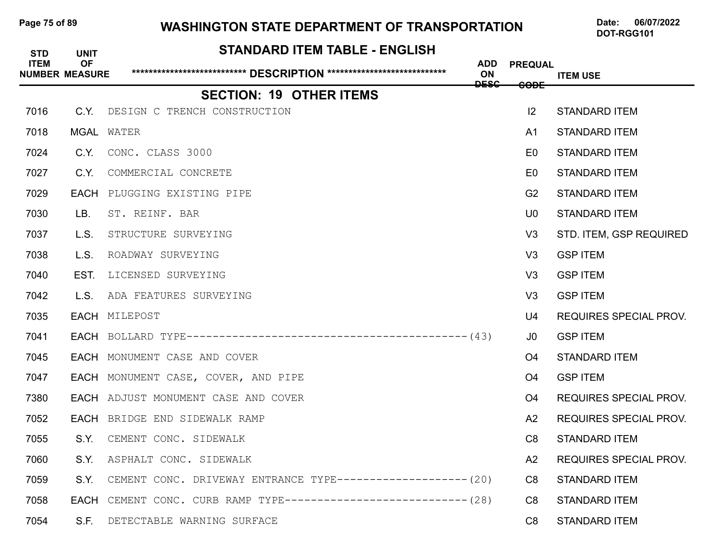| Page 75 of 89 |  |  |  |
|---------------|--|--|--|
|---------------|--|--|--|

# **Page 15 Of 15 of 89 WASHINGTON STATE DEPARTMENT OF TRANSPORTATION** Date: 06/07/2022

| <b>STD</b>  | <b>UNIT</b>                        | <b>STANDARD ITEM TABLE - ENGLISH</b>                          |                  |                |                               |
|-------------|------------------------------------|---------------------------------------------------------------|------------------|----------------|-------------------------------|
| <b>ITEM</b> | <b>OF</b><br><b>NUMBER MEASURE</b> |                                                               | <b>ADD</b><br>ON | <b>PREQUAL</b> | <b>ITEM USE</b>               |
|             |                                    | <b>SECTION: 19 OTHER ITEMS</b>                                | <b>DESC</b>      | <b>CODE</b>    |                               |
| 7016        | C.Y.                               | DESIGN C TRENCH CONSTRUCTION                                  |                  | 12             | <b>STANDARD ITEM</b>          |
| 7018        |                                    | <b>MGAL WATER</b>                                             |                  | A <sub>1</sub> | <b>STANDARD ITEM</b>          |
| 7024        | C.Y.                               | CONC. CLASS 3000                                              |                  | E <sub>0</sub> | <b>STANDARD ITEM</b>          |
| 7027        | C.Y.                               | COMMERCIAL CONCRETE                                           |                  | E0             | <b>STANDARD ITEM</b>          |
| 7029        |                                    | EACH PLUGGING EXISTING PIPE                                   |                  | G <sub>2</sub> | <b>STANDARD ITEM</b>          |
| 7030        | LB.                                | ST. REINF. BAR                                                |                  | U <sub>0</sub> | <b>STANDARD ITEM</b>          |
| 7037        | L.S.                               | STRUCTURE SURVEYING                                           |                  | V <sub>3</sub> | STD. ITEM, GSP REQUIRED       |
| 7038        | L.S.                               | ROADWAY SURVEYING                                             |                  | V <sub>3</sub> | <b>GSP ITEM</b>               |
| 7040        | EST.                               | LICENSED SURVEYING                                            |                  | V <sub>3</sub> | <b>GSP ITEM</b>               |
| 7042        | L.S.                               | ADA FEATURES SURVEYING                                        |                  | V <sub>3</sub> | <b>GSP ITEM</b>               |
| 7035        |                                    | EACH MILEPOST                                                 |                  | U4             | <b>REQUIRES SPECIAL PROV.</b> |
| 7041        |                                    |                                                               |                  | J0             | <b>GSP ITEM</b>               |
| 7045        |                                    | EACH MONUMENT CASE AND COVER                                  |                  | O <sub>4</sub> | <b>STANDARD ITEM</b>          |
| 7047        |                                    | EACH MONUMENT CASE, COVER, AND PIPE                           |                  | O <sub>4</sub> | <b>GSP ITEM</b>               |
| 7380        |                                    | EACH ADJUST MONUMENT CASE AND COVER                           |                  | O4             | <b>REQUIRES SPECIAL PROV.</b> |
| 7052        |                                    | EACH BRIDGE END SIDEWALK RAMP                                 |                  | A2             | <b>REQUIRES SPECIAL PROV.</b> |
| 7055        | S.Y.                               | CEMENT CONC. SIDEWALK                                         |                  | C <sub>8</sub> | <b>STANDARD ITEM</b>          |
| 7060        |                                    | S.Y. ASPHALT CONC. SIDEWALK                                   |                  | A2             | REQUIRES SPECIAL PROV.        |
| 7059        | S.Y.                               | CEMENT CONC. DRIVEWAY ENTRANCE TYPE------------------- (20)   |                  | C <sub>8</sub> | <b>STANDARD ITEM</b>          |
| 7058        | EACH                               | CEMENT CONC. CURB RAMP TYPE----------------------------- (28) |                  | C <sub>8</sub> | <b>STANDARD ITEM</b>          |
| 7054        | S.F.                               | DETECTABLE WARNING SURFACE                                    |                  | C <sub>8</sub> | <b>STANDARD ITEM</b>          |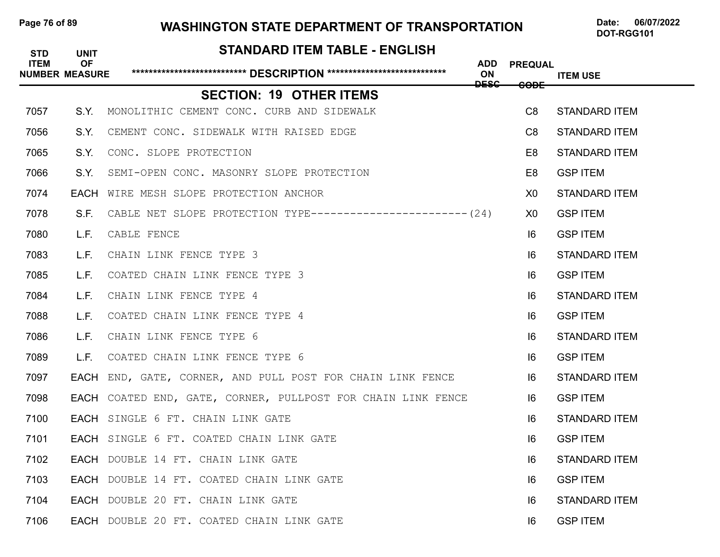# Page 76 of 89 **WASHINGTON STATE DEPARTMENT OF TRANSPORTATION** Date: 06/07/2022

# **STANDARD ITEM TABLE - ENGLISH ITEM OF ADD PREQUAL NUMBER MEASURE \*\*\*\*\*\*\*\*\*\*\*\*\*\*\*\*\*\*\*\*\*\*\*\*\*\*\* DESCRIPTION \*\*\*\*\*\*\*\*\*\*\*\*\*\*\*\*\*\*\*\*\*\*\*\*\*\*\*\* ON ITEM USE ITEM USE DESC CODE SECTION: 19 OTHER ITEMS** 7057 S.Y. MONOLITHIC CEMENT CONC. CURB AND SIDEWALK C8 STANDARD ITEM 7056 S.Y. CEMENT CONC. SIDEWALK WITH RAISED EDGE C8 STANDARD ITEM 7065 S.Y. CONC. SLOPE PROTECTION E8 STANDARD ITEM 7066 S.Y. SEMI-OPEN CONC. MASONRY SLOPE PROTECTION E8 GSP ITEM 7074 EACH WIRE MESH SLOPE PROTECTION ANCHOR X0 STANDARD ITEM 7078 S.F. CABLE NET SLOPE PROTECTION TYPE------------------------(24) X0 GSPITEM 7080 L.F. CABLE FENCE I6 GSP ITEM **7083** L.F. CHAIN LINK FENCE TYPE 3 **IG** STANDARD ITEM 7085 L.F. COATED CHAIN LINK FENCE TYPE 3 I6 GSP ITEM 7084 L.F. CHAIN LINK FENCE TYPE 4 International control of the STANDARD ITEM is the STANDARD ITEM **7088** L.F. COATED CHAIN LINK FENCE TYPE 4 **In the set of the SSP ITEM 7086** L.F. CHAIN LINK FENCE TYPE 6 **If the state of the STANDARD ITEM** 7089 L.F. COATED CHAIN LINK FENCE TYPE 6 I6 GSP ITEM 7097 FACH END, GATE, CORNER, AND PULL POST FOR CHAIN LINK FENCE **16 STANDARD ITEM** 7098 **EACH** COATED END, GATE, CORNER, PULLPOST FOR CHAIN LINK FENCE **IG GSPITEM 7100 EACH** SINGLE 6 FT. CHAIN LINK GATE 7101 EACH SINGLE 6 FT. COATED CHAIN LINK GATE I6 GSP ITEM 7102 EACH DOUBLE 14 FT. CHAIN LINK GATE I6 STANDARD ITEM 7103 EACH DOUBLE 14 FT. COATED CHAIN LINK GATE I6 GSP ITEM 7104 EACH DOUBLE 20 FT. CHAIN LINK GATE I6 STANDARD ITEM 7106 EACH DOUBLE 20 FT. COATED CHAIN LINK GATE I6 GSP ITEM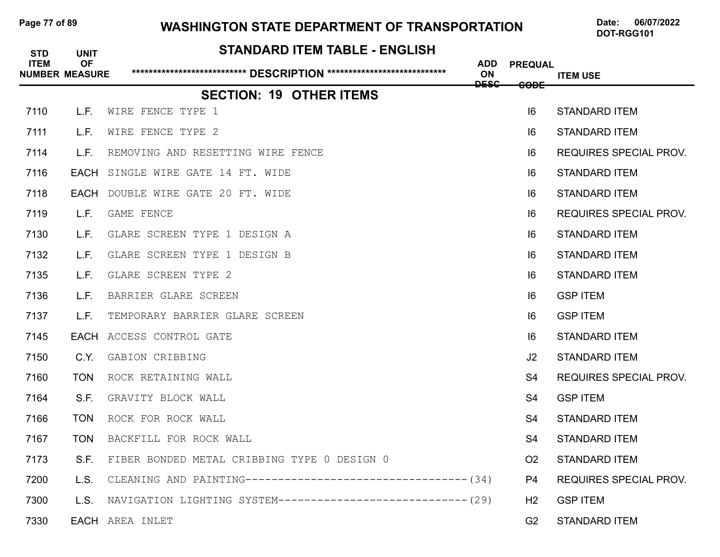# Page 77 of 89 WASHINGTON STATE DEPARTMENT OF TRANSPORTATION Date: 06/07/2022

| <b>STD</b><br><b>ITEM</b> | <b>UNIT</b><br><b>OF</b><br><b>NUMBER MEASURE</b> | <b>STANDARD ITEM TABLE - ENGLISH</b>                         | <b>ADD</b><br>ON | <b>PREQUAL</b> | <b>ITEM USE</b>               |
|---------------------------|---------------------------------------------------|--------------------------------------------------------------|------------------|----------------|-------------------------------|
|                           |                                                   | <b>SECTION: 19 OTHER ITEMS</b>                               | <b>DESC</b>      | <b>CODE</b>    |                               |
| 7110                      | L.F.                                              | WIRE FENCE TYPE 1                                            |                  | 6              | <b>STANDARD ITEM</b>          |
| 7111                      | L.F.                                              | WIRE FENCE TYPE 2                                            |                  | 6              | <b>STANDARD ITEM</b>          |
| 7114                      | L.F.                                              | REMOVING AND RESETTING WIRE FENCE                            |                  | 16             | <b>REQUIRES SPECIAL PROV.</b> |
| 7116                      | EACH                                              | SINGLE WIRE GATE 14 FT. WIDE                                 |                  | 16             | <b>STANDARD ITEM</b>          |
| 7118                      | EACH                                              | DOUBLE WIRE GATE 20 FT. WIDE                                 |                  | 6              | <b>STANDARD ITEM</b>          |
| 7119                      | L.F.                                              | GAME FENCE                                                   |                  | 6              | <b>REQUIRES SPECIAL PROV.</b> |
| 7130                      | L.F.                                              | GLARE SCREEN TYPE 1 DESIGN A                                 |                  | 16             | <b>STANDARD ITEM</b>          |
| 7132                      | L.F.                                              | GLARE SCREEN TYPE 1 DESIGN B                                 |                  | 6              | <b>STANDARD ITEM</b>          |
| 7135                      | L.F.                                              | GLARE SCREEN TYPE 2                                          |                  | 6              | <b>STANDARD ITEM</b>          |
| 7136                      | L.F.                                              | BARRIER GLARE SCREEN                                         |                  | 6              | <b>GSP ITEM</b>               |
| 7137                      | L.F.                                              | TEMPORARY BARRIER GLARE SCREEN                               |                  | 6              | <b>GSP ITEM</b>               |
| 7145                      |                                                   | EACH ACCESS CONTROL GATE                                     |                  | 6              | <b>STANDARD ITEM</b>          |
| 7150                      | C.Y.                                              | GABION CRIBBING                                              |                  | J2             | <b>STANDARD ITEM</b>          |
| 7160                      | <b>TON</b>                                        | ROCK RETAINING WALL                                          |                  | S4             | <b>REQUIRES SPECIAL PROV.</b> |
| 7164                      | S.F.                                              | GRAVITY BLOCK WALL                                           |                  | S4             | <b>GSP ITEM</b>               |
| 7166                      | <b>TON</b>                                        | ROCK FOR ROCK WALL                                           |                  | S4             | <b>STANDARD ITEM</b>          |
| 7167                      | <b>TON</b>                                        | BACKFILL FOR ROCK WALL                                       |                  | S <sub>4</sub> | <b>STANDARD ITEM</b>          |
| 7173                      | S.F.                                              | FIBER BONDED METAL CRIBBING TYPE 0 DESIGN 0                  |                  | O <sub>2</sub> | <b>STANDARD ITEM</b>          |
| 7200                      | L.S.                                              |                                                              |                  | P4             | REQUIRES SPECIAL PROV.        |
| 7300                      | L.S.                                              | NAVIGATION LIGHTING SYSTEM----------------------------- (29) |                  | H2             | <b>GSP ITEM</b>               |
| 7330                      |                                                   | <b>EACH</b> AREA INLET                                       |                  | G <sub>2</sub> | <b>STANDARD ITEM</b>          |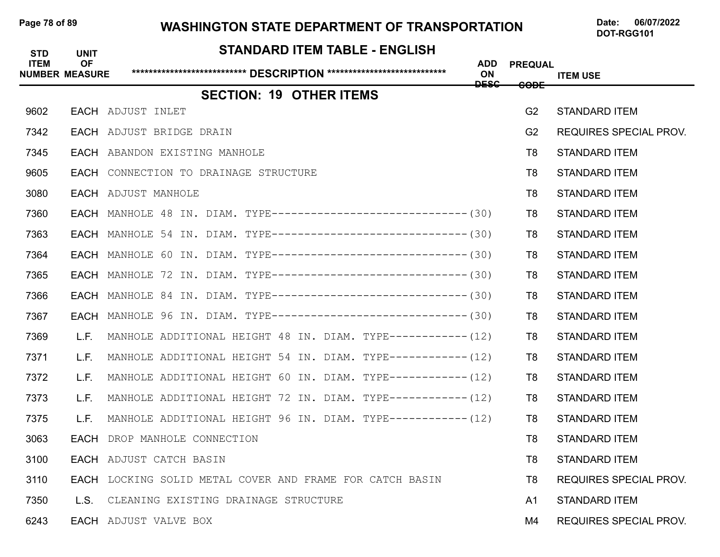# Page 78 of 89 **WASHINGTON STATE DEPARTMENT OF TRANSPORTATION** Date: 06/07/2022

# **STANDARD ITEM TABLE - ENGLISH ITEM OF ADD PREQUAL NUMBER MEASURE \*\*\*\*\*\*\*\*\*\*\*\*\*\*\*\*\*\*\*\*\*\*\*\*\*\*\* DESCRIPTION \*\*\*\*\*\*\*\*\*\*\*\*\*\*\*\*\*\*\*\*\*\*\*\*\*\*\*\* ON ITEM USE DESC CODE SECTION: 19 OTHER ITEMS** 9602 EACH ADJUST INLET G2 STANDARD ITEM 7342 EACH ADJUST BRIDGE DRAIN G2 REQUIRES SPECIAL PROV. 7345 EACH ABANDON EXISTING MANHOLE T8 STANDARD ITEM 9605 EACH CONNECTION TO DRAINAGE STRUCTURE T8 STANDARD ITEM 3080 EACH ADJUST MANHOLE T8 STANDARD ITEM 7360 EACH MANHOLE 48 IN. DIAM. TYPE----------------------------- (30) T8 STANDARD ITEM 7363 EACH MANHOLE 54 IN. DIAM. TYPE------------------------------(30) T8 STANDARD ITEM 7364 EACH MANHOLE 60 IN. DIAM. TYPE------------------------------(30) T8 STANDARD ITEM 7365 EACH MANHOLE 72 IN. DIAM. TYPE------------------------------ (30) T8 STANDARD ITEM 7366 EACH MANHOLE 84 IN. DIAM. TYPE-----------------------------(30) T8 STANDARD ITEM 7367 EACH MANHOLE 96 IN. DIAM. TYPE------------------------------ (30) T8 STANDARD ITEM 7369 L.F. MANHOLE ADDITIONAL HEIGHT 48 IN. DIAM. TYPE-----------(12) T8 STANDARD ITEM 7371 L.F. MANHOLE ADDITIONAL HEIGHT 54 IN. DIAM. TYPE-----------(12) T8 STANDARD ITEM 7372 L.F. MANHOLE ADDITIONAL HEIGHT 60 IN. DIAM. TYPE-----------(12) T8 STANDARD ITEM 7373 L.F. MANHOLE ADDITIONAL HEIGHT 72 IN. DIAM. TYPE-----------(12) T8 STANDARD ITEM 7375 L.F. MANHOLE ADDITIONAL HEIGHT 96 IN. DIAM. TYPE-----------(12) T8 STANDARD ITEM 3063 EACH DROP MANHOLE CONNECTION T8 STANDARD ITEM 3100 EACH ADJUST CATCH BASIN T8 STANDARD ITEM 3110 **EACH** LOCKING SOLID METAL COVER AND FRAME FOR CATCH BASIN **TREQUIRES SPECIAL PROV.** 7350 L.S. CLEANING EXISTING DRAINAGE STRUCTURE AND STANDARD TEM 6243 EACH ADJUST VALVE BOX M4 REQUIRES SPECIAL PROV.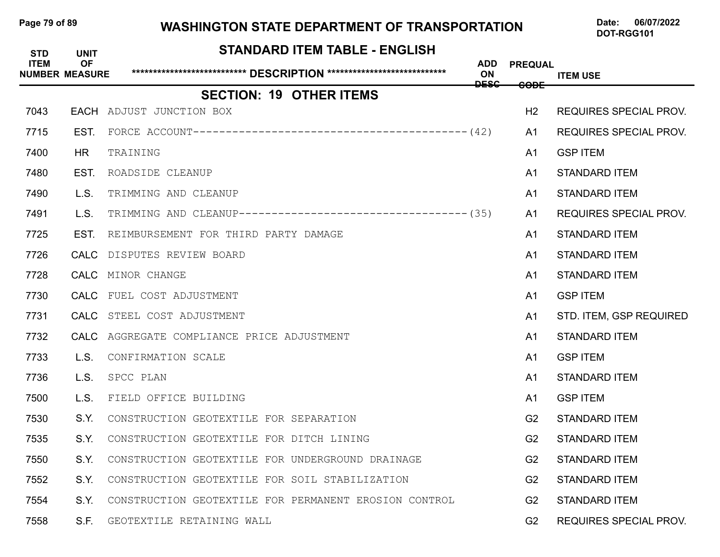# Page 79 of 89 WASHINGTON STATE DEPARTMENT OF TRANSPORTATION Date: 06/07/2022

| <b>STD</b><br><b>ITEM</b> | <b>UNIT</b><br><b>OF</b><br><b>NUMBER MEASURE</b> | <b>STANDARD ITEM TABLE - ENGLISH</b>                         | ADD<br>ON   | <b>PREQUAL</b>  | <b>ITEM USE</b>               |
|---------------------------|---------------------------------------------------|--------------------------------------------------------------|-------------|-----------------|-------------------------------|
|                           |                                                   | <b>SECTION: 19 OTHER ITEMS</b>                               | <b>DESC</b> | <del>CODE</del> |                               |
| 7043                      |                                                   | <b>EACH</b> ADJUST JUNCTION BOX                              |             | H <sub>2</sub>  | <b>REQUIRES SPECIAL PROV.</b> |
| 7715                      | EST.                                              |                                                              |             | A1              | <b>REQUIRES SPECIAL PROV.</b> |
| 7400                      | HR.                                               | TRAINING                                                     |             | A <sub>1</sub>  | <b>GSP ITEM</b>               |
| 7480                      | EST.                                              | ROADSIDE CLEANUP                                             |             | A <sub>1</sub>  | <b>STANDARD ITEM</b>          |
| 7490                      | L.S.                                              | TRIMMING AND CLEANUP                                         |             | A <sub>1</sub>  | <b>STANDARD ITEM</b>          |
| 7491                      | L.S.                                              | TRIMMING AND CLEANUP----------------------------------- (35) |             | A1              | <b>REQUIRES SPECIAL PROV.</b> |
| 7725                      | EST.                                              | REIMBURSEMENT FOR THIRD PARTY DAMAGE                         |             | A <sub>1</sub>  | <b>STANDARD ITEM</b>          |
| 7726                      |                                                   | CALC DISPUTES REVIEW BOARD                                   |             | A <sub>1</sub>  | <b>STANDARD ITEM</b>          |
| 7728                      |                                                   | CALC MINOR CHANGE                                            |             | A <sub>1</sub>  | <b>STANDARD ITEM</b>          |
| 7730                      |                                                   | CALC FUEL COST ADJUSTMENT                                    |             | A <sub>1</sub>  | <b>GSP ITEM</b>               |
| 7731                      |                                                   | CALC STEEL COST ADJUSTMENT                                   |             | A <sub>1</sub>  | STD. ITEM, GSP REQUIRED       |
| 7732                      |                                                   | CALC AGGREGATE COMPLIANCE PRICE ADJUSTMENT                   |             | A <sub>1</sub>  | <b>STANDARD ITEM</b>          |
| 7733                      | L.S.                                              | CONFIRMATION SCALE                                           |             | A <sub>1</sub>  | <b>GSP ITEM</b>               |
| 7736                      | L.S.                                              | SPCC PLAN                                                    |             | A <sub>1</sub>  | <b>STANDARD ITEM</b>          |
| 7500                      | L.S.                                              | FIELD OFFICE BUILDING                                        |             | A <sub>1</sub>  | <b>GSP ITEM</b>               |
| 7530                      | S.Y.                                              | CONSTRUCTION GEOTEXTILE FOR SEPARATION                       |             | G <sub>2</sub>  | <b>STANDARD ITEM</b>          |
| 7535                      | S.Y.                                              | CONSTRUCTION GEOTEXTILE FOR DITCH LINING                     |             | G <sub>2</sub>  | <b>STANDARD ITEM</b>          |
| 7550                      | S.Y.                                              | CONSTRUCTION GEOTEXTILE FOR UNDERGROUND DRAINAGE             |             | G <sub>2</sub>  | <b>STANDARD ITEM</b>          |
| 7552                      | S.Y.                                              | CONSTRUCTION GEOTEXTILE FOR SOIL STABILIZATION               |             | G <sub>2</sub>  | <b>STANDARD ITEM</b>          |
| 7554                      | S.Y.                                              | CONSTRUCTION GEOTEXTILE FOR PERMANENT EROSION CONTROL        |             | G <sub>2</sub>  | <b>STANDARD ITEM</b>          |
| 7558                      | S.F.                                              | GEOTEXTILE RETAINING WALL                                    |             | G <sub>2</sub>  | <b>REQUIRES SPECIAL PROV.</b> |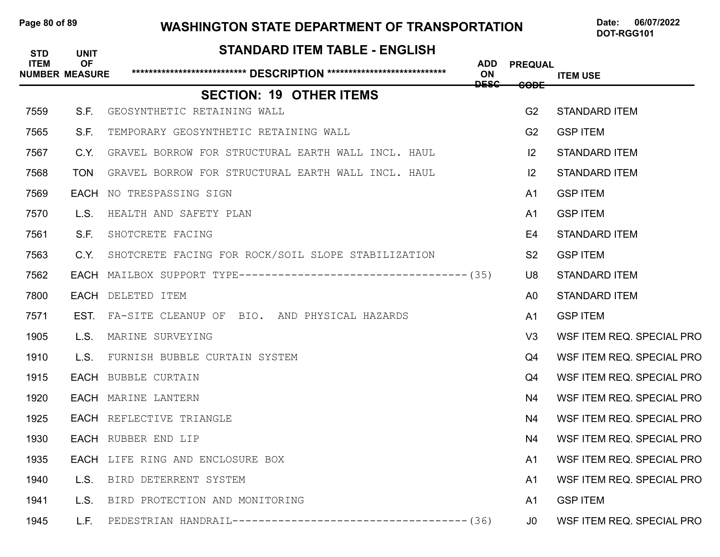# Page 80 of 89 **WASHINGTON STATE DEPARTMENT OF TRANSPORTATION** Date: 06/07/2022

# **STANDARD ITEM TABLE - ENGLISH ITEM OF ADD PREQUAL NUMBER MEASURE \*\*\*\*\*\*\*\*\*\*\*\*\*\*\*\*\*\*\*\*\*\*\*\*\*\*\* DESCRIPTION \*\*\*\*\*\*\*\*\*\*\*\*\*\*\*\*\*\*\*\*\*\*\*\*\*\*\*\* ON ITEM USE ITEM USE DESC CODE SECTION: 19 OTHER ITEMS** 7559 S.F. GEOSYNTHETIC RETAINING WALL G2 STANDARD ITEM 7565 S.F. TEMPORARY GEOSYNTHETIC RETAINING WALL G2 GSP ITEM 7567 C.Y. GRAVEL BORROW FOR STRUCTURAL EARTH WALL INCL. HAUL **INCLEART IN STANDARD ITEM** 7568 TON GRAVEL BORROW FOR STRUCTURAL EARTH WALL INCL. HAUL **INCLEART IN THE STANDARD ITEM 7569 EACH** NO TRESPASSING SIGN **AND REACH AND REACH AND REACH AND REACH AND REACH AND REACH AND REACH ITEM** 7570 L.S. HEALTH AND SAFETY PLAN And the series of the series of the series of the series of the series of the 7561 S.F. SHOTCRETE FACING E4 STANDARD ITEM 7563 C.Y. SHOTCRETE FACING FOR ROCK/SOIL SLOPE STABILIZATION S2 GSP ITEM 7562 EACH MAILBOX SUPPORT TYPE-----------------------------------(35) U8 STANDARD ITEM 7800 EACH DELETED ITEM A0 STANDARD ITEM 7571 EST. FA-SITE CLEANUP OF BIO. AND PHYSICAL HAZARDS A1 GSP ITEM 1905 L.S. MARINE SURVEYING V3 WSF ITEM REQ. SPECIAL PRO 1910 L.S. FURNISH BUBBLE CURTAIN SYSTEM Q4 WSF ITEM REQ. SPECIAL PRO 1915 EACH BUBBLE CURTAIN Q4 WSF ITEM REQ. SPECIAL PRO 1920 EACH MARINE LANTERN N4 WSF ITEM REQ. SPECIAL PRO 1925 EACH REFLECTIVE TRIANGLE N4 WSF ITEM REQ. SPECIAL PRO 1930 EACH RUBBER END LIP N4 WSF ITEM REQ. SPECIAL PRO 1935 • EACH LIFE RING AND ENCLOSURE BOX **And All Strategies Control Control Control Control Control Control Contr** 1940 L.S. BIRD DETERRENT SYSTEM **And All And An And An And An And An And An An An An An An An An An An An An An** 1941 L.S. BIRD PROTECTION AND MONITORING **And CONFERNAL SEPTEM** 1945 L.F. PEDESTRIAN HANDRAIL------------------------------------(36) J0 WSF ITEM REQ. SPECIAL PRO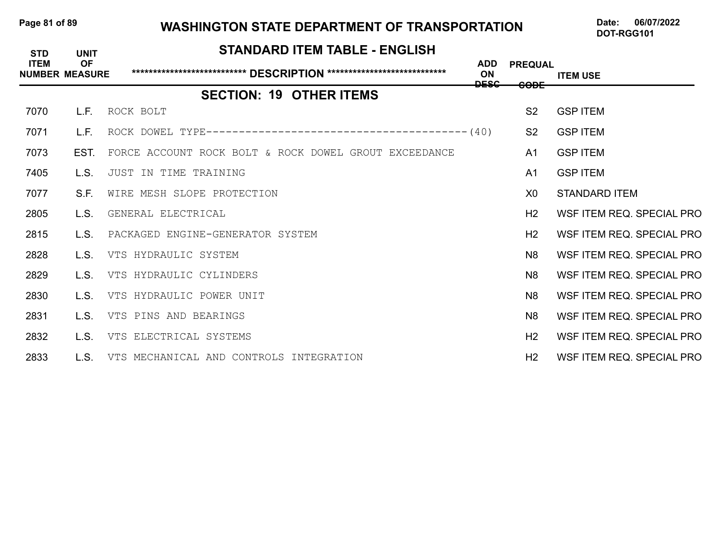## Page 81 of 89 WASHINGTON STATE DEPARTMENT OF TRANSPORTATION Date: 06/07/2022

| <b>STD</b>  | <b>UNIT</b>                        | <b>STANDARD ITEM TABLE - ENGLISH</b>                  |                                 |                                   |                           |
|-------------|------------------------------------|-------------------------------------------------------|---------------------------------|-----------------------------------|---------------------------|
| <b>ITEM</b> | <b>OF</b><br><b>NUMBER MEASURE</b> |                                                       | <b>ADD</b><br>ON<br><b>DESC</b> | <b>PREQUAL</b><br><del>CODE</del> | <b>ITEM USE</b>           |
|             |                                    | <b>SECTION: 19 OTHER ITEMS</b>                        |                                 |                                   |                           |
| 7070        | L.F.                               | ROCK BOLT                                             |                                 | S <sub>2</sub>                    | <b>GSP ITEM</b>           |
| 7071        | L.F.                               |                                                       |                                 | S <sub>2</sub>                    | <b>GSP ITEM</b>           |
| 7073        | EST.                               | FORCE ACCOUNT ROCK BOLT & ROCK DOWEL GROUT EXCEEDANCE |                                 | A <sub>1</sub>                    | <b>GSP ITEM</b>           |
| 7405        | L.S.                               | JUST IN TIME TRAINING                                 |                                 | A <sub>1</sub>                    | <b>GSP ITEM</b>           |
| 7077        | S.F.                               | WIRE MESH SLOPE PROTECTION                            |                                 | X <sub>0</sub>                    | <b>STANDARD ITEM</b>      |
| 2805        | L.S.                               | GENERAL ELECTRICAL                                    |                                 | H <sub>2</sub>                    | WSF ITEM REQ. SPECIAL PRO |
| 2815        | L.S.                               | PACKAGED ENGINE-GENERATOR SYSTEM                      |                                 | H <sub>2</sub>                    | WSF ITEM REQ. SPECIAL PRO |
| 2828        | IS.                                | VTS HYDRAULIC SYSTEM                                  |                                 | N <sub>8</sub>                    | WSF ITEM REQ. SPECIAL PRO |
| 2829        | L.S.                               | VTS HYDRAULIC CYLINDERS                               |                                 | N <sub>8</sub>                    | WSF ITEM REQ. SPECIAL PRO |
| 2830        | L.S.                               | VTS HYDRAULIC POWER UNIT                              |                                 | N <sub>8</sub>                    | WSF ITEM REQ. SPECIAL PRO |
| 2831        | L.S.                               | VTS PINS AND BEARINGS                                 |                                 | N <sub>8</sub>                    | WSF ITEM REQ. SPECIAL PRO |
| 2832        | L.S.                               | VTS ELECTRICAL SYSTEMS                                |                                 | H <sub>2</sub>                    | WSF ITEM REQ. SPECIAL PRO |
| 2833        | L.S.                               | VTS MECHANICAL AND CONTROLS INTEGRATION               |                                 | H <sub>2</sub>                    | WSF ITEM REQ. SPECIAL PRO |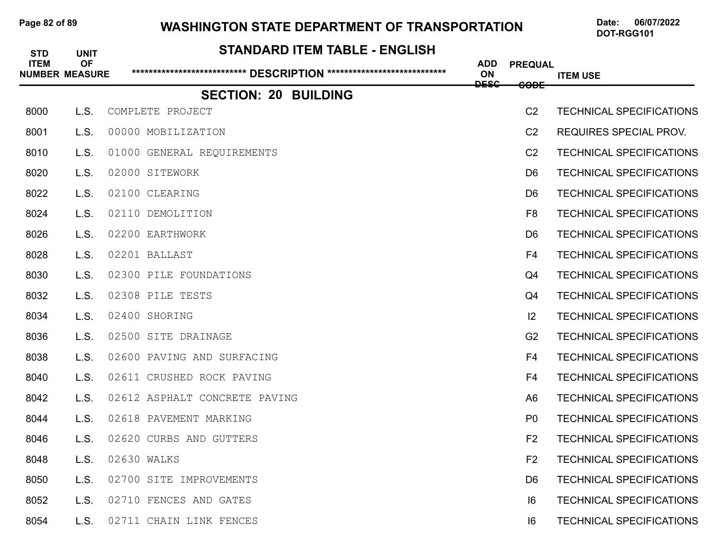# Page 82 of 89 **WASHINGTON STATE DEPARTMENT OF TRANSPORTATION** Date: 06/07/2022

| <b>STD</b><br><b>ITEM</b> | <b>UNIT</b><br><b>OF</b> | <b>STANDARD ITEM TABLE - ENGLISH</b> | <b>ADD</b>  | <b>PREQUAL</b>  |                                 |
|---------------------------|--------------------------|--------------------------------------|-------------|-----------------|---------------------------------|
|                           | <b>NUMBER MEASURE</b>    |                                      | ON          |                 | <b>ITEM USE</b>                 |
|                           |                          | <b>SECTION: 20 BUILDING</b>          | <b>DESC</b> | <del>CODE</del> |                                 |
| 8000                      | L.S.                     | COMPLETE PROJECT                     |             | C <sub>2</sub>  | <b>TECHNICAL SPECIFICATIONS</b> |
| 8001                      | L.S.                     | 00000 MOBILIZATION                   |             | C <sub>2</sub>  | <b>REQUIRES SPECIAL PROV.</b>   |
| 8010                      | L.S.                     | 01000 GENERAL REQUIREMENTS           |             | C <sub>2</sub>  | <b>TECHNICAL SPECIFICATIONS</b> |
| 8020                      | L.S.                     | 02000 SITEWORK                       |             | D <sub>6</sub>  | <b>TECHNICAL SPECIFICATIONS</b> |
| 8022                      | L.S.                     | 02100 CLEARING                       |             | D <sub>6</sub>  | <b>TECHNICAL SPECIFICATIONS</b> |
| 8024                      | L.S.                     | 02110<br>DEMOLITION                  |             | F <sub>8</sub>  | <b>TECHNICAL SPECIFICATIONS</b> |
| 8026                      | L.S.                     | 02200 EARTHWORK                      |             | D <sub>6</sub>  | <b>TECHNICAL SPECIFICATIONS</b> |
| 8028                      | L.S.                     | 02201 BALLAST                        |             | F4              | <b>TECHNICAL SPECIFICATIONS</b> |
| 8030                      | L.S.                     | 02300 PILE FOUNDATIONS               |             | Q <sub>4</sub>  | <b>TECHNICAL SPECIFICATIONS</b> |
| 8032                      | L.S.                     | 02308 PILE TESTS                     |             | Q4              | <b>TECHNICAL SPECIFICATIONS</b> |
| 8034                      | L.S.                     | 02400 SHORING                        |             | 12              | <b>TECHNICAL SPECIFICATIONS</b> |
| 8036                      | L.S.                     | 02500 SITE DRAINAGE                  |             | G <sub>2</sub>  | <b>TECHNICAL SPECIFICATIONS</b> |
| 8038                      | L.S.                     | 02600 PAVING AND SURFACING           |             | F <sub>4</sub>  | <b>TECHNICAL SPECIFICATIONS</b> |
| 8040                      | L.S.                     | 02611 CRUSHED ROCK PAVING            |             | F <sub>4</sub>  | <b>TECHNICAL SPECIFICATIONS</b> |
| 8042                      | L.S.                     | 02612 ASPHALT CONCRETE PAVING        |             | A <sub>6</sub>  | <b>TECHNICAL SPECIFICATIONS</b> |
| 8044                      | L.S.                     | 02618 PAVEMENT MARKING               |             | P <sub>0</sub>  | <b>TECHNICAL SPECIFICATIONS</b> |
| 8046                      | L.S.                     | 02620 CURBS AND GUTTERS              |             | F <sub>2</sub>  | <b>TECHNICAL SPECIFICATIONS</b> |
| 8048                      | L.S.                     | 02630 WALKS                          |             | F <sub>2</sub>  | <b>TECHNICAL SPECIFICATIONS</b> |
| 8050                      | L.S.                     | 02700 SITE IMPROVEMENTS              |             | D <sub>6</sub>  | <b>TECHNICAL SPECIFICATIONS</b> |
| 8052                      | L.S.                     | 02710 FENCES AND GATES               |             | 16              | <b>TECHNICAL SPECIFICATIONS</b> |
| 8054                      | L.S.                     | 02711 CHAIN LINK FENCES              |             | 16              | <b>TECHNICAL SPECIFICATIONS</b> |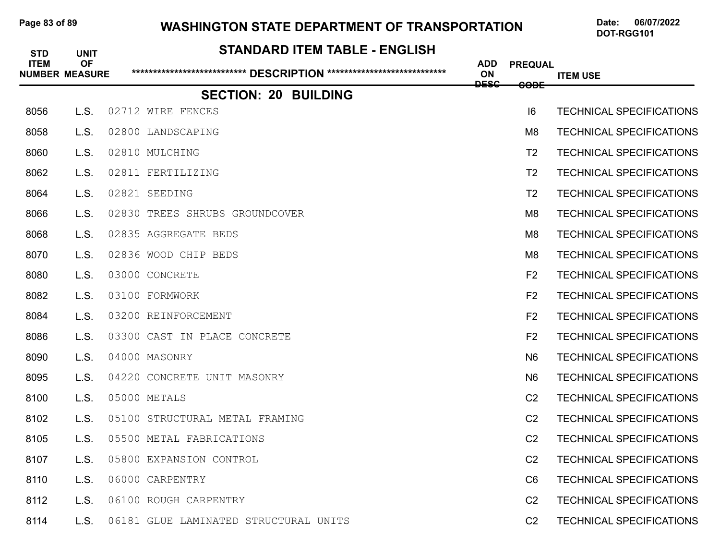# Page 83 of 89 WASHINGTON STATE DEPARTMENT OF TRANSPORTATION Date: 06/07/2022

| <b>STD</b><br><b>ITEM</b> | <b>UNIT</b><br><b>OF</b> | <b>STANDARD ITEM TABLE - ENGLISH</b>  | <b>ADD</b>        | <b>PREQUAL</b>  |                                 |
|---------------------------|--------------------------|---------------------------------------|-------------------|-----------------|---------------------------------|
|                           | <b>NUMBER MEASURE</b>    |                                       | ON<br><b>DESC</b> | <del>CODE</del> | <b>ITEM USE</b>                 |
|                           |                          | <b>SECTION: 20 BUILDING</b>           |                   |                 |                                 |
| 8056                      | L.S.                     | 02712 WIRE FENCES                     |                   | 6               | <b>TECHNICAL SPECIFICATIONS</b> |
| 8058                      | L.S.                     | 02800 LANDSCAPING                     |                   | M <sub>8</sub>  | <b>TECHNICAL SPECIFICATIONS</b> |
| 8060                      | L.S.                     | 02810 MULCHING                        |                   | T <sub>2</sub>  | <b>TECHNICAL SPECIFICATIONS</b> |
| 8062                      | L.S.                     | 02811 FERTILIZING                     |                   | T <sub>2</sub>  | <b>TECHNICAL SPECIFICATIONS</b> |
| 8064                      | L.S.                     | 02821 SEEDING                         |                   | T <sub>2</sub>  | <b>TECHNICAL SPECIFICATIONS</b> |
| 8066                      | L.S.                     | 02830 TREES SHRUBS GROUNDCOVER        |                   | M <sub>8</sub>  | <b>TECHNICAL SPECIFICATIONS</b> |
| 8068                      | L.S.                     | 02835 AGGREGATE BEDS                  |                   | M <sub>8</sub>  | <b>TECHNICAL SPECIFICATIONS</b> |
| 8070                      | L.S.                     | 02836 WOOD CHIP BEDS                  |                   | M <sub>8</sub>  | <b>TECHNICAL SPECIFICATIONS</b> |
| 8080                      | L.S.                     | 03000 CONCRETE                        |                   | F <sub>2</sub>  | <b>TECHNICAL SPECIFICATIONS</b> |
| 8082                      | L.S.                     | 03100 FORMWORK                        |                   | F <sub>2</sub>  | <b>TECHNICAL SPECIFICATIONS</b> |
| 8084                      | L.S.                     | 03200 REINFORCEMENT                   |                   | F <sub>2</sub>  | <b>TECHNICAL SPECIFICATIONS</b> |
| 8086                      | L.S.                     | 03300 CAST IN PLACE CONCRETE          |                   | F <sub>2</sub>  | <b>TECHNICAL SPECIFICATIONS</b> |
| 8090                      | L.S.                     | 04000 MASONRY                         |                   | N <sub>6</sub>  | <b>TECHNICAL SPECIFICATIONS</b> |
| 8095                      | L.S.                     | 04220 CONCRETE UNIT MASONRY           |                   | N <sub>6</sub>  | <b>TECHNICAL SPECIFICATIONS</b> |
| 8100                      | L.S.                     | 05000 METALS                          |                   | C <sub>2</sub>  | <b>TECHNICAL SPECIFICATIONS</b> |
| 8102                      | L.S.                     | 05100 STRUCTURAL METAL FRAMING        |                   | C <sub>2</sub>  | <b>TECHNICAL SPECIFICATIONS</b> |
| 8105                      | L.S.                     | 05500 METAL FABRICATIONS              |                   | C <sub>2</sub>  | <b>TECHNICAL SPECIFICATIONS</b> |
| 8107                      | L.S.                     | 05800 EXPANSION CONTROL               |                   | C <sub>2</sub>  | <b>TECHNICAL SPECIFICATIONS</b> |
| 8110                      | L.S.                     | 06000 CARPENTRY                       |                   | C <sub>6</sub>  | <b>TECHNICAL SPECIFICATIONS</b> |
| 8112                      | L.S.                     | 06100 ROUGH CARPENTRY                 |                   | C <sub>2</sub>  | <b>TECHNICAL SPECIFICATIONS</b> |
| 8114                      | L.S.                     | 06181 GLUE LAMINATED STRUCTURAL UNITS |                   | C <sub>2</sub>  | <b>TECHNICAL SPECIFICATIONS</b> |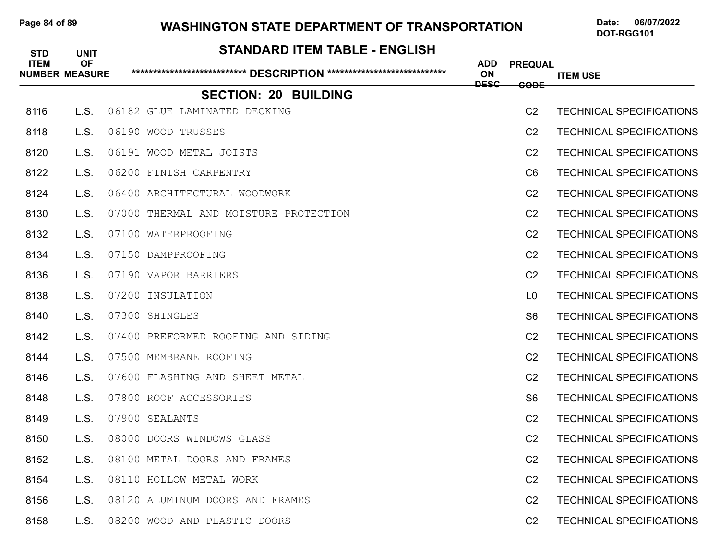# Page 84 of 89 WASHINGTON STATE DEPARTMENT OF TRANSPORTATION Date: 06/07/2022

| <b>STD</b><br><b>ITEM</b> | <b>UNIT</b><br><b>OF</b><br><b>NUMBER MEASURE</b> | <b>STANDARD ITEM TABLE - ENGLISH</b><br>****************************** DESCRIPTION **************************** | <b>ADD</b><br>ON | <b>PREQUAL</b>  | <b>ITEM USE</b>                 |
|---------------------------|---------------------------------------------------|-----------------------------------------------------------------------------------------------------------------|------------------|-----------------|---------------------------------|
|                           |                                                   | <b>SECTION: 20 BUILDING</b>                                                                                     | <b>DESC</b>      | <del>CODE</del> |                                 |
| 8116                      | L.S.                                              | 06182 GLUE LAMINATED DECKING                                                                                    |                  | C <sub>2</sub>  | <b>TECHNICAL SPECIFICATIONS</b> |
| 8118                      | L.S.                                              | 06190 WOOD TRUSSES                                                                                              |                  | C <sub>2</sub>  | <b>TECHNICAL SPECIFICATIONS</b> |
| 8120                      | L.S.                                              | 06191 WOOD METAL JOISTS                                                                                         |                  | C <sub>2</sub>  | <b>TECHNICAL SPECIFICATIONS</b> |
| 8122                      | L.S.                                              | 06200 FINISH CARPENTRY                                                                                          |                  | C <sub>6</sub>  | <b>TECHNICAL SPECIFICATIONS</b> |
| 8124                      | L.S.                                              | 06400 ARCHITECTURAL WOODWORK                                                                                    |                  | C <sub>2</sub>  | <b>TECHNICAL SPECIFICATIONS</b> |
| 8130                      | L.S.                                              | 07000 THERMAL AND MOISTURE PROTECTION                                                                           |                  | C <sub>2</sub>  | <b>TECHNICAL SPECIFICATIONS</b> |
| 8132                      | L.S.                                              | 07100 WATERPROOFING                                                                                             |                  | C <sub>2</sub>  | <b>TECHNICAL SPECIFICATIONS</b> |
| 8134                      | L.S.                                              | 07150 DAMPPROOFING                                                                                              |                  | C <sub>2</sub>  | <b>TECHNICAL SPECIFICATIONS</b> |
| 8136                      | L.S.                                              | 07190 VAPOR BARRIERS                                                                                            |                  | C <sub>2</sub>  | <b>TECHNICAL SPECIFICATIONS</b> |
| 8138                      | L.S.                                              | 07200 INSULATION                                                                                                |                  | L <sub>0</sub>  | <b>TECHNICAL SPECIFICATIONS</b> |
| 8140                      | L.S.                                              | 07300 SHINGLES                                                                                                  |                  | S <sub>6</sub>  | <b>TECHNICAL SPECIFICATIONS</b> |
| 8142                      | L.S.                                              | 07400 PREFORMED ROOFING AND SIDING                                                                              |                  | C <sub>2</sub>  | <b>TECHNICAL SPECIFICATIONS</b> |
| 8144                      | L.S.                                              | 07500 MEMBRANE ROOFING                                                                                          |                  | C <sub>2</sub>  | <b>TECHNICAL SPECIFICATIONS</b> |
| 8146                      | L.S.                                              | 07600 FLASHING AND SHEET METAL                                                                                  |                  | C <sub>2</sub>  | <b>TECHNICAL SPECIFICATIONS</b> |
| 8148                      | L.S.                                              | 07800 ROOF ACCESSORIES                                                                                          |                  | S <sub>6</sub>  | <b>TECHNICAL SPECIFICATIONS</b> |
| 8149                      | L.S.                                              | 07900 SEALANTS                                                                                                  |                  | C <sub>2</sub>  | <b>TECHNICAL SPECIFICATIONS</b> |
| 8150                      | L.S.                                              | 08000 DOORS WINDOWS GLASS                                                                                       |                  | C <sub>2</sub>  | <b>TECHNICAL SPECIFICATIONS</b> |
| 8152                      | L.S.                                              | 08100 METAL DOORS AND FRAMES                                                                                    |                  | C <sub>2</sub>  | <b>TECHNICAL SPECIFICATIONS</b> |
| 8154                      | L.S.                                              | 08110 HOLLOW METAL WORK                                                                                         |                  | C <sub>2</sub>  | <b>TECHNICAL SPECIFICATIONS</b> |
| 8156                      | L.S.                                              | 08120 ALUMINUM DOORS AND FRAMES                                                                                 |                  | C <sub>2</sub>  | <b>TECHNICAL SPECIFICATIONS</b> |
| 8158                      | L.S.                                              | 08200 WOOD AND PLASTIC DOORS                                                                                    |                  | C <sub>2</sub>  | <b>TECHNICAL SPECIFICATIONS</b> |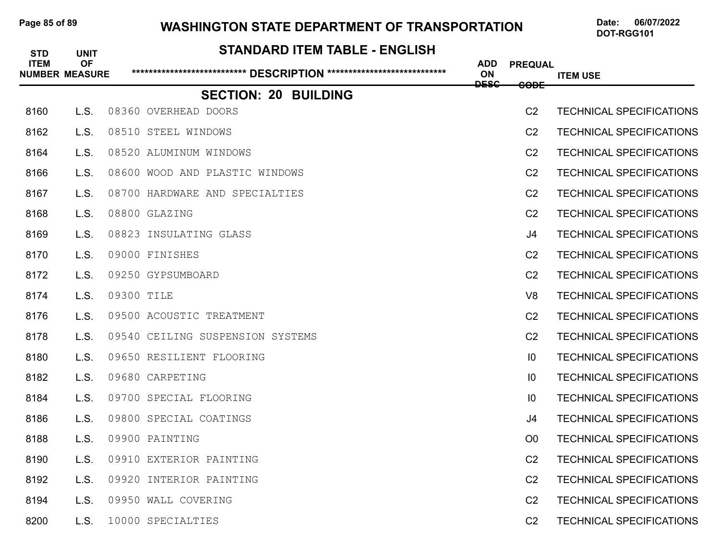# Page 85 of 89 WASHINGTON STATE DEPARTMENT OF TRANSPORTATION Date: 06/07/2022

| <b>STD</b><br><b>ITEM</b> | <b>UNIT</b><br><b>OF</b><br><b>NUMBER MEASURE</b> | <b>STANDARD ITEM TABLE - ENGLISH</b><br>****************************** DESCRIPTION **************************** | <b>ADD</b><br>ON | <b>PREQUAL</b>  | <b>ITEM USE</b>                 |
|---------------------------|---------------------------------------------------|-----------------------------------------------------------------------------------------------------------------|------------------|-----------------|---------------------------------|
|                           |                                                   | <b>SECTION: 20 BUILDING</b>                                                                                     | <b>DESC</b>      | <del>CODE</del> |                                 |
| 8160                      | L.S.                                              | 08360 OVERHEAD DOORS                                                                                            |                  | C <sub>2</sub>  | <b>TECHNICAL SPECIFICATIONS</b> |
| 8162                      | L.S.                                              | 08510 STEEL WINDOWS                                                                                             |                  | C <sub>2</sub>  | <b>TECHNICAL SPECIFICATIONS</b> |
| 8164                      | L.S.                                              | 08520 ALUMINUM WINDOWS                                                                                          |                  | C <sub>2</sub>  | <b>TECHNICAL SPECIFICATIONS</b> |
| 8166                      | L.S.                                              | 08600 WOOD AND PLASTIC WINDOWS                                                                                  |                  | C <sub>2</sub>  | <b>TECHNICAL SPECIFICATIONS</b> |
| 8167                      | L.S.                                              | 08700 HARDWARE AND SPECIALTIES                                                                                  |                  | C <sub>2</sub>  | <b>TECHNICAL SPECIFICATIONS</b> |
| 8168                      | L.S.                                              | 08800 GLAZING                                                                                                   |                  | C <sub>2</sub>  | <b>TECHNICAL SPECIFICATIONS</b> |
| 8169                      | L.S.                                              | 08823 INSULATING GLASS                                                                                          |                  | J4              | <b>TECHNICAL SPECIFICATIONS</b> |
| 8170                      | L.S.                                              | 09000 FINISHES                                                                                                  |                  | C <sub>2</sub>  | <b>TECHNICAL SPECIFICATIONS</b> |
| 8172                      | L.S.                                              | 09250 GYPSUMBOARD                                                                                               |                  | C <sub>2</sub>  | <b>TECHNICAL SPECIFICATIONS</b> |
| 8174                      | L.S.                                              | 09300 TILE                                                                                                      |                  | V <sub>8</sub>  | <b>TECHNICAL SPECIFICATIONS</b> |
| 8176                      | L.S.                                              | 09500 ACOUSTIC TREATMENT                                                                                        |                  | C <sub>2</sub>  | <b>TECHNICAL SPECIFICATIONS</b> |
| 8178                      | L.S.                                              | 09540 CEILING SUSPENSION SYSTEMS                                                                                |                  | C <sub>2</sub>  | <b>TECHNICAL SPECIFICATIONS</b> |
| 8180                      | L.S.                                              | 09650 RESILIENT FLOORING                                                                                        |                  | $\overline{10}$ | <b>TECHNICAL SPECIFICATIONS</b> |
| 8182                      | L.S.                                              | 09680 CARPETING                                                                                                 |                  | $\overline{10}$ | <b>TECHNICAL SPECIFICATIONS</b> |
| 8184                      | L.S.                                              | 09700 SPECIAL FLOORING                                                                                          |                  | 10              | <b>TECHNICAL SPECIFICATIONS</b> |
| 8186                      | L.S.                                              | 09800 SPECIAL COATINGS                                                                                          |                  | J4              | <b>TECHNICAL SPECIFICATIONS</b> |
| 8188                      | L.S.                                              | 09900 PAINTING                                                                                                  |                  | O <sub>0</sub>  | <b>TECHNICAL SPECIFICATIONS</b> |
| 8190                      | L.S.                                              | 09910 EXTERIOR PAINTING                                                                                         |                  | C <sub>2</sub>  | <b>TECHNICAL SPECIFICATIONS</b> |
| 8192                      | L.S.                                              | 09920 INTERIOR PAINTING                                                                                         |                  | C <sub>2</sub>  | <b>TECHNICAL SPECIFICATIONS</b> |
| 8194                      | L.S.                                              | 09950 WALL COVERING                                                                                             |                  | C <sub>2</sub>  | <b>TECHNICAL SPECIFICATIONS</b> |
| 8200                      | L.S.                                              | 10000 SPECIALTIES                                                                                               |                  | C <sub>2</sub>  | <b>TECHNICAL SPECIFICATIONS</b> |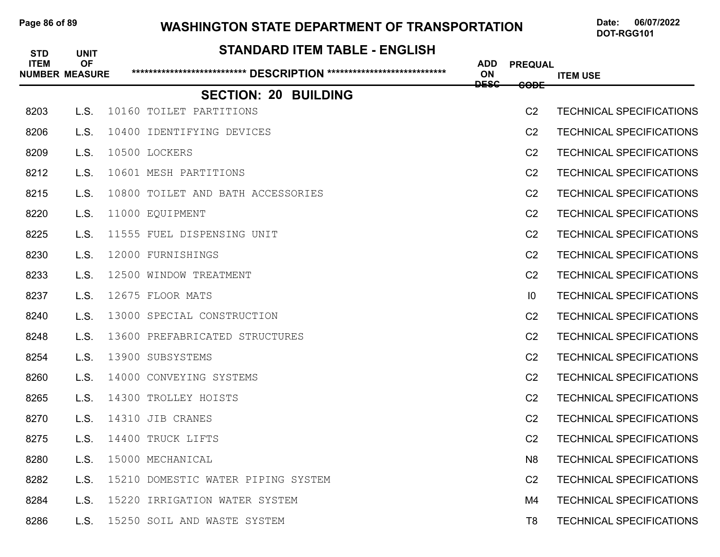# Page 86 of 89 WASHINGTON STATE DEPARTMENT OF TRANSPORTATION Date: 06/07/2022

| <b>STD</b>  | <b>UNIT</b>                        | <b>STANDARD ITEM TABLE - ENGLISH</b>                                    |                  |                 |                                 |
|-------------|------------------------------------|-------------------------------------------------------------------------|------------------|-----------------|---------------------------------|
| <b>ITEM</b> | <b>OF</b><br><b>NUMBER MEASURE</b> | ****************************** DESCRIPTION **************************** | <b>ADD</b><br>ON | <b>PREQUAL</b>  | <b>ITEM USE</b>                 |
|             |                                    | <b>SECTION: 20 BUILDING</b>                                             | <b>DESC</b>      | <del>CODE</del> |                                 |
| 8203        | L.S.                               | 10160 TOILET PARTITIONS                                                 |                  | C <sub>2</sub>  | <b>TECHNICAL SPECIFICATIONS</b> |
| 8206        | L.S.                               | 10400 IDENTIFYING DEVICES                                               |                  | C <sub>2</sub>  | <b>TECHNICAL SPECIFICATIONS</b> |
| 8209        | L.S.                               | 10500 LOCKERS                                                           |                  | C <sub>2</sub>  | <b>TECHNICAL SPECIFICATIONS</b> |
| 8212        | L.S.                               | 10601 MESH PARTITIONS                                                   |                  | C <sub>2</sub>  | <b>TECHNICAL SPECIFICATIONS</b> |
| 8215        | L.S.                               | 10800 TOILET AND BATH ACCESSORIES                                       |                  | C <sub>2</sub>  | <b>TECHNICAL SPECIFICATIONS</b> |
| 8220        | L.S.                               | 11000 EQUIPMENT                                                         |                  | C <sub>2</sub>  | <b>TECHNICAL SPECIFICATIONS</b> |
| 8225        | L.S.                               | 11555 FUEL DISPENSING UNIT                                              |                  | C <sub>2</sub>  | <b>TECHNICAL SPECIFICATIONS</b> |
| 8230        | L.S.                               | 12000 FURNISHINGS                                                       |                  | C <sub>2</sub>  | <b>TECHNICAL SPECIFICATIONS</b> |
| 8233        | L.S.                               | 12500 WINDOW TREATMENT                                                  |                  | C <sub>2</sub>  | <b>TECHNICAL SPECIFICATIONS</b> |
| 8237        | L.S.                               | 12675 FLOOR MATS                                                        |                  | 10              | <b>TECHNICAL SPECIFICATIONS</b> |
| 8240        | L.S.                               | 13000 SPECIAL CONSTRUCTION                                              |                  | C <sub>2</sub>  | <b>TECHNICAL SPECIFICATIONS</b> |
| 8248        | L.S.                               | 13600 PREFABRICATED STRUCTURES                                          |                  | C <sub>2</sub>  | <b>TECHNICAL SPECIFICATIONS</b> |
| 8254        | L.S.                               | 13900 SUBSYSTEMS                                                        |                  | C <sub>2</sub>  | <b>TECHNICAL SPECIFICATIONS</b> |
| 8260        | L.S.                               | 14000 CONVEYING SYSTEMS                                                 |                  | C <sub>2</sub>  | <b>TECHNICAL SPECIFICATIONS</b> |
| 8265        | L.S.                               | 14300 TROLLEY HOISTS                                                    |                  | C <sub>2</sub>  | <b>TECHNICAL SPECIFICATIONS</b> |
| 8270        | L.S.                               | 14310 JIB CRANES                                                        |                  | C <sub>2</sub>  | <b>TECHNICAL SPECIFICATIONS</b> |
| 8275        | L.S.                               | 14400 TRUCK LIFTS                                                       |                  | C <sub>2</sub>  | <b>TECHNICAL SPECIFICATIONS</b> |
| 8280        | L.S.                               | 15000 MECHANICAL                                                        |                  | N <sub>8</sub>  | <b>TECHNICAL SPECIFICATIONS</b> |
| 8282        | L.S.                               | 15210 DOMESTIC WATER PIPING SYSTEM                                      |                  | C <sub>2</sub>  | <b>TECHNICAL SPECIFICATIONS</b> |
| 8284        | L.S.                               | 15220 IRRIGATION WATER SYSTEM                                           |                  | M4              | <b>TECHNICAL SPECIFICATIONS</b> |
| 8286        | L.S.                               | 15250 SOIL AND WASTE SYSTEM                                             |                  | T <sub>8</sub>  | <b>TECHNICAL SPECIFICATIONS</b> |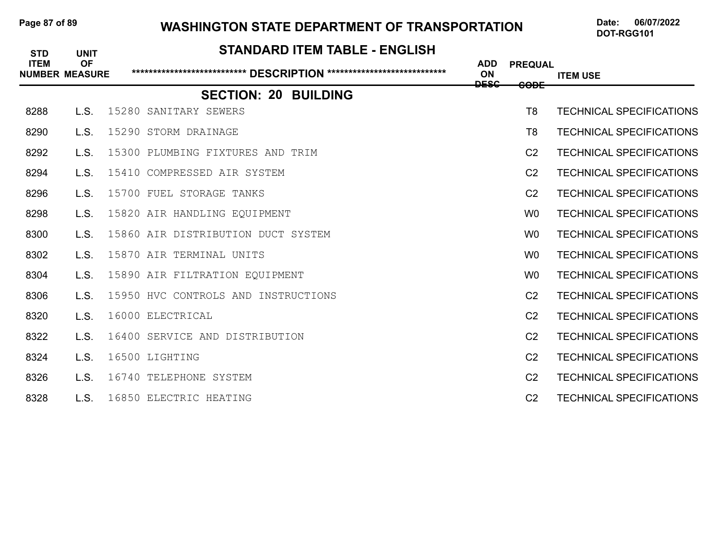# Page 87 of 89 WASHINGTON STATE DEPARTMENT OF TRANSPORTATION Date: 06/07/2022

| <b>STD</b><br><b>ITEM</b> | <b>UNIT</b><br><b>OF</b><br><b>NUMBER MEASURE</b> | <b>STANDARD ITEM TABLE - ENGLISH</b> |             |                               |                                 |
|---------------------------|---------------------------------------------------|--------------------------------------|-------------|-------------------------------|---------------------------------|
|                           |                                                   | <b>ADD</b><br><b>ON</b>              | <b>DESC</b> | <b>PREQUAL</b><br><b>GODE</b> | <b>ITEM USE</b>                 |
|                           |                                                   | <b>SECTION: 20 BUILDING</b>          |             |                               |                                 |
| 8288                      | L.S.                                              | 15280 SANITARY SEWERS                |             | T <sub>8</sub>                | <b>TECHNICAL SPECIFICATIONS</b> |
| 8290                      | L.S.                                              | 15290 STORM DRAINAGE                 |             | T <sub>8</sub>                | <b>TECHNICAL SPECIFICATIONS</b> |
| 8292                      | L.S.                                              | 15300 PLUMBING FIXTURES AND TRIM     |             | C <sub>2</sub>                | <b>TECHNICAL SPECIFICATIONS</b> |
| 8294                      | L.S.                                              | 15410 COMPRESSED AIR SYSTEM          |             | C <sub>2</sub>                | <b>TECHNICAL SPECIFICATIONS</b> |
| 8296                      | L.S.                                              | 15700 FUEL STORAGE TANKS             |             | C <sub>2</sub>                | <b>TECHNICAL SPECIFICATIONS</b> |
| 8298                      | L.S.                                              | 15820 AIR HANDLING EQUIPMENT         |             | W <sub>0</sub>                | <b>TECHNICAL SPECIFICATIONS</b> |
| 8300                      | L.S.                                              | 15860 AIR DISTRIBUTION DUCT SYSTEM   |             | W <sub>0</sub>                | <b>TECHNICAL SPECIFICATIONS</b> |
| 8302                      | L.S.                                              | 15870 AIR TERMINAL UNITS             |             | W <sub>0</sub>                | <b>TECHNICAL SPECIFICATIONS</b> |
| 8304                      | L.S.                                              | 15890 AIR FILTRATION EQUIPMENT       |             | W <sub>0</sub>                | <b>TECHNICAL SPECIFICATIONS</b> |
| 8306                      | L.S.                                              | 15950 HVC CONTROLS AND INSTRUCTIONS  |             | C <sub>2</sub>                | <b>TECHNICAL SPECIFICATIONS</b> |
| 8320                      | L.S.                                              | 16000 ELECTRICAL                     |             | C <sub>2</sub>                | <b>TECHNICAL SPECIFICATIONS</b> |
| 8322                      | L.S.                                              | 16400 SERVICE AND DISTRIBUTION       |             | C <sub>2</sub>                | <b>TECHNICAL SPECIFICATIONS</b> |
| 8324                      | L.S.                                              | 16500 LIGHTING                       |             | C <sub>2</sub>                | <b>TECHNICAL SPECIFICATIONS</b> |
| 8326                      | L.S.                                              | 16740 TELEPHONE SYSTEM               |             | C <sub>2</sub>                | <b>TECHNICAL SPECIFICATIONS</b> |
| 8328                      | L.S.                                              | 16850 ELECTRIC HEATING               |             | C <sub>2</sub>                | <b>TECHNICAL SPECIFICATIONS</b> |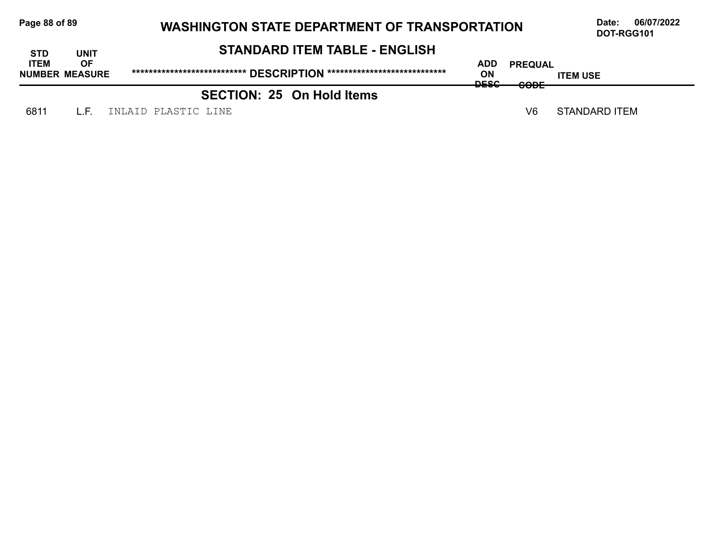| Page 88 of 89 |  |  |  |  |
|---------------|--|--|--|--|
|---------------|--|--|--|--|

# **Page 88/07/2022** WASHINGTON STATE DEPARTMENT OF TRANSPORTATION Date: 06/07/2022

| <b>STD</b>                           | UNIT      | <b>STANDARD ITEM TABLE - ENGLISH</b> |                                 |                          |                 |  |
|--------------------------------------|-----------|--------------------------------------|---------------------------------|--------------------------|-----------------|--|
| <b>ITEM</b><br><b>NUMBER MEASURE</b> | <b>OF</b> |                                      | ADD<br><b>ON</b><br><b>DECC</b> | <b>PREQUAL</b><br>CODE   | <b>ITEM USE</b> |  |
|                                      |           | <b>SECTION: 25 On Hold Items</b>     | ╍                               | $\overline{\phantom{m}}$ |                 |  |
| 6811                                 | LE.       | INLAID PLASTIC LINE                  |                                 | V6                       | STANDARD ITEM   |  |